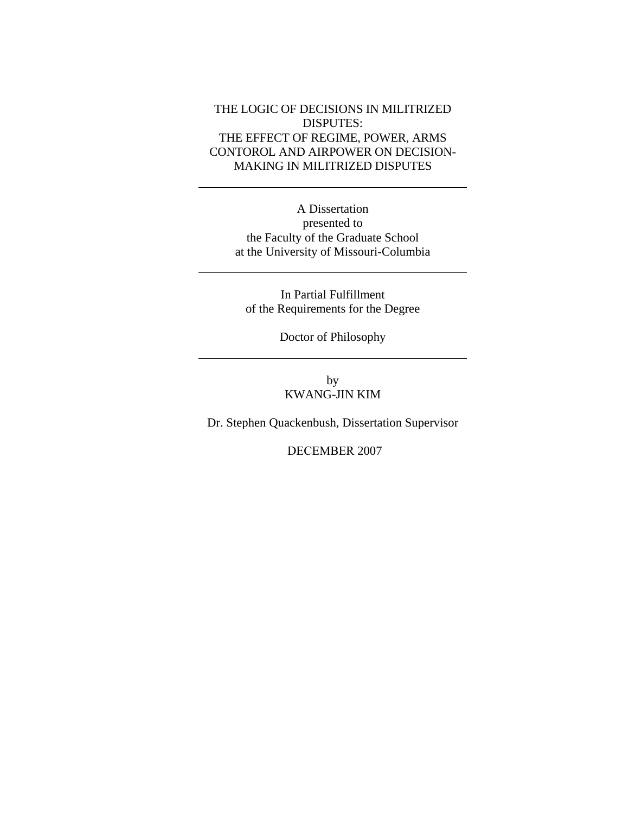### THE LOGIC OF DECISIONS IN MILITRIZED DISPUTES: THE EFFECT OF REGIME, POWER, ARMS CONTOROL AND AIRPOWER ON DECISION-MAKING IN MILITRIZED DISPUTES

A Dissertation presented to the Faculty of the Graduate School at the University of Missouri-Columbia

In Partial Fulfillment of the Requirements for the Degree

Doctor of Philosophy

by KWANG-JIN KIM

Dr. Stephen Quackenbush, Dissertation Supervisor

DECEMBER 2007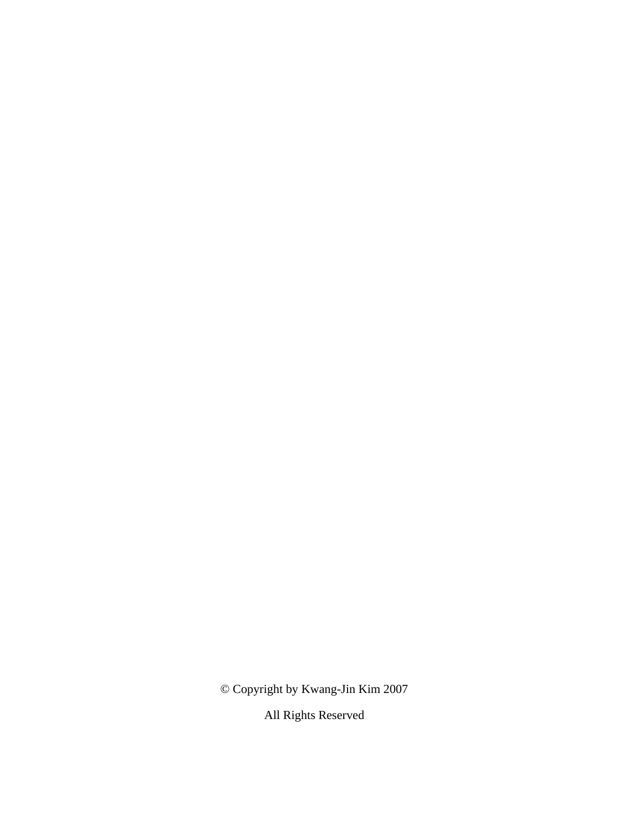© Copyright by Kwang-Jin Kim 2007

All Rights Reserved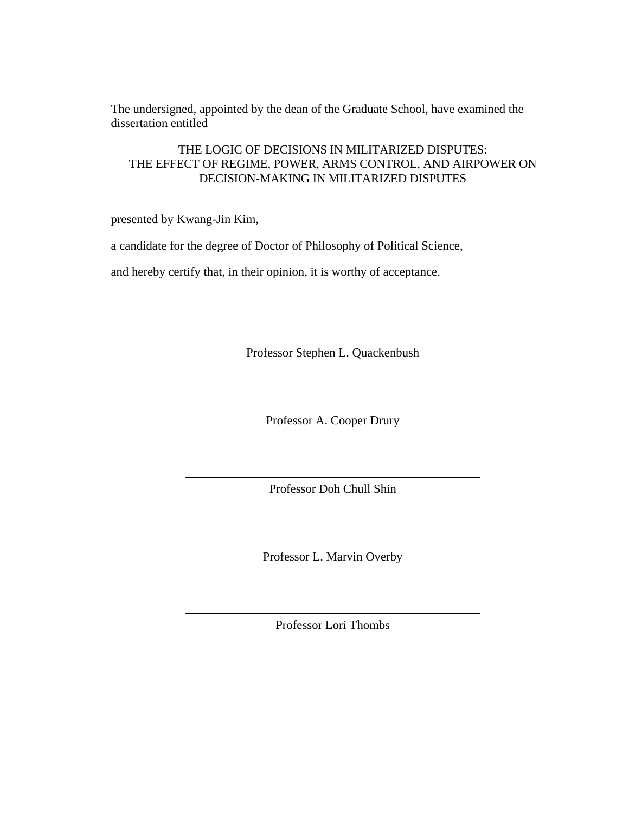The undersigned, appointed by the dean of the Graduate School, have examined the dissertation entitled

THE LOGIC OF DECISIONS IN MILITARIZED DISPUTES: THE EFFECT OF REGIME, POWER, ARMS CONTROL, AND AIRPOWER ON DECISION-MAKING IN MILITARIZED DISPUTES

presented by Kwang-Jin Kim,

a candidate for the degree of Doctor of Philosophy of Political Science,

and hereby certify that, in their opinion, it is worthy of acceptance.

Professor Stephen L. Quackenbush

Professor A. Cooper Drury

Professor Doh Chull Shin

Professor L. Marvin Overby

Professor Lori Thombs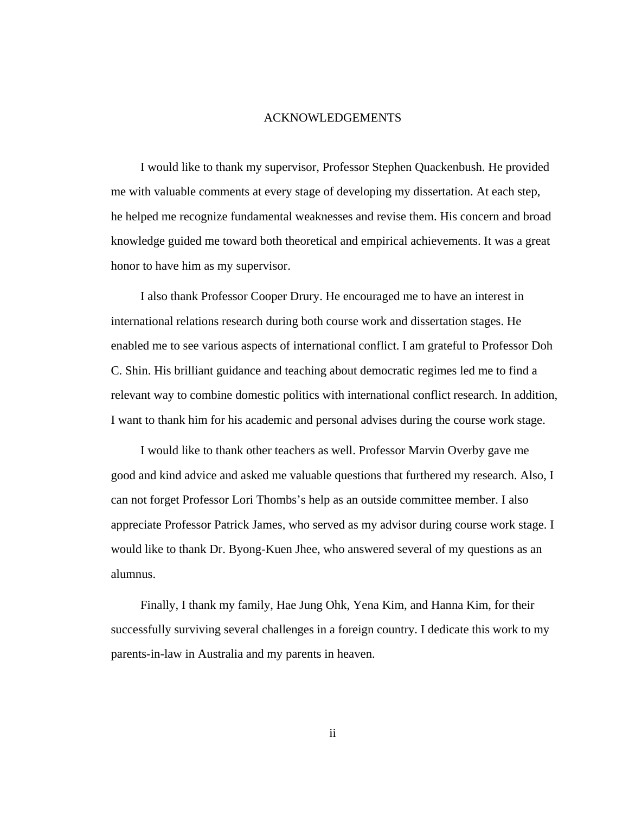#### ACKNOWLEDGEMENTS

I would like to thank my supervisor, Professor Stephen Quackenbush. He provided me with valuable comments at every stage of developing my dissertation. At each step, he helped me recognize fundamental weaknesses and revise them. His concern and broad knowledge guided me toward both theoretical and empirical achievements. It was a great honor to have him as my supervisor.

I also thank Professor Cooper Drury. He encouraged me to have an interest in international relations research during both course work and dissertation stages. He enabled me to see various aspects of international conflict. I am grateful to Professor Doh C. Shin. His brilliant guidance and teaching about democratic regimes led me to find a relevant way to combine domestic politics with international conflict research. In addition, I want to thank him for his academic and personal advises during the course work stage.

I would like to thank other teachers as well. Professor Marvin Overby gave me good and kind advice and asked me valuable questions that furthered my research. Also, I can not forget Professor Lori Thombs's help as an outside committee member. I also appreciate Professor Patrick James, who served as my advisor during course work stage. I would like to thank Dr. Byong-Kuen Jhee, who answered several of my questions as an alumnus.

Finally, I thank my family, Hae Jung Ohk, Yena Kim, and Hanna Kim, for their successfully surviving several challenges in a foreign country. I dedicate this work to my parents-in-law in Australia and my parents in heaven.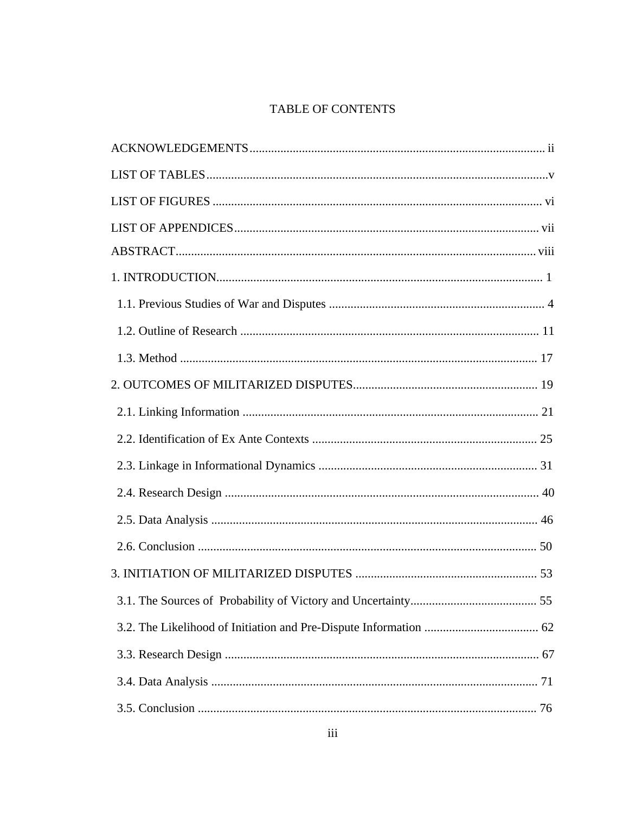# TABLE OF CONTENTS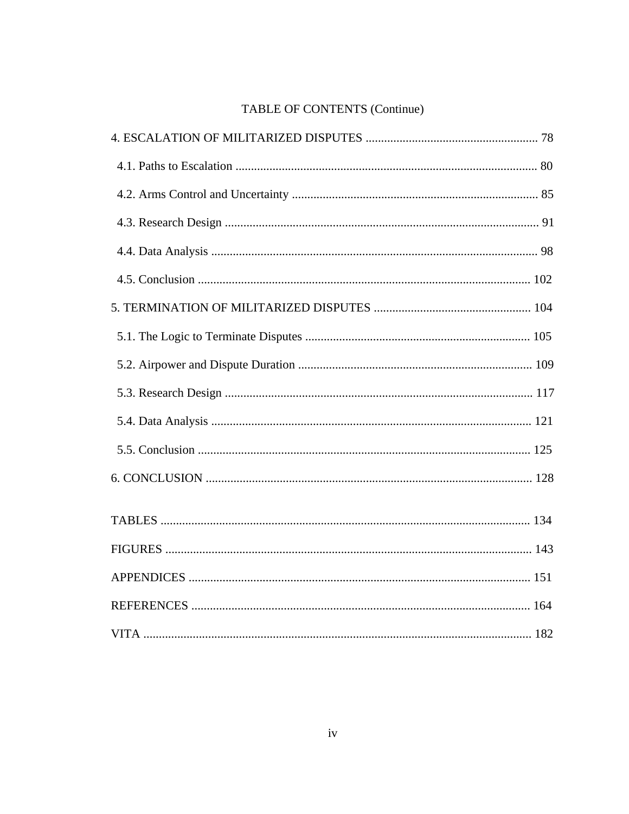# TABLE OF CONTENTS (Continue)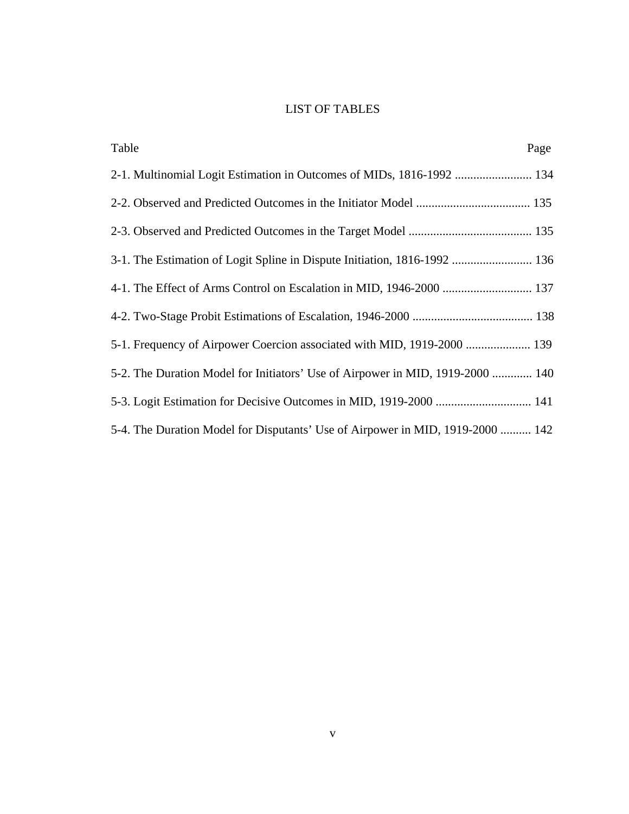## LIST OF TABLES

| Table                                                                          | Page |
|--------------------------------------------------------------------------------|------|
|                                                                                |      |
|                                                                                |      |
|                                                                                |      |
| 3-1. The Estimation of Logit Spline in Dispute Initiation, 1816-1992  136      |      |
| 4-1. The Effect of Arms Control on Escalation in MID, 1946-2000  137           |      |
|                                                                                |      |
| 5-1. Frequency of Airpower Coercion associated with MID, 1919-2000  139        |      |
| 5-2. The Duration Model for Initiators' Use of Airpower in MID, 1919-2000  140 |      |
|                                                                                |      |
| 5-4. The Duration Model for Disputants' Use of Airpower in MID, 1919-2000  142 |      |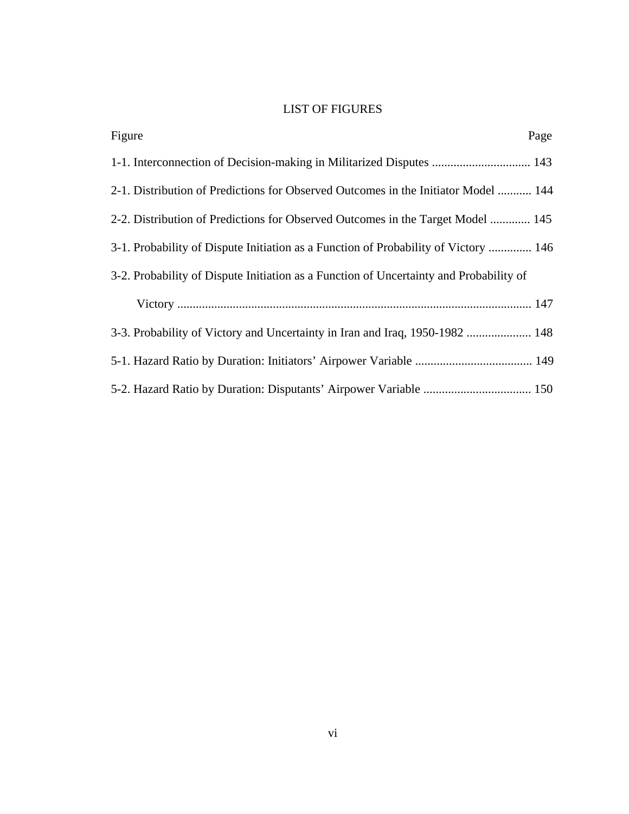## LIST OF FIGURES

| Page<br>Figure                                                                         |
|----------------------------------------------------------------------------------------|
| 1-1. Interconnection of Decision-making in Militarized Disputes  143                   |
| 2-1. Distribution of Predictions for Observed Outcomes in the Initiator Model  144     |
| 2-2. Distribution of Predictions for Observed Outcomes in the Target Model  145        |
| 3-1. Probability of Dispute Initiation as a Function of Probability of Victory  146    |
| 3-2. Probability of Dispute Initiation as a Function of Uncertainty and Probability of |
|                                                                                        |
| 3-3. Probability of Victory and Uncertainty in Iran and Iraq, 1950-1982  148           |
|                                                                                        |
|                                                                                        |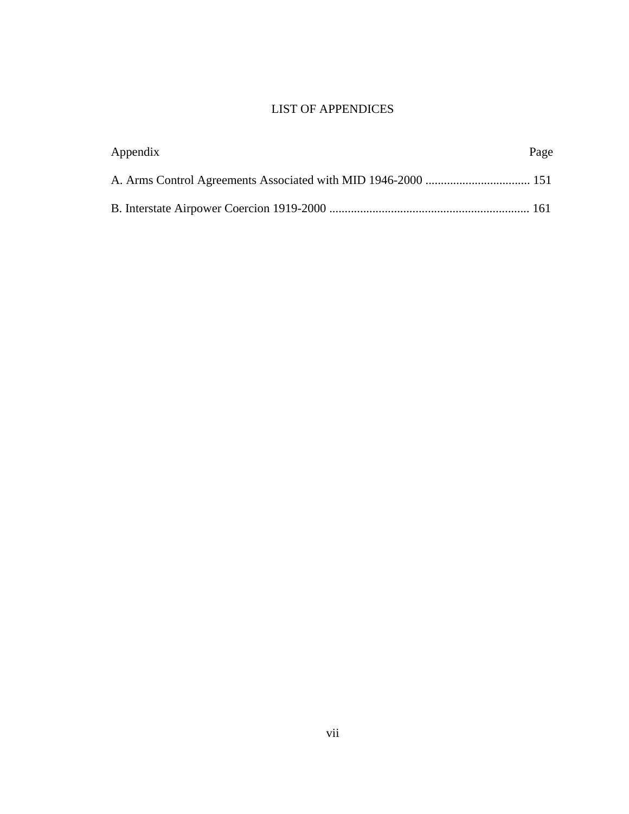## LIST OF APPENDICES

| Appendix | Page |
|----------|------|
|          |      |
|          |      |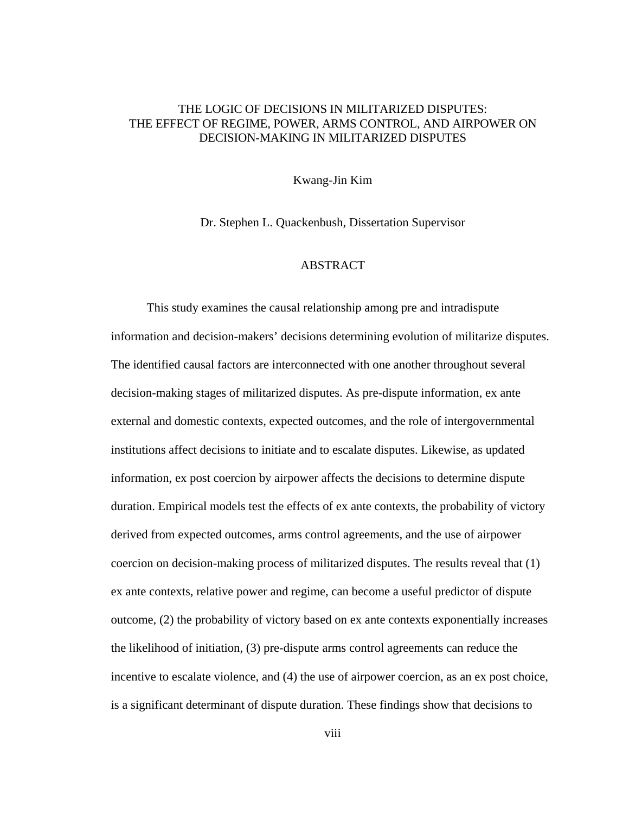### THE LOGIC OF DECISIONS IN MILITARIZED DISPUTES: THE EFFECT OF REGIME, POWER, ARMS CONTROL, AND AIRPOWER ON DECISION-MAKING IN MILITARIZED DISPUTES

Kwang-Jin Kim

Dr. Stephen L. Quackenbush, Dissertation Supervisor

### ABSTRACT

This study examines the causal relationship among pre and intradispute information and decision-makers' decisions determining evolution of militarize disputes. The identified causal factors are interconnected with one another throughout several decision-making stages of militarized disputes. As pre-dispute information, ex ante external and domestic contexts, expected outcomes, and the role of intergovernmental institutions affect decisions to initiate and to escalate disputes. Likewise, as updated information, ex post coercion by airpower affects the decisions to determine dispute duration. Empirical models test the effects of ex ante contexts, the probability of victory derived from expected outcomes, arms control agreements, and the use of airpower coercion on decision-making process of militarized disputes. The results reveal that (1) ex ante contexts, relative power and regime, can become a useful predictor of dispute outcome, (2) the probability of victory based on ex ante contexts exponentially increases the likelihood of initiation, (3) pre-dispute arms control agreements can reduce the incentive to escalate violence, and (4) the use of airpower coercion, as an ex post choice, is a significant determinant of dispute duration. These findings show that decisions to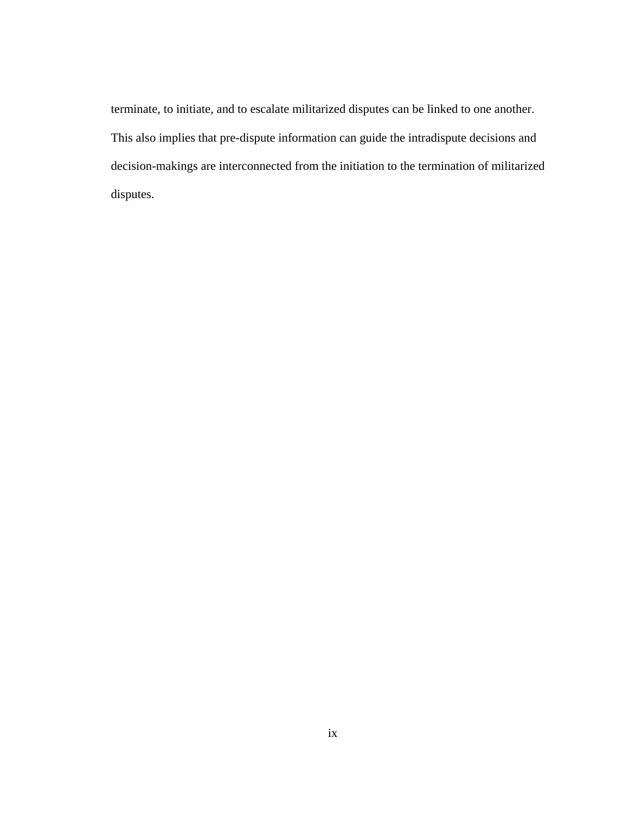terminate, to initiate, and to escalate militarized disputes can be linked to one another. This also implies that pre-dispute information can guide the intradispute decisions and decision-makings are interconnected from the initiation to the termination of militarized disputes.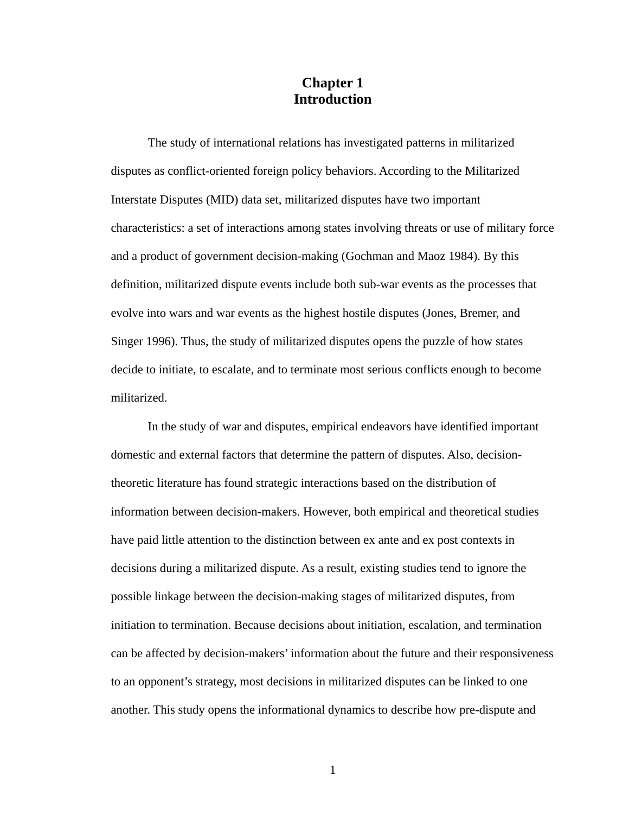## **Chapter 1 Introduction**

The study of international relations has investigated patterns in militarized disputes as conflict-oriented foreign policy behaviors. According to the Militarized Interstate Disputes (MID) data set, militarized disputes have two important characteristics: a set of interactions among states involving threats or use of military force and a product of government decision-making (Gochman and Maoz 1984). By this definition, militarized dispute events include both sub-war events as the processes that evolve into wars and war events as the highest hostile disputes (Jones, Bremer, and Singer 1996). Thus, the study of militarized disputes opens the puzzle of how states decide to initiate, to escalate, and to terminate most serious conflicts enough to become militarized.

In the study of war and disputes, empirical endeavors have identified important domestic and external factors that determine the pattern of disputes. Also, decisiontheoretic literature has found strategic interactions based on the distribution of information between decision-makers. However, both empirical and theoretical studies have paid little attention to the distinction between ex ante and ex post contexts in decisions during a militarized dispute. As a result, existing studies tend to ignore the possible linkage between the decision-making stages of militarized disputes, from initiation to termination. Because decisions about initiation, escalation, and termination can be affected by decision-makers' information about the future and their responsiveness to an opponent's strategy, most decisions in militarized disputes can be linked to one another. This study opens the informational dynamics to describe how pre-dispute and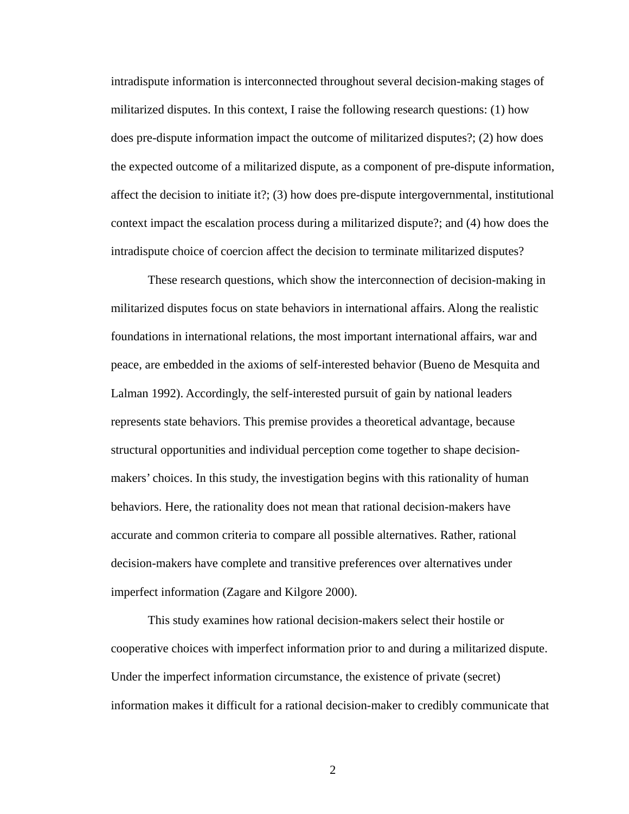intradispute information is interconnected throughout several decision-making stages of militarized disputes. In this context, I raise the following research questions: (1) how does pre-dispute information impact the outcome of militarized disputes?; (2) how does the expected outcome of a militarized dispute, as a component of pre-dispute information, affect the decision to initiate it?; (3) how does pre-dispute intergovernmental, institutional context impact the escalation process during a militarized dispute?; and (4) how does the intradispute choice of coercion affect the decision to terminate militarized disputes?

These research questions, which show the interconnection of decision-making in militarized disputes focus on state behaviors in international affairs. Along the realistic foundations in international relations, the most important international affairs, war and peace, are embedded in the axioms of self-interested behavior (Bueno de Mesquita and Lalman 1992). Accordingly, the self-interested pursuit of gain by national leaders represents state behaviors. This premise provides a theoretical advantage, because structural opportunities and individual perception come together to shape decisionmakers' choices. In this study, the investigation begins with this rationality of human behaviors. Here, the rationality does not mean that rational decision-makers have accurate and common criteria to compare all possible alternatives. Rather, rational decision-makers have complete and transitive preferences over alternatives under imperfect information (Zagare and Kilgore 2000).

This study examines how rational decision-makers select their hostile or cooperative choices with imperfect information prior to and during a militarized dispute. Under the imperfect information circumstance, the existence of private (secret) information makes it difficult for a rational decision-maker to credibly communicate that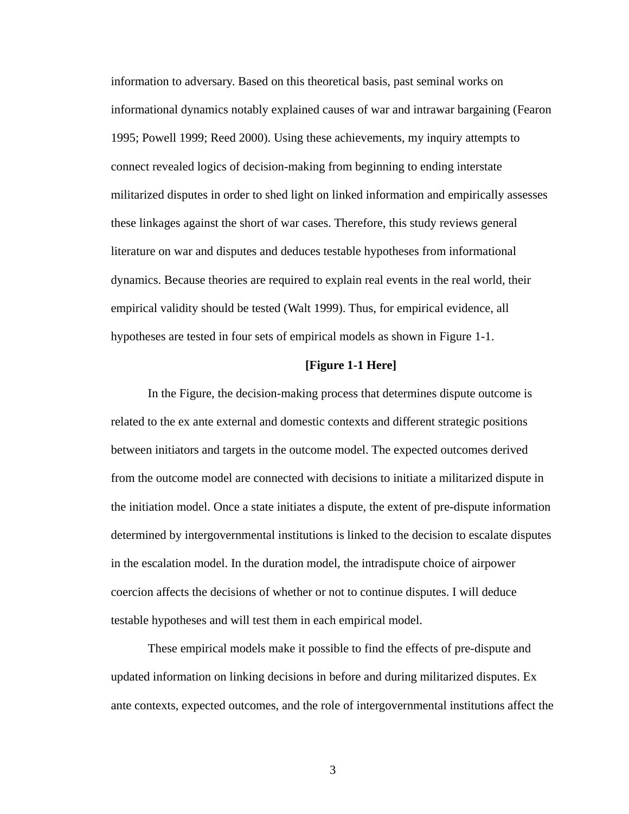information to adversary. Based on this theoretical basis, past seminal works on informational dynamics notably explained causes of war and intrawar bargaining (Fearon 1995; Powell 1999; Reed 2000). Using these achievements, my inquiry attempts to connect revealed logics of decision-making from beginning to ending interstate militarized disputes in order to shed light on linked information and empirically assesses these linkages against the short of war cases. Therefore, this study reviews general literature on war and disputes and deduces testable hypotheses from informational dynamics. Because theories are required to explain real events in the real world, their empirical validity should be tested (Walt 1999). Thus, for empirical evidence, all hypotheses are tested in four sets of empirical models as shown in Figure 1-1.

#### **[Figure 1-1 Here]**

In the Figure, the decision-making process that determines dispute outcome is related to the ex ante external and domestic contexts and different strategic positions between initiators and targets in the outcome model. The expected outcomes derived from the outcome model are connected with decisions to initiate a militarized dispute in the initiation model. Once a state initiates a dispute, the extent of pre-dispute information determined by intergovernmental institutions is linked to the decision to escalate disputes in the escalation model. In the duration model, the intradispute choice of airpower coercion affects the decisions of whether or not to continue disputes. I will deduce testable hypotheses and will test them in each empirical model.

These empirical models make it possible to find the effects of pre-dispute and updated information on linking decisions in before and during militarized disputes. Ex ante contexts, expected outcomes, and the role of intergovernmental institutions affect the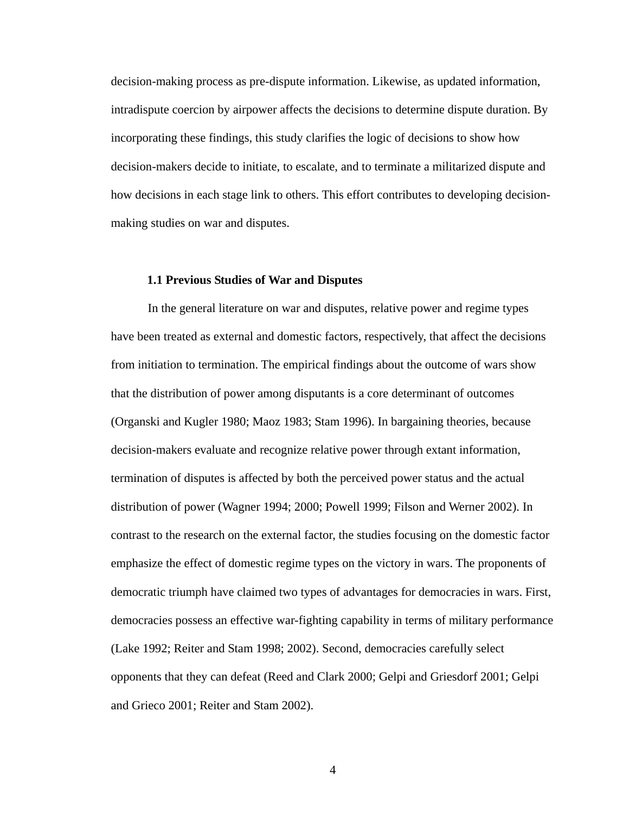decision-making process as pre-dispute information. Likewise, as updated information, intradispute coercion by airpower affects the decisions to determine dispute duration. By incorporating these findings, this study clarifies the logic of decisions to show how decision-makers decide to initiate, to escalate, and to terminate a militarized dispute and how decisions in each stage link to others. This effort contributes to developing decisionmaking studies on war and disputes.

#### **1.1 Previous Studies of War and Disputes**

In the general literature on war and disputes, relative power and regime types have been treated as external and domestic factors, respectively, that affect the decisions from initiation to termination. The empirical findings about the outcome of wars show that the distribution of power among disputants is a core determinant of outcomes (Organski and Kugler 1980; Maoz 1983; Stam 1996). In bargaining theories, because decision-makers evaluate and recognize relative power through extant information, termination of disputes is affected by both the perceived power status and the actual distribution of power (Wagner 1994; 2000; Powell 1999; Filson and Werner 2002). In contrast to the research on the external factor, the studies focusing on the domestic factor emphasize the effect of domestic regime types on the victory in wars. The proponents of democratic triumph have claimed two types of advantages for democracies in wars. First, democracies possess an effective war-fighting capability in terms of military performance (Lake 1992; Reiter and Stam 1998; 2002). Second, democracies carefully select opponents that they can defeat (Reed and Clark 2000; Gelpi and Griesdorf 2001; Gelpi and Grieco 2001; Reiter and Stam 2002).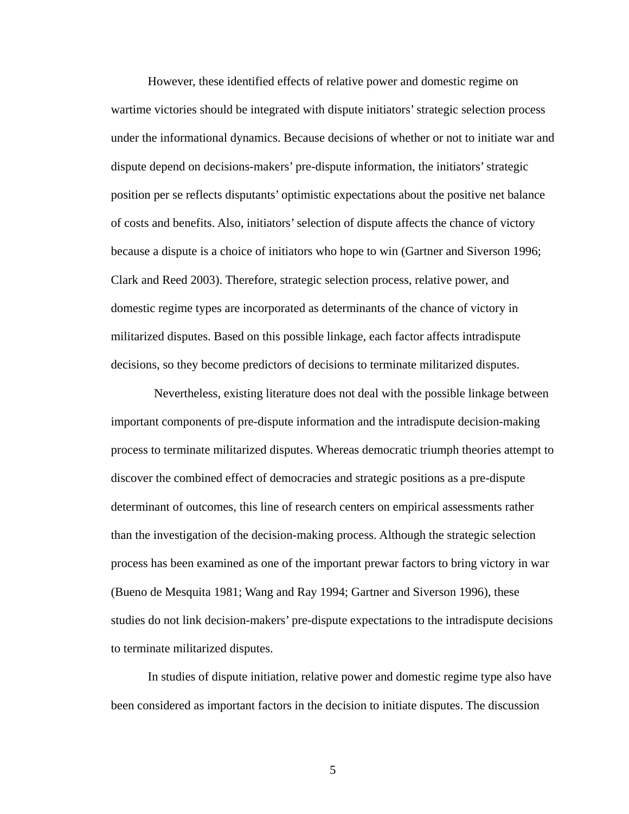However, these identified effects of relative power and domestic regime on wartime victories should be integrated with dispute initiators' strategic selection process under the informational dynamics. Because decisions of whether or not to initiate war and dispute depend on decisions-makers' pre-dispute information, the initiators' strategic position per se reflects disputants' optimistic expectations about the positive net balance of costs and benefits. Also, initiators' selection of dispute affects the chance of victory because a dispute is a choice of initiators who hope to win (Gartner and Siverson 1996; Clark and Reed 2003). Therefore, strategic selection process, relative power, and domestic regime types are incorporated as determinants of the chance of victory in militarized disputes. Based on this possible linkage, each factor affects intradispute decisions, so they become predictors of decisions to terminate militarized disputes.

 Nevertheless, existing literature does not deal with the possible linkage between important components of pre-dispute information and the intradispute decision-making process to terminate militarized disputes. Whereas democratic triumph theories attempt to discover the combined effect of democracies and strategic positions as a pre-dispute determinant of outcomes, this line of research centers on empirical assessments rather than the investigation of the decision-making process. Although the strategic selection process has been examined as one of the important prewar factors to bring victory in war (Bueno de Mesquita 1981; Wang and Ray 1994; Gartner and Siverson 1996), these studies do not link decision-makers' pre-dispute expectations to the intradispute decisions to terminate militarized disputes.

In studies of dispute initiation, relative power and domestic regime type also have been considered as important factors in the decision to initiate disputes. The discussion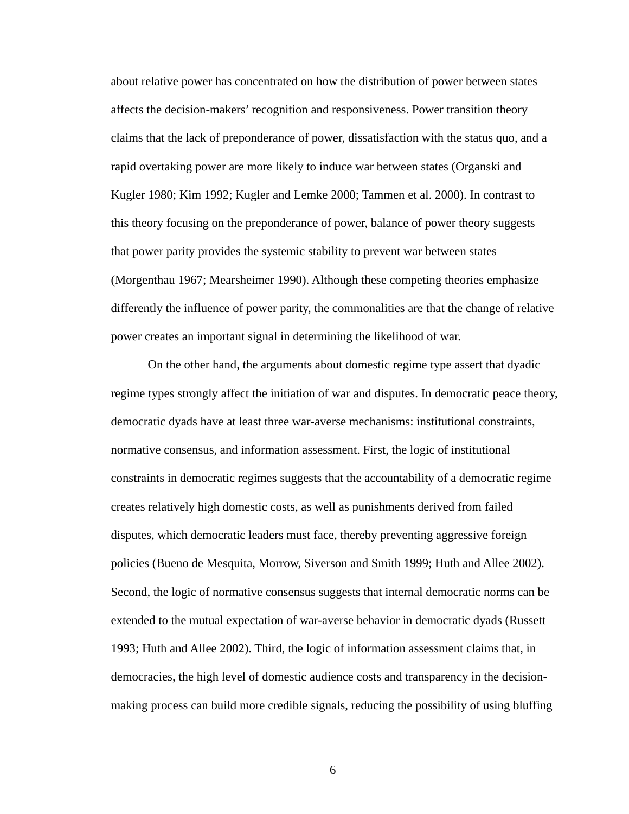about relative power has concentrated on how the distribution of power between states affects the decision-makers' recognition and responsiveness. Power transition theory claims that the lack of preponderance of power, dissatisfaction with the status quo, and a rapid overtaking power are more likely to induce war between states (Organski and Kugler 1980; Kim 1992; Kugler and Lemke 2000; Tammen et al. 2000). In contrast to this theory focusing on the preponderance of power, balance of power theory suggests that power parity provides the systemic stability to prevent war between states (Morgenthau 1967; Mearsheimer 1990). Although these competing theories emphasize differently the influence of power parity, the commonalities are that the change of relative power creates an important signal in determining the likelihood of war.

On the other hand, the arguments about domestic regime type assert that dyadic regime types strongly affect the initiation of war and disputes. In democratic peace theory, democratic dyads have at least three war-averse mechanisms: institutional constraints, normative consensus, and information assessment. First, the logic of institutional constraints in democratic regimes suggests that the accountability of a democratic regime creates relatively high domestic costs, as well as punishments derived from failed disputes, which democratic leaders must face, thereby preventing aggressive foreign policies (Bueno de Mesquita, Morrow, Siverson and Smith 1999; Huth and Allee 2002). Second, the logic of normative consensus suggests that internal democratic norms can be extended to the mutual expectation of war-averse behavior in democratic dyads (Russett 1993; Huth and Allee 2002). Third, the logic of information assessment claims that, in democracies, the high level of domestic audience costs and transparency in the decisionmaking process can build more credible signals, reducing the possibility of using bluffing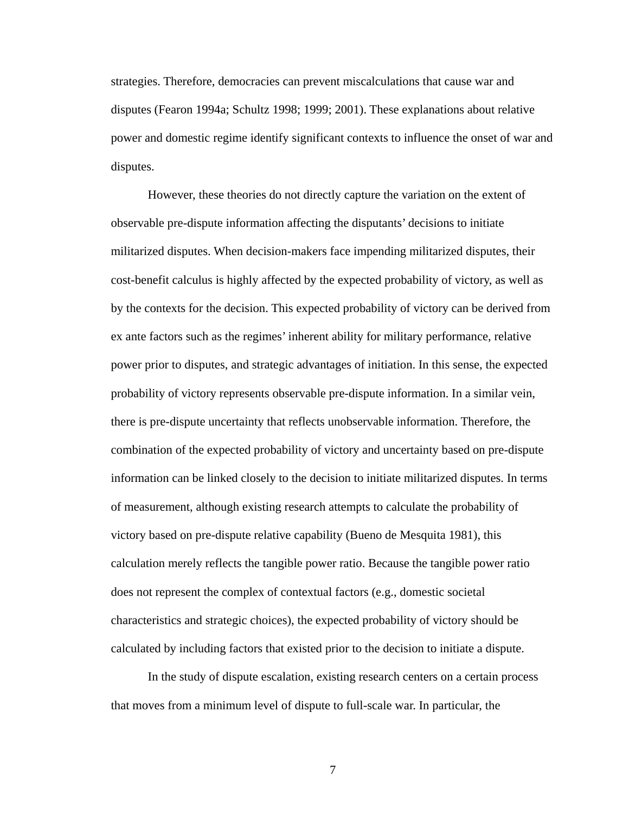strategies. Therefore, democracies can prevent miscalculations that cause war and disputes (Fearon 1994a; Schultz 1998; 1999; 2001). These explanations about relative power and domestic regime identify significant contexts to influence the onset of war and disputes.

However, these theories do not directly capture the variation on the extent of observable pre-dispute information affecting the disputants' decisions to initiate militarized disputes. When decision-makers face impending militarized disputes, their cost-benefit calculus is highly affected by the expected probability of victory, as well as by the contexts for the decision. This expected probability of victory can be derived from ex ante factors such as the regimes' inherent ability for military performance, relative power prior to disputes, and strategic advantages of initiation. In this sense, the expected probability of victory represents observable pre-dispute information. In a similar vein, there is pre-dispute uncertainty that reflects unobservable information. Therefore, the combination of the expected probability of victory and uncertainty based on pre-dispute information can be linked closely to the decision to initiate militarized disputes. In terms of measurement, although existing research attempts to calculate the probability of victory based on pre-dispute relative capability (Bueno de Mesquita 1981), this calculation merely reflects the tangible power ratio. Because the tangible power ratio does not represent the complex of contextual factors (e.g., domestic societal characteristics and strategic choices), the expected probability of victory should be calculated by including factors that existed prior to the decision to initiate a dispute.

In the study of dispute escalation, existing research centers on a certain process that moves from a minimum level of dispute to full-scale war. In particular, the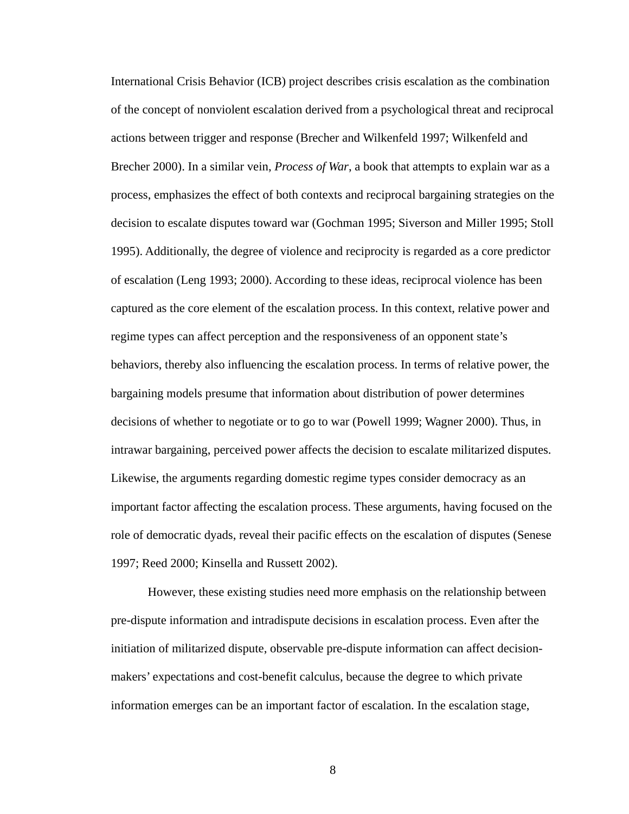International Crisis Behavior (ICB) project describes crisis escalation as the combination of the concept of nonviolent escalation derived from a psychological threat and reciprocal actions between trigger and response (Brecher and Wilkenfeld 1997; Wilkenfeld and Brecher 2000). In a similar vein, *Process of War*, a book that attempts to explain war as a process, emphasizes the effect of both contexts and reciprocal bargaining strategies on the decision to escalate disputes toward war (Gochman 1995; Siverson and Miller 1995; Stoll 1995). Additionally, the degree of violence and reciprocity is regarded as a core predictor of escalation (Leng 1993; 2000). According to these ideas, reciprocal violence has been captured as the core element of the escalation process. In this context, relative power and regime types can affect perception and the responsiveness of an opponent state's behaviors, thereby also influencing the escalation process. In terms of relative power, the bargaining models presume that information about distribution of power determines decisions of whether to negotiate or to go to war (Powell 1999; Wagner 2000). Thus, in intrawar bargaining, perceived power affects the decision to escalate militarized disputes. Likewise, the arguments regarding domestic regime types consider democracy as an important factor affecting the escalation process. These arguments, having focused on the role of democratic dyads, reveal their pacific effects on the escalation of disputes (Senese 1997; Reed 2000; Kinsella and Russett 2002).

However, these existing studies need more emphasis on the relationship between pre-dispute information and intradispute decisions in escalation process. Even after the initiation of militarized dispute, observable pre-dispute information can affect decisionmakers' expectations and cost-benefit calculus, because the degree to which private information emerges can be an important factor of escalation. In the escalation stage,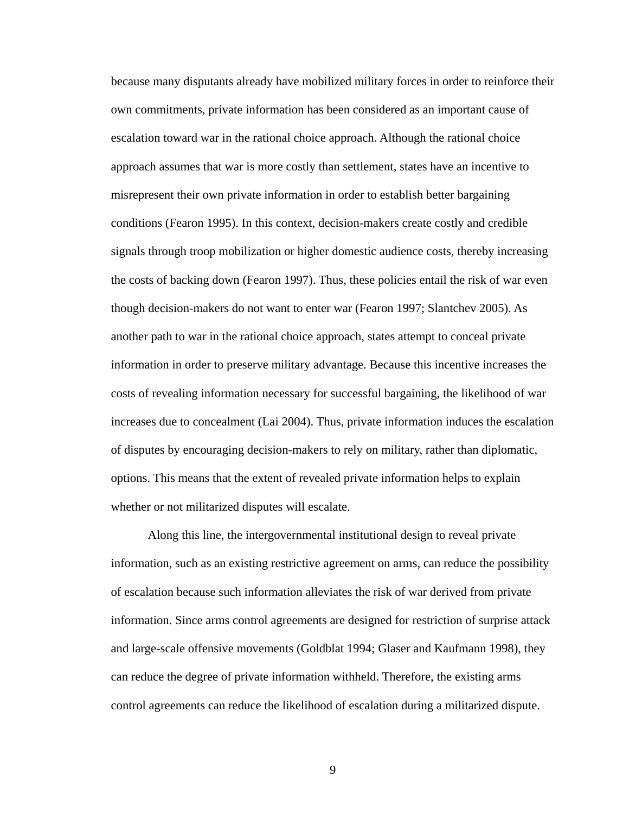because many disputants already have mobilized military forces in order to reinforce their own commitments, private information has been considered as an important cause of escalation toward war in the rational choice approach. Although the rational choice approach assumes that war is more costly than settlement, states have an incentive to misrepresent their own private information in order to establish better bargaining conditions (Fearon 1995). In this context, decision-makers create costly and credible signals through troop mobilization or higher domestic audience costs, thereby increasing the costs of backing down (Fearon 1997). Thus, these policies entail the risk of war even though decision-makers do not want to enter war (Fearon 1997; Slantchev 2005). As another path to war in the rational choice approach, states attempt to conceal private information in order to preserve military advantage. Because this incentive increases the costs of revealing information necessary for successful bargaining, the likelihood of war increases due to concealment (Lai 2004). Thus, private information induces the escalation of disputes by encouraging decision-makers to rely on military, rather than diplomatic, options. This means that the extent of revealed private information helps to explain whether or not militarized disputes will escalate.

Along this line, the intergovernmental institutional design to reveal private information, such as an existing restrictive agreement on arms, can reduce the possibility of escalation because such information alleviates the risk of war derived from private information. Since arms control agreements are designed for restriction of surprise attack and large-scale offensive movements (Goldblat 1994; Glaser and Kaufmann 1998), they can reduce the degree of private information withheld. Therefore, the existing arms control agreements can reduce the likelihood of escalation during a militarized dispute.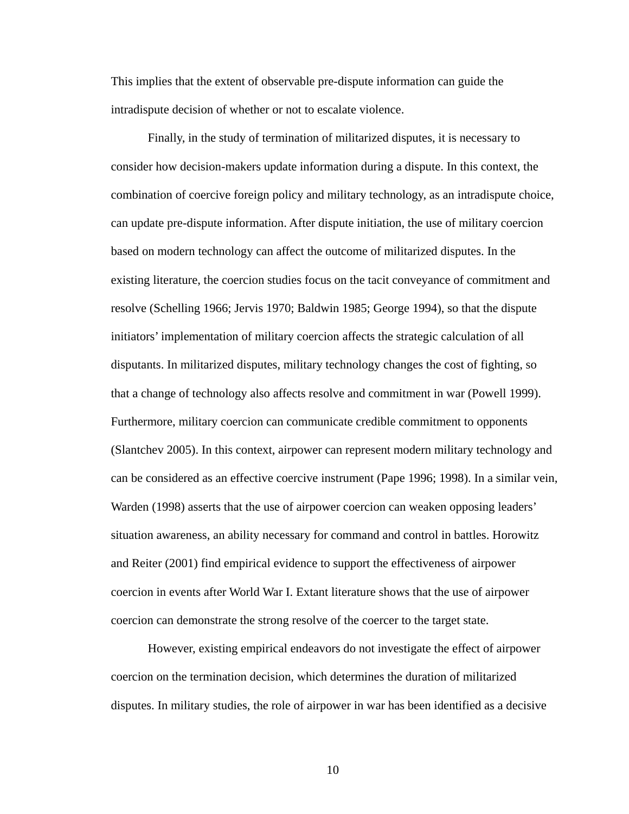This implies that the extent of observable pre-dispute information can guide the intradispute decision of whether or not to escalate violence.

Finally, in the study of termination of militarized disputes, it is necessary to consider how decision-makers update information during a dispute. In this context, the combination of coercive foreign policy and military technology, as an intradispute choice, can update pre-dispute information. After dispute initiation, the use of military coercion based on modern technology can affect the outcome of militarized disputes. In the existing literature, the coercion studies focus on the tacit conveyance of commitment and resolve (Schelling 1966; Jervis 1970; Baldwin 1985; George 1994), so that the dispute initiators' implementation of military coercion affects the strategic calculation of all disputants. In militarized disputes, military technology changes the cost of fighting, so that a change of technology also affects resolve and commitment in war (Powell 1999). Furthermore, military coercion can communicate credible commitment to opponents (Slantchev 2005). In this context, airpower can represent modern military technology and can be considered as an effective coercive instrument (Pape 1996; 1998). In a similar vein, Warden (1998) asserts that the use of airpower coercion can weaken opposing leaders' situation awareness, an ability necessary for command and control in battles. Horowitz and Reiter (2001) find empirical evidence to support the effectiveness of airpower coercion in events after World War I. Extant literature shows that the use of airpower coercion can demonstrate the strong resolve of the coercer to the target state.

However, existing empirical endeavors do not investigate the effect of airpower coercion on the termination decision, which determines the duration of militarized disputes. In military studies, the role of airpower in war has been identified as a decisive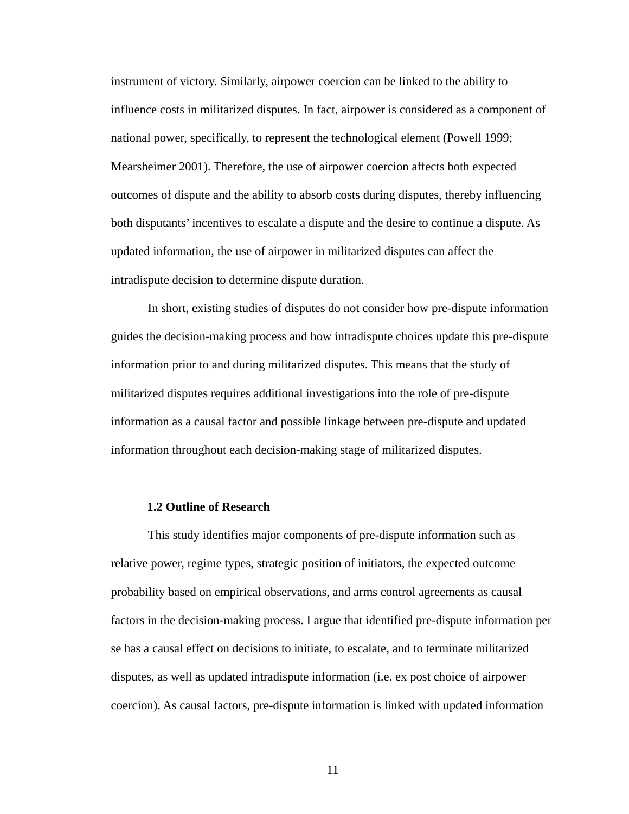instrument of victory. Similarly, airpower coercion can be linked to the ability to influence costs in militarized disputes. In fact, airpower is considered as a component of national power, specifically, to represent the technological element (Powell 1999; Mearsheimer 2001). Therefore, the use of airpower coercion affects both expected outcomes of dispute and the ability to absorb costs during disputes, thereby influencing both disputants' incentives to escalate a dispute and the desire to continue a dispute. As updated information, the use of airpower in militarized disputes can affect the intradispute decision to determine dispute duration.

In short, existing studies of disputes do not consider how pre-dispute information guides the decision-making process and how intradispute choices update this pre-dispute information prior to and during militarized disputes. This means that the study of militarized disputes requires additional investigations into the role of pre-dispute information as a causal factor and possible linkage between pre-dispute and updated information throughout each decision-making stage of militarized disputes.

### **1.2 Outline of Research**

This study identifies major components of pre-dispute information such as relative power, regime types, strategic position of initiators, the expected outcome probability based on empirical observations, and arms control agreements as causal factors in the decision-making process. I argue that identified pre-dispute information per se has a causal effect on decisions to initiate, to escalate, and to terminate militarized disputes, as well as updated intradispute information (i.e. ex post choice of airpower coercion). As causal factors, pre-dispute information is linked with updated information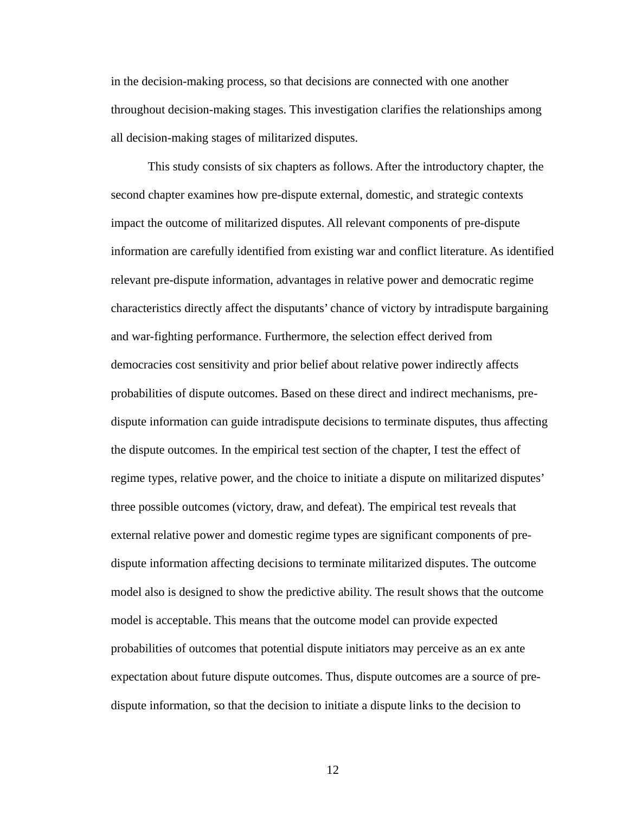in the decision-making process, so that decisions are connected with one another throughout decision-making stages. This investigation clarifies the relationships among all decision-making stages of militarized disputes.

This study consists of six chapters as follows. After the introductory chapter, the second chapter examines how pre-dispute external, domestic, and strategic contexts impact the outcome of militarized disputes. All relevant components of pre-dispute information are carefully identified from existing war and conflict literature. As identified relevant pre-dispute information, advantages in relative power and democratic regime characteristics directly affect the disputants' chance of victory by intradispute bargaining and war-fighting performance. Furthermore, the selection effect derived from democracies cost sensitivity and prior belief about relative power indirectly affects probabilities of dispute outcomes. Based on these direct and indirect mechanisms, predispute information can guide intradispute decisions to terminate disputes, thus affecting the dispute outcomes. In the empirical test section of the chapter, I test the effect of regime types, relative power, and the choice to initiate a dispute on militarized disputes' three possible outcomes (victory, draw, and defeat). The empirical test reveals that external relative power and domestic regime types are significant components of predispute information affecting decisions to terminate militarized disputes. The outcome model also is designed to show the predictive ability. The result shows that the outcome model is acceptable. This means that the outcome model can provide expected probabilities of outcomes that potential dispute initiators may perceive as an ex ante expectation about future dispute outcomes. Thus, dispute outcomes are a source of predispute information, so that the decision to initiate a dispute links to the decision to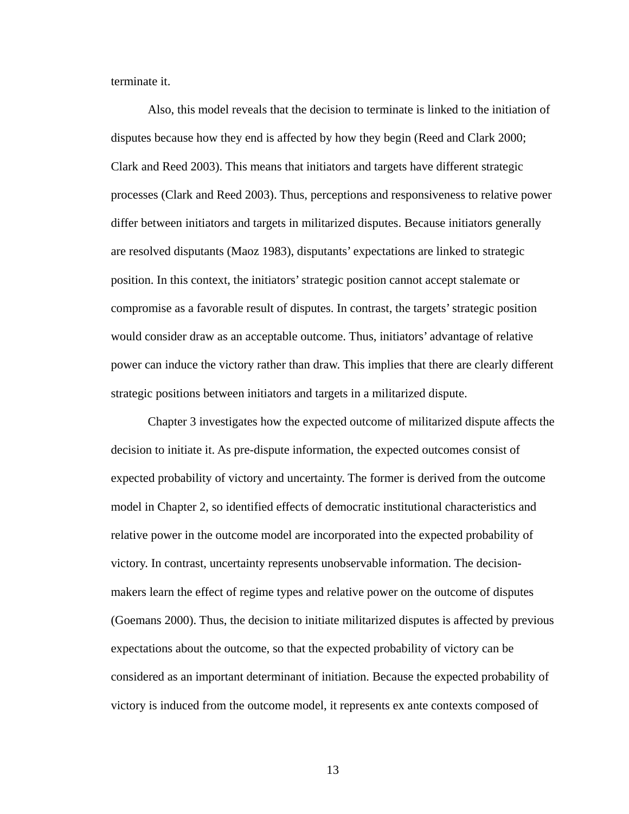terminate it.

Also, this model reveals that the decision to terminate is linked to the initiation of disputes because how they end is affected by how they begin (Reed and Clark 2000; Clark and Reed 2003). This means that initiators and targets have different strategic processes (Clark and Reed 2003). Thus, perceptions and responsiveness to relative power differ between initiators and targets in militarized disputes. Because initiators generally are resolved disputants (Maoz 1983), disputants' expectations are linked to strategic position. In this context, the initiators' strategic position cannot accept stalemate or compromise as a favorable result of disputes. In contrast, the targets' strategic position would consider draw as an acceptable outcome. Thus, initiators' advantage of relative power can induce the victory rather than draw. This implies that there are clearly different strategic positions between initiators and targets in a militarized dispute.

Chapter 3 investigates how the expected outcome of militarized dispute affects the decision to initiate it. As pre-dispute information, the expected outcomes consist of expected probability of victory and uncertainty. The former is derived from the outcome model in Chapter 2, so identified effects of democratic institutional characteristics and relative power in the outcome model are incorporated into the expected probability of victory. In contrast, uncertainty represents unobservable information. The decisionmakers learn the effect of regime types and relative power on the outcome of disputes (Goemans 2000). Thus, the decision to initiate militarized disputes is affected by previous expectations about the outcome, so that the expected probability of victory can be considered as an important determinant of initiation. Because the expected probability of victory is induced from the outcome model, it represents ex ante contexts composed of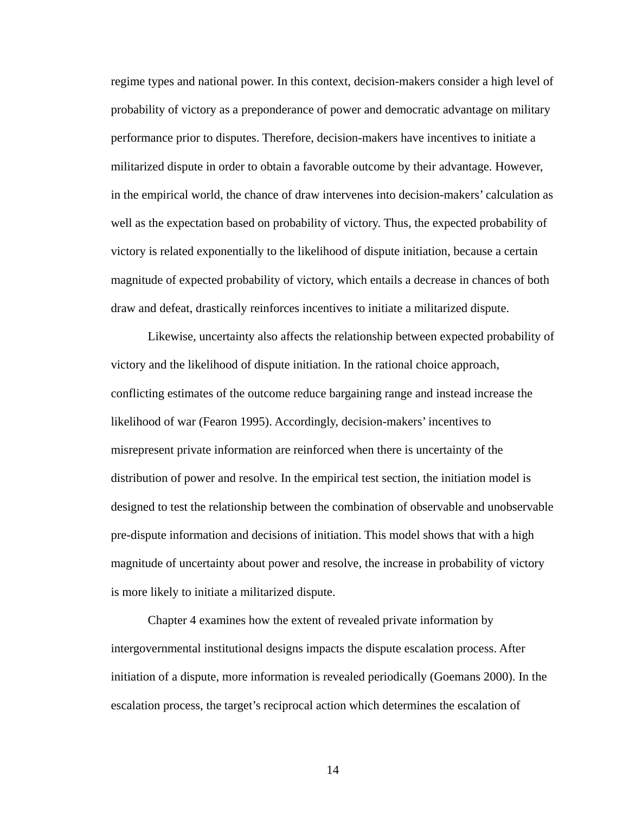regime types and national power. In this context, decision-makers consider a high level of probability of victory as a preponderance of power and democratic advantage on military performance prior to disputes. Therefore, decision-makers have incentives to initiate a militarized dispute in order to obtain a favorable outcome by their advantage. However, in the empirical world, the chance of draw intervenes into decision-makers' calculation as well as the expectation based on probability of victory. Thus, the expected probability of victory is related exponentially to the likelihood of dispute initiation, because a certain magnitude of expected probability of victory, which entails a decrease in chances of both draw and defeat, drastically reinforces incentives to initiate a militarized dispute.

Likewise, uncertainty also affects the relationship between expected probability of victory and the likelihood of dispute initiation. In the rational choice approach, conflicting estimates of the outcome reduce bargaining range and instead increase the likelihood of war (Fearon 1995). Accordingly, decision-makers' incentives to misrepresent private information are reinforced when there is uncertainty of the distribution of power and resolve. In the empirical test section, the initiation model is designed to test the relationship between the combination of observable and unobservable pre-dispute information and decisions of initiation. This model shows that with a high magnitude of uncertainty about power and resolve, the increase in probability of victory is more likely to initiate a militarized dispute.

Chapter 4 examines how the extent of revealed private information by intergovernmental institutional designs impacts the dispute escalation process. After initiation of a dispute, more information is revealed periodically (Goemans 2000). In the escalation process, the target's reciprocal action which determines the escalation of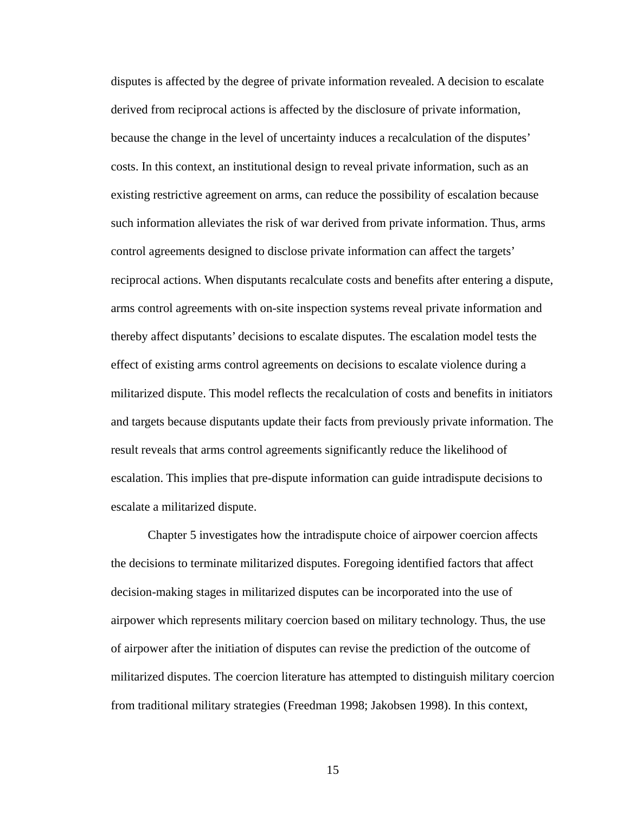disputes is affected by the degree of private information revealed. A decision to escalate derived from reciprocal actions is affected by the disclosure of private information, because the change in the level of uncertainty induces a recalculation of the disputes' costs. In this context, an institutional design to reveal private information, such as an existing restrictive agreement on arms, can reduce the possibility of escalation because such information alleviates the risk of war derived from private information. Thus, arms control agreements designed to disclose private information can affect the targets' reciprocal actions. When disputants recalculate costs and benefits after entering a dispute, arms control agreements with on-site inspection systems reveal private information and thereby affect disputants' decisions to escalate disputes. The escalation model tests the effect of existing arms control agreements on decisions to escalate violence during a militarized dispute. This model reflects the recalculation of costs and benefits in initiators and targets because disputants update their facts from previously private information. The result reveals that arms control agreements significantly reduce the likelihood of escalation. This implies that pre-dispute information can guide intradispute decisions to escalate a militarized dispute.

Chapter 5 investigates how the intradispute choice of airpower coercion affects the decisions to terminate militarized disputes. Foregoing identified factors that affect decision-making stages in militarized disputes can be incorporated into the use of airpower which represents military coercion based on military technology. Thus, the use of airpower after the initiation of disputes can revise the prediction of the outcome of militarized disputes. The coercion literature has attempted to distinguish military coercion from traditional military strategies (Freedman 1998; Jakobsen 1998). In this context,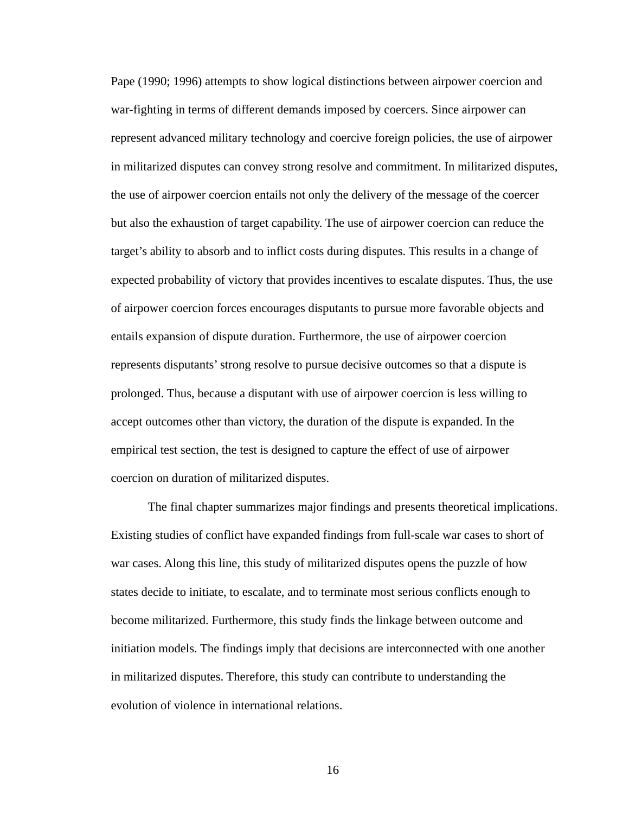Pape (1990; 1996) attempts to show logical distinctions between airpower coercion and war-fighting in terms of different demands imposed by coercers. Since airpower can represent advanced military technology and coercive foreign policies, the use of airpower in militarized disputes can convey strong resolve and commitment. In militarized disputes, the use of airpower coercion entails not only the delivery of the message of the coercer but also the exhaustion of target capability. The use of airpower coercion can reduce the target's ability to absorb and to inflict costs during disputes. This results in a change of expected probability of victory that provides incentives to escalate disputes. Thus, the use of airpower coercion forces encourages disputants to pursue more favorable objects and entails expansion of dispute duration. Furthermore, the use of airpower coercion represents disputants' strong resolve to pursue decisive outcomes so that a dispute is prolonged. Thus, because a disputant with use of airpower coercion is less willing to accept outcomes other than victory, the duration of the dispute is expanded. In the empirical test section, the test is designed to capture the effect of use of airpower coercion on duration of militarized disputes.

The final chapter summarizes major findings and presents theoretical implications. Existing studies of conflict have expanded findings from full-scale war cases to short of war cases. Along this line, this study of militarized disputes opens the puzzle of how states decide to initiate, to escalate, and to terminate most serious conflicts enough to become militarized. Furthermore, this study finds the linkage between outcome and initiation models. The findings imply that decisions are interconnected with one another in militarized disputes. Therefore, this study can contribute to understanding the evolution of violence in international relations.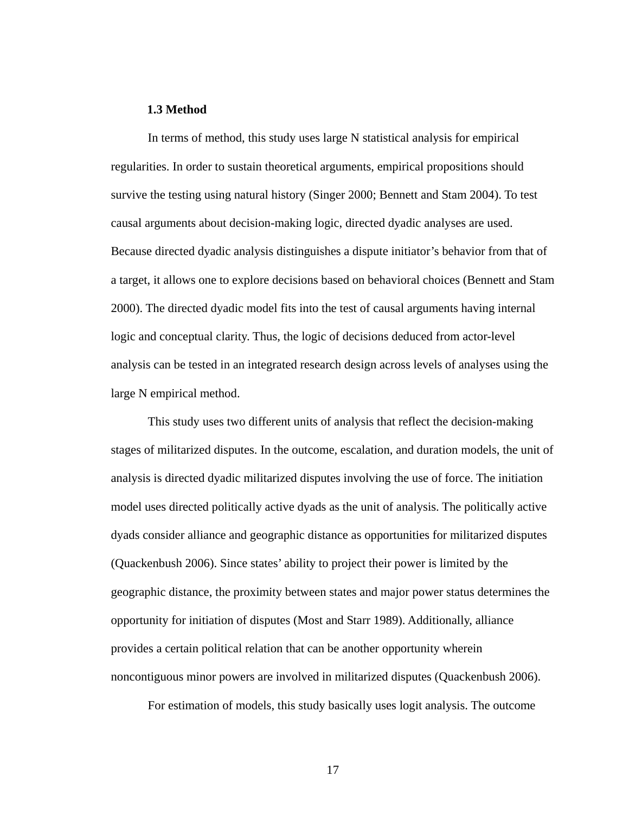#### **1.3 Method**

In terms of method, this study uses large N statistical analysis for empirical regularities. In order to sustain theoretical arguments, empirical propositions should survive the testing using natural history (Singer 2000; Bennett and Stam 2004). To test causal arguments about decision-making logic, directed dyadic analyses are used. Because directed dyadic analysis distinguishes a dispute initiator's behavior from that of a target, it allows one to explore decisions based on behavioral choices (Bennett and Stam 2000). The directed dyadic model fits into the test of causal arguments having internal logic and conceptual clarity. Thus, the logic of decisions deduced from actor-level analysis can be tested in an integrated research design across levels of analyses using the large N empirical method.

This study uses two different units of analysis that reflect the decision-making stages of militarized disputes. In the outcome, escalation, and duration models, the unit of analysis is directed dyadic militarized disputes involving the use of force. The initiation model uses directed politically active dyads as the unit of analysis. The politically active dyads consider alliance and geographic distance as opportunities for militarized disputes (Quackenbush 2006). Since states' ability to project their power is limited by the geographic distance, the proximity between states and major power status determines the opportunity for initiation of disputes (Most and Starr 1989). Additionally, alliance provides a certain political relation that can be another opportunity wherein noncontiguous minor powers are involved in militarized disputes (Quackenbush 2006).

For estimation of models, this study basically uses logit analysis. The outcome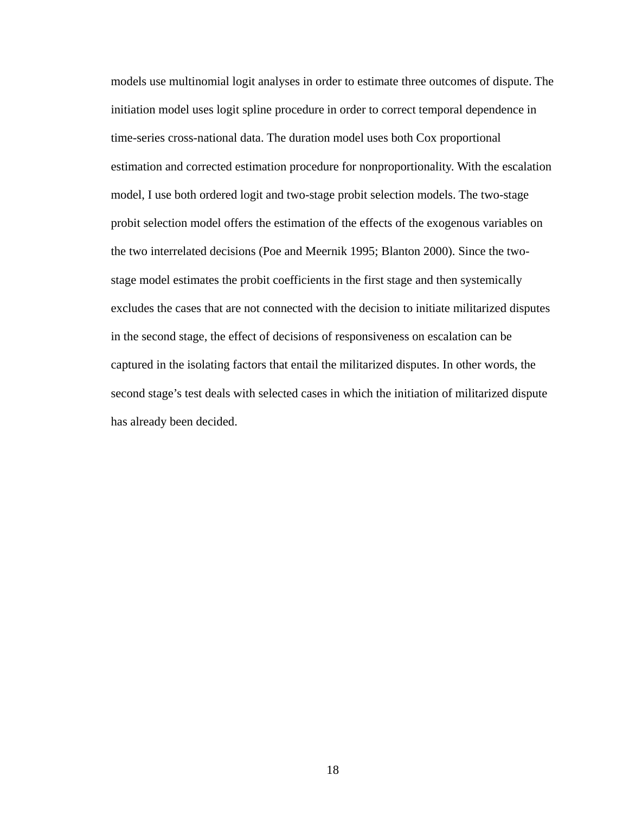models use multinomial logit analyses in order to estimate three outcomes of dispute. The initiation model uses logit spline procedure in order to correct temporal dependence in time-series cross-national data. The duration model uses both Cox proportional estimation and corrected estimation procedure for nonproportionality. With the escalation model, I use both ordered logit and two-stage probit selection models. The two-stage probit selection model offers the estimation of the effects of the exogenous variables on the two interrelated decisions (Poe and Meernik 1995; Blanton 2000). Since the twostage model estimates the probit coefficients in the first stage and then systemically excludes the cases that are not connected with the decision to initiate militarized disputes in the second stage, the effect of decisions of responsiveness on escalation can be captured in the isolating factors that entail the militarized disputes. In other words, the second stage's test deals with selected cases in which the initiation of militarized dispute has already been decided.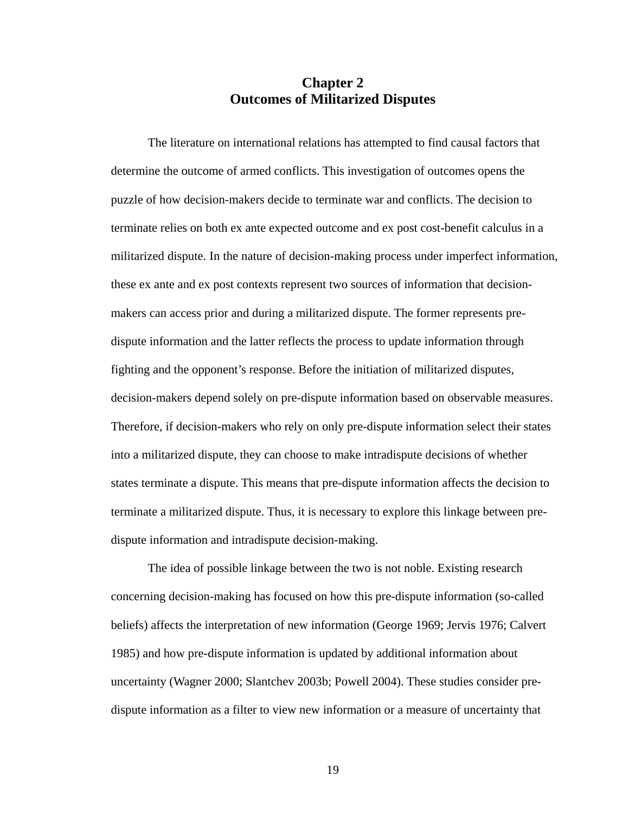## **Chapter 2 Outcomes of Militarized Disputes**

The literature on international relations has attempted to find causal factors that determine the outcome of armed conflicts. This investigation of outcomes opens the puzzle of how decision-makers decide to terminate war and conflicts. The decision to terminate relies on both ex ante expected outcome and ex post cost-benefit calculus in a militarized dispute. In the nature of decision-making process under imperfect information, these ex ante and ex post contexts represent two sources of information that decisionmakers can access prior and during a militarized dispute. The former represents predispute information and the latter reflects the process to update information through fighting and the opponent's response. Before the initiation of militarized disputes, decision-makers depend solely on pre-dispute information based on observable measures. Therefore, if decision-makers who rely on only pre-dispute information select their states into a militarized dispute, they can choose to make intradispute decisions of whether states terminate a dispute. This means that pre-dispute information affects the decision to terminate a militarized dispute. Thus, it is necessary to explore this linkage between predispute information and intradispute decision-making.

The idea of possible linkage between the two is not noble. Existing research concerning decision-making has focused on how this pre-dispute information (so-called beliefs) affects the interpretation of new information (George 1969; Jervis 1976; Calvert 1985) and how pre-dispute information is updated by additional information about uncertainty (Wagner 2000; Slantchev 2003b; Powell 2004). These studies consider predispute information as a filter to view new information or a measure of uncertainty that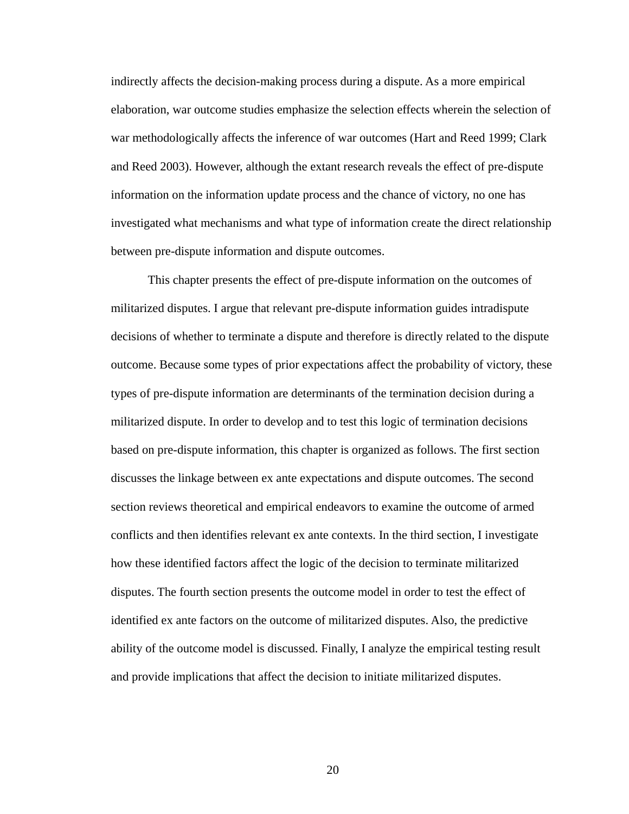indirectly affects the decision-making process during a dispute. As a more empirical elaboration, war outcome studies emphasize the selection effects wherein the selection of war methodologically affects the inference of war outcomes (Hart and Reed 1999; Clark and Reed 2003). However, although the extant research reveals the effect of pre-dispute information on the information update process and the chance of victory, no one has investigated what mechanisms and what type of information create the direct relationship between pre-dispute information and dispute outcomes.

This chapter presents the effect of pre-dispute information on the outcomes of militarized disputes. I argue that relevant pre-dispute information guides intradispute decisions of whether to terminate a dispute and therefore is directly related to the dispute outcome. Because some types of prior expectations affect the probability of victory, these types of pre-dispute information are determinants of the termination decision during a militarized dispute. In order to develop and to test this logic of termination decisions based on pre-dispute information, this chapter is organized as follows. The first section discusses the linkage between ex ante expectations and dispute outcomes. The second section reviews theoretical and empirical endeavors to examine the outcome of armed conflicts and then identifies relevant ex ante contexts. In the third section, I investigate how these identified factors affect the logic of the decision to terminate militarized disputes. The fourth section presents the outcome model in order to test the effect of identified ex ante factors on the outcome of militarized disputes. Also, the predictive ability of the outcome model is discussed. Finally, I analyze the empirical testing result and provide implications that affect the decision to initiate militarized disputes.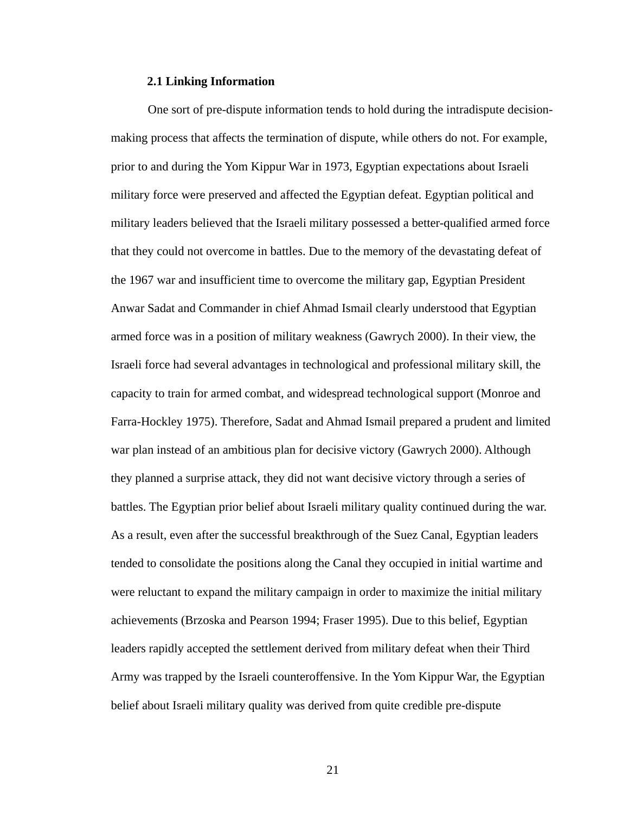#### **2.1 Linking Information**

One sort of pre-dispute information tends to hold during the intradispute decisionmaking process that affects the termination of dispute, while others do not. For example, prior to and during the Yom Kippur War in 1973, Egyptian expectations about Israeli military force were preserved and affected the Egyptian defeat. Egyptian political and military leaders believed that the Israeli military possessed a better-qualified armed force that they could not overcome in battles. Due to the memory of the devastating defeat of the 1967 war and insufficient time to overcome the military gap, Egyptian President Anwar Sadat and Commander in chief Ahmad Ismail clearly understood that Egyptian armed force was in a position of military weakness (Gawrych 2000). In their view, the Israeli force had several advantages in technological and professional military skill, the capacity to train for armed combat, and widespread technological support (Monroe and Farra-Hockley 1975). Therefore, Sadat and Ahmad Ismail prepared a prudent and limited war plan instead of an ambitious plan for decisive victory (Gawrych 2000). Although they planned a surprise attack, they did not want decisive victory through a series of battles. The Egyptian prior belief about Israeli military quality continued during the war. As a result, even after the successful breakthrough of the Suez Canal, Egyptian leaders tended to consolidate the positions along the Canal they occupied in initial wartime and were reluctant to expand the military campaign in order to maximize the initial military achievements (Brzoska and Pearson 1994; Fraser 1995). Due to this belief, Egyptian leaders rapidly accepted the settlement derived from military defeat when their Third Army was trapped by the Israeli counteroffensive. In the Yom Kippur War, the Egyptian belief about Israeli military quality was derived from quite credible pre-dispute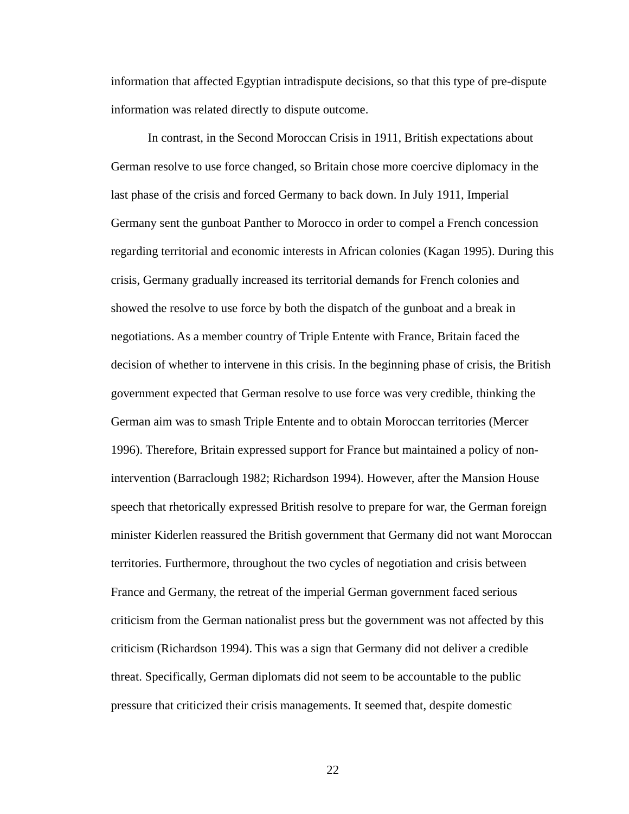information that affected Egyptian intradispute decisions, so that this type of pre-dispute information was related directly to dispute outcome.

In contrast, in the Second Moroccan Crisis in 1911, British expectations about German resolve to use force changed, so Britain chose more coercive diplomacy in the last phase of the crisis and forced Germany to back down. In July 1911, Imperial Germany sent the gunboat Panther to Morocco in order to compel a French concession regarding territorial and economic interests in African colonies (Kagan 1995). During this crisis, Germany gradually increased its territorial demands for French colonies and showed the resolve to use force by both the dispatch of the gunboat and a break in negotiations. As a member country of Triple Entente with France, Britain faced the decision of whether to intervene in this crisis. In the beginning phase of crisis, the British government expected that German resolve to use force was very credible, thinking the German aim was to smash Triple Entente and to obtain Moroccan territories (Mercer 1996). Therefore, Britain expressed support for France but maintained a policy of nonintervention (Barraclough 1982; Richardson 1994). However, after the Mansion House speech that rhetorically expressed British resolve to prepare for war, the German foreign minister Kiderlen reassured the British government that Germany did not want Moroccan territories. Furthermore, throughout the two cycles of negotiation and crisis between France and Germany, the retreat of the imperial German government faced serious criticism from the German nationalist press but the government was not affected by this criticism (Richardson 1994). This was a sign that Germany did not deliver a credible threat. Specifically, German diplomats did not seem to be accountable to the public pressure that criticized their crisis managements. It seemed that, despite domestic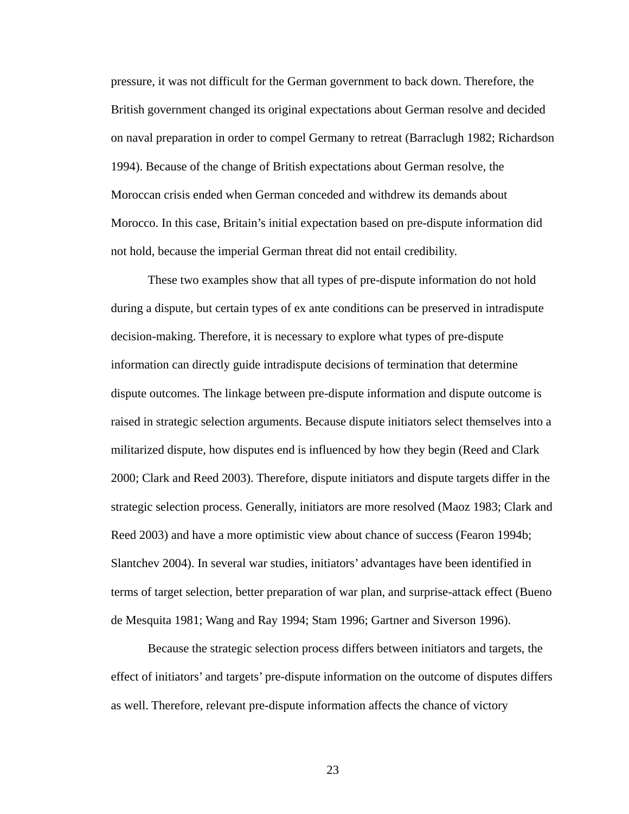pressure, it was not difficult for the German government to back down. Therefore, the British government changed its original expectations about German resolve and decided on naval preparation in order to compel Germany to retreat (Barraclugh 1982; Richardson 1994). Because of the change of British expectations about German resolve, the Moroccan crisis ended when German conceded and withdrew its demands about Morocco. In this case, Britain's initial expectation based on pre-dispute information did not hold, because the imperial German threat did not entail credibility.

These two examples show that all types of pre-dispute information do not hold during a dispute, but certain types of ex ante conditions can be preserved in intradispute decision-making. Therefore, it is necessary to explore what types of pre-dispute information can directly guide intradispute decisions of termination that determine dispute outcomes. The linkage between pre-dispute information and dispute outcome is raised in strategic selection arguments. Because dispute initiators select themselves into a militarized dispute, how disputes end is influenced by how they begin (Reed and Clark 2000; Clark and Reed 2003). Therefore, dispute initiators and dispute targets differ in the strategic selection process. Generally, initiators are more resolved (Maoz 1983; Clark and Reed 2003) and have a more optimistic view about chance of success (Fearon 1994b; Slantchev 2004). In several war studies, initiators' advantages have been identified in terms of target selection, better preparation of war plan, and surprise-attack effect (Bueno de Mesquita 1981; Wang and Ray 1994; Stam 1996; Gartner and Siverson 1996).

Because the strategic selection process differs between initiators and targets, the effect of initiators' and targets' pre-dispute information on the outcome of disputes differs as well. Therefore, relevant pre-dispute information affects the chance of victory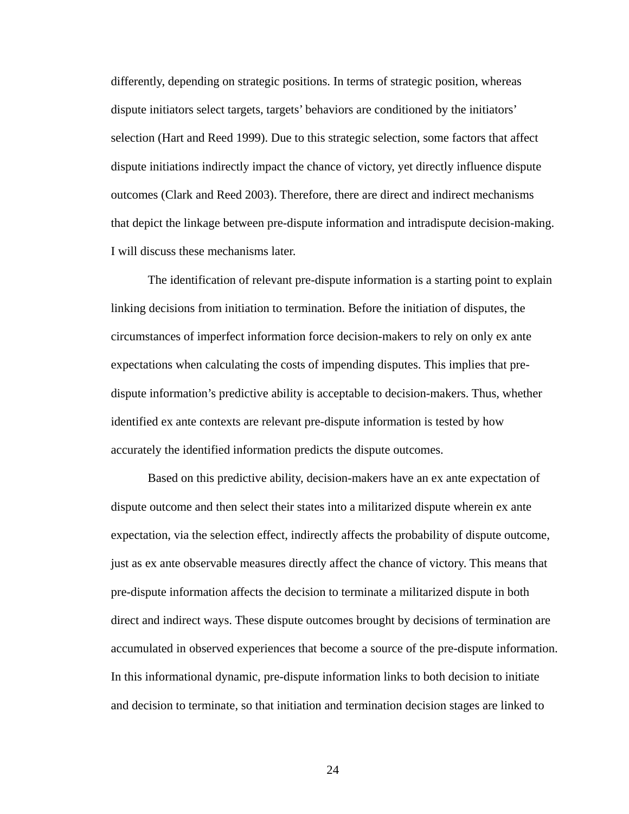differently, depending on strategic positions. In terms of strategic position, whereas dispute initiators select targets, targets' behaviors are conditioned by the initiators' selection (Hart and Reed 1999). Due to this strategic selection, some factors that affect dispute initiations indirectly impact the chance of victory, yet directly influence dispute outcomes (Clark and Reed 2003). Therefore, there are direct and indirect mechanisms that depict the linkage between pre-dispute information and intradispute decision-making. I will discuss these mechanisms later.

The identification of relevant pre-dispute information is a starting point to explain linking decisions from initiation to termination. Before the initiation of disputes, the circumstances of imperfect information force decision-makers to rely on only ex ante expectations when calculating the costs of impending disputes. This implies that predispute information's predictive ability is acceptable to decision-makers. Thus, whether identified ex ante contexts are relevant pre-dispute information is tested by how accurately the identified information predicts the dispute outcomes.

Based on this predictive ability, decision-makers have an ex ante expectation of dispute outcome and then select their states into a militarized dispute wherein ex ante expectation, via the selection effect, indirectly affects the probability of dispute outcome, just as ex ante observable measures directly affect the chance of victory. This means that pre-dispute information affects the decision to terminate a militarized dispute in both direct and indirect ways. These dispute outcomes brought by decisions of termination are accumulated in observed experiences that become a source of the pre-dispute information. In this informational dynamic, pre-dispute information links to both decision to initiate and decision to terminate, so that initiation and termination decision stages are linked to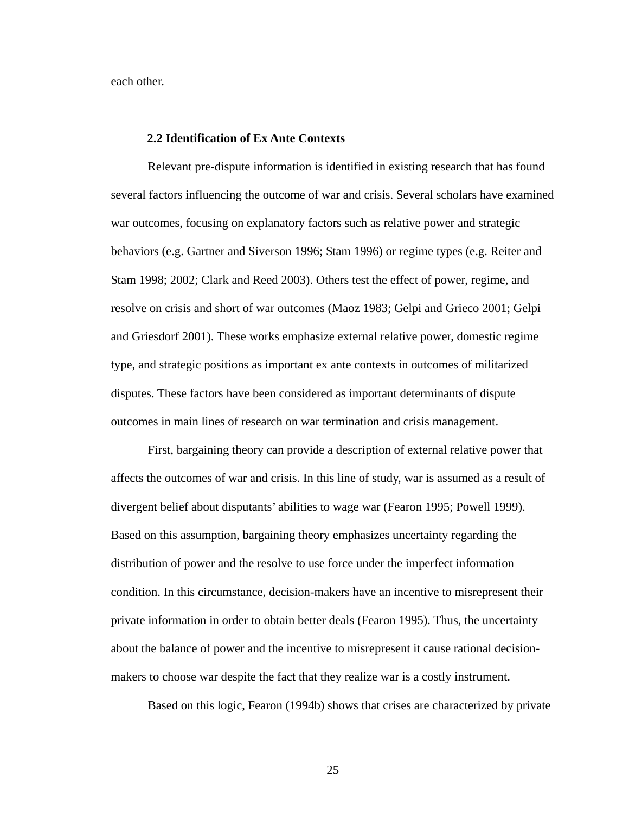each other.

### **2.2 Identification of Ex Ante Contexts**

Relevant pre-dispute information is identified in existing research that has found several factors influencing the outcome of war and crisis. Several scholars have examined war outcomes, focusing on explanatory factors such as relative power and strategic behaviors (e.g. Gartner and Siverson 1996; Stam 1996) or regime types (e.g. Reiter and Stam 1998; 2002; Clark and Reed 2003). Others test the effect of power, regime, and resolve on crisis and short of war outcomes (Maoz 1983; Gelpi and Grieco 2001; Gelpi and Griesdorf 2001). These works emphasize external relative power, domestic regime type, and strategic positions as important ex ante contexts in outcomes of militarized disputes. These factors have been considered as important determinants of dispute outcomes in main lines of research on war termination and crisis management.

First, bargaining theory can provide a description of external relative power that affects the outcomes of war and crisis. In this line of study, war is assumed as a result of divergent belief about disputants' abilities to wage war (Fearon 1995; Powell 1999). Based on this assumption, bargaining theory emphasizes uncertainty regarding the distribution of power and the resolve to use force under the imperfect information condition. In this circumstance, decision-makers have an incentive to misrepresent their private information in order to obtain better deals (Fearon 1995). Thus, the uncertainty about the balance of power and the incentive to misrepresent it cause rational decisionmakers to choose war despite the fact that they realize war is a costly instrument.

Based on this logic, Fearon (1994b) shows that crises are characterized by private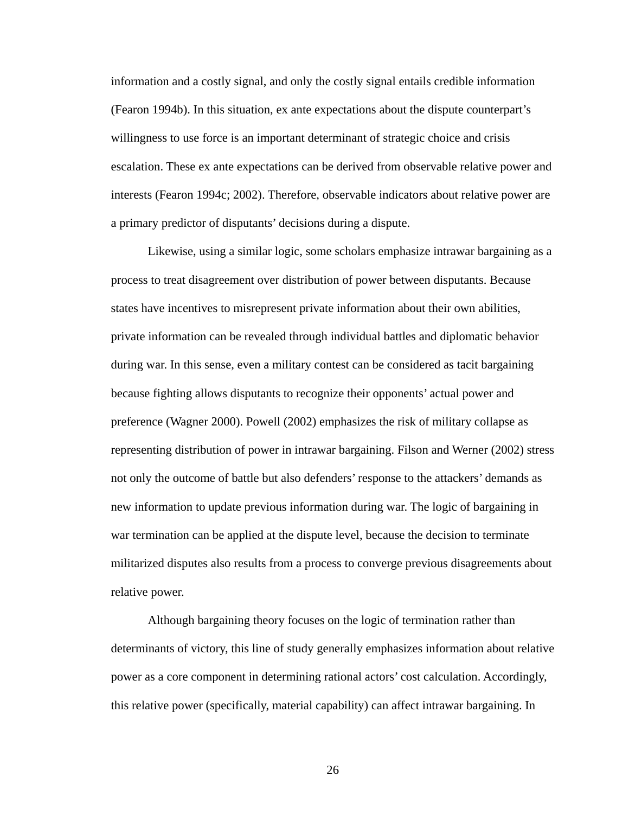information and a costly signal, and only the costly signal entails credible information (Fearon 1994b). In this situation, ex ante expectations about the dispute counterpart's willingness to use force is an important determinant of strategic choice and crisis escalation. These ex ante expectations can be derived from observable relative power and interests (Fearon 1994c; 2002). Therefore, observable indicators about relative power are a primary predictor of disputants' decisions during a dispute.

Likewise, using a similar logic, some scholars emphasize intrawar bargaining as a process to treat disagreement over distribution of power between disputants. Because states have incentives to misrepresent private information about their own abilities, private information can be revealed through individual battles and diplomatic behavior during war. In this sense, even a military contest can be considered as tacit bargaining because fighting allows disputants to recognize their opponents' actual power and preference (Wagner 2000). Powell (2002) emphasizes the risk of military collapse as representing distribution of power in intrawar bargaining. Filson and Werner (2002) stress not only the outcome of battle but also defenders' response to the attackers' demands as new information to update previous information during war. The logic of bargaining in war termination can be applied at the dispute level, because the decision to terminate militarized disputes also results from a process to converge previous disagreements about relative power.

Although bargaining theory focuses on the logic of termination rather than determinants of victory, this line of study generally emphasizes information about relative power as a core component in determining rational actors' cost calculation. Accordingly, this relative power (specifically, material capability) can affect intrawar bargaining. In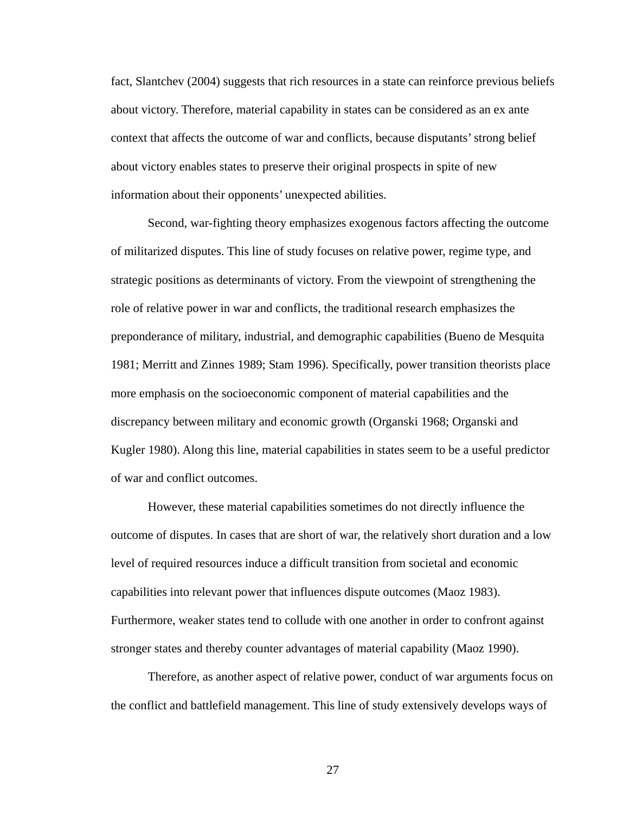fact, Slantchev (2004) suggests that rich resources in a state can reinforce previous beliefs about victory. Therefore, material capability in states can be considered as an ex ante context that affects the outcome of war and conflicts, because disputants' strong belief about victory enables states to preserve their original prospects in spite of new information about their opponents' unexpected abilities.

Second, war-fighting theory emphasizes exogenous factors affecting the outcome of militarized disputes. This line of study focuses on relative power, regime type, and strategic positions as determinants of victory. From the viewpoint of strengthening the role of relative power in war and conflicts, the traditional research emphasizes the preponderance of military, industrial, and demographic capabilities (Bueno de Mesquita 1981; Merritt and Zinnes 1989; Stam 1996). Specifically, power transition theorists place more emphasis on the socioeconomic component of material capabilities and the discrepancy between military and economic growth (Organski 1968; Organski and Kugler 1980). Along this line, material capabilities in states seem to be a useful predictor of war and conflict outcomes.

However, these material capabilities sometimes do not directly influence the outcome of disputes. In cases that are short of war, the relatively short duration and a low level of required resources induce a difficult transition from societal and economic capabilities into relevant power that influences dispute outcomes (Maoz 1983). Furthermore, weaker states tend to collude with one another in order to confront against stronger states and thereby counter advantages of material capability (Maoz 1990).

Therefore, as another aspect of relative power, conduct of war arguments focus on the conflict and battlefield management. This line of study extensively develops ways of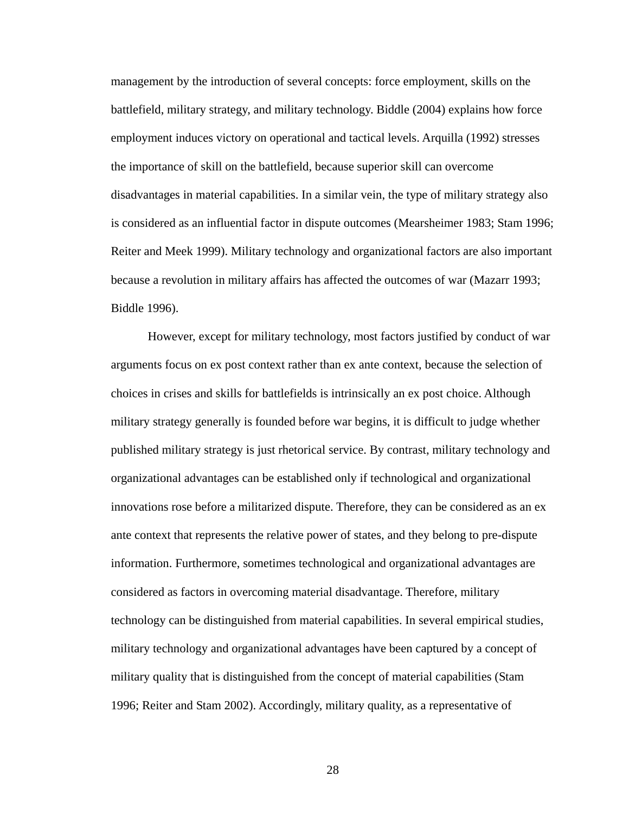management by the introduction of several concepts: force employment, skills on the battlefield, military strategy, and military technology. Biddle (2004) explains how force employment induces victory on operational and tactical levels. Arquilla (1992) stresses the importance of skill on the battlefield, because superior skill can overcome disadvantages in material capabilities. In a similar vein, the type of military strategy also is considered as an influential factor in dispute outcomes (Mearsheimer 1983; Stam 1996; Reiter and Meek 1999). Military technology and organizational factors are also important because a revolution in military affairs has affected the outcomes of war (Mazarr 1993; Biddle 1996).

However, except for military technology, most factors justified by conduct of war arguments focus on ex post context rather than ex ante context, because the selection of choices in crises and skills for battlefields is intrinsically an ex post choice. Although military strategy generally is founded before war begins, it is difficult to judge whether published military strategy is just rhetorical service. By contrast, military technology and organizational advantages can be established only if technological and organizational innovations rose before a militarized dispute. Therefore, they can be considered as an ex ante context that represents the relative power of states, and they belong to pre-dispute information. Furthermore, sometimes technological and organizational advantages are considered as factors in overcoming material disadvantage. Therefore, military technology can be distinguished from material capabilities. In several empirical studies, military technology and organizational advantages have been captured by a concept of military quality that is distinguished from the concept of material capabilities (Stam 1996; Reiter and Stam 2002). Accordingly, military quality, as a representative of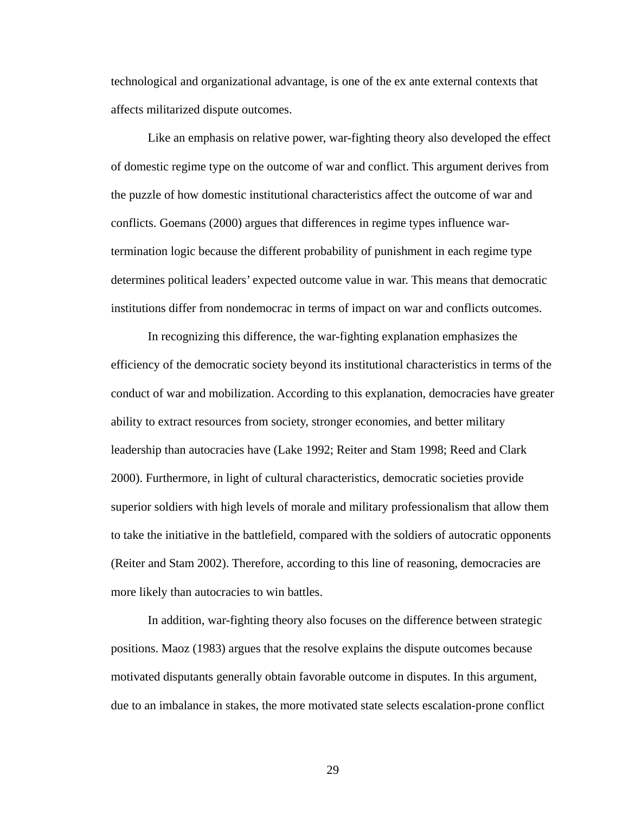technological and organizational advantage, is one of the ex ante external contexts that affects militarized dispute outcomes.

Like an emphasis on relative power, war-fighting theory also developed the effect of domestic regime type on the outcome of war and conflict. This argument derives from the puzzle of how domestic institutional characteristics affect the outcome of war and conflicts. Goemans (2000) argues that differences in regime types influence wartermination logic because the different probability of punishment in each regime type determines political leaders' expected outcome value in war. This means that democratic institutions differ from nondemocrac in terms of impact on war and conflicts outcomes.

In recognizing this difference, the war-fighting explanation emphasizes the efficiency of the democratic society beyond its institutional characteristics in terms of the conduct of war and mobilization. According to this explanation, democracies have greater ability to extract resources from society, stronger economies, and better military leadership than autocracies have (Lake 1992; Reiter and Stam 1998; Reed and Clark 2000). Furthermore, in light of cultural characteristics, democratic societies provide superior soldiers with high levels of morale and military professionalism that allow them to take the initiative in the battlefield, compared with the soldiers of autocratic opponents (Reiter and Stam 2002). Therefore, according to this line of reasoning, democracies are more likely than autocracies to win battles.

In addition, war-fighting theory also focuses on the difference between strategic positions. Maoz (1983) argues that the resolve explains the dispute outcomes because motivated disputants generally obtain favorable outcome in disputes. In this argument, due to an imbalance in stakes, the more motivated state selects escalation-prone conflict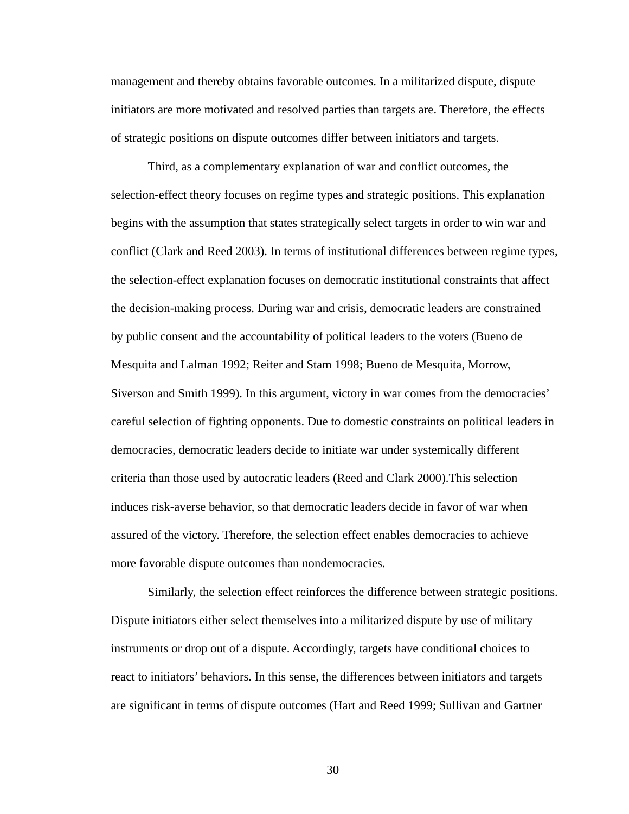management and thereby obtains favorable outcomes. In a militarized dispute, dispute initiators are more motivated and resolved parties than targets are. Therefore, the effects of strategic positions on dispute outcomes differ between initiators and targets.

Third, as a complementary explanation of war and conflict outcomes, the selection-effect theory focuses on regime types and strategic positions. This explanation begins with the assumption that states strategically select targets in order to win war and conflict (Clark and Reed 2003). In terms of institutional differences between regime types, the selection-effect explanation focuses on democratic institutional constraints that affect the decision-making process. During war and crisis, democratic leaders are constrained by public consent and the accountability of political leaders to the voters (Bueno de Mesquita and Lalman 1992; Reiter and Stam 1998; Bueno de Mesquita, Morrow, Siverson and Smith 1999). In this argument, victory in war comes from the democracies' careful selection of fighting opponents. Due to domestic constraints on political leaders in democracies, democratic leaders decide to initiate war under systemically different criteria than those used by autocratic leaders (Reed and Clark 2000).This selection induces risk-averse behavior, so that democratic leaders decide in favor of war when assured of the victory. Therefore, the selection effect enables democracies to achieve more favorable dispute outcomes than nondemocracies.

Similarly, the selection effect reinforces the difference between strategic positions. Dispute initiators either select themselves into a militarized dispute by use of military instruments or drop out of a dispute. Accordingly, targets have conditional choices to react to initiators' behaviors. In this sense, the differences between initiators and targets are significant in terms of dispute outcomes (Hart and Reed 1999; Sullivan and Gartner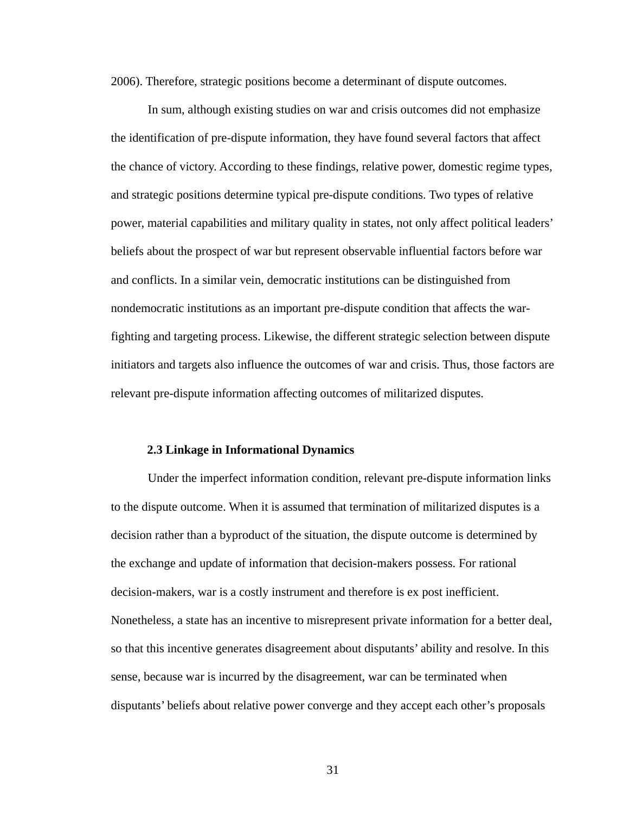2006). Therefore, strategic positions become a determinant of dispute outcomes.

In sum, although existing studies on war and crisis outcomes did not emphasize the identification of pre-dispute information, they have found several factors that affect the chance of victory. According to these findings, relative power, domestic regime types, and strategic positions determine typical pre-dispute conditions. Two types of relative power, material capabilities and military quality in states, not only affect political leaders' beliefs about the prospect of war but represent observable influential factors before war and conflicts. In a similar vein, democratic institutions can be distinguished from nondemocratic institutions as an important pre-dispute condition that affects the warfighting and targeting process. Likewise, the different strategic selection between dispute initiators and targets also influence the outcomes of war and crisis. Thus, those factors are relevant pre-dispute information affecting outcomes of militarized disputes.

#### **2.3 Linkage in Informational Dynamics**

Under the imperfect information condition, relevant pre-dispute information links to the dispute outcome. When it is assumed that termination of militarized disputes is a decision rather than a byproduct of the situation, the dispute outcome is determined by the exchange and update of information that decision-makers possess. For rational decision-makers, war is a costly instrument and therefore is ex post inefficient. Nonetheless, a state has an incentive to misrepresent private information for a better deal, so that this incentive generates disagreement about disputants' ability and resolve. In this sense, because war is incurred by the disagreement, war can be terminated when disputants' beliefs about relative power converge and they accept each other's proposals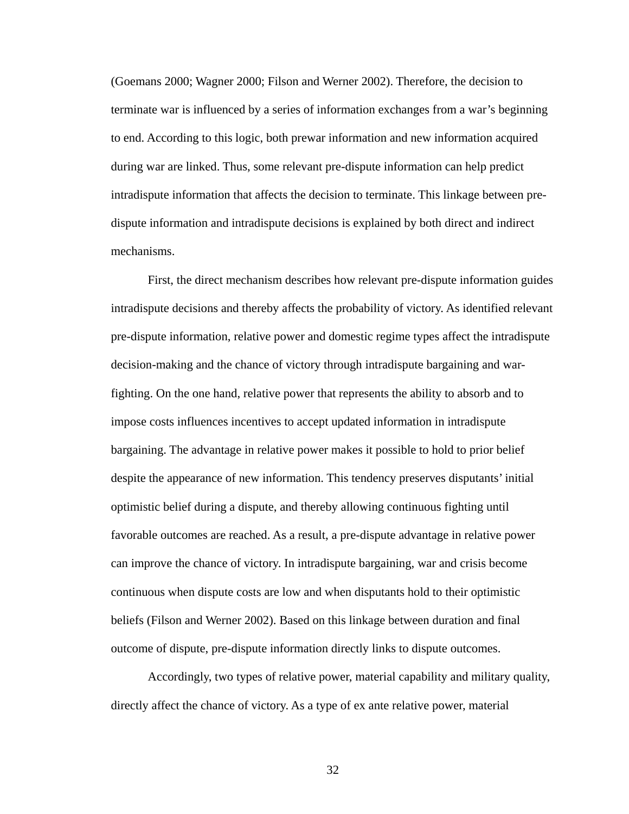(Goemans 2000; Wagner 2000; Filson and Werner 2002). Therefore, the decision to terminate war is influenced by a series of information exchanges from a war's beginning to end. According to this logic, both prewar information and new information acquired during war are linked. Thus, some relevant pre-dispute information can help predict intradispute information that affects the decision to terminate. This linkage between predispute information and intradispute decisions is explained by both direct and indirect mechanisms.

First, the direct mechanism describes how relevant pre-dispute information guides intradispute decisions and thereby affects the probability of victory. As identified relevant pre-dispute information, relative power and domestic regime types affect the intradispute decision-making and the chance of victory through intradispute bargaining and warfighting. On the one hand, relative power that represents the ability to absorb and to impose costs influences incentives to accept updated information in intradispute bargaining. The advantage in relative power makes it possible to hold to prior belief despite the appearance of new information. This tendency preserves disputants' initial optimistic belief during a dispute, and thereby allowing continuous fighting until favorable outcomes are reached. As a result, a pre-dispute advantage in relative power can improve the chance of victory. In intradispute bargaining, war and crisis become continuous when dispute costs are low and when disputants hold to their optimistic beliefs (Filson and Werner 2002). Based on this linkage between duration and final outcome of dispute, pre-dispute information directly links to dispute outcomes.

Accordingly, two types of relative power, material capability and military quality, directly affect the chance of victory. As a type of ex ante relative power, material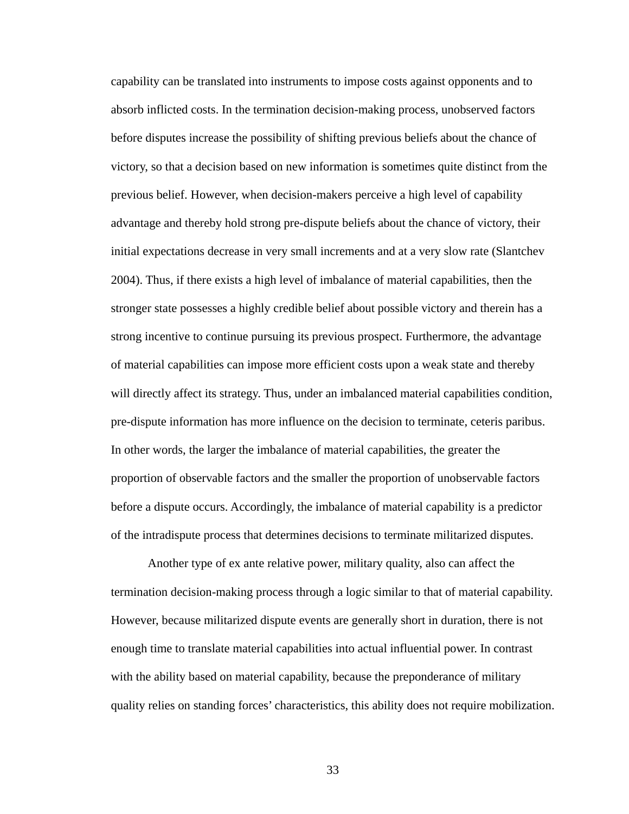capability can be translated into instruments to impose costs against opponents and to absorb inflicted costs. In the termination decision-making process, unobserved factors before disputes increase the possibility of shifting previous beliefs about the chance of victory, so that a decision based on new information is sometimes quite distinct from the previous belief. However, when decision-makers perceive a high level of capability advantage and thereby hold strong pre-dispute beliefs about the chance of victory, their initial expectations decrease in very small increments and at a very slow rate (Slantchev 2004). Thus, if there exists a high level of imbalance of material capabilities, then the stronger state possesses a highly credible belief about possible victory and therein has a strong incentive to continue pursuing its previous prospect. Furthermore, the advantage of material capabilities can impose more efficient costs upon a weak state and thereby will directly affect its strategy. Thus, under an imbalanced material capabilities condition, pre-dispute information has more influence on the decision to terminate, ceteris paribus. In other words, the larger the imbalance of material capabilities, the greater the proportion of observable factors and the smaller the proportion of unobservable factors before a dispute occurs. Accordingly, the imbalance of material capability is a predictor of the intradispute process that determines decisions to terminate militarized disputes.

Another type of ex ante relative power, military quality, also can affect the termination decision-making process through a logic similar to that of material capability. However, because militarized dispute events are generally short in duration, there is not enough time to translate material capabilities into actual influential power. In contrast with the ability based on material capability, because the preponderance of military quality relies on standing forces' characteristics, this ability does not require mobilization.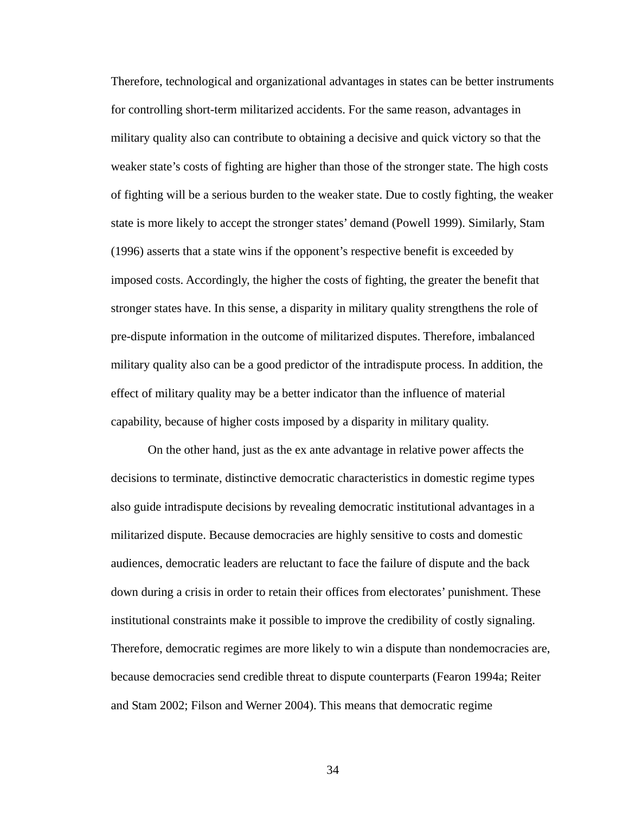Therefore, technological and organizational advantages in states can be better instruments for controlling short-term militarized accidents. For the same reason, advantages in military quality also can contribute to obtaining a decisive and quick victory so that the weaker state's costs of fighting are higher than those of the stronger state. The high costs of fighting will be a serious burden to the weaker state. Due to costly fighting, the weaker state is more likely to accept the stronger states' demand (Powell 1999). Similarly, Stam (1996) asserts that a state wins if the opponent's respective benefit is exceeded by imposed costs. Accordingly, the higher the costs of fighting, the greater the benefit that stronger states have. In this sense, a disparity in military quality strengthens the role of pre-dispute information in the outcome of militarized disputes. Therefore, imbalanced military quality also can be a good predictor of the intradispute process. In addition, the effect of military quality may be a better indicator than the influence of material capability, because of higher costs imposed by a disparity in military quality.

On the other hand, just as the ex ante advantage in relative power affects the decisions to terminate, distinctive democratic characteristics in domestic regime types also guide intradispute decisions by revealing democratic institutional advantages in a militarized dispute. Because democracies are highly sensitive to costs and domestic audiences, democratic leaders are reluctant to face the failure of dispute and the back down during a crisis in order to retain their offices from electorates' punishment. These institutional constraints make it possible to improve the credibility of costly signaling. Therefore, democratic regimes are more likely to win a dispute than nondemocracies are, because democracies send credible threat to dispute counterparts (Fearon 1994a; Reiter and Stam 2002; Filson and Werner 2004). This means that democratic regime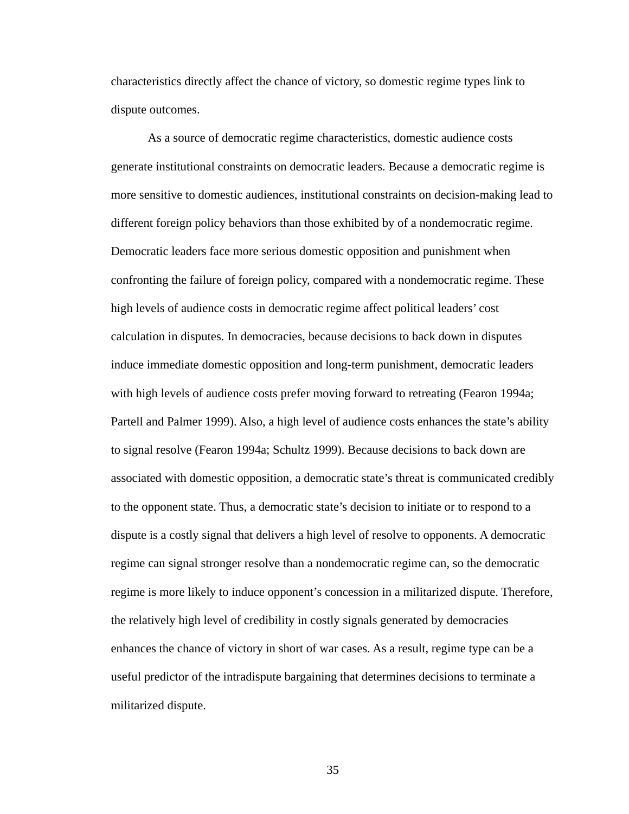characteristics directly affect the chance of victory, so domestic regime types link to dispute outcomes.

As a source of democratic regime characteristics, domestic audience costs generate institutional constraints on democratic leaders. Because a democratic regime is more sensitive to domestic audiences, institutional constraints on decision-making lead to different foreign policy behaviors than those exhibited by of a nondemocratic regime. Democratic leaders face more serious domestic opposition and punishment when confronting the failure of foreign policy, compared with a nondemocratic regime. These high levels of audience costs in democratic regime affect political leaders' cost calculation in disputes. In democracies, because decisions to back down in disputes induce immediate domestic opposition and long-term punishment, democratic leaders with high levels of audience costs prefer moving forward to retreating (Fearon 1994a; Partell and Palmer 1999). Also, a high level of audience costs enhances the state's ability to signal resolve (Fearon 1994a; Schultz 1999). Because decisions to back down are associated with domestic opposition, a democratic state's threat is communicated credibly to the opponent state. Thus, a democratic state's decision to initiate or to respond to a dispute is a costly signal that delivers a high level of resolve to opponents. A democratic regime can signal stronger resolve than a nondemocratic regime can, so the democratic regime is more likely to induce opponent's concession in a militarized dispute. Therefore, the relatively high level of credibility in costly signals generated by democracies enhances the chance of victory in short of war cases. As a result, regime type can be a useful predictor of the intradispute bargaining that determines decisions to terminate a militarized dispute.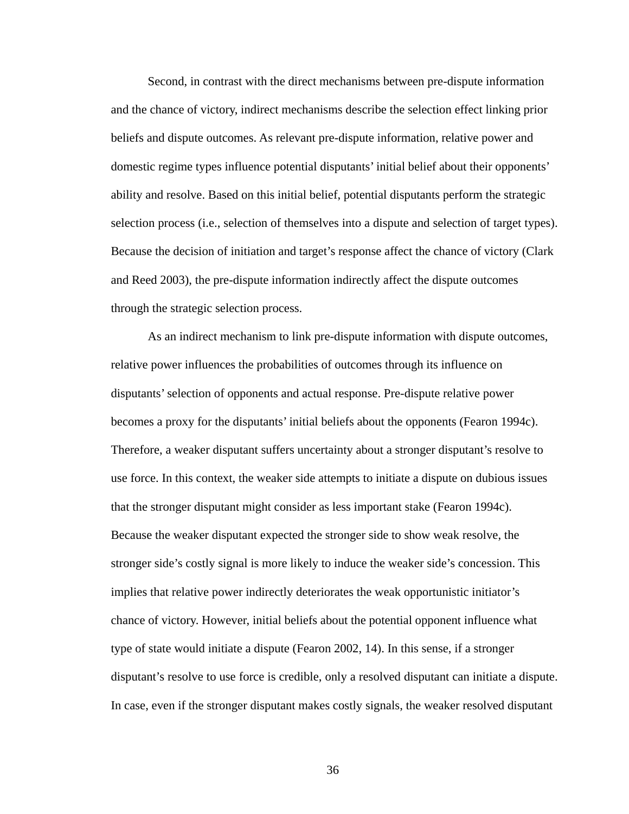Second, in contrast with the direct mechanisms between pre-dispute information and the chance of victory, indirect mechanisms describe the selection effect linking prior beliefs and dispute outcomes. As relevant pre-dispute information, relative power and domestic regime types influence potential disputants' initial belief about their opponents' ability and resolve. Based on this initial belief, potential disputants perform the strategic selection process (i.e., selection of themselves into a dispute and selection of target types). Because the decision of initiation and target's response affect the chance of victory (Clark and Reed 2003), the pre-dispute information indirectly affect the dispute outcomes through the strategic selection process.

As an indirect mechanism to link pre-dispute information with dispute outcomes, relative power influences the probabilities of outcomes through its influence on disputants' selection of opponents and actual response. Pre-dispute relative power becomes a proxy for the disputants' initial beliefs about the opponents (Fearon 1994c). Therefore, a weaker disputant suffers uncertainty about a stronger disputant's resolve to use force. In this context, the weaker side attempts to initiate a dispute on dubious issues that the stronger disputant might consider as less important stake (Fearon 1994c). Because the weaker disputant expected the stronger side to show weak resolve, the stronger side's costly signal is more likely to induce the weaker side's concession. This implies that relative power indirectly deteriorates the weak opportunistic initiator's chance of victory. However, initial beliefs about the potential opponent influence what type of state would initiate a dispute (Fearon 2002, 14). In this sense, if a stronger disputant's resolve to use force is credible, only a resolved disputant can initiate a dispute. In case, even if the stronger disputant makes costly signals, the weaker resolved disputant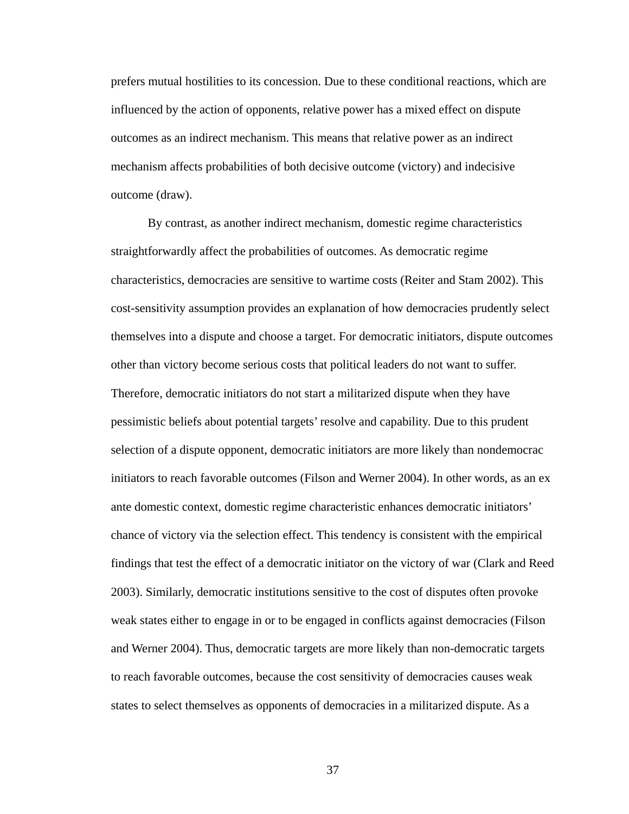prefers mutual hostilities to its concession. Due to these conditional reactions, which are influenced by the action of opponents, relative power has a mixed effect on dispute outcomes as an indirect mechanism. This means that relative power as an indirect mechanism affects probabilities of both decisive outcome (victory) and indecisive outcome (draw).

By contrast, as another indirect mechanism, domestic regime characteristics straightforwardly affect the probabilities of outcomes. As democratic regime characteristics, democracies are sensitive to wartime costs (Reiter and Stam 2002). This cost-sensitivity assumption provides an explanation of how democracies prudently select themselves into a dispute and choose a target. For democratic initiators, dispute outcomes other than victory become serious costs that political leaders do not want to suffer. Therefore, democratic initiators do not start a militarized dispute when they have pessimistic beliefs about potential targets' resolve and capability. Due to this prudent selection of a dispute opponent, democratic initiators are more likely than nondemocrac initiators to reach favorable outcomes (Filson and Werner 2004). In other words, as an ex ante domestic context, domestic regime characteristic enhances democratic initiators' chance of victory via the selection effect. This tendency is consistent with the empirical findings that test the effect of a democratic initiator on the victory of war (Clark and Reed 2003). Similarly, democratic institutions sensitive to the cost of disputes often provoke weak states either to engage in or to be engaged in conflicts against democracies (Filson and Werner 2004). Thus, democratic targets are more likely than non-democratic targets to reach favorable outcomes, because the cost sensitivity of democracies causes weak states to select themselves as opponents of democracies in a militarized dispute. As a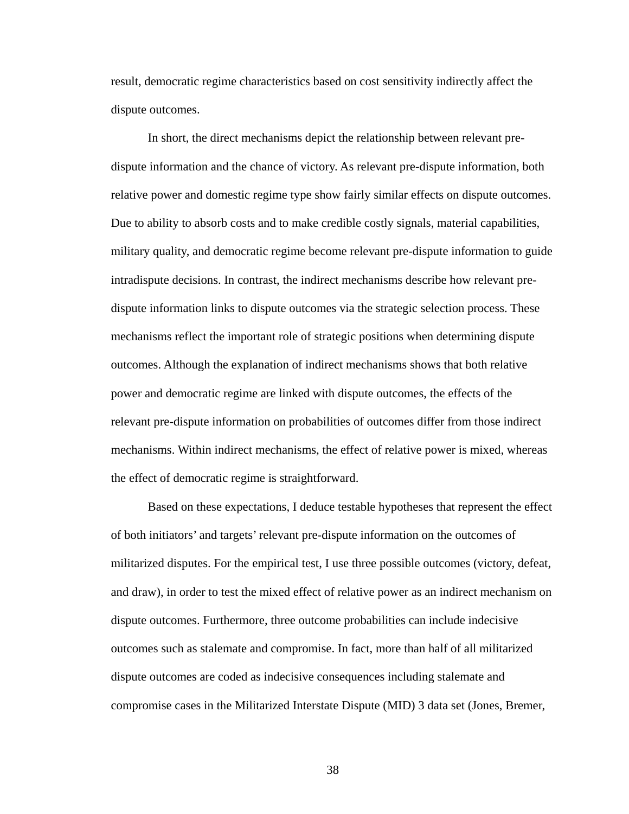result, democratic regime characteristics based on cost sensitivity indirectly affect the dispute outcomes.

In short, the direct mechanisms depict the relationship between relevant predispute information and the chance of victory. As relevant pre-dispute information, both relative power and domestic regime type show fairly similar effects on dispute outcomes. Due to ability to absorb costs and to make credible costly signals, material capabilities, military quality, and democratic regime become relevant pre-dispute information to guide intradispute decisions. In contrast, the indirect mechanisms describe how relevant predispute information links to dispute outcomes via the strategic selection process. These mechanisms reflect the important role of strategic positions when determining dispute outcomes. Although the explanation of indirect mechanisms shows that both relative power and democratic regime are linked with dispute outcomes, the effects of the relevant pre-dispute information on probabilities of outcomes differ from those indirect mechanisms. Within indirect mechanisms, the effect of relative power is mixed, whereas the effect of democratic regime is straightforward.

Based on these expectations, I deduce testable hypotheses that represent the effect of both initiators' and targets' relevant pre-dispute information on the outcomes of militarized disputes. For the empirical test, I use three possible outcomes (victory, defeat, and draw), in order to test the mixed effect of relative power as an indirect mechanism on dispute outcomes. Furthermore, three outcome probabilities can include indecisive outcomes such as stalemate and compromise. In fact, more than half of all militarized dispute outcomes are coded as indecisive consequences including stalemate and compromise cases in the Militarized Interstate Dispute (MID) 3 data set (Jones, Bremer,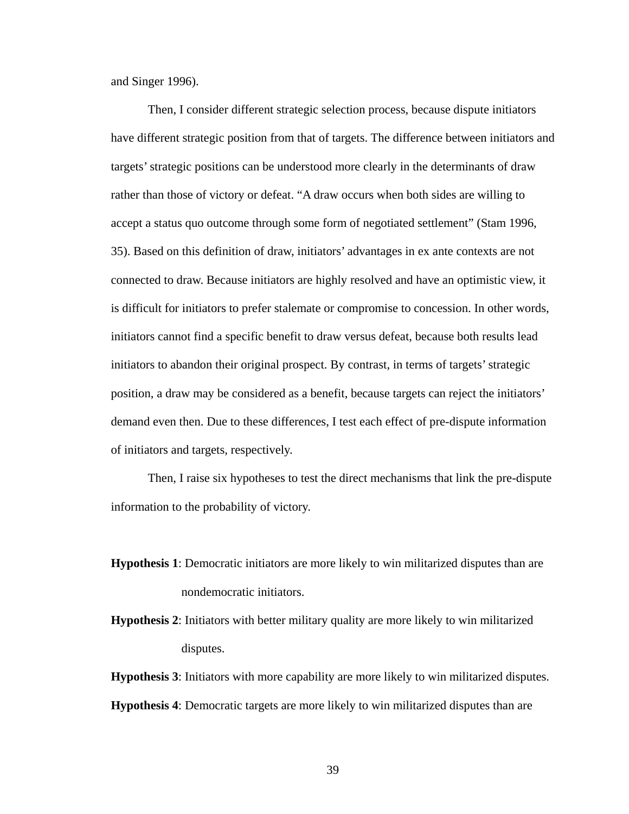and Singer 1996).

Then, I consider different strategic selection process, because dispute initiators have different strategic position from that of targets. The difference between initiators and targets' strategic positions can be understood more clearly in the determinants of draw rather than those of victory or defeat. "A draw occurs when both sides are willing to accept a status quo outcome through some form of negotiated settlement" (Stam 1996, 35). Based on this definition of draw, initiators' advantages in ex ante contexts are not connected to draw. Because initiators are highly resolved and have an optimistic view, it is difficult for initiators to prefer stalemate or compromise to concession. In other words, initiators cannot find a specific benefit to draw versus defeat, because both results lead initiators to abandon their original prospect. By contrast, in terms of targets' strategic position, a draw may be considered as a benefit, because targets can reject the initiators' demand even then. Due to these differences, I test each effect of pre-dispute information of initiators and targets, respectively.

Then, I raise six hypotheses to test the direct mechanisms that link the pre-dispute information to the probability of victory.

- **Hypothesis 1**: Democratic initiators are more likely to win militarized disputes than are nondemocratic initiators.
- **Hypothesis 2**: Initiators with better military quality are more likely to win militarized disputes.

**Hypothesis 3**: Initiators with more capability are more likely to win militarized disputes. **Hypothesis 4**: Democratic targets are more likely to win militarized disputes than are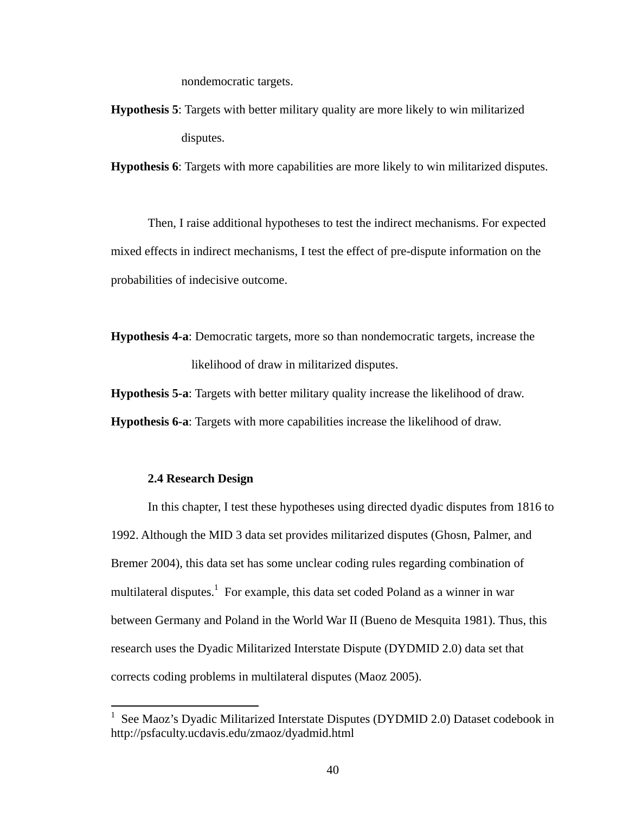nondemocratic targets.

**Hypothesis 5**: Targets with better military quality are more likely to win militarized disputes.

**Hypothesis 6**: Targets with more capabilities are more likely to win militarized disputes.

Then, I raise additional hypotheses to test the indirect mechanisms. For expected mixed effects in indirect mechanisms, I test the effect of pre-dispute information on the probabilities of indecisive outcome.

**Hypothesis 4-a**: Democratic targets, more so than nondemocratic targets, increase the likelihood of draw in militarized disputes.

**Hypothesis 5-a**: Targets with better military quality increase the likelihood of draw.

**Hypothesis 6-a**: Targets with more capabilities increase the likelihood of draw.

### **2.4 Research Design**

1

In this chapter, I test these hypotheses using directed dyadic disputes from 1816 to 1992. Although the MID 3 data set provides militarized disputes (Ghosn, Palmer, and Bremer 2004), this data set has some unclear coding rules regarding combination of multilateral disputes.<sup>1</sup> For example, this data set coded Poland as a winner in war between Germany and Poland in the World War II (Bueno de Mesquita 1981). Thus, this research uses the Dyadic Militarized Interstate Dispute (DYDMID 2.0) data set that corrects coding problems in multilateral disputes (Maoz 2005).

<sup>&</sup>lt;sup>1</sup> See Maoz's Dyadic Militarized Interstate Disputes (DYDMID 2.0) Dataset codebook in http://psfaculty.ucdavis.edu/zmaoz/dyadmid.html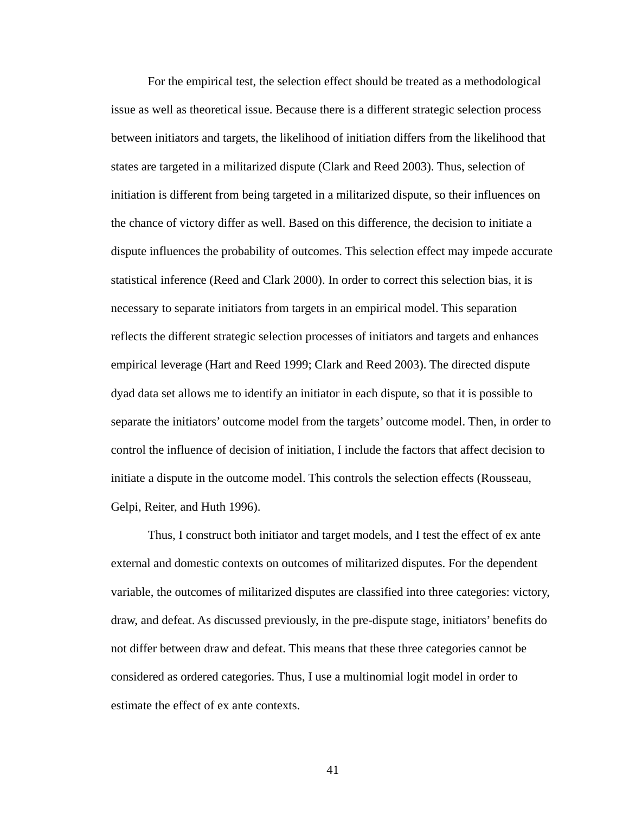For the empirical test, the selection effect should be treated as a methodological issue as well as theoretical issue. Because there is a different strategic selection process between initiators and targets, the likelihood of initiation differs from the likelihood that states are targeted in a militarized dispute (Clark and Reed 2003). Thus, selection of initiation is different from being targeted in a militarized dispute, so their influences on the chance of victory differ as well. Based on this difference, the decision to initiate a dispute influences the probability of outcomes. This selection effect may impede accurate statistical inference (Reed and Clark 2000). In order to correct this selection bias, it is necessary to separate initiators from targets in an empirical model. This separation reflects the different strategic selection processes of initiators and targets and enhances empirical leverage (Hart and Reed 1999; Clark and Reed 2003). The directed dispute dyad data set allows me to identify an initiator in each dispute, so that it is possible to separate the initiators' outcome model from the targets' outcome model. Then, in order to control the influence of decision of initiation, I include the factors that affect decision to initiate a dispute in the outcome model. This controls the selection effects (Rousseau, Gelpi, Reiter, and Huth 1996).

Thus, I construct both initiator and target models, and I test the effect of ex ante external and domestic contexts on outcomes of militarized disputes. For the dependent variable, the outcomes of militarized disputes are classified into three categories: victory, draw, and defeat. As discussed previously, in the pre-dispute stage, initiators' benefits do not differ between draw and defeat. This means that these three categories cannot be considered as ordered categories. Thus, I use a multinomial logit model in order to estimate the effect of ex ante contexts.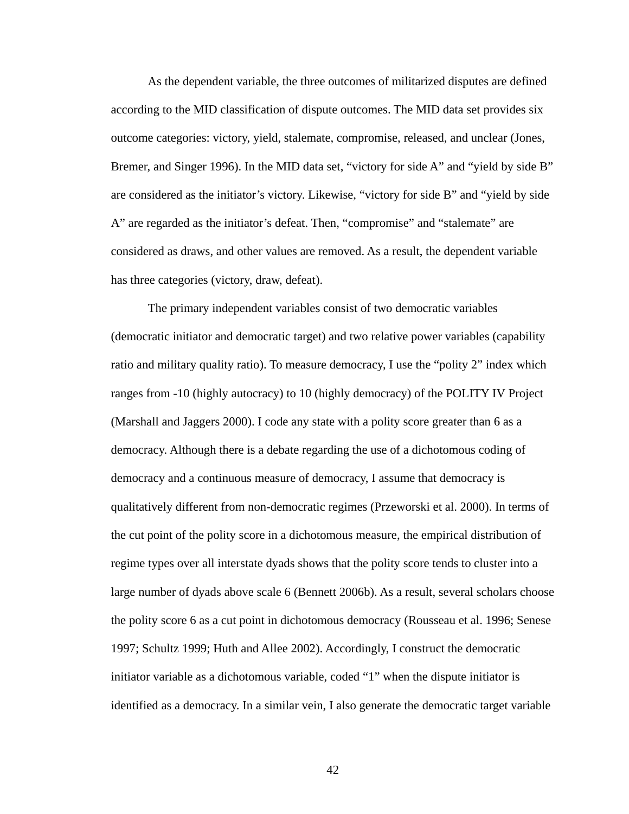As the dependent variable, the three outcomes of militarized disputes are defined according to the MID classification of dispute outcomes. The MID data set provides six outcome categories: victory, yield, stalemate, compromise, released, and unclear (Jones, Bremer, and Singer 1996). In the MID data set, "victory for side A" and "yield by side B" are considered as the initiator's victory. Likewise, "victory for side B" and "yield by side A" are regarded as the initiator's defeat. Then, "compromise" and "stalemate" are considered as draws, and other values are removed. As a result, the dependent variable has three categories (victory, draw, defeat).

The primary independent variables consist of two democratic variables (democratic initiator and democratic target) and two relative power variables (capability ratio and military quality ratio). To measure democracy, I use the "polity 2" index which ranges from -10 (highly autocracy) to 10 (highly democracy) of the POLITY IV Project (Marshall and Jaggers 2000). I code any state with a polity score greater than 6 as a democracy. Although there is a debate regarding the use of a dichotomous coding of democracy and a continuous measure of democracy, I assume that democracy is qualitatively different from non-democratic regimes (Przeworski et al. 2000). In terms of the cut point of the polity score in a dichotomous measure, the empirical distribution of regime types over all interstate dyads shows that the polity score tends to cluster into a large number of dyads above scale 6 (Bennett 2006b). As a result, several scholars choose the polity score 6 as a cut point in dichotomous democracy (Rousseau et al. 1996; Senese 1997; Schultz 1999; Huth and Allee 2002). Accordingly, I construct the democratic initiator variable as a dichotomous variable, coded "1" when the dispute initiator is identified as a democracy. In a similar vein, I also generate the democratic target variable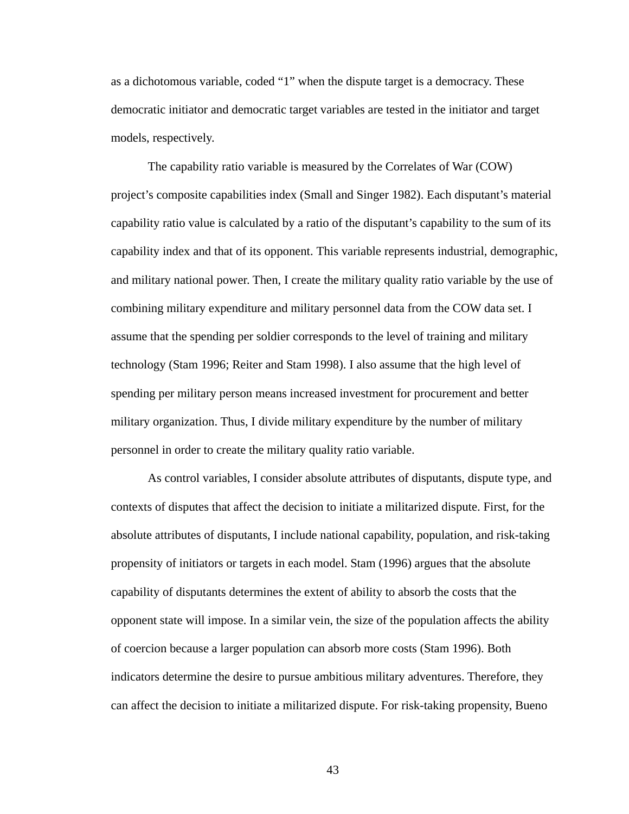as a dichotomous variable, coded "1" when the dispute target is a democracy. These democratic initiator and democratic target variables are tested in the initiator and target models, respectively.

The capability ratio variable is measured by the Correlates of War (COW) project's composite capabilities index (Small and Singer 1982). Each disputant's material capability ratio value is calculated by a ratio of the disputant's capability to the sum of its capability index and that of its opponent. This variable represents industrial, demographic, and military national power. Then, I create the military quality ratio variable by the use of combining military expenditure and military personnel data from the COW data set. I assume that the spending per soldier corresponds to the level of training and military technology (Stam 1996; Reiter and Stam 1998). I also assume that the high level of spending per military person means increased investment for procurement and better military organization. Thus, I divide military expenditure by the number of military personnel in order to create the military quality ratio variable.

As control variables, I consider absolute attributes of disputants, dispute type, and contexts of disputes that affect the decision to initiate a militarized dispute. First, for the absolute attributes of disputants, I include national capability, population, and risk-taking propensity of initiators or targets in each model. Stam (1996) argues that the absolute capability of disputants determines the extent of ability to absorb the costs that the opponent state will impose. In a similar vein, the size of the population affects the ability of coercion because a larger population can absorb more costs (Stam 1996). Both indicators determine the desire to pursue ambitious military adventures. Therefore, they can affect the decision to initiate a militarized dispute. For risk-taking propensity, Bueno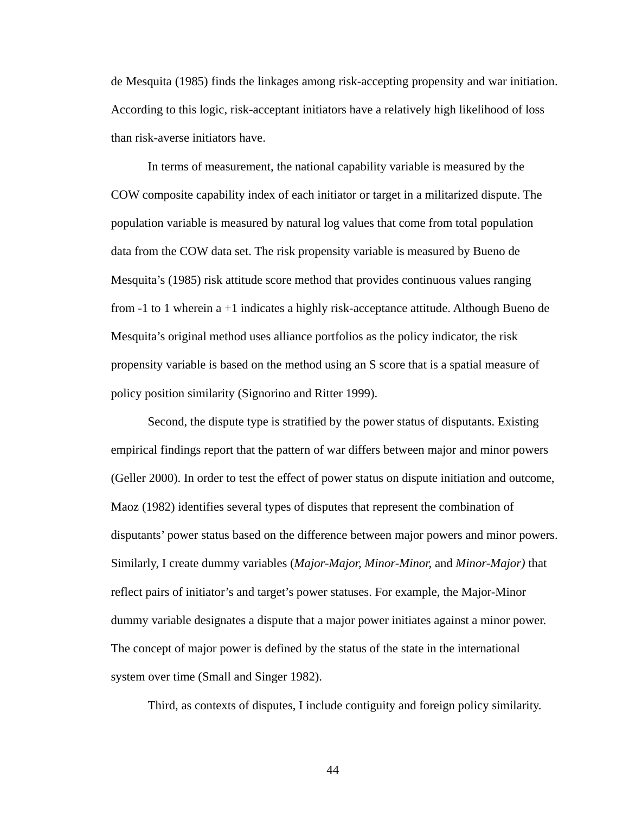de Mesquita (1985) finds the linkages among risk-accepting propensity and war initiation. According to this logic, risk-acceptant initiators have a relatively high likelihood of loss than risk-averse initiators have.

In terms of measurement, the national capability variable is measured by the COW composite capability index of each initiator or target in a militarized dispute. The population variable is measured by natural log values that come from total population data from the COW data set. The risk propensity variable is measured by Bueno de Mesquita's (1985) risk attitude score method that provides continuous values ranging from -1 to 1 wherein a +1 indicates a highly risk-acceptance attitude. Although Bueno de Mesquita's original method uses alliance portfolios as the policy indicator, the risk propensity variable is based on the method using an S score that is a spatial measure of policy position similarity (Signorino and Ritter 1999).

Second, the dispute type is stratified by the power status of disputants. Existing empirical findings report that the pattern of war differs between major and minor powers (Geller 2000). In order to test the effect of power status on dispute initiation and outcome, Maoz (1982) identifies several types of disputes that represent the combination of disputants' power status based on the difference between major powers and minor powers. Similarly, I create dummy variables (*Major-Major, Minor-Minor,* and *Minor-Major)* that reflect pairs of initiator's and target's power statuses. For example, the Major-Minor dummy variable designates a dispute that a major power initiates against a minor power. The concept of major power is defined by the status of the state in the international system over time (Small and Singer 1982).

Third, as contexts of disputes, I include contiguity and foreign policy similarity.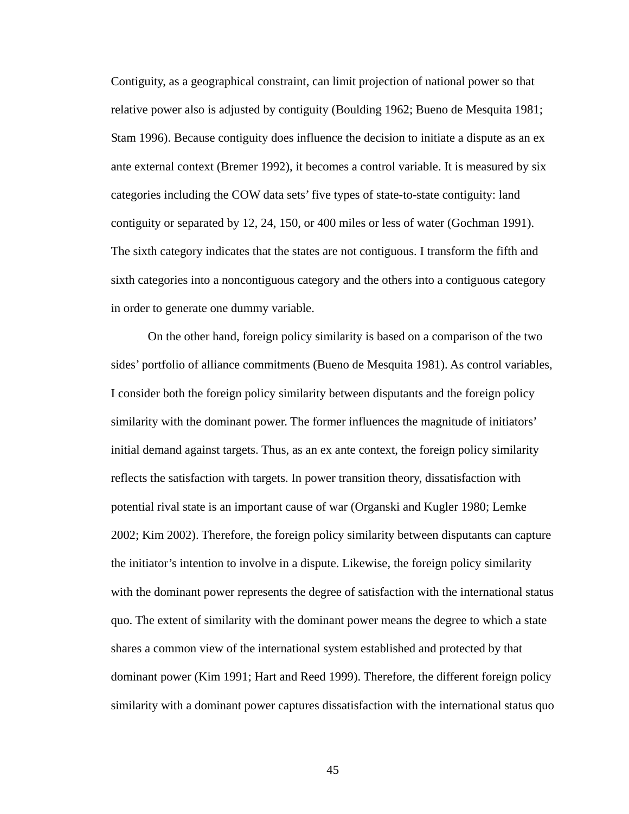Contiguity, as a geographical constraint, can limit projection of national power so that relative power also is adjusted by contiguity (Boulding 1962; Bueno de Mesquita 1981; Stam 1996). Because contiguity does influence the decision to initiate a dispute as an ex ante external context (Bremer 1992), it becomes a control variable. It is measured by six categories including the COW data sets' five types of state-to-state contiguity: land contiguity or separated by 12, 24, 150, or 400 miles or less of water (Gochman 1991). The sixth category indicates that the states are not contiguous. I transform the fifth and sixth categories into a noncontiguous category and the others into a contiguous category in order to generate one dummy variable.

On the other hand, foreign policy similarity is based on a comparison of the two sides' portfolio of alliance commitments (Bueno de Mesquita 1981). As control variables, I consider both the foreign policy similarity between disputants and the foreign policy similarity with the dominant power. The former influences the magnitude of initiators' initial demand against targets. Thus, as an ex ante context, the foreign policy similarity reflects the satisfaction with targets. In power transition theory, dissatisfaction with potential rival state is an important cause of war (Organski and Kugler 1980; Lemke 2002; Kim 2002). Therefore, the foreign policy similarity between disputants can capture the initiator's intention to involve in a dispute. Likewise, the foreign policy similarity with the dominant power represents the degree of satisfaction with the international status quo. The extent of similarity with the dominant power means the degree to which a state shares a common view of the international system established and protected by that dominant power (Kim 1991; Hart and Reed 1999). Therefore, the different foreign policy similarity with a dominant power captures dissatisfaction with the international status quo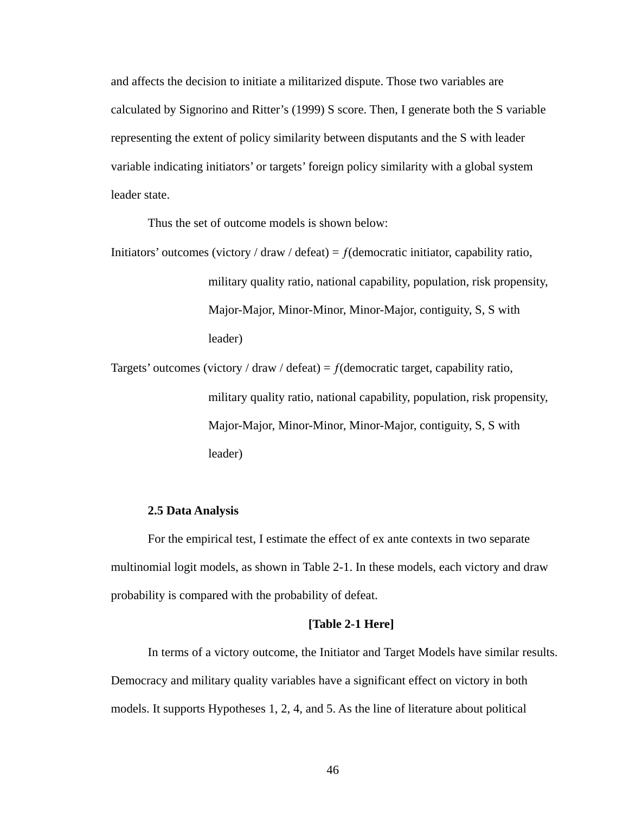and affects the decision to initiate a militarized dispute. Those two variables are calculated by Signorino and Ritter's (1999) S score. Then, I generate both the S variable representing the extent of policy similarity between disputants and the S with leader variable indicating initiators' or targets' foreign policy similarity with a global system leader state.

Thus the set of outcome models is shown below:

Initiators' outcomes (victory / draw / defeat) =  $f$ (democratic initiator, capability ratio, military quality ratio, national capability, population, risk propensity, Major-Major, Minor-Minor, Minor-Major, contiguity, S, S with leader)

Targets' outcomes (victory / draw / defeat) =  $f$ (democratic target, capability ratio, military quality ratio, national capability, population, risk propensity, Major-Major, Minor-Minor, Minor-Major, contiguity, S, S with leader)

# **2.5 Data Analysis**

For the empirical test, I estimate the effect of ex ante contexts in two separate multinomial logit models, as shown in Table 2-1. In these models, each victory and draw probability is compared with the probability of defeat.

# **[Table 2-1 Here]**

In terms of a victory outcome, the Initiator and Target Models have similar results. Democracy and military quality variables have a significant effect on victory in both models. It supports Hypotheses 1, 2, 4, and 5. As the line of literature about political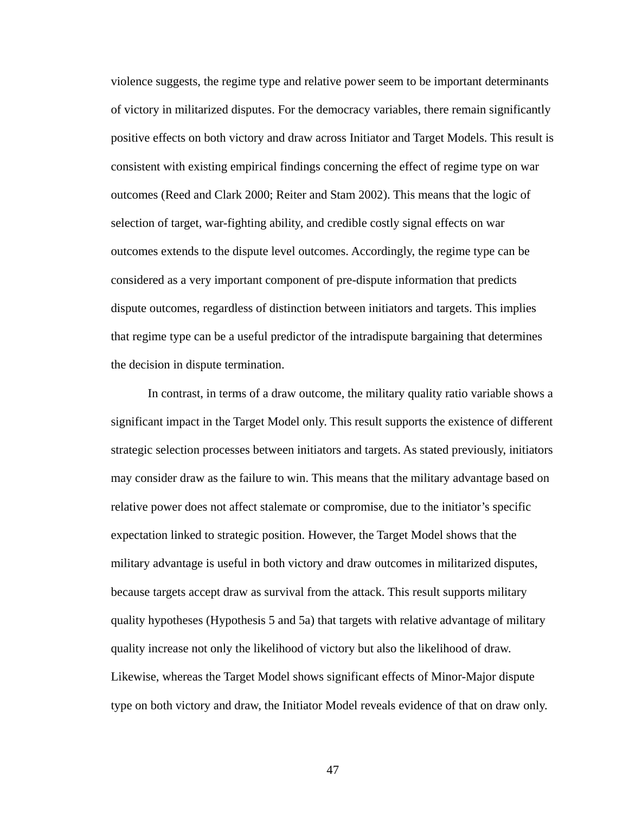violence suggests, the regime type and relative power seem to be important determinants of victory in militarized disputes. For the democracy variables, there remain significantly positive effects on both victory and draw across Initiator and Target Models. This result is consistent with existing empirical findings concerning the effect of regime type on war outcomes (Reed and Clark 2000; Reiter and Stam 2002). This means that the logic of selection of target, war-fighting ability, and credible costly signal effects on war outcomes extends to the dispute level outcomes. Accordingly, the regime type can be considered as a very important component of pre-dispute information that predicts dispute outcomes, regardless of distinction between initiators and targets. This implies that regime type can be a useful predictor of the intradispute bargaining that determines the decision in dispute termination.

In contrast, in terms of a draw outcome, the military quality ratio variable shows a significant impact in the Target Model only. This result supports the existence of different strategic selection processes between initiators and targets. As stated previously, initiators may consider draw as the failure to win. This means that the military advantage based on relative power does not affect stalemate or compromise, due to the initiator's specific expectation linked to strategic position. However, the Target Model shows that the military advantage is useful in both victory and draw outcomes in militarized disputes, because targets accept draw as survival from the attack. This result supports military quality hypotheses (Hypothesis 5 and 5a) that targets with relative advantage of military quality increase not only the likelihood of victory but also the likelihood of draw. Likewise, whereas the Target Model shows significant effects of Minor-Major dispute type on both victory and draw, the Initiator Model reveals evidence of that on draw only.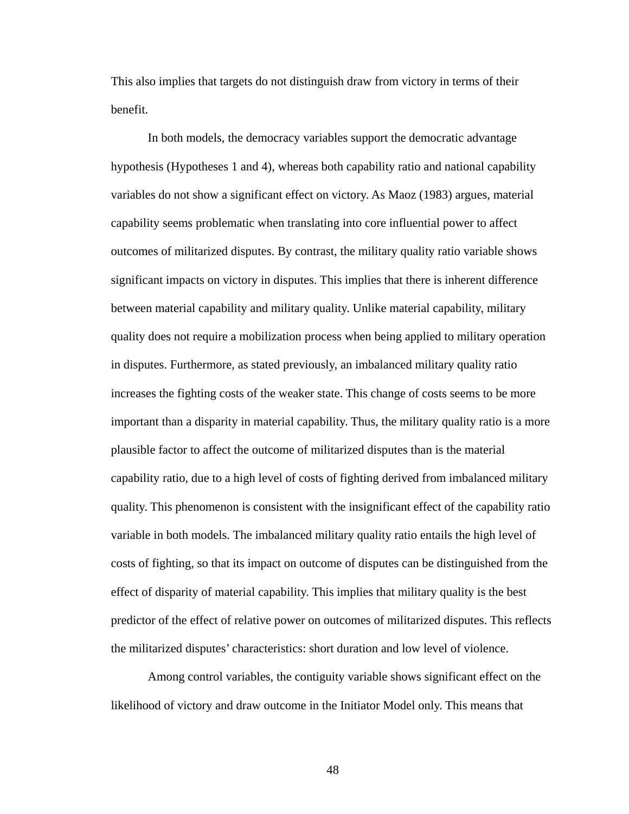This also implies that targets do not distinguish draw from victory in terms of their benefit.

In both models, the democracy variables support the democratic advantage hypothesis (Hypotheses 1 and 4), whereas both capability ratio and national capability variables do not show a significant effect on victory. As Maoz (1983) argues, material capability seems problematic when translating into core influential power to affect outcomes of militarized disputes. By contrast, the military quality ratio variable shows significant impacts on victory in disputes. This implies that there is inherent difference between material capability and military quality. Unlike material capability, military quality does not require a mobilization process when being applied to military operation in disputes. Furthermore, as stated previously, an imbalanced military quality ratio increases the fighting costs of the weaker state. This change of costs seems to be more important than a disparity in material capability. Thus, the military quality ratio is a more plausible factor to affect the outcome of militarized disputes than is the material capability ratio, due to a high level of costs of fighting derived from imbalanced military quality. This phenomenon is consistent with the insignificant effect of the capability ratio variable in both models. The imbalanced military quality ratio entails the high level of costs of fighting, so that its impact on outcome of disputes can be distinguished from the effect of disparity of material capability. This implies that military quality is the best predictor of the effect of relative power on outcomes of militarized disputes. This reflects the militarized disputes' characteristics: short duration and low level of violence.

Among control variables, the contiguity variable shows significant effect on the likelihood of victory and draw outcome in the Initiator Model only. This means that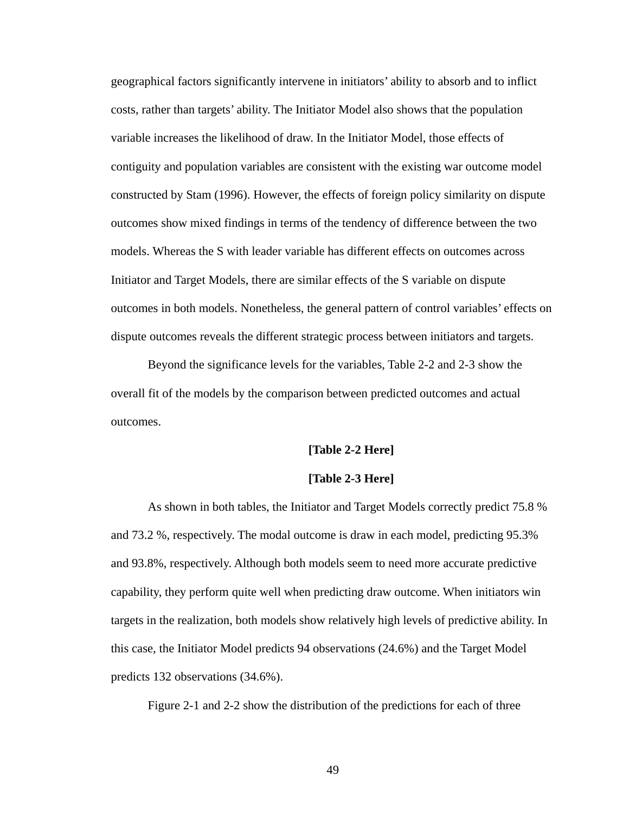geographical factors significantly intervene in initiators' ability to absorb and to inflict costs, rather than targets' ability. The Initiator Model also shows that the population variable increases the likelihood of draw. In the Initiator Model, those effects of contiguity and population variables are consistent with the existing war outcome model constructed by Stam (1996). However, the effects of foreign policy similarity on dispute outcomes show mixed findings in terms of the tendency of difference between the two models. Whereas the S with leader variable has different effects on outcomes across Initiator and Target Models, there are similar effects of the S variable on dispute outcomes in both models. Nonetheless, the general pattern of control variables' effects on dispute outcomes reveals the different strategic process between initiators and targets.

Beyond the significance levels for the variables, Table 2-2 and 2-3 show the overall fit of the models by the comparison between predicted outcomes and actual outcomes.

#### **[Table 2-2 Here]**

#### **[Table 2-3 Here]**

As shown in both tables, the Initiator and Target Models correctly predict 75.8 % and 73.2 %, respectively. The modal outcome is draw in each model, predicting 95.3% and 93.8%, respectively. Although both models seem to need more accurate predictive capability, they perform quite well when predicting draw outcome. When initiators win targets in the realization, both models show relatively high levels of predictive ability. In this case, the Initiator Model predicts 94 observations (24.6%) and the Target Model predicts 132 observations (34.6%).

Figure 2-1 and 2-2 show the distribution of the predictions for each of three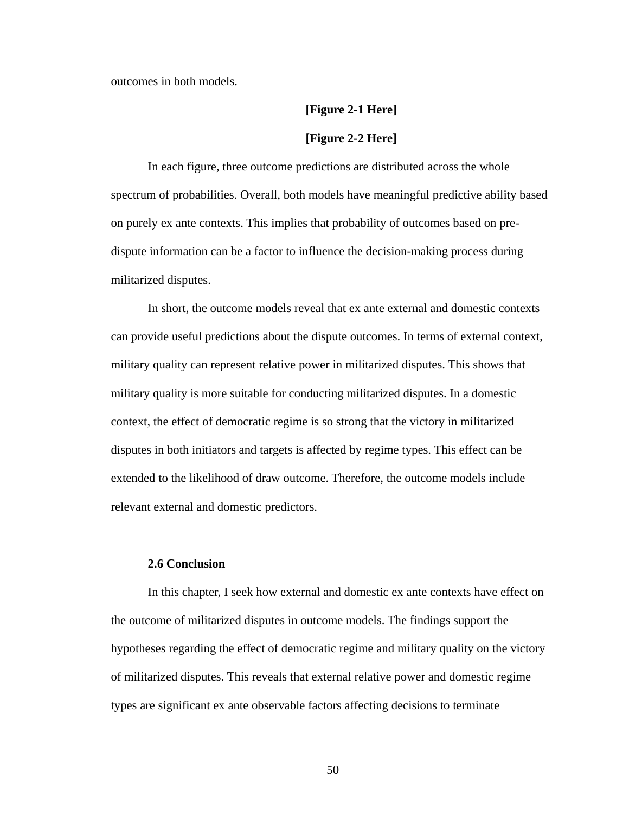outcomes in both models.

# **[Figure 2-1 Here] [Figure 2-2 Here]**

In each figure, three outcome predictions are distributed across the whole spectrum of probabilities. Overall, both models have meaningful predictive ability based on purely ex ante contexts. This implies that probability of outcomes based on predispute information can be a factor to influence the decision-making process during militarized disputes.

In short, the outcome models reveal that ex ante external and domestic contexts can provide useful predictions about the dispute outcomes. In terms of external context, military quality can represent relative power in militarized disputes. This shows that military quality is more suitable for conducting militarized disputes. In a domestic context, the effect of democratic regime is so strong that the victory in militarized disputes in both initiators and targets is affected by regime types. This effect can be extended to the likelihood of draw outcome. Therefore, the outcome models include relevant external and domestic predictors.

# **2.6 Conclusion**

In this chapter, I seek how external and domestic ex ante contexts have effect on the outcome of militarized disputes in outcome models. The findings support the hypotheses regarding the effect of democratic regime and military quality on the victory of militarized disputes. This reveals that external relative power and domestic regime types are significant ex ante observable factors affecting decisions to terminate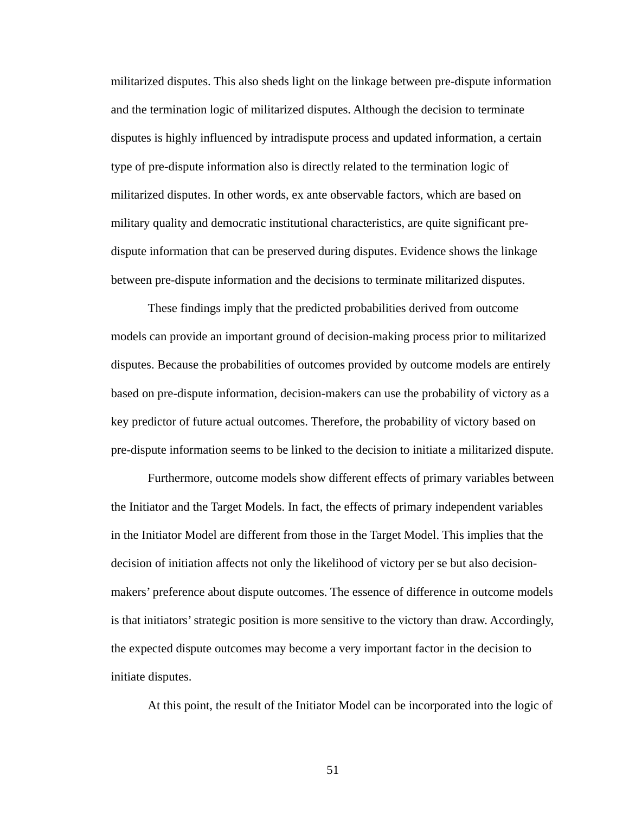militarized disputes. This also sheds light on the linkage between pre-dispute information and the termination logic of militarized disputes. Although the decision to terminate disputes is highly influenced by intradispute process and updated information, a certain type of pre-dispute information also is directly related to the termination logic of militarized disputes. In other words, ex ante observable factors, which are based on military quality and democratic institutional characteristics, are quite significant predispute information that can be preserved during disputes. Evidence shows the linkage between pre-dispute information and the decisions to terminate militarized disputes.

These findings imply that the predicted probabilities derived from outcome models can provide an important ground of decision-making process prior to militarized disputes. Because the probabilities of outcomes provided by outcome models are entirely based on pre-dispute information, decision-makers can use the probability of victory as a key predictor of future actual outcomes. Therefore, the probability of victory based on pre-dispute information seems to be linked to the decision to initiate a militarized dispute.

Furthermore, outcome models show different effects of primary variables between the Initiator and the Target Models. In fact, the effects of primary independent variables in the Initiator Model are different from those in the Target Model. This implies that the decision of initiation affects not only the likelihood of victory per se but also decisionmakers' preference about dispute outcomes. The essence of difference in outcome models is that initiators' strategic position is more sensitive to the victory than draw. Accordingly, the expected dispute outcomes may become a very important factor in the decision to initiate disputes.

At this point, the result of the Initiator Model can be incorporated into the logic of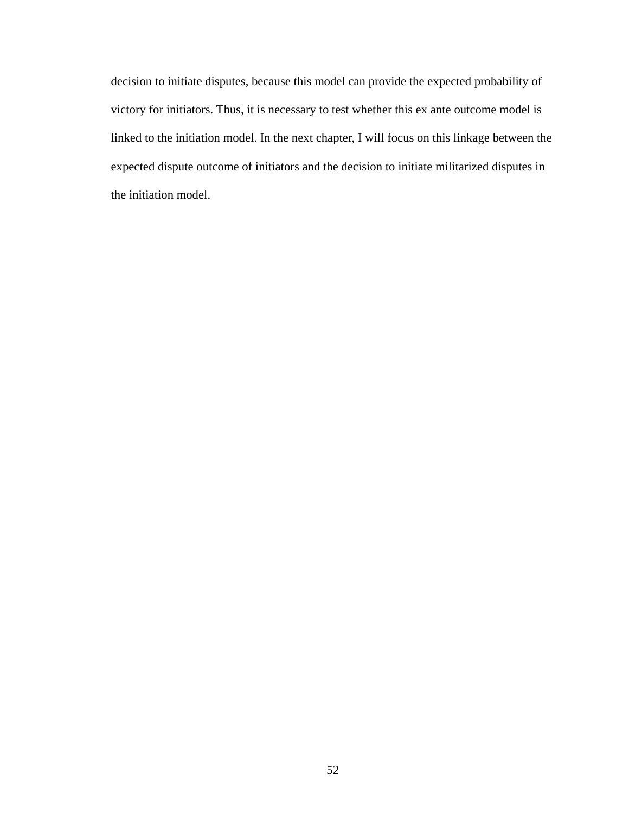decision to initiate disputes, because this model can provide the expected probability of victory for initiators. Thus, it is necessary to test whether this ex ante outcome model is linked to the initiation model. In the next chapter, I will focus on this linkage between the expected dispute outcome of initiators and the decision to initiate militarized disputes in the initiation model.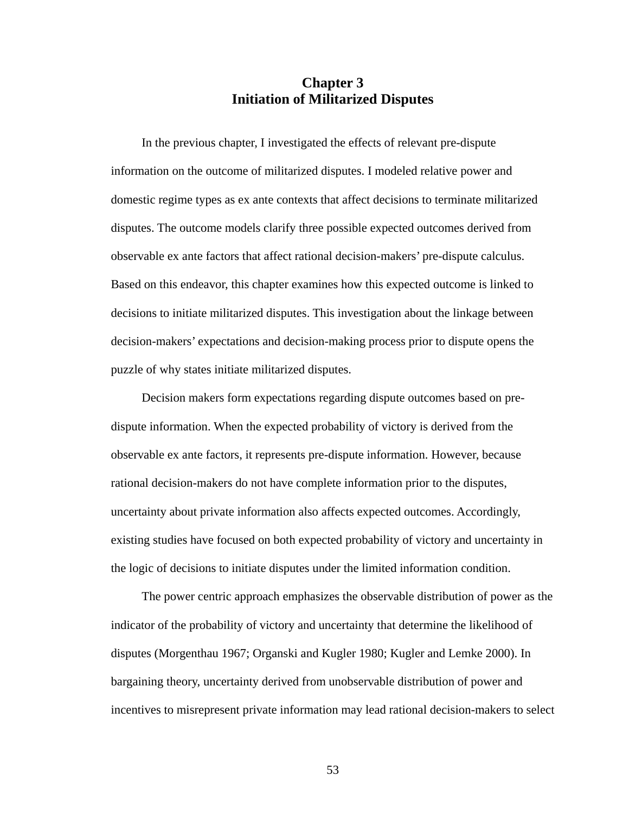# **Chapter 3 Initiation of Militarized Disputes**

In the previous chapter, I investigated the effects of relevant pre-dispute information on the outcome of militarized disputes. I modeled relative power and domestic regime types as ex ante contexts that affect decisions to terminate militarized disputes. The outcome models clarify three possible expected outcomes derived from observable ex ante factors that affect rational decision-makers' pre-dispute calculus. Based on this endeavor, this chapter examines how this expected outcome is linked to decisions to initiate militarized disputes. This investigation about the linkage between decision-makers' expectations and decision-making process prior to dispute opens the puzzle of why states initiate militarized disputes.

Decision makers form expectations regarding dispute outcomes based on predispute information. When the expected probability of victory is derived from the observable ex ante factors, it represents pre-dispute information. However, because rational decision-makers do not have complete information prior to the disputes, uncertainty about private information also affects expected outcomes. Accordingly, existing studies have focused on both expected probability of victory and uncertainty in the logic of decisions to initiate disputes under the limited information condition.

The power centric approach emphasizes the observable distribution of power as the indicator of the probability of victory and uncertainty that determine the likelihood of disputes (Morgenthau 1967; Organski and Kugler 1980; Kugler and Lemke 2000). In bargaining theory, uncertainty derived from unobservable distribution of power and incentives to misrepresent private information may lead rational decision-makers to select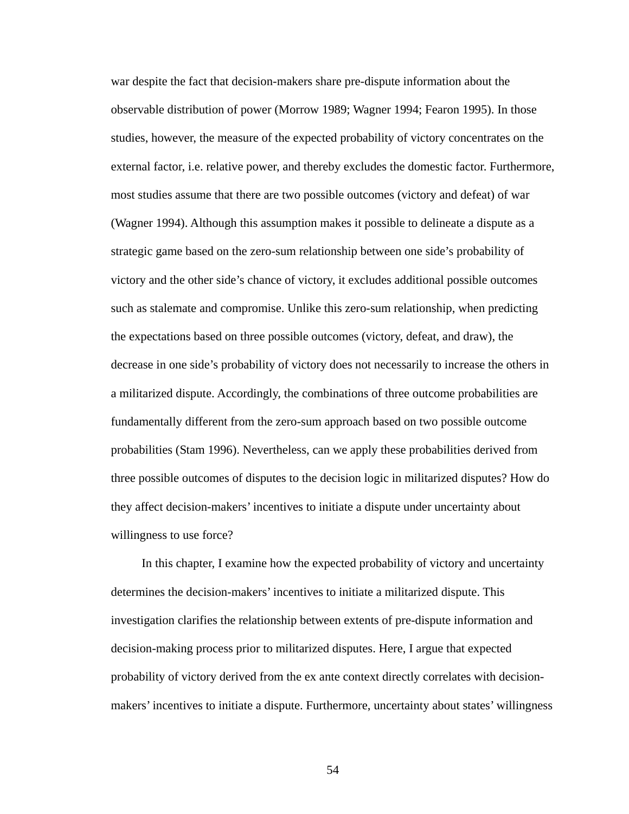war despite the fact that decision-makers share pre-dispute information about the observable distribution of power (Morrow 1989; Wagner 1994; Fearon 1995). In those studies, however, the measure of the expected probability of victory concentrates on the external factor, i.e. relative power, and thereby excludes the domestic factor. Furthermore, most studies assume that there are two possible outcomes (victory and defeat) of war (Wagner 1994). Although this assumption makes it possible to delineate a dispute as a strategic game based on the zero-sum relationship between one side's probability of victory and the other side's chance of victory, it excludes additional possible outcomes such as stalemate and compromise. Unlike this zero-sum relationship, when predicting the expectations based on three possible outcomes (victory, defeat, and draw), the decrease in one side's probability of victory does not necessarily to increase the others in a militarized dispute. Accordingly, the combinations of three outcome probabilities are fundamentally different from the zero-sum approach based on two possible outcome probabilities (Stam 1996). Nevertheless, can we apply these probabilities derived from three possible outcomes of disputes to the decision logic in militarized disputes? How do they affect decision-makers' incentives to initiate a dispute under uncertainty about willingness to use force?

In this chapter, I examine how the expected probability of victory and uncertainty determines the decision-makers' incentives to initiate a militarized dispute. This investigation clarifies the relationship between extents of pre-dispute information and decision-making process prior to militarized disputes. Here, I argue that expected probability of victory derived from the ex ante context directly correlates with decisionmakers' incentives to initiate a dispute. Furthermore, uncertainty about states' willingness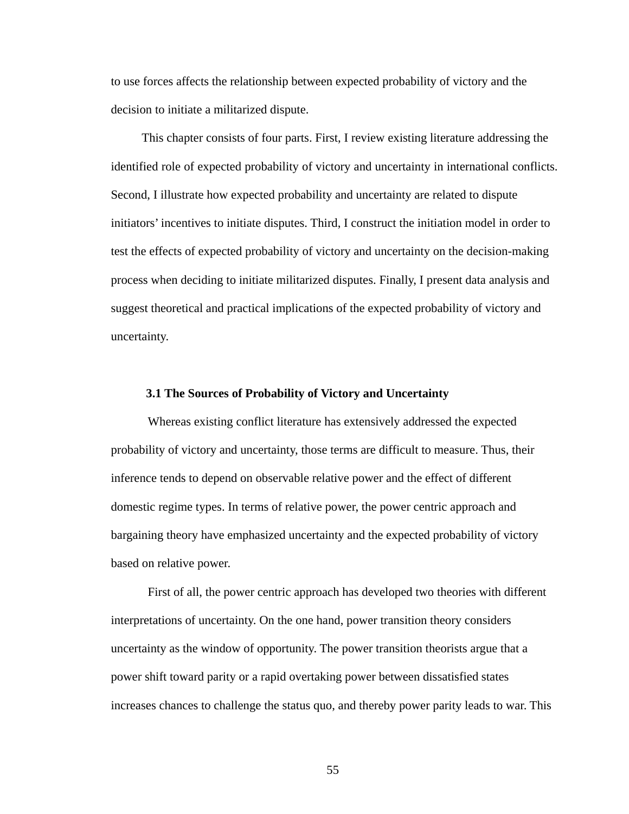to use forces affects the relationship between expected probability of victory and the decision to initiate a militarized dispute.

This chapter consists of four parts. First, I review existing literature addressing the identified role of expected probability of victory and uncertainty in international conflicts. Second, I illustrate how expected probability and uncertainty are related to dispute initiators' incentives to initiate disputes. Third, I construct the initiation model in order to test the effects of expected probability of victory and uncertainty on the decision-making process when deciding to initiate militarized disputes. Finally, I present data analysis and suggest theoretical and practical implications of the expected probability of victory and uncertainty.

#### **3.1 The Sources of Probability of Victory and Uncertainty**

Whereas existing conflict literature has extensively addressed the expected probability of victory and uncertainty, those terms are difficult to measure. Thus, their inference tends to depend on observable relative power and the effect of different domestic regime types. In terms of relative power, the power centric approach and bargaining theory have emphasized uncertainty and the expected probability of victory based on relative power.

First of all, the power centric approach has developed two theories with different interpretations of uncertainty. On the one hand, power transition theory considers uncertainty as the window of opportunity. The power transition theorists argue that a power shift toward parity or a rapid overtaking power between dissatisfied states increases chances to challenge the status quo, and thereby power parity leads to war. This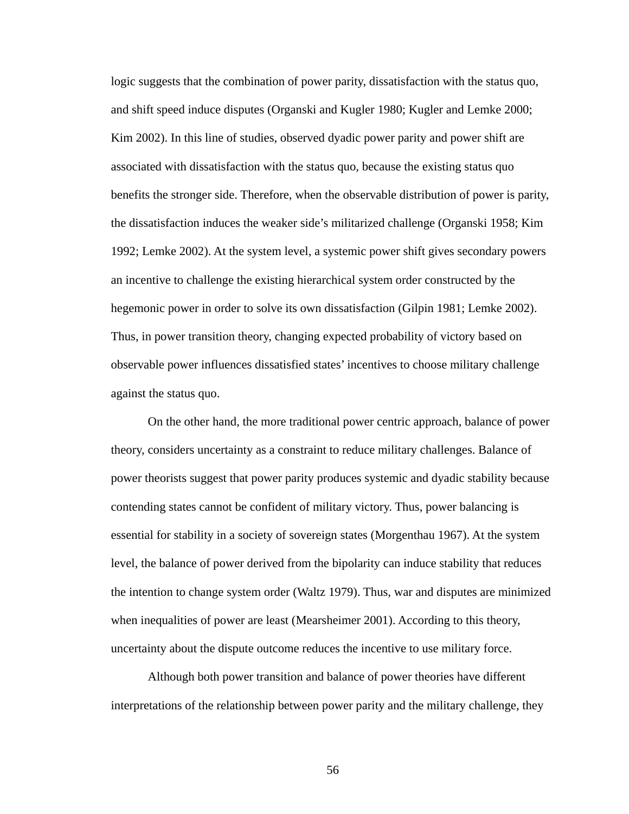logic suggests that the combination of power parity, dissatisfaction with the status quo, and shift speed induce disputes (Organski and Kugler 1980; Kugler and Lemke 2000; Kim 2002). In this line of studies, observed dyadic power parity and power shift are associated with dissatisfaction with the status quo, because the existing status quo benefits the stronger side. Therefore, when the observable distribution of power is parity, the dissatisfaction induces the weaker side's militarized challenge (Organski 1958; Kim 1992; Lemke 2002). At the system level, a systemic power shift gives secondary powers an incentive to challenge the existing hierarchical system order constructed by the hegemonic power in order to solve its own dissatisfaction (Gilpin 1981; Lemke 2002). Thus, in power transition theory, changing expected probability of victory based on observable power influences dissatisfied states' incentives to choose military challenge against the status quo.

On the other hand, the more traditional power centric approach, balance of power theory, considers uncertainty as a constraint to reduce military challenges. Balance of power theorists suggest that power parity produces systemic and dyadic stability because contending states cannot be confident of military victory. Thus, power balancing is essential for stability in a society of sovereign states (Morgenthau 1967). At the system level, the balance of power derived from the bipolarity can induce stability that reduces the intention to change system order (Waltz 1979). Thus, war and disputes are minimized when inequalities of power are least (Mearsheimer 2001). According to this theory, uncertainty about the dispute outcome reduces the incentive to use military force.

Although both power transition and balance of power theories have different interpretations of the relationship between power parity and the military challenge, they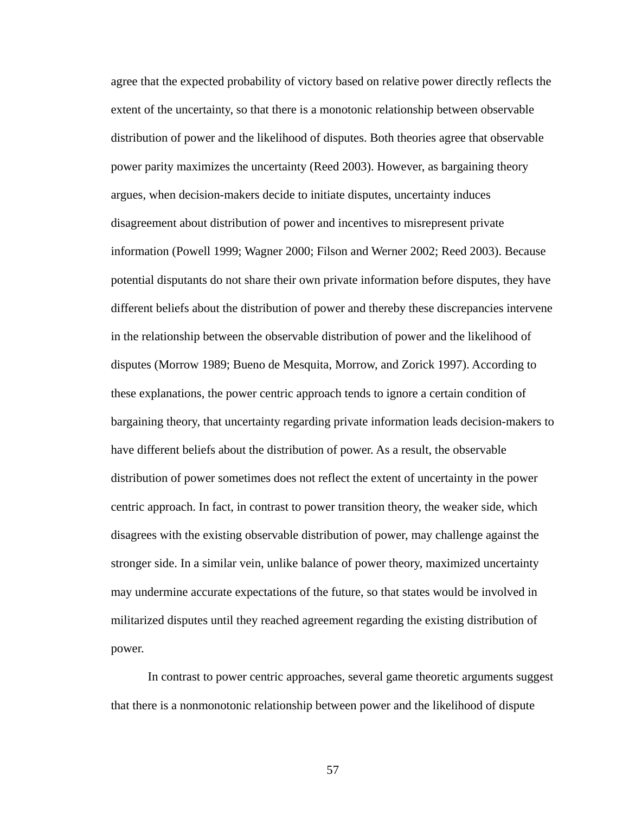agree that the expected probability of victory based on relative power directly reflects the extent of the uncertainty, so that there is a monotonic relationship between observable distribution of power and the likelihood of disputes. Both theories agree that observable power parity maximizes the uncertainty (Reed 2003). However, as bargaining theory argues, when decision-makers decide to initiate disputes, uncertainty induces disagreement about distribution of power and incentives to misrepresent private information (Powell 1999; Wagner 2000; Filson and Werner 2002; Reed 2003). Because potential disputants do not share their own private information before disputes, they have different beliefs about the distribution of power and thereby these discrepancies intervene in the relationship between the observable distribution of power and the likelihood of disputes (Morrow 1989; Bueno de Mesquita, Morrow, and Zorick 1997). According to these explanations, the power centric approach tends to ignore a certain condition of bargaining theory, that uncertainty regarding private information leads decision-makers to have different beliefs about the distribution of power. As a result, the observable distribution of power sometimes does not reflect the extent of uncertainty in the power centric approach. In fact, in contrast to power transition theory, the weaker side, which disagrees with the existing observable distribution of power, may challenge against the stronger side. In a similar vein, unlike balance of power theory, maximized uncertainty may undermine accurate expectations of the future, so that states would be involved in militarized disputes until they reached agreement regarding the existing distribution of power.

In contrast to power centric approaches, several game theoretic arguments suggest that there is a nonmonotonic relationship between power and the likelihood of dispute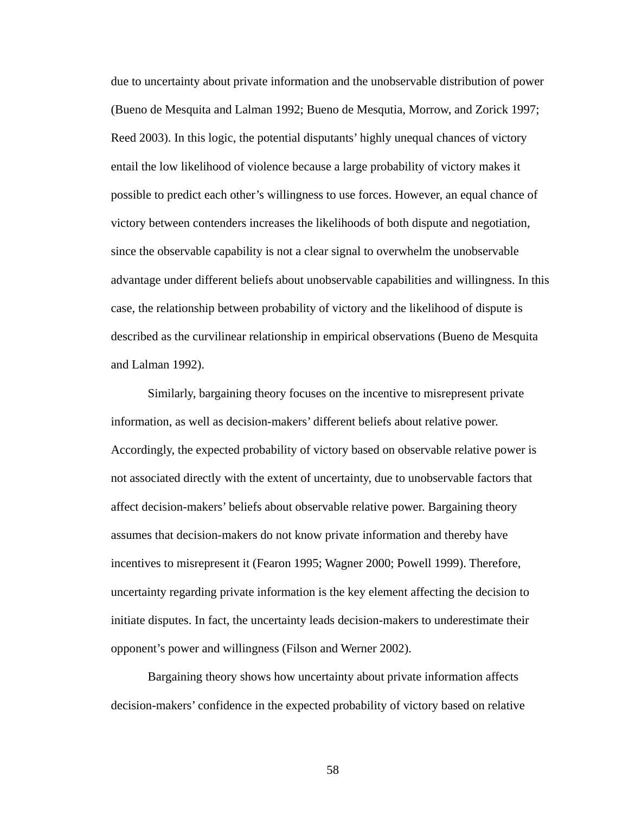due to uncertainty about private information and the unobservable distribution of power (Bueno de Mesquita and Lalman 1992; Bueno de Mesqutia, Morrow, and Zorick 1997; Reed 2003). In this logic, the potential disputants' highly unequal chances of victory entail the low likelihood of violence because a large probability of victory makes it possible to predict each other's willingness to use forces. However, an equal chance of victory between contenders increases the likelihoods of both dispute and negotiation, since the observable capability is not a clear signal to overwhelm the unobservable advantage under different beliefs about unobservable capabilities and willingness. In this case, the relationship between probability of victory and the likelihood of dispute is described as the curvilinear relationship in empirical observations (Bueno de Mesquita and Lalman 1992).

Similarly, bargaining theory focuses on the incentive to misrepresent private information, as well as decision-makers' different beliefs about relative power. Accordingly, the expected probability of victory based on observable relative power is not associated directly with the extent of uncertainty, due to unobservable factors that affect decision-makers' beliefs about observable relative power. Bargaining theory assumes that decision-makers do not know private information and thereby have incentives to misrepresent it (Fearon 1995; Wagner 2000; Powell 1999). Therefore, uncertainty regarding private information is the key element affecting the decision to initiate disputes. In fact, the uncertainty leads decision-makers to underestimate their opponent's power and willingness (Filson and Werner 2002).

Bargaining theory shows how uncertainty about private information affects decision-makers' confidence in the expected probability of victory based on relative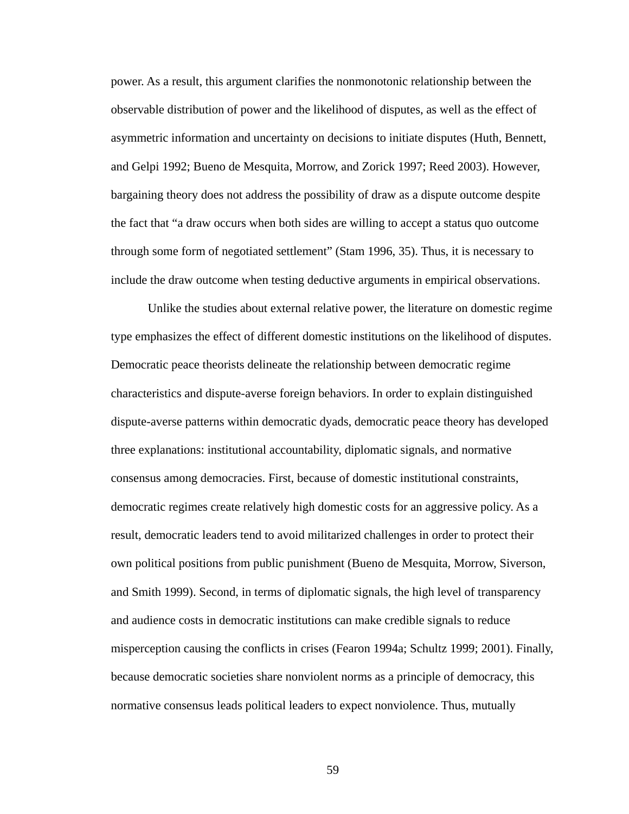power. As a result, this argument clarifies the nonmonotonic relationship between the observable distribution of power and the likelihood of disputes, as well as the effect of asymmetric information and uncertainty on decisions to initiate disputes (Huth, Bennett, and Gelpi 1992; Bueno de Mesquita, Morrow, and Zorick 1997; Reed 2003). However, bargaining theory does not address the possibility of draw as a dispute outcome despite the fact that "a draw occurs when both sides are willing to accept a status quo outcome through some form of negotiated settlement" (Stam 1996, 35). Thus, it is necessary to include the draw outcome when testing deductive arguments in empirical observations.

Unlike the studies about external relative power, the literature on domestic regime type emphasizes the effect of different domestic institutions on the likelihood of disputes. Democratic peace theorists delineate the relationship between democratic regime characteristics and dispute-averse foreign behaviors. In order to explain distinguished dispute-averse patterns within democratic dyads, democratic peace theory has developed three explanations: institutional accountability, diplomatic signals, and normative consensus among democracies. First, because of domestic institutional constraints, democratic regimes create relatively high domestic costs for an aggressive policy. As a result, democratic leaders tend to avoid militarized challenges in order to protect their own political positions from public punishment (Bueno de Mesquita, Morrow, Siverson, and Smith 1999). Second, in terms of diplomatic signals, the high level of transparency and audience costs in democratic institutions can make credible signals to reduce misperception causing the conflicts in crises (Fearon 1994a; Schultz 1999; 2001). Finally, because democratic societies share nonviolent norms as a principle of democracy, this normative consensus leads political leaders to expect nonviolence. Thus, mutually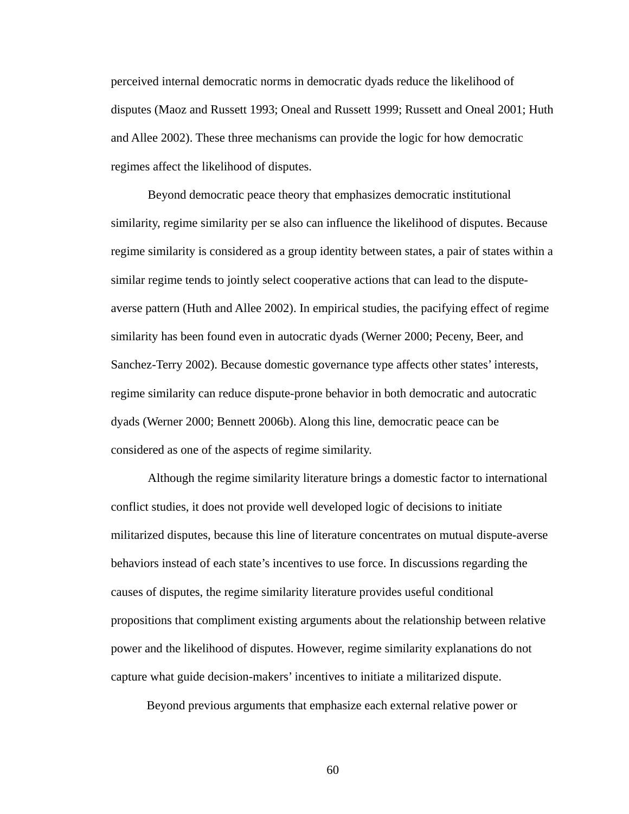perceived internal democratic norms in democratic dyads reduce the likelihood of disputes (Maoz and Russett 1993; Oneal and Russett 1999; Russett and Oneal 2001; Huth and Allee 2002). These three mechanisms can provide the logic for how democratic regimes affect the likelihood of disputes.

Beyond democratic peace theory that emphasizes democratic institutional similarity, regime similarity per se also can influence the likelihood of disputes. Because regime similarity is considered as a group identity between states, a pair of states within a similar regime tends to jointly select cooperative actions that can lead to the disputeaverse pattern (Huth and Allee 2002). In empirical studies, the pacifying effect of regime similarity has been found even in autocratic dyads (Werner 2000; Peceny, Beer, and Sanchez-Terry 2002). Because domestic governance type affects other states' interests, regime similarity can reduce dispute-prone behavior in both democratic and autocratic dyads (Werner 2000; Bennett 2006b). Along this line, democratic peace can be considered as one of the aspects of regime similarity.

Although the regime similarity literature brings a domestic factor to international conflict studies, it does not provide well developed logic of decisions to initiate militarized disputes, because this line of literature concentrates on mutual dispute-averse behaviors instead of each state's incentives to use force. In discussions regarding the causes of disputes, the regime similarity literature provides useful conditional propositions that compliment existing arguments about the relationship between relative power and the likelihood of disputes. However, regime similarity explanations do not capture what guide decision-makers' incentives to initiate a militarized dispute.

Beyond previous arguments that emphasize each external relative power or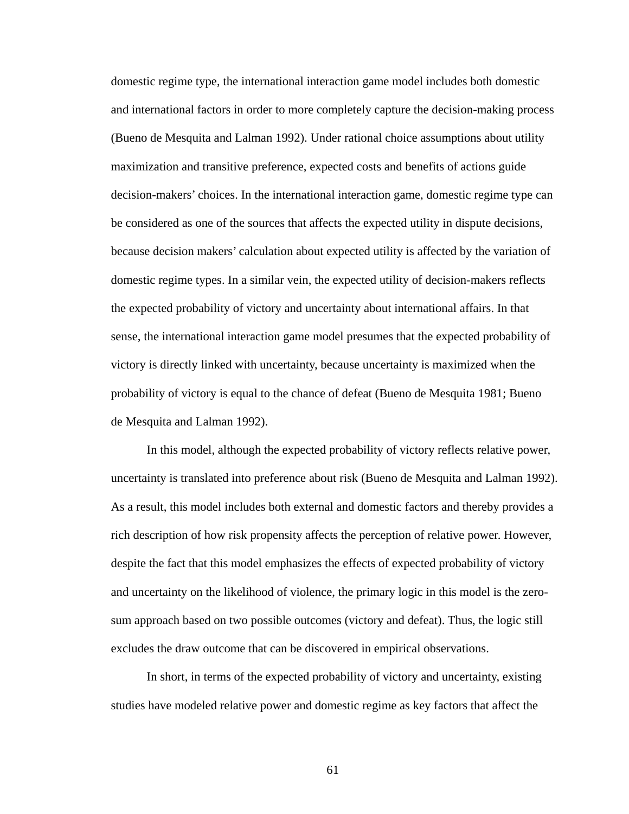domestic regime type, the international interaction game model includes both domestic and international factors in order to more completely capture the decision-making process (Bueno de Mesquita and Lalman 1992). Under rational choice assumptions about utility maximization and transitive preference, expected costs and benefits of actions guide decision-makers' choices. In the international interaction game, domestic regime type can be considered as one of the sources that affects the expected utility in dispute decisions, because decision makers' calculation about expected utility is affected by the variation of domestic regime types. In a similar vein, the expected utility of decision-makers reflects the expected probability of victory and uncertainty about international affairs. In that sense, the international interaction game model presumes that the expected probability of victory is directly linked with uncertainty, because uncertainty is maximized when the probability of victory is equal to the chance of defeat (Bueno de Mesquita 1981; Bueno de Mesquita and Lalman 1992).

In this model, although the expected probability of victory reflects relative power, uncertainty is translated into preference about risk (Bueno de Mesquita and Lalman 1992). As a result, this model includes both external and domestic factors and thereby provides a rich description of how risk propensity affects the perception of relative power. However, despite the fact that this model emphasizes the effects of expected probability of victory and uncertainty on the likelihood of violence, the primary logic in this model is the zerosum approach based on two possible outcomes (victory and defeat). Thus, the logic still excludes the draw outcome that can be discovered in empirical observations.

In short, in terms of the expected probability of victory and uncertainty, existing studies have modeled relative power and domestic regime as key factors that affect the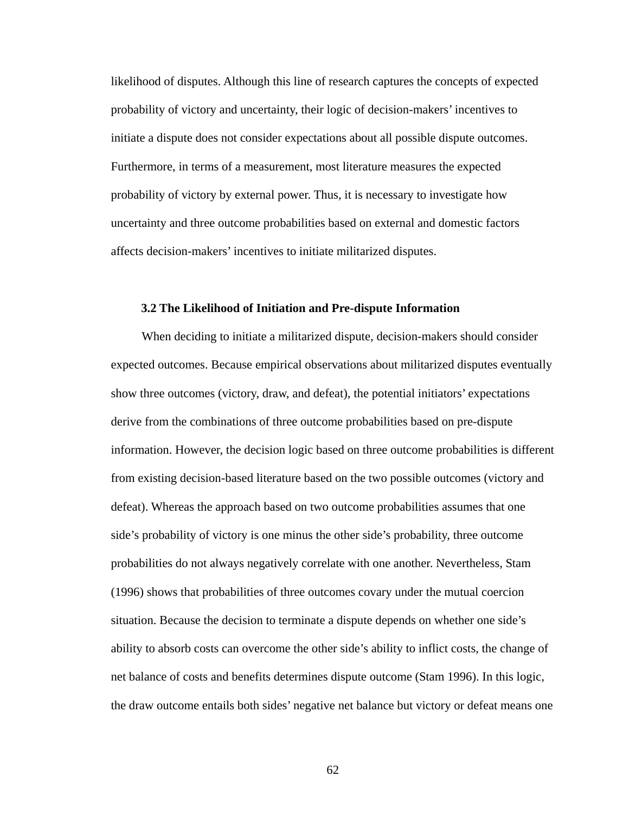likelihood of disputes. Although this line of research captures the concepts of expected probability of victory and uncertainty, their logic of decision-makers' incentives to initiate a dispute does not consider expectations about all possible dispute outcomes. Furthermore, in terms of a measurement, most literature measures the expected probability of victory by external power. Thus, it is necessary to investigate how uncertainty and three outcome probabilities based on external and domestic factors affects decision-makers' incentives to initiate militarized disputes.

#### **3.2 The Likelihood of Initiation and Pre-dispute Information**

When deciding to initiate a militarized dispute, decision-makers should consider expected outcomes. Because empirical observations about militarized disputes eventually show three outcomes (victory, draw, and defeat), the potential initiators' expectations derive from the combinations of three outcome probabilities based on pre-dispute information. However, the decision logic based on three outcome probabilities is different from existing decision-based literature based on the two possible outcomes (victory and defeat). Whereas the approach based on two outcome probabilities assumes that one side's probability of victory is one minus the other side's probability, three outcome probabilities do not always negatively correlate with one another. Nevertheless, Stam (1996) shows that probabilities of three outcomes covary under the mutual coercion situation. Because the decision to terminate a dispute depends on whether one side's ability to absorb costs can overcome the other side's ability to inflict costs, the change of net balance of costs and benefits determines dispute outcome (Stam 1996). In this logic, the draw outcome entails both sides' negative net balance but victory or defeat means one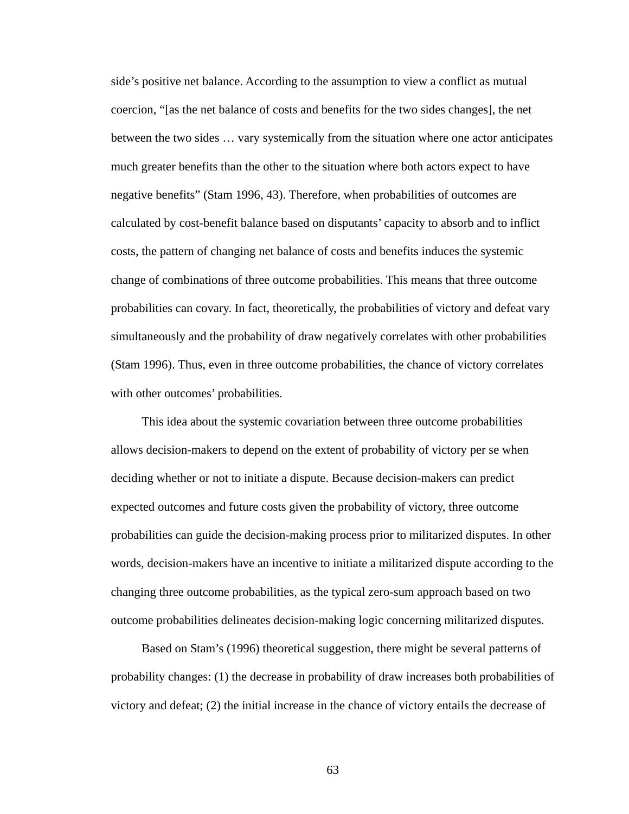side's positive net balance. According to the assumption to view a conflict as mutual coercion, "[as the net balance of costs and benefits for the two sides changes], the net between the two sides … vary systemically from the situation where one actor anticipates much greater benefits than the other to the situation where both actors expect to have negative benefits" (Stam 1996, 43). Therefore, when probabilities of outcomes are calculated by cost-benefit balance based on disputants' capacity to absorb and to inflict costs, the pattern of changing net balance of costs and benefits induces the systemic change of combinations of three outcome probabilities. This means that three outcome probabilities can covary. In fact, theoretically, the probabilities of victory and defeat vary simultaneously and the probability of draw negatively correlates with other probabilities (Stam 1996). Thus, even in three outcome probabilities, the chance of victory correlates with other outcomes' probabilities.

This idea about the systemic covariation between three outcome probabilities allows decision-makers to depend on the extent of probability of victory per se when deciding whether or not to initiate a dispute. Because decision-makers can predict expected outcomes and future costs given the probability of victory, three outcome probabilities can guide the decision-making process prior to militarized disputes. In other words, decision-makers have an incentive to initiate a militarized dispute according to the changing three outcome probabilities, as the typical zero-sum approach based on two outcome probabilities delineates decision-making logic concerning militarized disputes.

Based on Stam's (1996) theoretical suggestion, there might be several patterns of probability changes: (1) the decrease in probability of draw increases both probabilities of victory and defeat; (2) the initial increase in the chance of victory entails the decrease of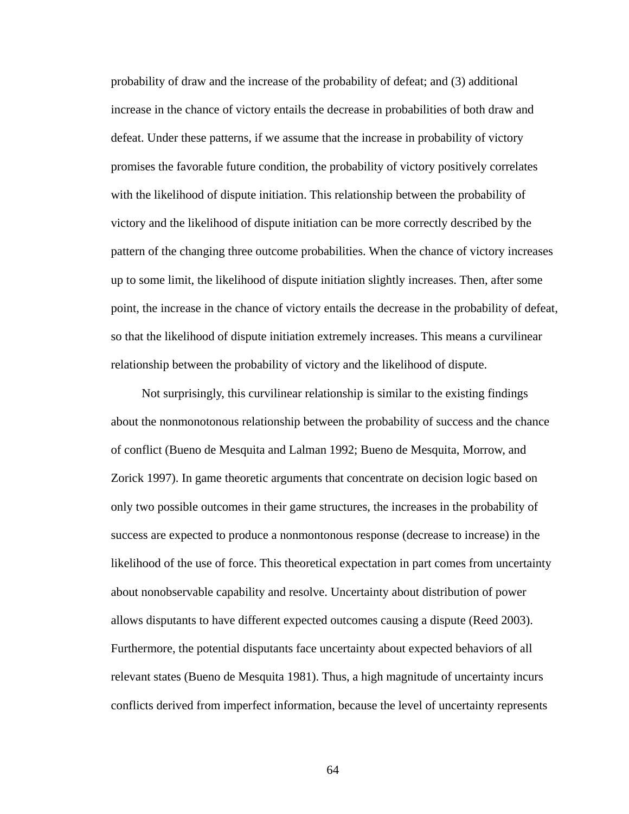probability of draw and the increase of the probability of defeat; and (3) additional increase in the chance of victory entails the decrease in probabilities of both draw and defeat. Under these patterns, if we assume that the increase in probability of victory promises the favorable future condition, the probability of victory positively correlates with the likelihood of dispute initiation. This relationship between the probability of victory and the likelihood of dispute initiation can be more correctly described by the pattern of the changing three outcome probabilities. When the chance of victory increases up to some limit, the likelihood of dispute initiation slightly increases. Then, after some point, the increase in the chance of victory entails the decrease in the probability of defeat, so that the likelihood of dispute initiation extremely increases. This means a curvilinear relationship between the probability of victory and the likelihood of dispute.

Not surprisingly, this curvilinear relationship is similar to the existing findings about the nonmonotonous relationship between the probability of success and the chance of conflict (Bueno de Mesquita and Lalman 1992; Bueno de Mesquita, Morrow, and Zorick 1997). In game theoretic arguments that concentrate on decision logic based on only two possible outcomes in their game structures, the increases in the probability of success are expected to produce a nonmontonous response (decrease to increase) in the likelihood of the use of force. This theoretical expectation in part comes from uncertainty about nonobservable capability and resolve. Uncertainty about distribution of power allows disputants to have different expected outcomes causing a dispute (Reed 2003). Furthermore, the potential disputants face uncertainty about expected behaviors of all relevant states (Bueno de Mesquita 1981). Thus, a high magnitude of uncertainty incurs conflicts derived from imperfect information, because the level of uncertainty represents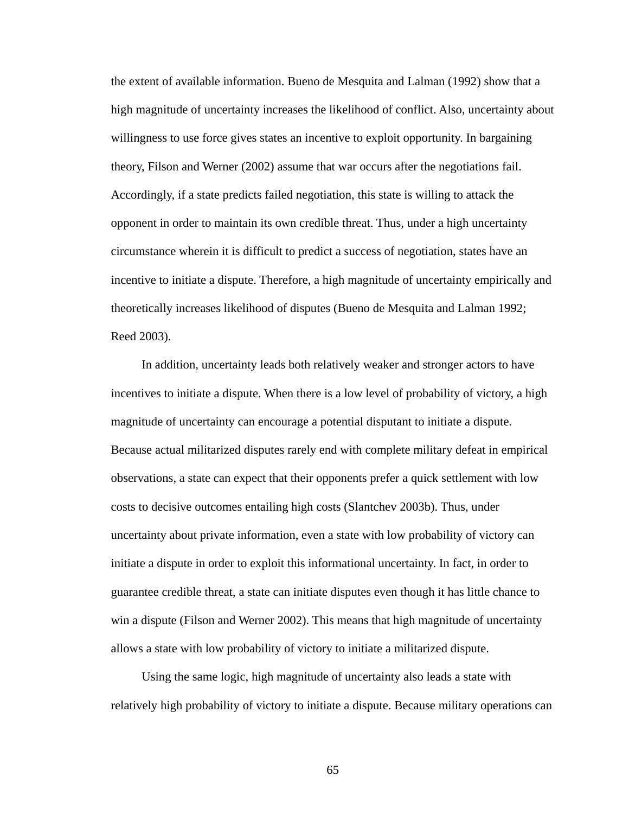the extent of available information. Bueno de Mesquita and Lalman (1992) show that a high magnitude of uncertainty increases the likelihood of conflict. Also, uncertainty about willingness to use force gives states an incentive to exploit opportunity. In bargaining theory, Filson and Werner (2002) assume that war occurs after the negotiations fail. Accordingly, if a state predicts failed negotiation, this state is willing to attack the opponent in order to maintain its own credible threat. Thus, under a high uncertainty circumstance wherein it is difficult to predict a success of negotiation, states have an incentive to initiate a dispute. Therefore, a high magnitude of uncertainty empirically and theoretically increases likelihood of disputes (Bueno de Mesquita and Lalman 1992; Reed 2003).

In addition, uncertainty leads both relatively weaker and stronger actors to have incentives to initiate a dispute. When there is a low level of probability of victory, a high magnitude of uncertainty can encourage a potential disputant to initiate a dispute. Because actual militarized disputes rarely end with complete military defeat in empirical observations, a state can expect that their opponents prefer a quick settlement with low costs to decisive outcomes entailing high costs (Slantchev 2003b). Thus, under uncertainty about private information, even a state with low probability of victory can initiate a dispute in order to exploit this informational uncertainty. In fact, in order to guarantee credible threat, a state can initiate disputes even though it has little chance to win a dispute (Filson and Werner 2002). This means that high magnitude of uncertainty allows a state with low probability of victory to initiate a militarized dispute.

Using the same logic, high magnitude of uncertainty also leads a state with relatively high probability of victory to initiate a dispute. Because military operations can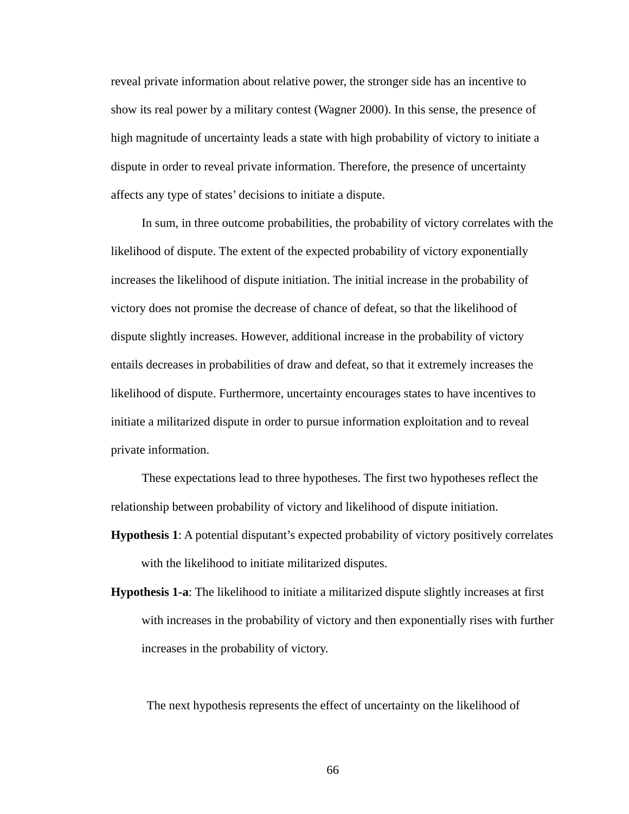reveal private information about relative power, the stronger side has an incentive to show its real power by a military contest (Wagner 2000). In this sense, the presence of high magnitude of uncertainty leads a state with high probability of victory to initiate a dispute in order to reveal private information. Therefore, the presence of uncertainty affects any type of states' decisions to initiate a dispute.

In sum, in three outcome probabilities, the probability of victory correlates with the likelihood of dispute. The extent of the expected probability of victory exponentially increases the likelihood of dispute initiation. The initial increase in the probability of victory does not promise the decrease of chance of defeat, so that the likelihood of dispute slightly increases. However, additional increase in the probability of victory entails decreases in probabilities of draw and defeat, so that it extremely increases the likelihood of dispute. Furthermore, uncertainty encourages states to have incentives to initiate a militarized dispute in order to pursue information exploitation and to reveal private information.

These expectations lead to three hypotheses. The first two hypotheses reflect the relationship between probability of victory and likelihood of dispute initiation.

- **Hypothesis 1**: A potential disputant's expected probability of victory positively correlates with the likelihood to initiate militarized disputes.
- **Hypothesis 1-a**: The likelihood to initiate a militarized dispute slightly increases at first with increases in the probability of victory and then exponentially rises with further increases in the probability of victory.

The next hypothesis represents the effect of uncertainty on the likelihood of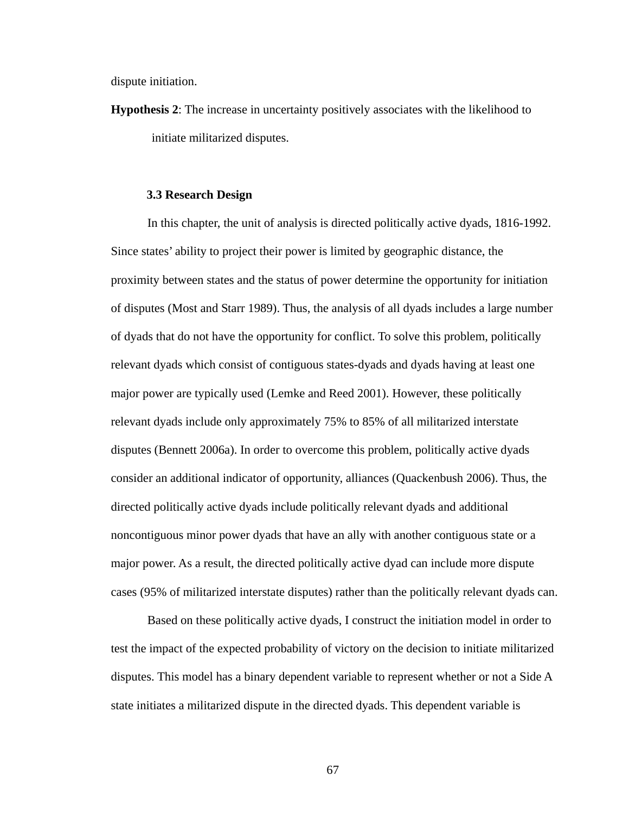dispute initiation.

**Hypothesis 2**: The increase in uncertainty positively associates with the likelihood to initiate militarized disputes.

## **3.3 Research Design**

In this chapter, the unit of analysis is directed politically active dyads, 1816-1992. Since states' ability to project their power is limited by geographic distance, the proximity between states and the status of power determine the opportunity for initiation of disputes (Most and Starr 1989). Thus, the analysis of all dyads includes a large number of dyads that do not have the opportunity for conflict. To solve this problem, politically relevant dyads which consist of contiguous states-dyads and dyads having at least one major power are typically used (Lemke and Reed 2001). However, these politically relevant dyads include only approximately 75% to 85% of all militarized interstate disputes (Bennett 2006a). In order to overcome this problem, politically active dyads consider an additional indicator of opportunity, alliances (Quackenbush 2006). Thus, the directed politically active dyads include politically relevant dyads and additional noncontiguous minor power dyads that have an ally with another contiguous state or a major power. As a result, the directed politically active dyad can include more dispute cases (95% of militarized interstate disputes) rather than the politically relevant dyads can.

Based on these politically active dyads, I construct the initiation model in order to test the impact of the expected probability of victory on the decision to initiate militarized disputes. This model has a binary dependent variable to represent whether or not a Side A state initiates a militarized dispute in the directed dyads. This dependent variable is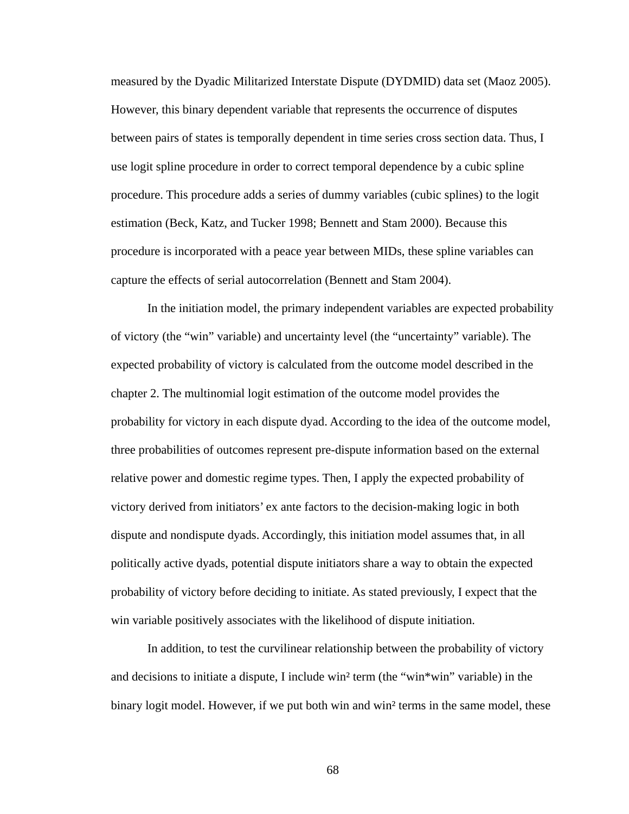measured by the Dyadic Militarized Interstate Dispute (DYDMID) data set (Maoz 2005). However, this binary dependent variable that represents the occurrence of disputes between pairs of states is temporally dependent in time series cross section data. Thus, I use logit spline procedure in order to correct temporal dependence by a cubic spline procedure. This procedure adds a series of dummy variables (cubic splines) to the logit estimation (Beck, Katz, and Tucker 1998; Bennett and Stam 2000). Because this procedure is incorporated with a peace year between MIDs, these spline variables can capture the effects of serial autocorrelation (Bennett and Stam 2004).

In the initiation model, the primary independent variables are expected probability of victory (the "win" variable) and uncertainty level (the "uncertainty" variable). The expected probability of victory is calculated from the outcome model described in the chapter 2. The multinomial logit estimation of the outcome model provides the probability for victory in each dispute dyad. According to the idea of the outcome model, three probabilities of outcomes represent pre-dispute information based on the external relative power and domestic regime types. Then, I apply the expected probability of victory derived from initiators' ex ante factors to the decision-making logic in both dispute and nondispute dyads. Accordingly, this initiation model assumes that, in all politically active dyads, potential dispute initiators share a way to obtain the expected probability of victory before deciding to initiate. As stated previously, I expect that the win variable positively associates with the likelihood of dispute initiation.

In addition, to test the curvilinear relationship between the probability of victory and decisions to initiate a dispute, I include win² term (the "win\*win" variable) in the binary logit model. However, if we put both win and win<sup>2</sup> terms in the same model, these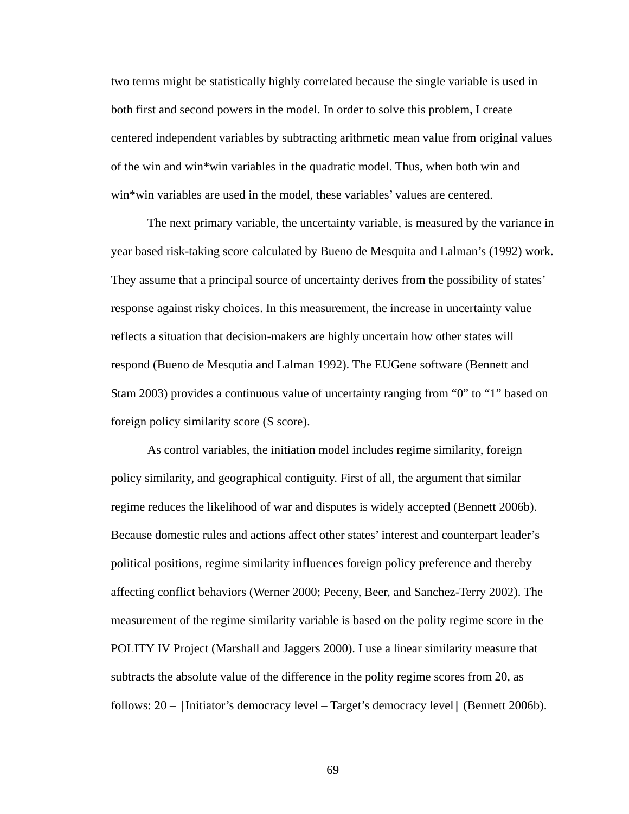two terms might be statistically highly correlated because the single variable is used in both first and second powers in the model. In order to solve this problem, I create centered independent variables by subtracting arithmetic mean value from original values of the win and win\*win variables in the quadratic model. Thus, when both win and win\*win variables are used in the model, these variables' values are centered.

The next primary variable, the uncertainty variable, is measured by the variance in year based risk-taking score calculated by Bueno de Mesquita and Lalman's (1992) work. They assume that a principal source of uncertainty derives from the possibility of states' response against risky choices. In this measurement, the increase in uncertainty value reflects a situation that decision-makers are highly uncertain how other states will respond (Bueno de Mesqutia and Lalman 1992). The EUGene software (Bennett and Stam 2003) provides a continuous value of uncertainty ranging from "0" to "1" based on foreign policy similarity score (S score).

As control variables, the initiation model includes regime similarity, foreign policy similarity, and geographical contiguity. First of all, the argument that similar regime reduces the likelihood of war and disputes is widely accepted (Bennett 2006b). Because domestic rules and actions affect other states' interest and counterpart leader's political positions, regime similarity influences foreign policy preference and thereby affecting conflict behaviors (Werner 2000; Peceny, Beer, and Sanchez-Terry 2002). The measurement of the regime similarity variable is based on the polity regime score in the POLITY IV Project (Marshall and Jaggers 2000). I use a linear similarity measure that subtracts the absolute value of the difference in the polity regime scores from 20, as follows: 20 – |Initiator's democracy level – Target's democracy level| (Bennett 2006b).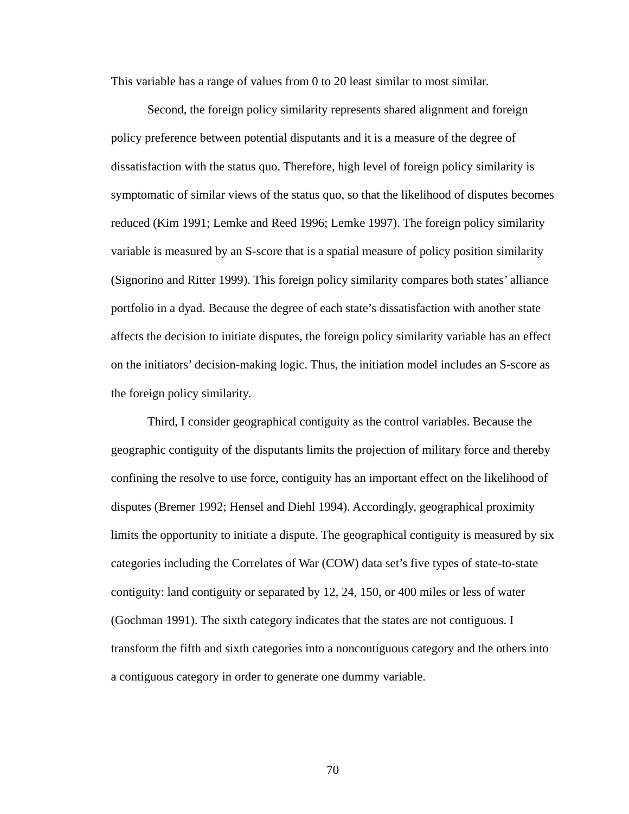This variable has a range of values from 0 to 20 least similar to most similar.

Second, the foreign policy similarity represents shared alignment and foreign policy preference between potential disputants and it is a measure of the degree of dissatisfaction with the status quo. Therefore, high level of foreign policy similarity is symptomatic of similar views of the status quo, so that the likelihood of disputes becomes reduced (Kim 1991; Lemke and Reed 1996; Lemke 1997). The foreign policy similarity variable is measured by an S-score that is a spatial measure of policy position similarity (Signorino and Ritter 1999). This foreign policy similarity compares both states' alliance portfolio in a dyad. Because the degree of each state's dissatisfaction with another state affects the decision to initiate disputes, the foreign policy similarity variable has an effect on the initiators' decision-making logic. Thus, the initiation model includes an S-score as the foreign policy similarity.

Third, I consider geographical contiguity as the control variables. Because the geographic contiguity of the disputants limits the projection of military force and thereby confining the resolve to use force, contiguity has an important effect on the likelihood of disputes (Bremer 1992; Hensel and Diehl 1994). Accordingly, geographical proximity limits the opportunity to initiate a dispute. The geographical contiguity is measured by six categories including the Correlates of War (COW) data set's five types of state-to-state contiguity: land contiguity or separated by 12, 24, 150, or 400 miles or less of water (Gochman 1991). The sixth category indicates that the states are not contiguous. I transform the fifth and sixth categories into a noncontiguous category and the others into a contiguous category in order to generate one dummy variable.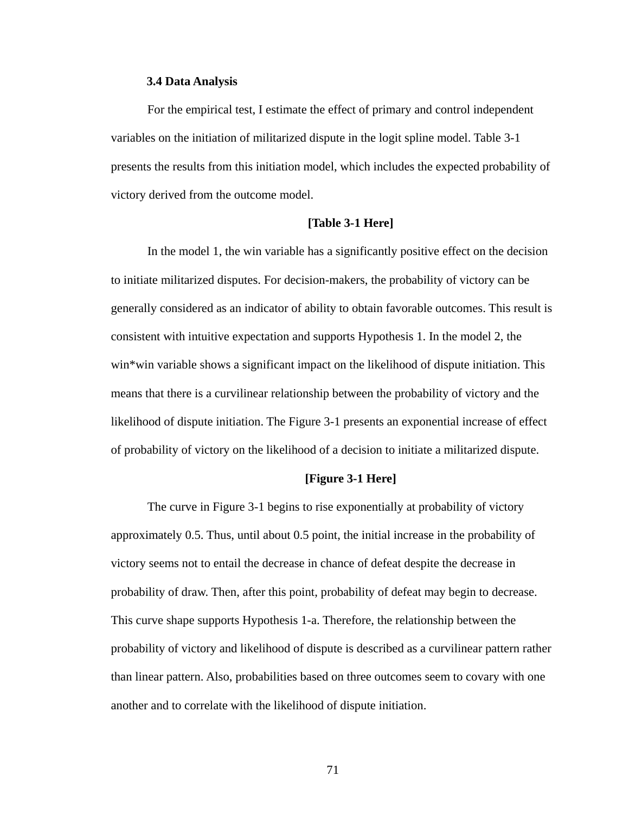#### **3.4 Data Analysis**

For the empirical test, I estimate the effect of primary and control independent variables on the initiation of militarized dispute in the logit spline model. Table 3-1 presents the results from this initiation model, which includes the expected probability of victory derived from the outcome model.

## **[Table 3-1 Here]**

In the model 1, the win variable has a significantly positive effect on the decision to initiate militarized disputes. For decision-makers, the probability of victory can be generally considered as an indicator of ability to obtain favorable outcomes. This result is consistent with intuitive expectation and supports Hypothesis 1. In the model 2, the win\*win variable shows a significant impact on the likelihood of dispute initiation. This means that there is a curvilinear relationship between the probability of victory and the likelihood of dispute initiation. The Figure 3-1 presents an exponential increase of effect of probability of victory on the likelihood of a decision to initiate a militarized dispute.

## **[Figure 3-1 Here]**

The curve in Figure 3-1 begins to rise exponentially at probability of victory approximately 0.5. Thus, until about 0.5 point, the initial increase in the probability of victory seems not to entail the decrease in chance of defeat despite the decrease in probability of draw. Then, after this point, probability of defeat may begin to decrease. This curve shape supports Hypothesis 1-a. Therefore, the relationship between the probability of victory and likelihood of dispute is described as a curvilinear pattern rather than linear pattern. Also, probabilities based on three outcomes seem to covary with one another and to correlate with the likelihood of dispute initiation.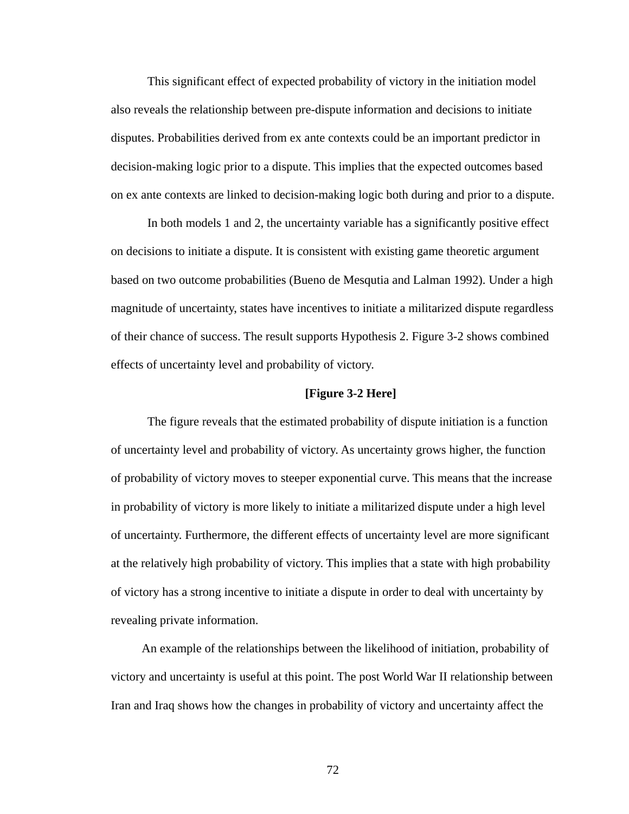This significant effect of expected probability of victory in the initiation model also reveals the relationship between pre-dispute information and decisions to initiate disputes. Probabilities derived from ex ante contexts could be an important predictor in decision-making logic prior to a dispute. This implies that the expected outcomes based on ex ante contexts are linked to decision-making logic both during and prior to a dispute.

In both models 1 and 2, the uncertainty variable has a significantly positive effect on decisions to initiate a dispute. It is consistent with existing game theoretic argument based on two outcome probabilities (Bueno de Mesqutia and Lalman 1992). Under a high magnitude of uncertainty, states have incentives to initiate a militarized dispute regardless of their chance of success. The result supports Hypothesis 2. Figure 3-2 shows combined effects of uncertainty level and probability of victory.

## **[Figure 3-2 Here]**

The figure reveals that the estimated probability of dispute initiation is a function of uncertainty level and probability of victory. As uncertainty grows higher, the function of probability of victory moves to steeper exponential curve. This means that the increase in probability of victory is more likely to initiate a militarized dispute under a high level of uncertainty. Furthermore, the different effects of uncertainty level are more significant at the relatively high probability of victory. This implies that a state with high probability of victory has a strong incentive to initiate a dispute in order to deal with uncertainty by revealing private information.

An example of the relationships between the likelihood of initiation, probability of victory and uncertainty is useful at this point. The post World War II relationship between Iran and Iraq shows how the changes in probability of victory and uncertainty affect the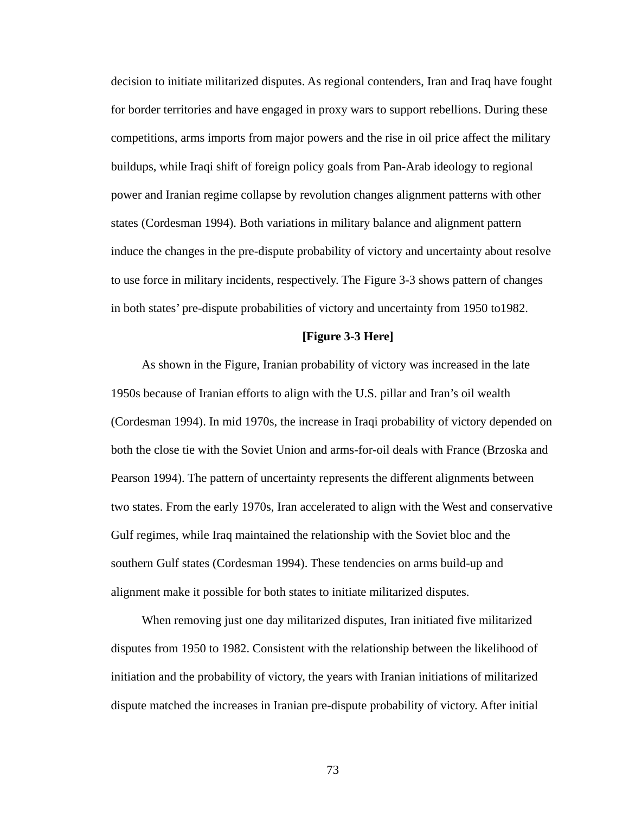decision to initiate militarized disputes. As regional contenders, Iran and Iraq have fought for border territories and have engaged in proxy wars to support rebellions. During these competitions, arms imports from major powers and the rise in oil price affect the military buildups, while Iraqi shift of foreign policy goals from Pan-Arab ideology to regional power and Iranian regime collapse by revolution changes alignment patterns with other states (Cordesman 1994). Both variations in military balance and alignment pattern induce the changes in the pre-dispute probability of victory and uncertainty about resolve to use force in military incidents, respectively. The Figure 3-3 shows pattern of changes in both states' pre-dispute probabilities of victory and uncertainty from 1950 to1982.

#### **[Figure 3-3 Here]**

As shown in the Figure, Iranian probability of victory was increased in the late 1950s because of Iranian efforts to align with the U.S. pillar and Iran's oil wealth (Cordesman 1994). In mid 1970s, the increase in Iraqi probability of victory depended on both the close tie with the Soviet Union and arms-for-oil deals with France (Brzoska and Pearson 1994). The pattern of uncertainty represents the different alignments between two states. From the early 1970s, Iran accelerated to align with the West and conservative Gulf regimes, while Iraq maintained the relationship with the Soviet bloc and the southern Gulf states (Cordesman 1994). These tendencies on arms build-up and alignment make it possible for both states to initiate militarized disputes.

When removing just one day militarized disputes, Iran initiated five militarized disputes from 1950 to 1982. Consistent with the relationship between the likelihood of initiation and the probability of victory, the years with Iranian initiations of militarized dispute matched the increases in Iranian pre-dispute probability of victory. After initial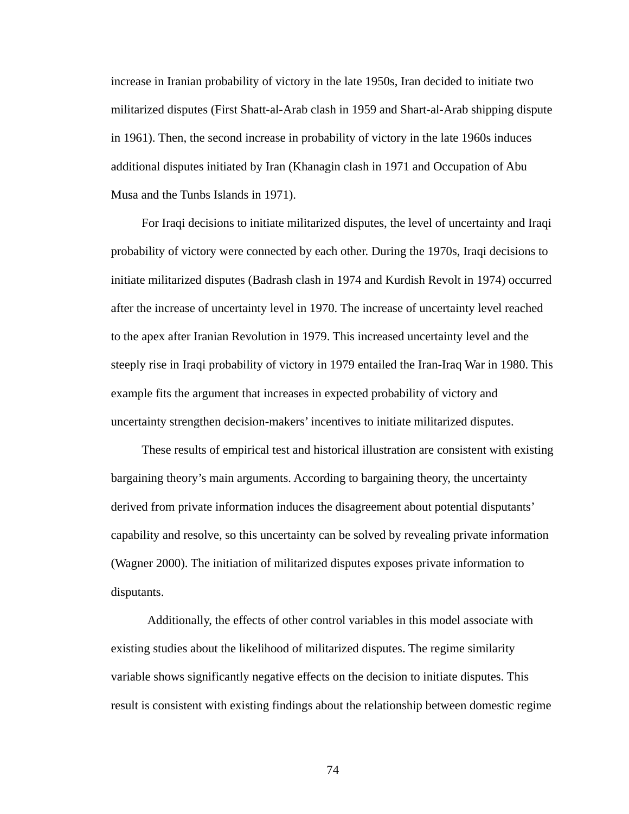increase in Iranian probability of victory in the late 1950s, Iran decided to initiate two militarized disputes (First Shatt-al-Arab clash in 1959 and Shart-al-Arab shipping dispute in 1961). Then, the second increase in probability of victory in the late 1960s induces additional disputes initiated by Iran (Khanagin clash in 1971 and Occupation of Abu Musa and the Tunbs Islands in 1971).

For Iraqi decisions to initiate militarized disputes, the level of uncertainty and Iraqi probability of victory were connected by each other. During the 1970s, Iraqi decisions to initiate militarized disputes (Badrash clash in 1974 and Kurdish Revolt in 1974) occurred after the increase of uncertainty level in 1970. The increase of uncertainty level reached to the apex after Iranian Revolution in 1979. This increased uncertainty level and the steeply rise in Iraqi probability of victory in 1979 entailed the Iran-Iraq War in 1980. This example fits the argument that increases in expected probability of victory and uncertainty strengthen decision-makers' incentives to initiate militarized disputes.

These results of empirical test and historical illustration are consistent with existing bargaining theory's main arguments. According to bargaining theory, the uncertainty derived from private information induces the disagreement about potential disputants' capability and resolve, so this uncertainty can be solved by revealing private information (Wagner 2000). The initiation of militarized disputes exposes private information to disputants.

Additionally, the effects of other control variables in this model associate with existing studies about the likelihood of militarized disputes. The regime similarity variable shows significantly negative effects on the decision to initiate disputes. This result is consistent with existing findings about the relationship between domestic regime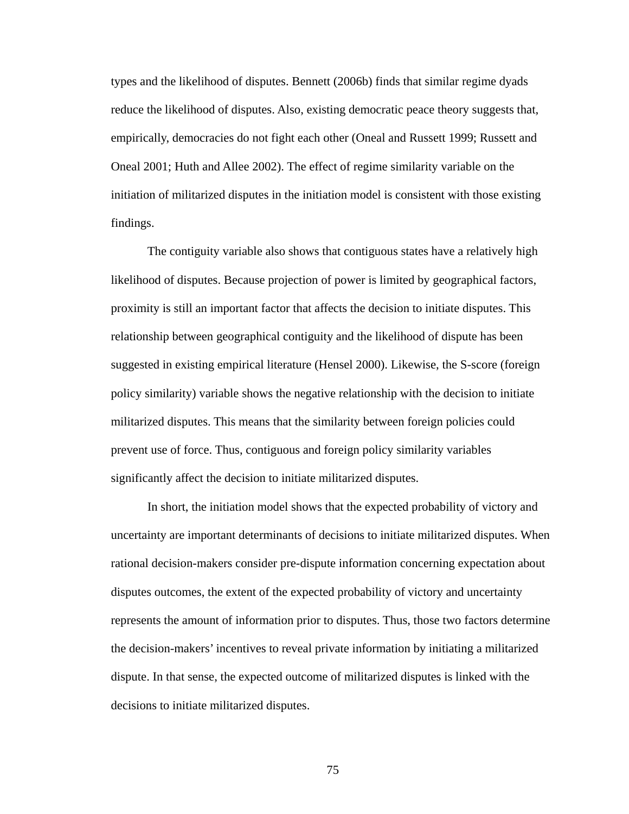types and the likelihood of disputes. Bennett (2006b) finds that similar regime dyads reduce the likelihood of disputes. Also, existing democratic peace theory suggests that, empirically, democracies do not fight each other (Oneal and Russett 1999; Russett and Oneal 2001; Huth and Allee 2002). The effect of regime similarity variable on the initiation of militarized disputes in the initiation model is consistent with those existing findings.

The contiguity variable also shows that contiguous states have a relatively high likelihood of disputes. Because projection of power is limited by geographical factors, proximity is still an important factor that affects the decision to initiate disputes. This relationship between geographical contiguity and the likelihood of dispute has been suggested in existing empirical literature (Hensel 2000). Likewise, the S-score (foreign policy similarity) variable shows the negative relationship with the decision to initiate militarized disputes. This means that the similarity between foreign policies could prevent use of force. Thus, contiguous and foreign policy similarity variables significantly affect the decision to initiate militarized disputes.

In short, the initiation model shows that the expected probability of victory and uncertainty are important determinants of decisions to initiate militarized disputes. When rational decision-makers consider pre-dispute information concerning expectation about disputes outcomes, the extent of the expected probability of victory and uncertainty represents the amount of information prior to disputes. Thus, those two factors determine the decision-makers' incentives to reveal private information by initiating a militarized dispute. In that sense, the expected outcome of militarized disputes is linked with the decisions to initiate militarized disputes.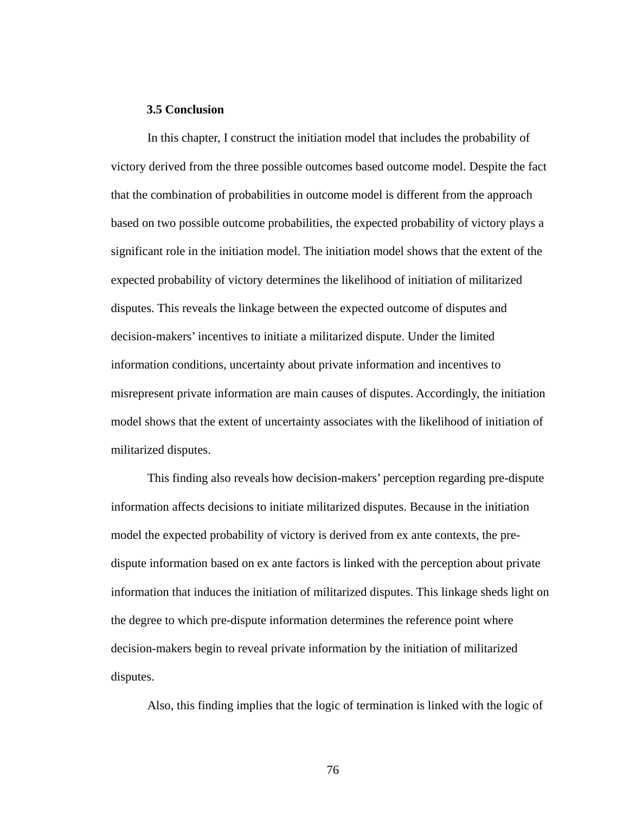## **3.5 Conclusion**

In this chapter, I construct the initiation model that includes the probability of victory derived from the three possible outcomes based outcome model. Despite the fact that the combination of probabilities in outcome model is different from the approach based on two possible outcome probabilities, the expected probability of victory plays a significant role in the initiation model. The initiation model shows that the extent of the expected probability of victory determines the likelihood of initiation of militarized disputes. This reveals the linkage between the expected outcome of disputes and decision-makers' incentives to initiate a militarized dispute. Under the limited information conditions, uncertainty about private information and incentives to misrepresent private information are main causes of disputes. Accordingly, the initiation model shows that the extent of uncertainty associates with the likelihood of initiation of militarized disputes.

This finding also reveals how decision-makers' perception regarding pre-dispute information affects decisions to initiate militarized disputes. Because in the initiation model the expected probability of victory is derived from ex ante contexts, the predispute information based on ex ante factors is linked with the perception about private information that induces the initiation of militarized disputes. This linkage sheds light on the degree to which pre-dispute information determines the reference point where decision-makers begin to reveal private information by the initiation of militarized disputes.

Also, this finding implies that the logic of termination is linked with the logic of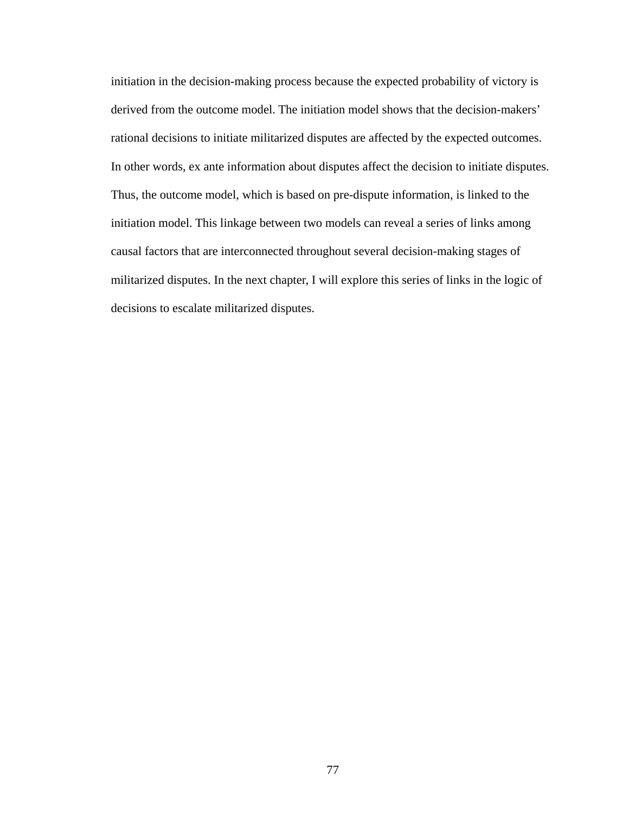initiation in the decision-making process because the expected probability of victory is derived from the outcome model. The initiation model shows that the decision-makers' rational decisions to initiate militarized disputes are affected by the expected outcomes. In other words, ex ante information about disputes affect the decision to initiate disputes. Thus, the outcome model, which is based on pre-dispute information, is linked to the initiation model. This linkage between two models can reveal a series of links among causal factors that are interconnected throughout several decision-making stages of militarized disputes. In the next chapter, I will explore this series of links in the logic of decisions to escalate militarized disputes.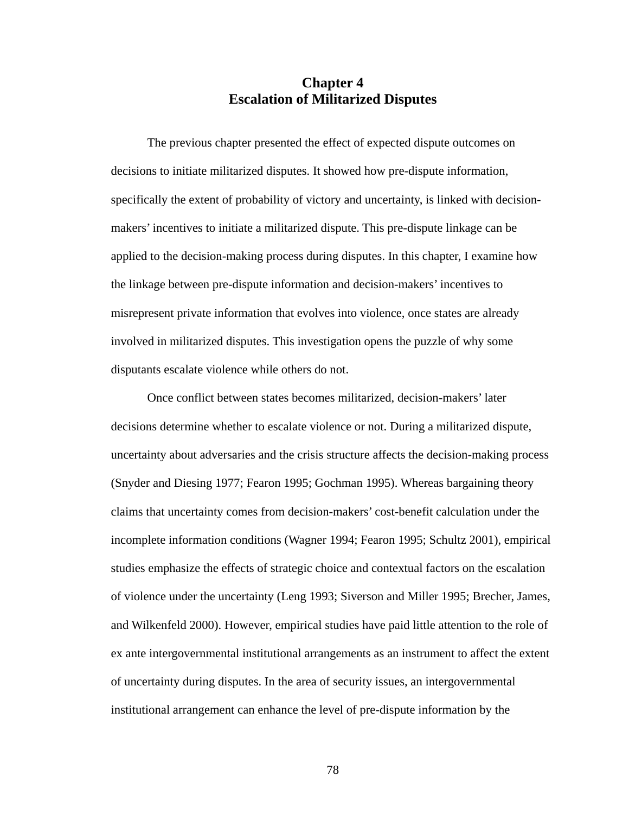# **Chapter 4 Escalation of Militarized Disputes**

The previous chapter presented the effect of expected dispute outcomes on decisions to initiate militarized disputes. It showed how pre-dispute information, specifically the extent of probability of victory and uncertainty, is linked with decisionmakers' incentives to initiate a militarized dispute. This pre-dispute linkage can be applied to the decision-making process during disputes. In this chapter, I examine how the linkage between pre-dispute information and decision-makers' incentives to misrepresent private information that evolves into violence, once states are already involved in militarized disputes. This investigation opens the puzzle of why some disputants escalate violence while others do not.

Once conflict between states becomes militarized, decision-makers' later decisions determine whether to escalate violence or not. During a militarized dispute, uncertainty about adversaries and the crisis structure affects the decision-making process (Snyder and Diesing 1977; Fearon 1995; Gochman 1995). Whereas bargaining theory claims that uncertainty comes from decision-makers' cost-benefit calculation under the incomplete information conditions (Wagner 1994; Fearon 1995; Schultz 2001), empirical studies emphasize the effects of strategic choice and contextual factors on the escalation of violence under the uncertainty (Leng 1993; Siverson and Miller 1995; Brecher, James, and Wilkenfeld 2000). However, empirical studies have paid little attention to the role of ex ante intergovernmental institutional arrangements as an instrument to affect the extent of uncertainty during disputes. In the area of security issues, an intergovernmental institutional arrangement can enhance the level of pre-dispute information by the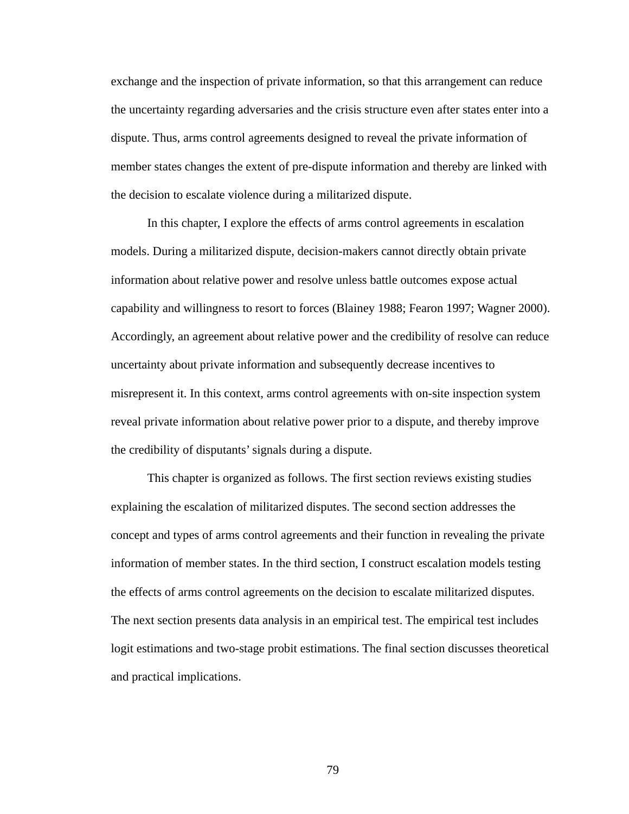exchange and the inspection of private information, so that this arrangement can reduce the uncertainty regarding adversaries and the crisis structure even after states enter into a dispute. Thus, arms control agreements designed to reveal the private information of member states changes the extent of pre-dispute information and thereby are linked with the decision to escalate violence during a militarized dispute.

In this chapter, I explore the effects of arms control agreements in escalation models. During a militarized dispute, decision-makers cannot directly obtain private information about relative power and resolve unless battle outcomes expose actual capability and willingness to resort to forces (Blainey 1988; Fearon 1997; Wagner 2000). Accordingly, an agreement about relative power and the credibility of resolve can reduce uncertainty about private information and subsequently decrease incentives to misrepresent it. In this context, arms control agreements with on-site inspection system reveal private information about relative power prior to a dispute, and thereby improve the credibility of disputants' signals during a dispute.

This chapter is organized as follows. The first section reviews existing studies explaining the escalation of militarized disputes. The second section addresses the concept and types of arms control agreements and their function in revealing the private information of member states. In the third section, I construct escalation models testing the effects of arms control agreements on the decision to escalate militarized disputes. The next section presents data analysis in an empirical test. The empirical test includes logit estimations and two-stage probit estimations. The final section discusses theoretical and practical implications.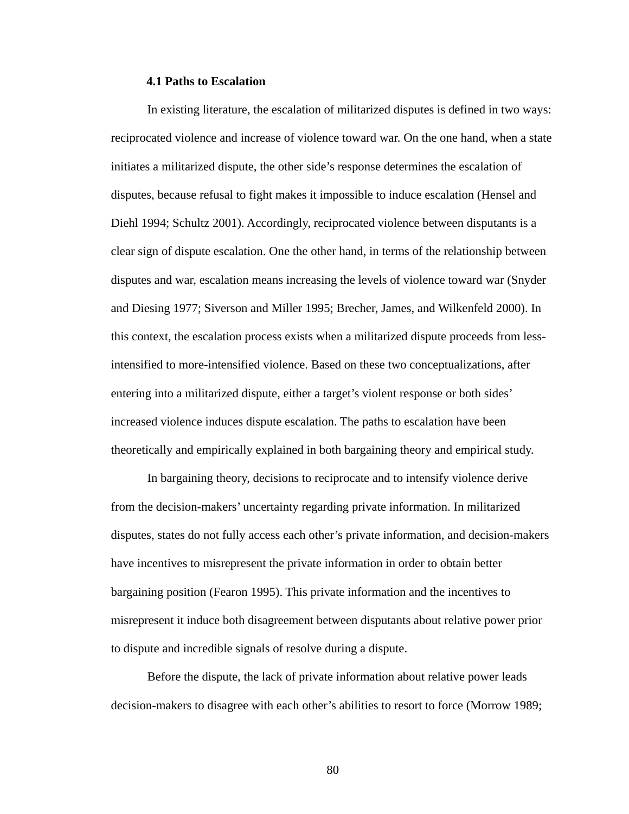## **4.1 Paths to Escalation**

In existing literature, the escalation of militarized disputes is defined in two ways: reciprocated violence and increase of violence toward war. On the one hand, when a state initiates a militarized dispute, the other side's response determines the escalation of disputes, because refusal to fight makes it impossible to induce escalation (Hensel and Diehl 1994; Schultz 2001). Accordingly, reciprocated violence between disputants is a clear sign of dispute escalation. One the other hand, in terms of the relationship between disputes and war, escalation means increasing the levels of violence toward war (Snyder and Diesing 1977; Siverson and Miller 1995; Brecher, James, and Wilkenfeld 2000). In this context, the escalation process exists when a militarized dispute proceeds from lessintensified to more-intensified violence. Based on these two conceptualizations, after entering into a militarized dispute, either a target's violent response or both sides' increased violence induces dispute escalation. The paths to escalation have been theoretically and empirically explained in both bargaining theory and empirical study.

In bargaining theory, decisions to reciprocate and to intensify violence derive from the decision-makers' uncertainty regarding private information. In militarized disputes, states do not fully access each other's private information, and decision-makers have incentives to misrepresent the private information in order to obtain better bargaining position (Fearon 1995). This private information and the incentives to misrepresent it induce both disagreement between disputants about relative power prior to dispute and incredible signals of resolve during a dispute.

Before the dispute, the lack of private information about relative power leads decision-makers to disagree with each other's abilities to resort to force (Morrow 1989;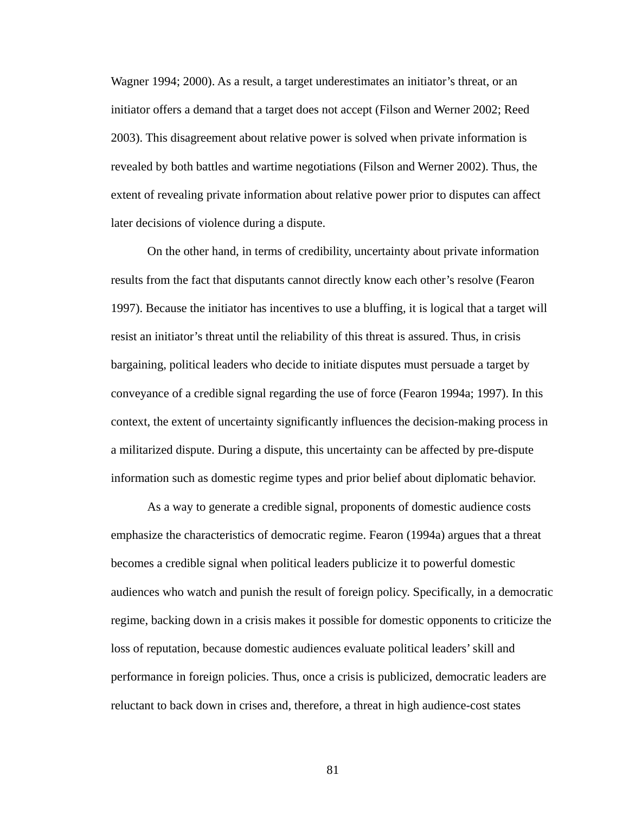Wagner 1994; 2000). As a result, a target underestimates an initiator's threat, or an initiator offers a demand that a target does not accept (Filson and Werner 2002; Reed 2003). This disagreement about relative power is solved when private information is revealed by both battles and wartime negotiations (Filson and Werner 2002). Thus, the extent of revealing private information about relative power prior to disputes can affect later decisions of violence during a dispute.

On the other hand, in terms of credibility, uncertainty about private information results from the fact that disputants cannot directly know each other's resolve (Fearon 1997). Because the initiator has incentives to use a bluffing, it is logical that a target will resist an initiator's threat until the reliability of this threat is assured. Thus, in crisis bargaining, political leaders who decide to initiate disputes must persuade a target by conveyance of a credible signal regarding the use of force (Fearon 1994a; 1997). In this context, the extent of uncertainty significantly influences the decision-making process in a militarized dispute. During a dispute, this uncertainty can be affected by pre-dispute information such as domestic regime types and prior belief about diplomatic behavior.

As a way to generate a credible signal, proponents of domestic audience costs emphasize the characteristics of democratic regime. Fearon (1994a) argues that a threat becomes a credible signal when political leaders publicize it to powerful domestic audiences who watch and punish the result of foreign policy. Specifically, in a democratic regime, backing down in a crisis makes it possible for domestic opponents to criticize the loss of reputation, because domestic audiences evaluate political leaders' skill and performance in foreign policies. Thus, once a crisis is publicized, democratic leaders are reluctant to back down in crises and, therefore, a threat in high audience-cost states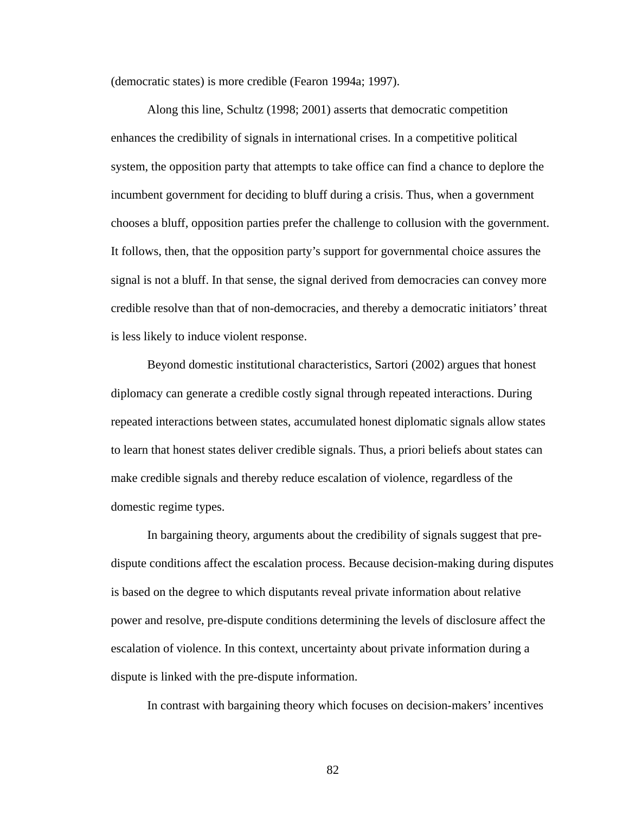(democratic states) is more credible (Fearon 1994a; 1997).

Along this line, Schultz (1998; 2001) asserts that democratic competition enhances the credibility of signals in international crises. In a competitive political system, the opposition party that attempts to take office can find a chance to deplore the incumbent government for deciding to bluff during a crisis. Thus, when a government chooses a bluff, opposition parties prefer the challenge to collusion with the government. It follows, then, that the opposition party's support for governmental choice assures the signal is not a bluff. In that sense, the signal derived from democracies can convey more credible resolve than that of non-democracies, and thereby a democratic initiators' threat is less likely to induce violent response.

Beyond domestic institutional characteristics, Sartori (2002) argues that honest diplomacy can generate a credible costly signal through repeated interactions. During repeated interactions between states, accumulated honest diplomatic signals allow states to learn that honest states deliver credible signals. Thus, a priori beliefs about states can make credible signals and thereby reduce escalation of violence, regardless of the domestic regime types.

In bargaining theory, arguments about the credibility of signals suggest that predispute conditions affect the escalation process. Because decision-making during disputes is based on the degree to which disputants reveal private information about relative power and resolve, pre-dispute conditions determining the levels of disclosure affect the escalation of violence. In this context, uncertainty about private information during a dispute is linked with the pre-dispute information.

In contrast with bargaining theory which focuses on decision-makers' incentives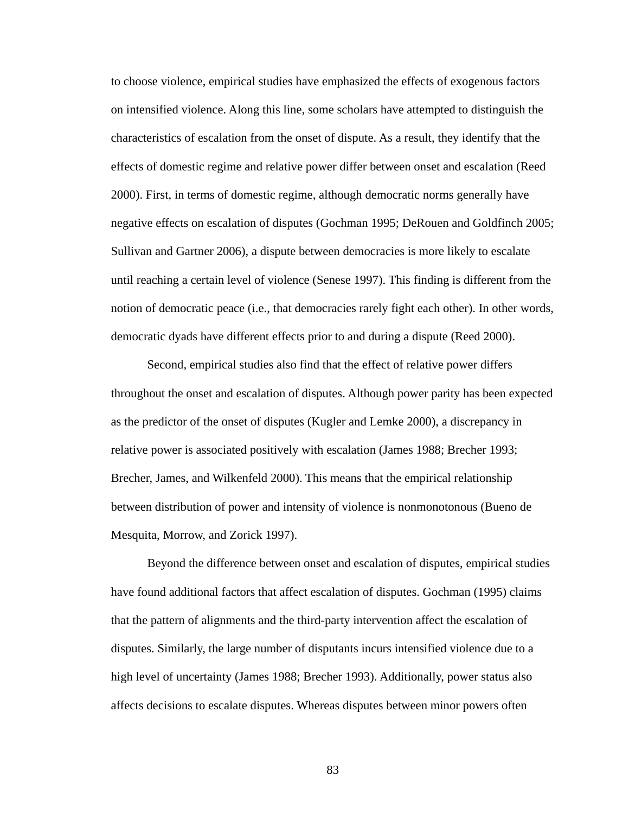to choose violence, empirical studies have emphasized the effects of exogenous factors on intensified violence. Along this line, some scholars have attempted to distinguish the characteristics of escalation from the onset of dispute. As a result, they identify that the effects of domestic regime and relative power differ between onset and escalation (Reed 2000). First, in terms of domestic regime, although democratic norms generally have negative effects on escalation of disputes (Gochman 1995; DeRouen and Goldfinch 2005; Sullivan and Gartner 2006), a dispute between democracies is more likely to escalate until reaching a certain level of violence (Senese 1997). This finding is different from the notion of democratic peace (i.e., that democracies rarely fight each other). In other words, democratic dyads have different effects prior to and during a dispute (Reed 2000).

Second, empirical studies also find that the effect of relative power differs throughout the onset and escalation of disputes. Although power parity has been expected as the predictor of the onset of disputes (Kugler and Lemke 2000), a discrepancy in relative power is associated positively with escalation (James 1988; Brecher 1993; Brecher, James, and Wilkenfeld 2000). This means that the empirical relationship between distribution of power and intensity of violence is nonmonotonous (Bueno de Mesquita, Morrow, and Zorick 1997).

Beyond the difference between onset and escalation of disputes, empirical studies have found additional factors that affect escalation of disputes. Gochman (1995) claims that the pattern of alignments and the third-party intervention affect the escalation of disputes. Similarly, the large number of disputants incurs intensified violence due to a high level of uncertainty (James 1988; Brecher 1993). Additionally, power status also affects decisions to escalate disputes. Whereas disputes between minor powers often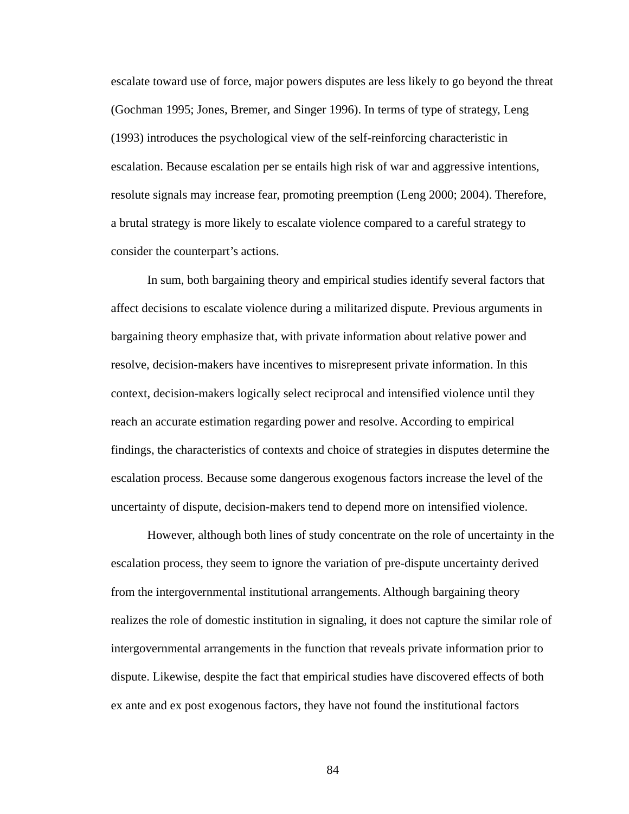escalate toward use of force, major powers disputes are less likely to go beyond the threat (Gochman 1995; Jones, Bremer, and Singer 1996). In terms of type of strategy, Leng (1993) introduces the psychological view of the self-reinforcing characteristic in escalation. Because escalation per se entails high risk of war and aggressive intentions, resolute signals may increase fear, promoting preemption (Leng 2000; 2004). Therefore, a brutal strategy is more likely to escalate violence compared to a careful strategy to consider the counterpart's actions.

In sum, both bargaining theory and empirical studies identify several factors that affect decisions to escalate violence during a militarized dispute. Previous arguments in bargaining theory emphasize that, with private information about relative power and resolve, decision-makers have incentives to misrepresent private information. In this context, decision-makers logically select reciprocal and intensified violence until they reach an accurate estimation regarding power and resolve. According to empirical findings, the characteristics of contexts and choice of strategies in disputes determine the escalation process. Because some dangerous exogenous factors increase the level of the uncertainty of dispute, decision-makers tend to depend more on intensified violence.

However, although both lines of study concentrate on the role of uncertainty in the escalation process, they seem to ignore the variation of pre-dispute uncertainty derived from the intergovernmental institutional arrangements. Although bargaining theory realizes the role of domestic institution in signaling, it does not capture the similar role of intergovernmental arrangements in the function that reveals private information prior to dispute. Likewise, despite the fact that empirical studies have discovered effects of both ex ante and ex post exogenous factors, they have not found the institutional factors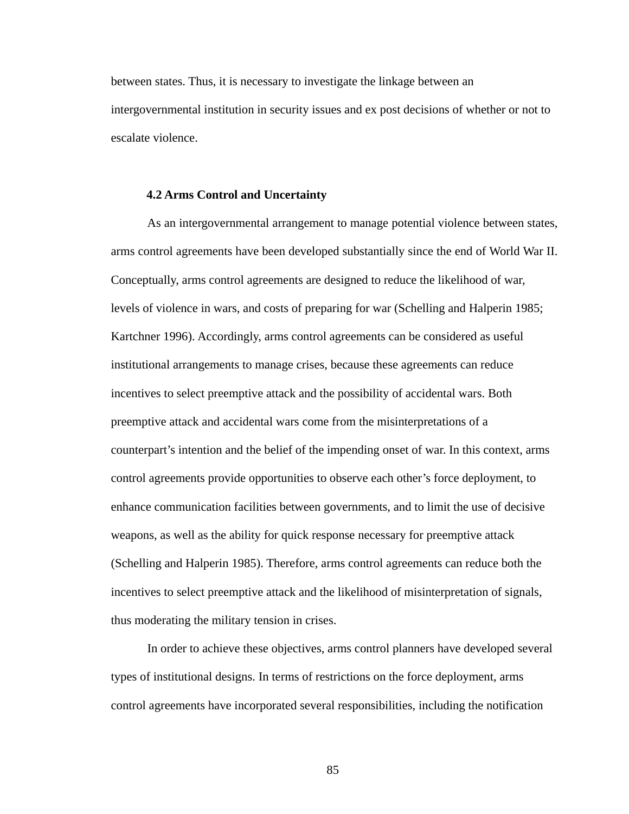between states. Thus, it is necessary to investigate the linkage between an intergovernmental institution in security issues and ex post decisions of whether or not to escalate violence.

#### **4.2 Arms Control and Uncertainty**

As an intergovernmental arrangement to manage potential violence between states, arms control agreements have been developed substantially since the end of World War II. Conceptually, arms control agreements are designed to reduce the likelihood of war, levels of violence in wars, and costs of preparing for war (Schelling and Halperin 1985; Kartchner 1996). Accordingly, arms control agreements can be considered as useful institutional arrangements to manage crises, because these agreements can reduce incentives to select preemptive attack and the possibility of accidental wars. Both preemptive attack and accidental wars come from the misinterpretations of a counterpart's intention and the belief of the impending onset of war. In this context, arms control agreements provide opportunities to observe each other's force deployment, to enhance communication facilities between governments, and to limit the use of decisive weapons, as well as the ability for quick response necessary for preemptive attack (Schelling and Halperin 1985). Therefore, arms control agreements can reduce both the incentives to select preemptive attack and the likelihood of misinterpretation of signals, thus moderating the military tension in crises.

In order to achieve these objectives, arms control planners have developed several types of institutional designs. In terms of restrictions on the force deployment, arms control agreements have incorporated several responsibilities, including the notification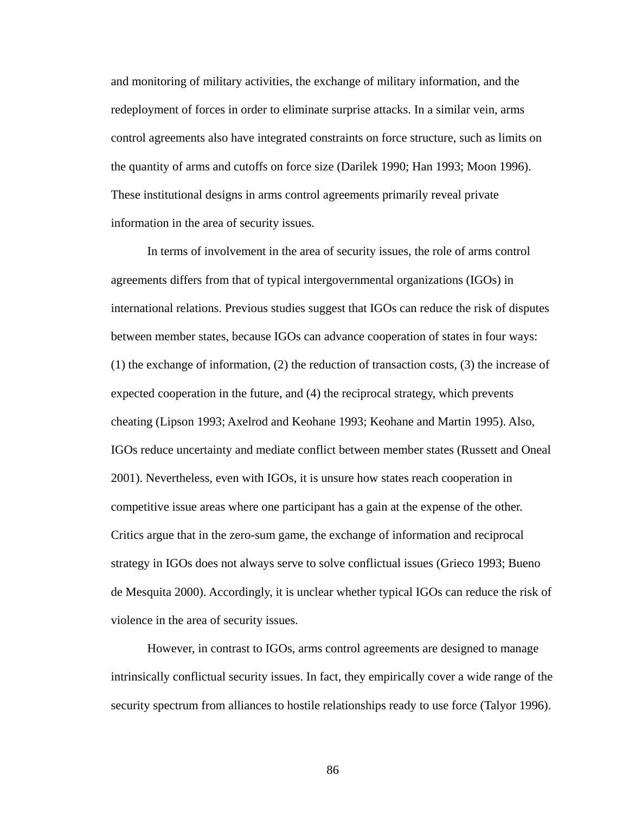and monitoring of military activities, the exchange of military information, and the redeployment of forces in order to eliminate surprise attacks. In a similar vein, arms control agreements also have integrated constraints on force structure, such as limits on the quantity of arms and cutoffs on force size (Darilek 1990; Han 1993; Moon 1996). These institutional designs in arms control agreements primarily reveal private information in the area of security issues.

In terms of involvement in the area of security issues, the role of arms control agreements differs from that of typical intergovernmental organizations (IGOs) in international relations. Previous studies suggest that IGOs can reduce the risk of disputes between member states, because IGOs can advance cooperation of states in four ways: (1) the exchange of information, (2) the reduction of transaction costs, (3) the increase of expected cooperation in the future, and (4) the reciprocal strategy, which prevents cheating (Lipson 1993; Axelrod and Keohane 1993; Keohane and Martin 1995). Also, IGOs reduce uncertainty and mediate conflict between member states (Russett and Oneal 2001). Nevertheless, even with IGOs, it is unsure how states reach cooperation in competitive issue areas where one participant has a gain at the expense of the other. Critics argue that in the zero-sum game, the exchange of information and reciprocal strategy in IGOs does not always serve to solve conflictual issues (Grieco 1993; Bueno de Mesquita 2000). Accordingly, it is unclear whether typical IGOs can reduce the risk of violence in the area of security issues.

However, in contrast to IGOs, arms control agreements are designed to manage intrinsically conflictual security issues. In fact, they empirically cover a wide range of the security spectrum from alliances to hostile relationships ready to use force (Talyor 1996).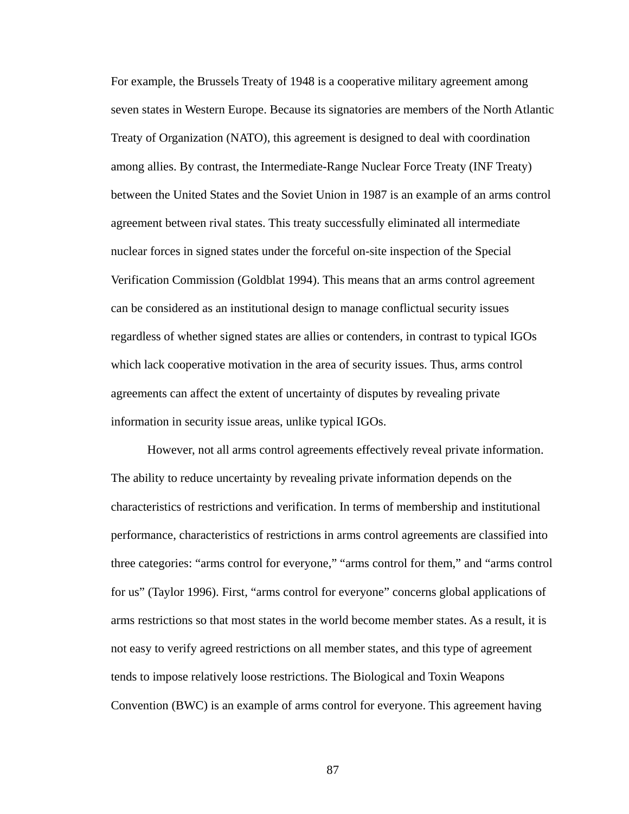For example, the Brussels Treaty of 1948 is a cooperative military agreement among seven states in Western Europe. Because its signatories are members of the North Atlantic Treaty of Organization (NATO), this agreement is designed to deal with coordination among allies. By contrast, the Intermediate-Range Nuclear Force Treaty (INF Treaty) between the United States and the Soviet Union in 1987 is an example of an arms control agreement between rival states. This treaty successfully eliminated all intermediate nuclear forces in signed states under the forceful on-site inspection of the Special Verification Commission (Goldblat 1994). This means that an arms control agreement can be considered as an institutional design to manage conflictual security issues regardless of whether signed states are allies or contenders, in contrast to typical IGOs which lack cooperative motivation in the area of security issues. Thus, arms control agreements can affect the extent of uncertainty of disputes by revealing private information in security issue areas, unlike typical IGOs.

However, not all arms control agreements effectively reveal private information. The ability to reduce uncertainty by revealing private information depends on the characteristics of restrictions and verification. In terms of membership and institutional performance, characteristics of restrictions in arms control agreements are classified into three categories: "arms control for everyone," "arms control for them," and "arms control for us" (Taylor 1996). First, "arms control for everyone" concerns global applications of arms restrictions so that most states in the world become member states. As a result, it is not easy to verify agreed restrictions on all member states, and this type of agreement tends to impose relatively loose restrictions. The Biological and Toxin Weapons Convention (BWC) is an example of arms control for everyone. This agreement having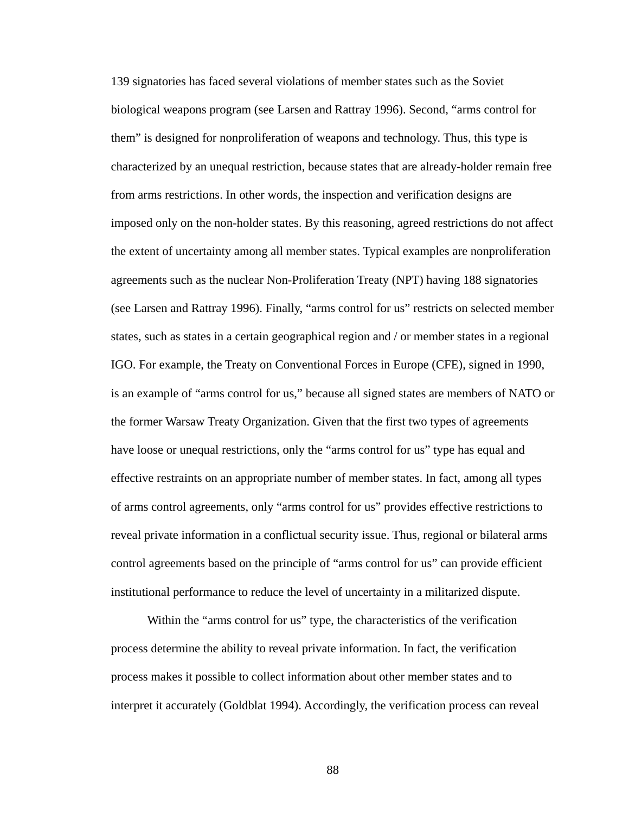139 signatories has faced several violations of member states such as the Soviet biological weapons program (see Larsen and Rattray 1996). Second, "arms control for them" is designed for nonproliferation of weapons and technology. Thus, this type is characterized by an unequal restriction, because states that are already-holder remain free from arms restrictions. In other words, the inspection and verification designs are imposed only on the non-holder states. By this reasoning, agreed restrictions do not affect the extent of uncertainty among all member states. Typical examples are nonproliferation agreements such as the nuclear Non-Proliferation Treaty (NPT) having 188 signatories (see Larsen and Rattray 1996). Finally, "arms control for us" restricts on selected member states, such as states in a certain geographical region and / or member states in a regional IGO. For example, the Treaty on Conventional Forces in Europe (CFE), signed in 1990, is an example of "arms control for us," because all signed states are members of NATO or the former Warsaw Treaty Organization. Given that the first two types of agreements have loose or unequal restrictions, only the "arms control for us" type has equal and effective restraints on an appropriate number of member states. In fact, among all types of arms control agreements, only "arms control for us" provides effective restrictions to reveal private information in a conflictual security issue. Thus, regional or bilateral arms control agreements based on the principle of "arms control for us" can provide efficient institutional performance to reduce the level of uncertainty in a militarized dispute.

Within the "arms control for us" type, the characteristics of the verification process determine the ability to reveal private information. In fact, the verification process makes it possible to collect information about other member states and to interpret it accurately (Goldblat 1994). Accordingly, the verification process can reveal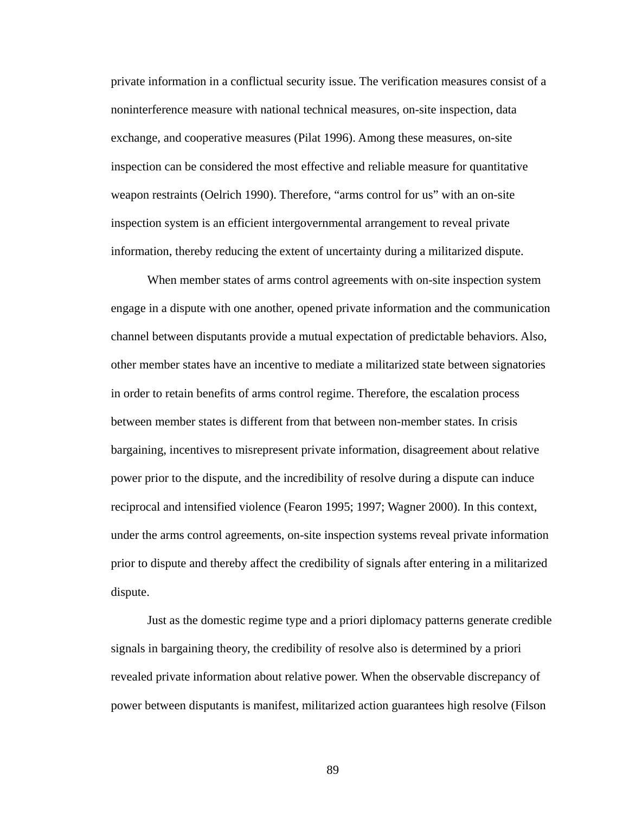private information in a conflictual security issue. The verification measures consist of a noninterference measure with national technical measures, on-site inspection, data exchange, and cooperative measures (Pilat 1996). Among these measures, on-site inspection can be considered the most effective and reliable measure for quantitative weapon restraints (Oelrich 1990). Therefore, "arms control for us" with an on-site inspection system is an efficient intergovernmental arrangement to reveal private information, thereby reducing the extent of uncertainty during a militarized dispute.

When member states of arms control agreements with on-site inspection system engage in a dispute with one another, opened private information and the communication channel between disputants provide a mutual expectation of predictable behaviors. Also, other member states have an incentive to mediate a militarized state between signatories in order to retain benefits of arms control regime. Therefore, the escalation process between member states is different from that between non-member states. In crisis bargaining, incentives to misrepresent private information, disagreement about relative power prior to the dispute, and the incredibility of resolve during a dispute can induce reciprocal and intensified violence (Fearon 1995; 1997; Wagner 2000). In this context, under the arms control agreements, on-site inspection systems reveal private information prior to dispute and thereby affect the credibility of signals after entering in a militarized dispute.

Just as the domestic regime type and a priori diplomacy patterns generate credible signals in bargaining theory, the credibility of resolve also is determined by a priori revealed private information about relative power. When the observable discrepancy of power between disputants is manifest, militarized action guarantees high resolve (Filson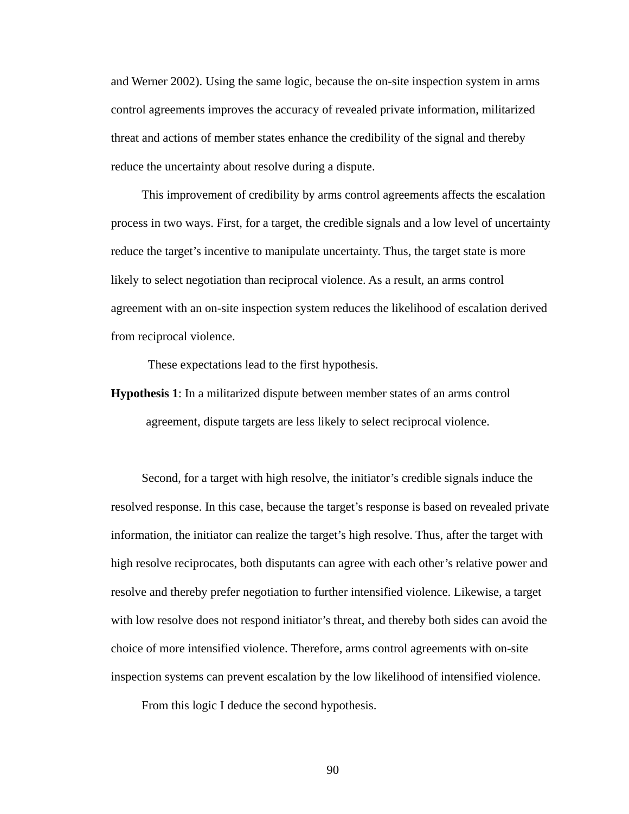and Werner 2002). Using the same logic, because the on-site inspection system in arms control agreements improves the accuracy of revealed private information, militarized threat and actions of member states enhance the credibility of the signal and thereby reduce the uncertainty about resolve during a dispute.

This improvement of credibility by arms control agreements affects the escalation process in two ways. First, for a target, the credible signals and a low level of uncertainty reduce the target's incentive to manipulate uncertainty. Thus, the target state is more likely to select negotiation than reciprocal violence. As a result, an arms control agreement with an on-site inspection system reduces the likelihood of escalation derived from reciprocal violence.

These expectations lead to the first hypothesis.

**Hypothesis 1**: In a militarized dispute between member states of an arms control agreement, dispute targets are less likely to select reciprocal violence.

Second, for a target with high resolve, the initiator's credible signals induce the resolved response. In this case, because the target's response is based on revealed private information, the initiator can realize the target's high resolve. Thus, after the target with high resolve reciprocates, both disputants can agree with each other's relative power and resolve and thereby prefer negotiation to further intensified violence. Likewise, a target with low resolve does not respond initiator's threat, and thereby both sides can avoid the choice of more intensified violence. Therefore, arms control agreements with on-site inspection systems can prevent escalation by the low likelihood of intensified violence.

From this logic I deduce the second hypothesis.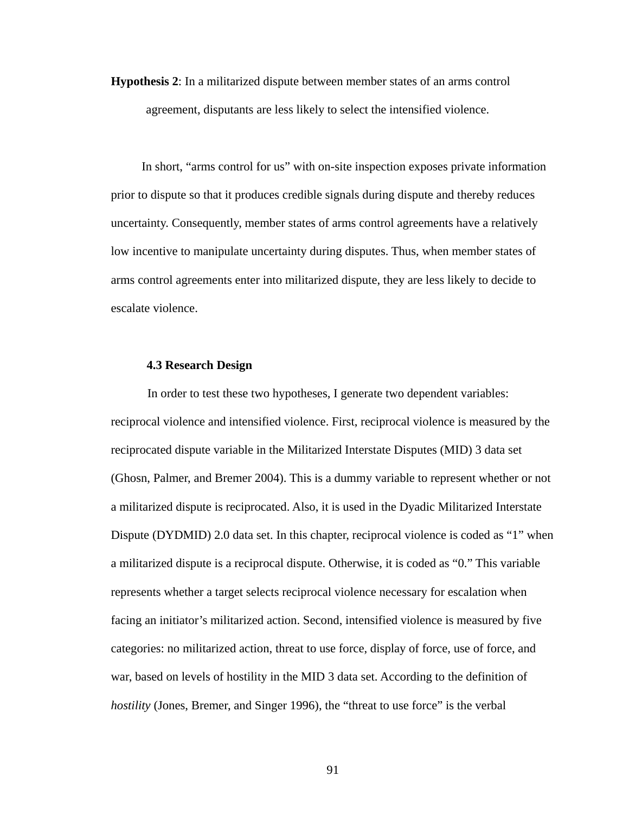**Hypothesis 2**: In a militarized dispute between member states of an arms control agreement, disputants are less likely to select the intensified violence.

In short, "arms control for us" with on-site inspection exposes private information prior to dispute so that it produces credible signals during dispute and thereby reduces uncertainty. Consequently, member states of arms control agreements have a relatively low incentive to manipulate uncertainty during disputes. Thus, when member states of arms control agreements enter into militarized dispute, they are less likely to decide to escalate violence.

# **4.3 Research Design**

In order to test these two hypotheses, I generate two dependent variables: reciprocal violence and intensified violence. First, reciprocal violence is measured by the reciprocated dispute variable in the Militarized Interstate Disputes (MID) 3 data set (Ghosn, Palmer, and Bremer 2004). This is a dummy variable to represent whether or not a militarized dispute is reciprocated. Also, it is used in the Dyadic Militarized Interstate Dispute (DYDMID) 2.0 data set. In this chapter, reciprocal violence is coded as "1" when a militarized dispute is a reciprocal dispute. Otherwise, it is coded as "0." This variable represents whether a target selects reciprocal violence necessary for escalation when facing an initiator's militarized action. Second, intensified violence is measured by five categories: no militarized action, threat to use force, display of force, use of force, and war, based on levels of hostility in the MID 3 data set. According to the definition of *hostility* (Jones, Bremer, and Singer 1996), the "threat to use force" is the verbal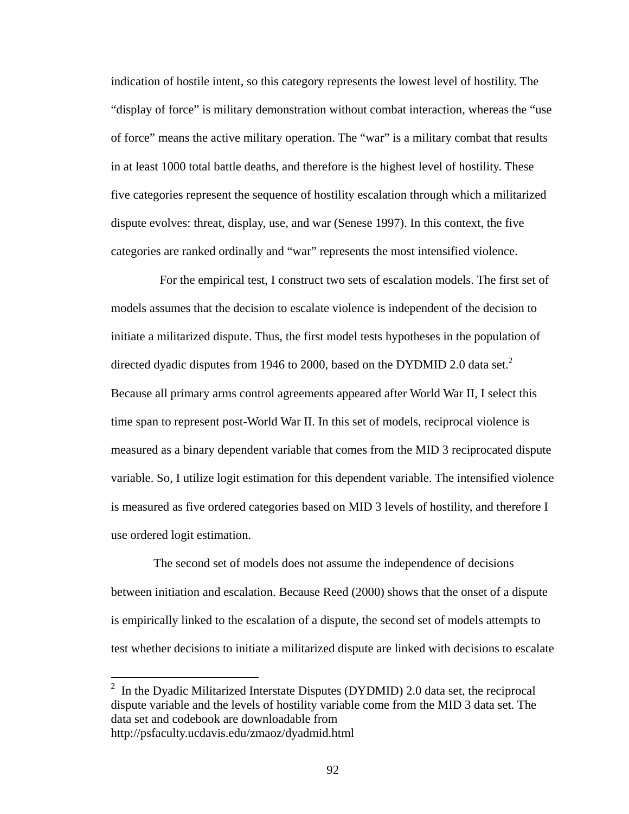indication of hostile intent, so this category represents the lowest level of hostility. The "display of force" is military demonstration without combat interaction, whereas the "use of force" means the active military operation. The "war" is a military combat that results in at least 1000 total battle deaths, and therefore is the highest level of hostility. These five categories represent the sequence of hostility escalation through which a militarized dispute evolves: threat, display, use, and war (Senese 1997). In this context, the five categories are ranked ordinally and "war" represents the most intensified violence.

 For the empirical test, I construct two sets of escalation models. The first set of models assumes that the decision to escalate violence is independent of the decision to initiate a militarized dispute. Thus, the first model tests hypotheses in the population of directed dyadic disputes from 1946 to 2000, based on the DYDMID 2.0 data set.<sup>2</sup> Because all primary arms control agreements appeared after World War II, I select this time span to represent post-World War II. In this set of models, reciprocal violence is measured as a binary dependent variable that comes from the MID 3 reciprocated dispute variable. So, I utilize logit estimation for this dependent variable. The intensified violence is measured as five ordered categories based on MID 3 levels of hostility, and therefore I use ordered logit estimation.

 The second set of models does not assume the independence of decisions between initiation and escalation. Because Reed (2000) shows that the onset of a dispute is empirically linked to the escalation of a dispute, the second set of models attempts to test whether decisions to initiate a militarized dispute are linked with decisions to escalate

 $\overline{a}$ 

<sup>&</sup>lt;sup>2</sup> In the Dyadic Militarized Interstate Disputes (DYDMID) 2.0 data set, the reciprocal dispute variable and the levels of hostility variable come from the MID 3 data set. The data set and codebook are downloadable from http://psfaculty.ucdavis.edu/zmaoz/dyadmid.html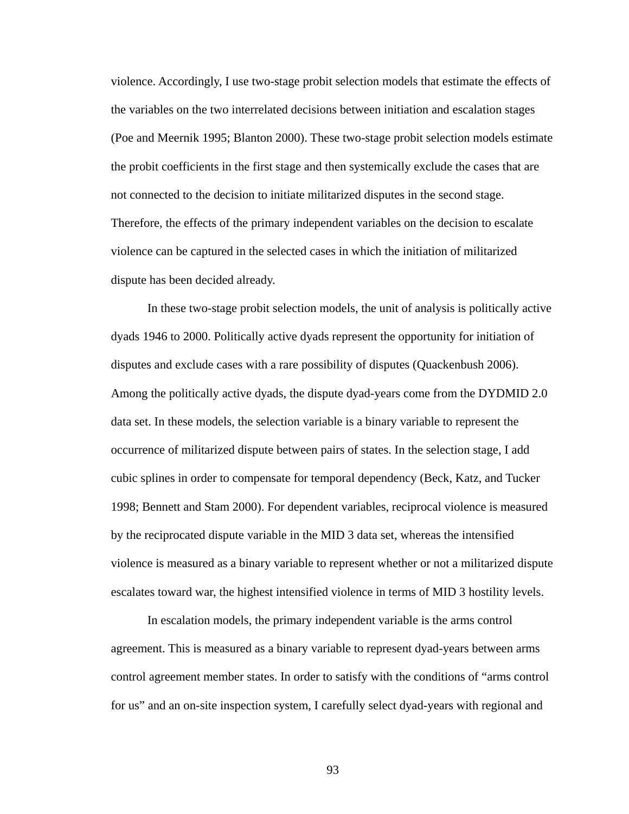violence. Accordingly, I use two-stage probit selection models that estimate the effects of the variables on the two interrelated decisions between initiation and escalation stages (Poe and Meernik 1995; Blanton 2000). These two-stage probit selection models estimate the probit coefficients in the first stage and then systemically exclude the cases that are not connected to the decision to initiate militarized disputes in the second stage. Therefore, the effects of the primary independent variables on the decision to escalate violence can be captured in the selected cases in which the initiation of militarized dispute has been decided already.

In these two-stage probit selection models, the unit of analysis is politically active dyads 1946 to 2000. Politically active dyads represent the opportunity for initiation of disputes and exclude cases with a rare possibility of disputes (Quackenbush 2006). Among the politically active dyads, the dispute dyad-years come from the DYDMID 2.0 data set. In these models, the selection variable is a binary variable to represent the occurrence of militarized dispute between pairs of states. In the selection stage, I add cubic splines in order to compensate for temporal dependency (Beck, Katz, and Tucker 1998; Bennett and Stam 2000). For dependent variables, reciprocal violence is measured by the reciprocated dispute variable in the MID 3 data set, whereas the intensified violence is measured as a binary variable to represent whether or not a militarized dispute escalates toward war, the highest intensified violence in terms of MID 3 hostility levels.

In escalation models, the primary independent variable is the arms control agreement. This is measured as a binary variable to represent dyad-years between arms control agreement member states. In order to satisfy with the conditions of "arms control for us" and an on-site inspection system, I carefully select dyad-years with regional and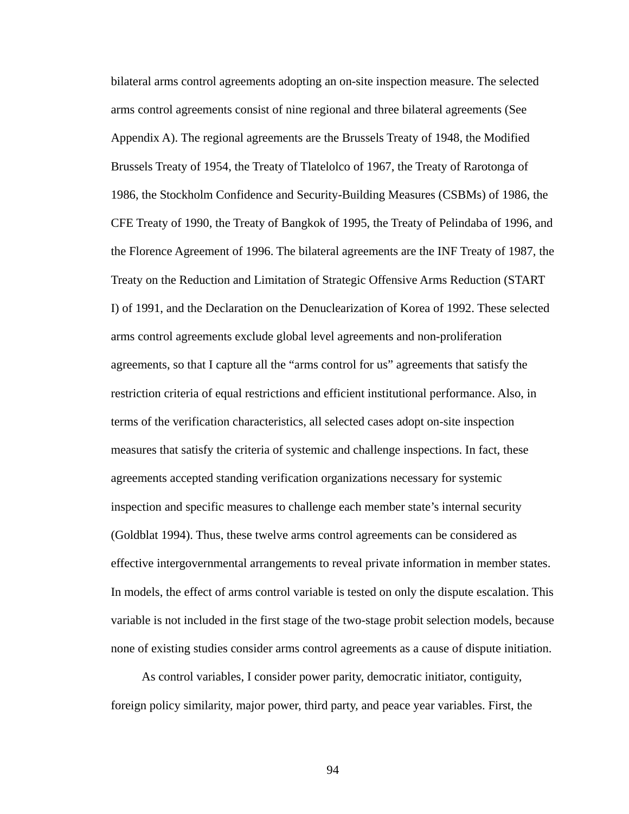bilateral arms control agreements adopting an on-site inspection measure. The selected arms control agreements consist of nine regional and three bilateral agreements (See Appendix A). The regional agreements are the Brussels Treaty of 1948, the Modified Brussels Treaty of 1954, the Treaty of Tlatelolco of 1967, the Treaty of Rarotonga of 1986, the Stockholm Confidence and Security-Building Measures (CSBMs) of 1986, the CFE Treaty of 1990, the Treaty of Bangkok of 1995, the Treaty of Pelindaba of 1996, and the Florence Agreement of 1996. The bilateral agreements are the INF Treaty of 1987, the Treaty on the Reduction and Limitation of Strategic Offensive Arms Reduction (START I) of 1991, and the Declaration on the Denuclearization of Korea of 1992. These selected arms control agreements exclude global level agreements and non-proliferation agreements, so that I capture all the "arms control for us" agreements that satisfy the restriction criteria of equal restrictions and efficient institutional performance. Also, in terms of the verification characteristics, all selected cases adopt on-site inspection measures that satisfy the criteria of systemic and challenge inspections. In fact, these agreements accepted standing verification organizations necessary for systemic inspection and specific measures to challenge each member state's internal security (Goldblat 1994). Thus, these twelve arms control agreements can be considered as effective intergovernmental arrangements to reveal private information in member states. In models, the effect of arms control variable is tested on only the dispute escalation. This variable is not included in the first stage of the two-stage probit selection models, because none of existing studies consider arms control agreements as a cause of dispute initiation.

As control variables, I consider power parity, democratic initiator, contiguity, foreign policy similarity, major power, third party, and peace year variables. First, the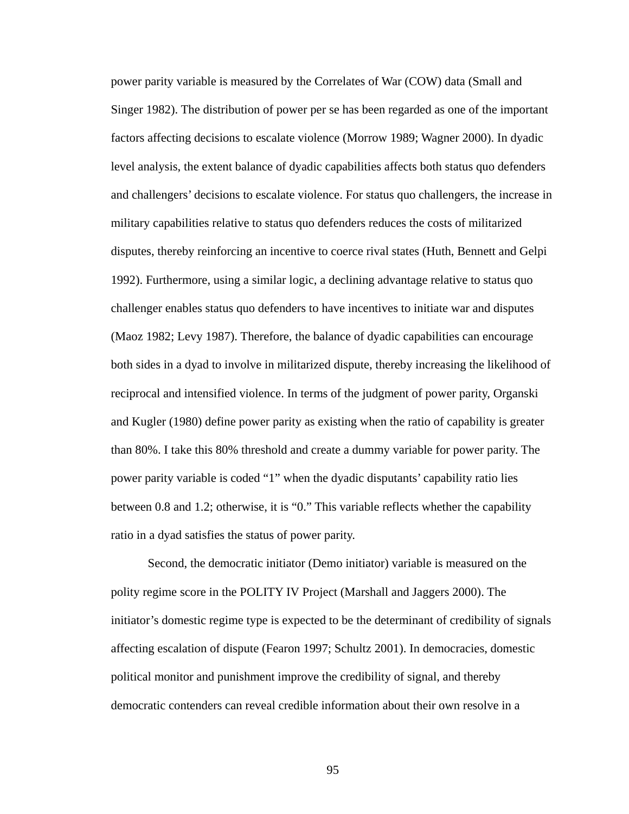power parity variable is measured by the Correlates of War (COW) data (Small and Singer 1982). The distribution of power per se has been regarded as one of the important factors affecting decisions to escalate violence (Morrow 1989; Wagner 2000). In dyadic level analysis, the extent balance of dyadic capabilities affects both status quo defenders and challengers' decisions to escalate violence. For status quo challengers, the increase in military capabilities relative to status quo defenders reduces the costs of militarized disputes, thereby reinforcing an incentive to coerce rival states (Huth, Bennett and Gelpi 1992). Furthermore, using a similar logic, a declining advantage relative to status quo challenger enables status quo defenders to have incentives to initiate war and disputes (Maoz 1982; Levy 1987). Therefore, the balance of dyadic capabilities can encourage both sides in a dyad to involve in militarized dispute, thereby increasing the likelihood of reciprocal and intensified violence. In terms of the judgment of power parity, Organski and Kugler (1980) define power parity as existing when the ratio of capability is greater than 80%. I take this 80% threshold and create a dummy variable for power parity. The power parity variable is coded "1" when the dyadic disputants' capability ratio lies between 0.8 and 1.2; otherwise, it is "0." This variable reflects whether the capability ratio in a dyad satisfies the status of power parity.

Second, the democratic initiator (Demo initiator) variable is measured on the polity regime score in the POLITY IV Project (Marshall and Jaggers 2000). The initiator's domestic regime type is expected to be the determinant of credibility of signals affecting escalation of dispute (Fearon 1997; Schultz 2001). In democracies, domestic political monitor and punishment improve the credibility of signal, and thereby democratic contenders can reveal credible information about their own resolve in a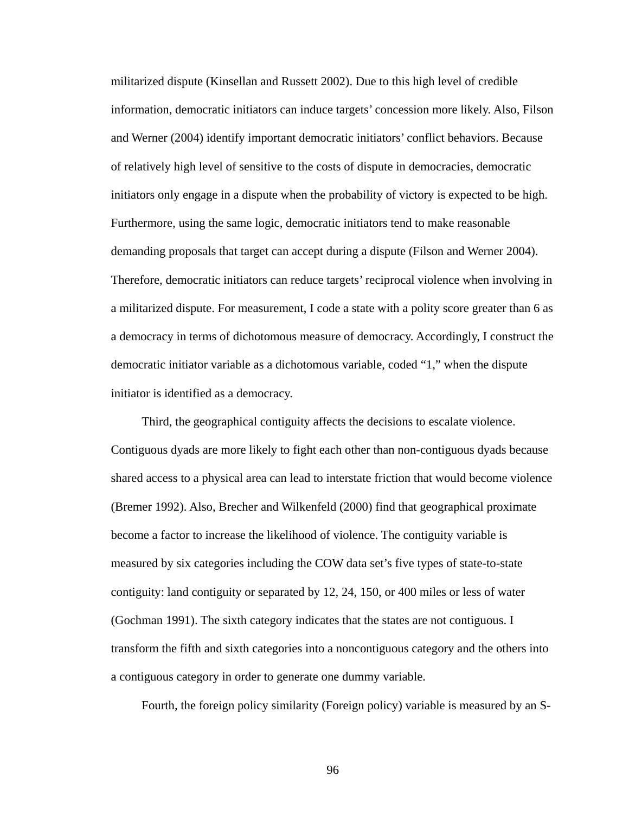militarized dispute (Kinsellan and Russett 2002). Due to this high level of credible information, democratic initiators can induce targets' concession more likely. Also, Filson and Werner (2004) identify important democratic initiators' conflict behaviors. Because of relatively high level of sensitive to the costs of dispute in democracies, democratic initiators only engage in a dispute when the probability of victory is expected to be high. Furthermore, using the same logic, democratic initiators tend to make reasonable demanding proposals that target can accept during a dispute (Filson and Werner 2004). Therefore, democratic initiators can reduce targets' reciprocal violence when involving in a militarized dispute. For measurement, I code a state with a polity score greater than 6 as a democracy in terms of dichotomous measure of democracy. Accordingly, I construct the democratic initiator variable as a dichotomous variable, coded "1," when the dispute initiator is identified as a democracy.

Third, the geographical contiguity affects the decisions to escalate violence. Contiguous dyads are more likely to fight each other than non-contiguous dyads because shared access to a physical area can lead to interstate friction that would become violence (Bremer 1992). Also, Brecher and Wilkenfeld (2000) find that geographical proximate become a factor to increase the likelihood of violence. The contiguity variable is measured by six categories including the COW data set's five types of state-to-state contiguity: land contiguity or separated by 12, 24, 150, or 400 miles or less of water (Gochman 1991). The sixth category indicates that the states are not contiguous. I transform the fifth and sixth categories into a noncontiguous category and the others into a contiguous category in order to generate one dummy variable.

Fourth, the foreign policy similarity (Foreign policy) variable is measured by an S-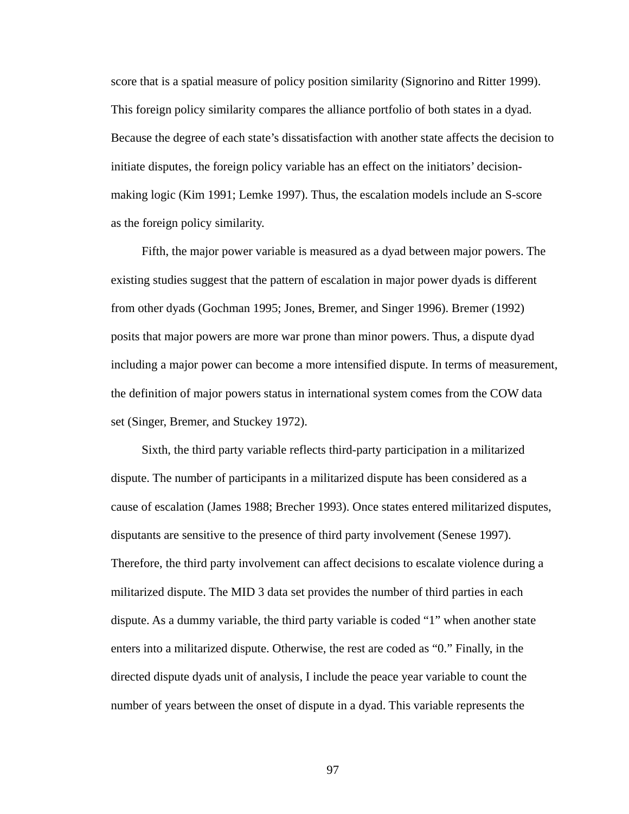score that is a spatial measure of policy position similarity (Signorino and Ritter 1999). This foreign policy similarity compares the alliance portfolio of both states in a dyad. Because the degree of each state's dissatisfaction with another state affects the decision to initiate disputes, the foreign policy variable has an effect on the initiators' decisionmaking logic (Kim 1991; Lemke 1997). Thus, the escalation models include an S-score as the foreign policy similarity.

Fifth, the major power variable is measured as a dyad between major powers. The existing studies suggest that the pattern of escalation in major power dyads is different from other dyads (Gochman 1995; Jones, Bremer, and Singer 1996). Bremer (1992) posits that major powers are more war prone than minor powers. Thus, a dispute dyad including a major power can become a more intensified dispute. In terms of measurement, the definition of major powers status in international system comes from the COW data set (Singer, Bremer, and Stuckey 1972).

Sixth, the third party variable reflects third-party participation in a militarized dispute. The number of participants in a militarized dispute has been considered as a cause of escalation (James 1988; Brecher 1993). Once states entered militarized disputes, disputants are sensitive to the presence of third party involvement (Senese 1997). Therefore, the third party involvement can affect decisions to escalate violence during a militarized dispute. The MID 3 data set provides the number of third parties in each dispute. As a dummy variable, the third party variable is coded "1" when another state enters into a militarized dispute. Otherwise, the rest are coded as "0." Finally, in the directed dispute dyads unit of analysis, I include the peace year variable to count the number of years between the onset of dispute in a dyad. This variable represents the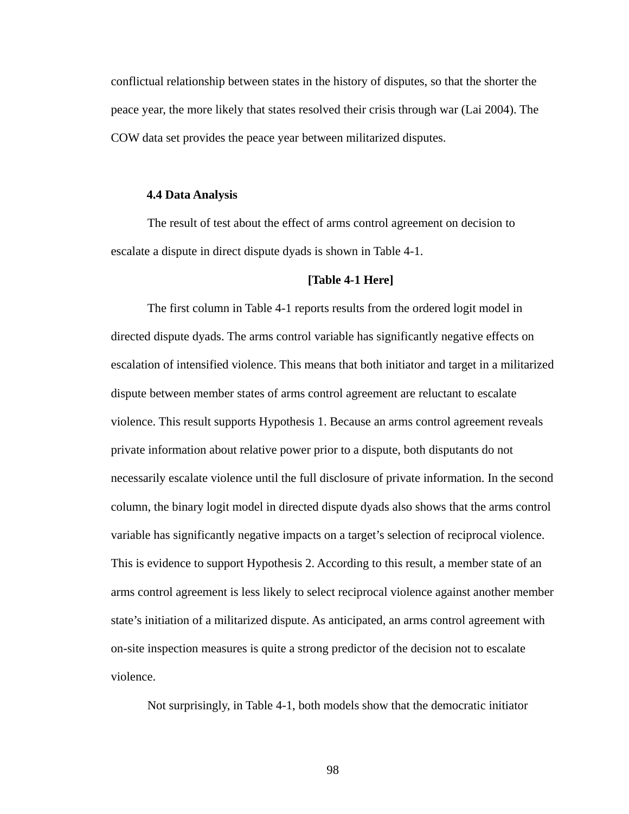conflictual relationship between states in the history of disputes, so that the shorter the peace year, the more likely that states resolved their crisis through war (Lai 2004). The COW data set provides the peace year between militarized disputes.

### **4.4 Data Analysis**

The result of test about the effect of arms control agreement on decision to escalate a dispute in direct dispute dyads is shown in Table 4-1.

## **[Table 4-1 Here]**

The first column in Table 4-1 reports results from the ordered logit model in directed dispute dyads. The arms control variable has significantly negative effects on escalation of intensified violence. This means that both initiator and target in a militarized dispute between member states of arms control agreement are reluctant to escalate violence. This result supports Hypothesis 1. Because an arms control agreement reveals private information about relative power prior to a dispute, both disputants do not necessarily escalate violence until the full disclosure of private information. In the second column, the binary logit model in directed dispute dyads also shows that the arms control variable has significantly negative impacts on a target's selection of reciprocal violence. This is evidence to support Hypothesis 2. According to this result, a member state of an arms control agreement is less likely to select reciprocal violence against another member state's initiation of a militarized dispute. As anticipated, an arms control agreement with on-site inspection measures is quite a strong predictor of the decision not to escalate violence.

Not surprisingly, in Table 4-1, both models show that the democratic initiator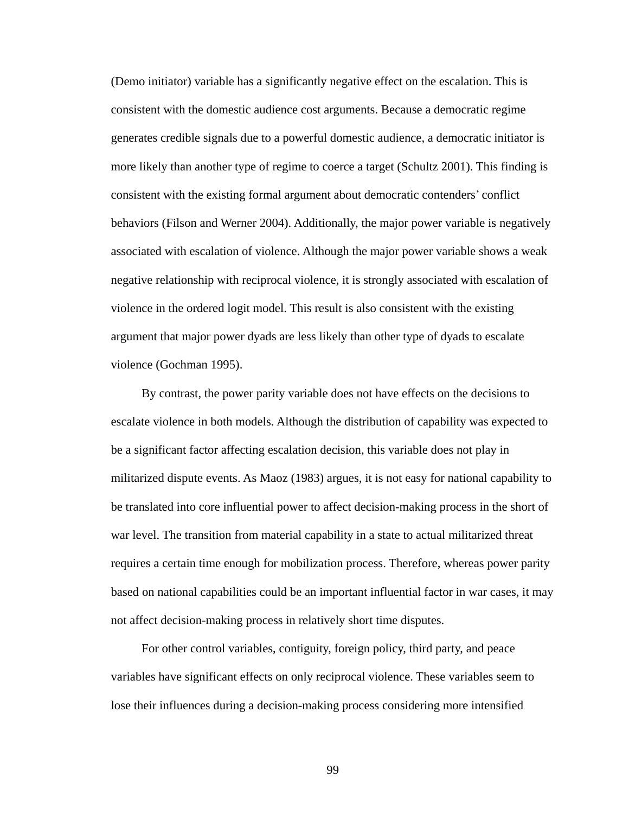(Demo initiator) variable has a significantly negative effect on the escalation. This is consistent with the domestic audience cost arguments. Because a democratic regime generates credible signals due to a powerful domestic audience, a democratic initiator is more likely than another type of regime to coerce a target (Schultz 2001). This finding is consistent with the existing formal argument about democratic contenders' conflict behaviors (Filson and Werner 2004). Additionally, the major power variable is negatively associated with escalation of violence. Although the major power variable shows a weak negative relationship with reciprocal violence, it is strongly associated with escalation of violence in the ordered logit model. This result is also consistent with the existing argument that major power dyads are less likely than other type of dyads to escalate violence (Gochman 1995).

By contrast, the power parity variable does not have effects on the decisions to escalate violence in both models. Although the distribution of capability was expected to be a significant factor affecting escalation decision, this variable does not play in militarized dispute events. As Maoz (1983) argues, it is not easy for national capability to be translated into core influential power to affect decision-making process in the short of war level. The transition from material capability in a state to actual militarized threat requires a certain time enough for mobilization process. Therefore, whereas power parity based on national capabilities could be an important influential factor in war cases, it may not affect decision-making process in relatively short time disputes.

For other control variables, contiguity, foreign policy, third party, and peace variables have significant effects on only reciprocal violence. These variables seem to lose their influences during a decision-making process considering more intensified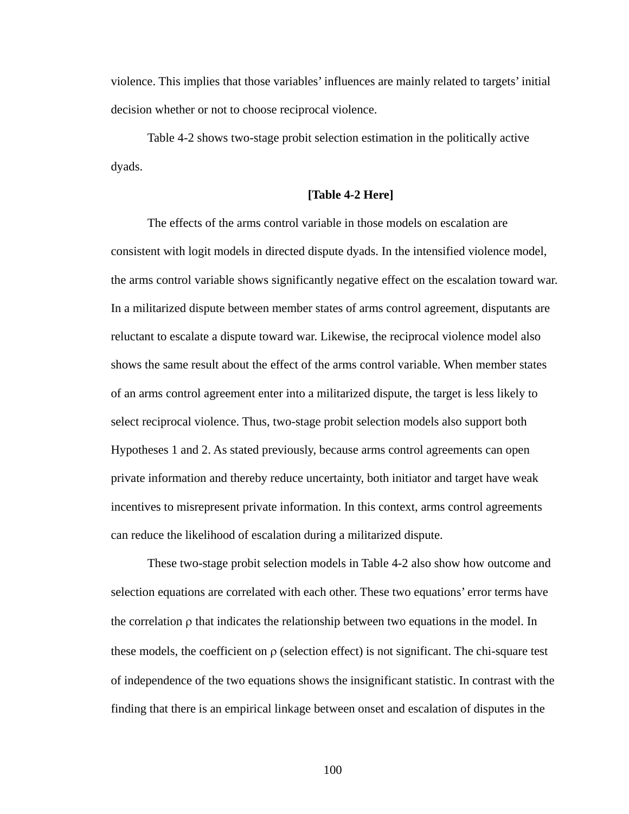violence. This implies that those variables' influences are mainly related to targets' initial decision whether or not to choose reciprocal violence.

Table 4-2 shows two-stage probit selection estimation in the politically active dyads.

## **[Table 4-2 Here]**

The effects of the arms control variable in those models on escalation are consistent with logit models in directed dispute dyads. In the intensified violence model, the arms control variable shows significantly negative effect on the escalation toward war. In a militarized dispute between member states of arms control agreement, disputants are reluctant to escalate a dispute toward war. Likewise, the reciprocal violence model also shows the same result about the effect of the arms control variable. When member states of an arms control agreement enter into a militarized dispute, the target is less likely to select reciprocal violence. Thus, two-stage probit selection models also support both Hypotheses 1 and 2. As stated previously, because arms control agreements can open private information and thereby reduce uncertainty, both initiator and target have weak incentives to misrepresent private information. In this context, arms control agreements can reduce the likelihood of escalation during a militarized dispute.

These two-stage probit selection models in Table 4-2 also show how outcome and selection equations are correlated with each other. These two equations' error terms have the correlation  $\rho$  that indicates the relationship between two equations in the model. In these models, the coefficient on  $\rho$  (selection effect) is not significant. The chi-square test of independence of the two equations shows the insignificant statistic. In contrast with the finding that there is an empirical linkage between onset and escalation of disputes in the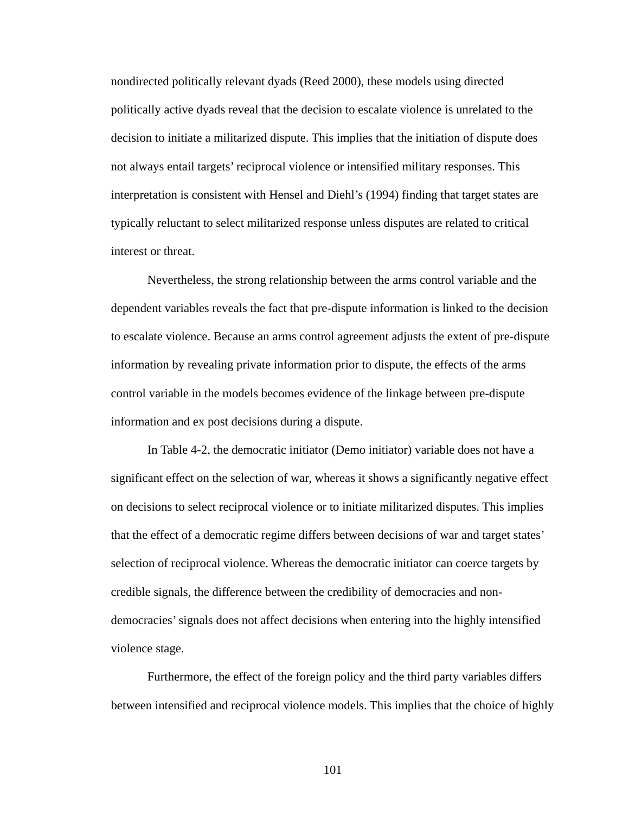nondirected politically relevant dyads (Reed 2000), these models using directed politically active dyads reveal that the decision to escalate violence is unrelated to the decision to initiate a militarized dispute. This implies that the initiation of dispute does not always entail targets' reciprocal violence or intensified military responses. This interpretation is consistent with Hensel and Diehl's (1994) finding that target states are typically reluctant to select militarized response unless disputes are related to critical interest or threat.

Nevertheless, the strong relationship between the arms control variable and the dependent variables reveals the fact that pre-dispute information is linked to the decision to escalate violence. Because an arms control agreement adjusts the extent of pre-dispute information by revealing private information prior to dispute, the effects of the arms control variable in the models becomes evidence of the linkage between pre-dispute information and ex post decisions during a dispute.

In Table 4-2, the democratic initiator (Demo initiator) variable does not have a significant effect on the selection of war, whereas it shows a significantly negative effect on decisions to select reciprocal violence or to initiate militarized disputes. This implies that the effect of a democratic regime differs between decisions of war and target states' selection of reciprocal violence. Whereas the democratic initiator can coerce targets by credible signals, the difference between the credibility of democracies and nondemocracies' signals does not affect decisions when entering into the highly intensified violence stage.

Furthermore, the effect of the foreign policy and the third party variables differs between intensified and reciprocal violence models. This implies that the choice of highly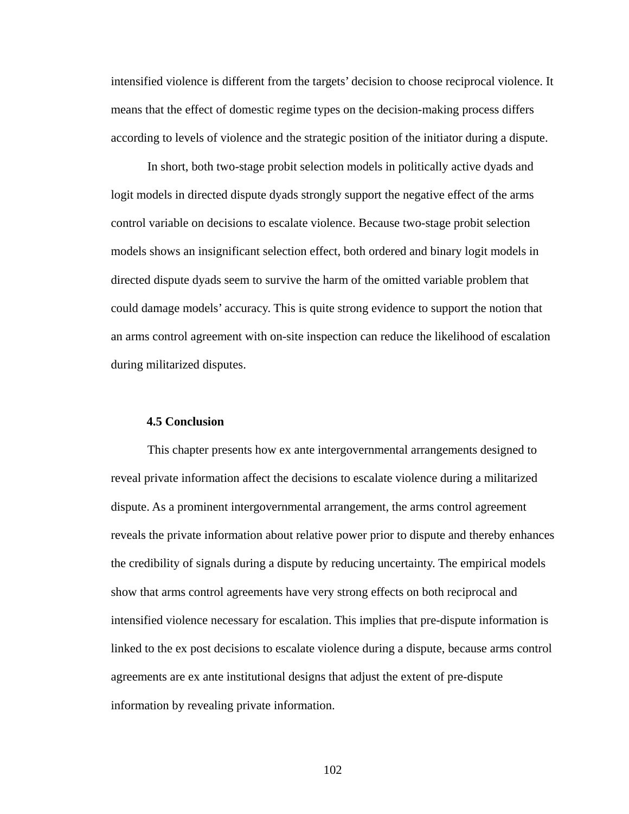intensified violence is different from the targets' decision to choose reciprocal violence. It means that the effect of domestic regime types on the decision-making process differs according to levels of violence and the strategic position of the initiator during a dispute.

In short, both two-stage probit selection models in politically active dyads and logit models in directed dispute dyads strongly support the negative effect of the arms control variable on decisions to escalate violence. Because two-stage probit selection models shows an insignificant selection effect, both ordered and binary logit models in directed dispute dyads seem to survive the harm of the omitted variable problem that could damage models' accuracy. This is quite strong evidence to support the notion that an arms control agreement with on-site inspection can reduce the likelihood of escalation during militarized disputes.

## **4.5 Conclusion**

This chapter presents how ex ante intergovernmental arrangements designed to reveal private information affect the decisions to escalate violence during a militarized dispute. As a prominent intergovernmental arrangement, the arms control agreement reveals the private information about relative power prior to dispute and thereby enhances the credibility of signals during a dispute by reducing uncertainty. The empirical models show that arms control agreements have very strong effects on both reciprocal and intensified violence necessary for escalation. This implies that pre-dispute information is linked to the ex post decisions to escalate violence during a dispute, because arms control agreements are ex ante institutional designs that adjust the extent of pre-dispute information by revealing private information.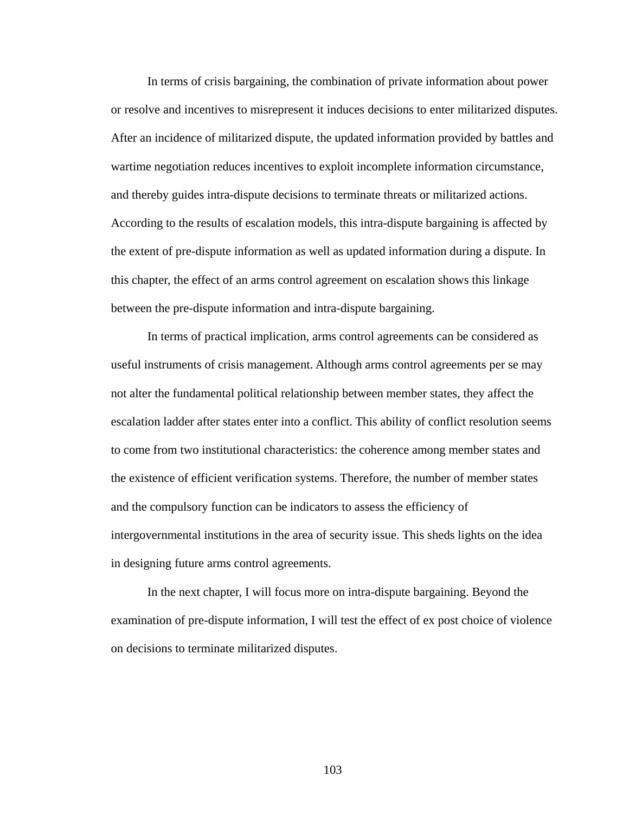In terms of crisis bargaining, the combination of private information about power or resolve and incentives to misrepresent it induces decisions to enter militarized disputes. After an incidence of militarized dispute, the updated information provided by battles and wartime negotiation reduces incentives to exploit incomplete information circumstance, and thereby guides intra-dispute decisions to terminate threats or militarized actions. According to the results of escalation models, this intra-dispute bargaining is affected by the extent of pre-dispute information as well as updated information during a dispute. In this chapter, the effect of an arms control agreement on escalation shows this linkage between the pre-dispute information and intra-dispute bargaining.

In terms of practical implication, arms control agreements can be considered as useful instruments of crisis management. Although arms control agreements per se may not alter the fundamental political relationship between member states, they affect the escalation ladder after states enter into a conflict. This ability of conflict resolution seems to come from two institutional characteristics: the coherence among member states and the existence of efficient verification systems. Therefore, the number of member states and the compulsory function can be indicators to assess the efficiency of intergovernmental institutions in the area of security issue. This sheds lights on the idea in designing future arms control agreements.

In the next chapter, I will focus more on intra-dispute bargaining. Beyond the examination of pre-dispute information, I will test the effect of ex post choice of violence on decisions to terminate militarized disputes.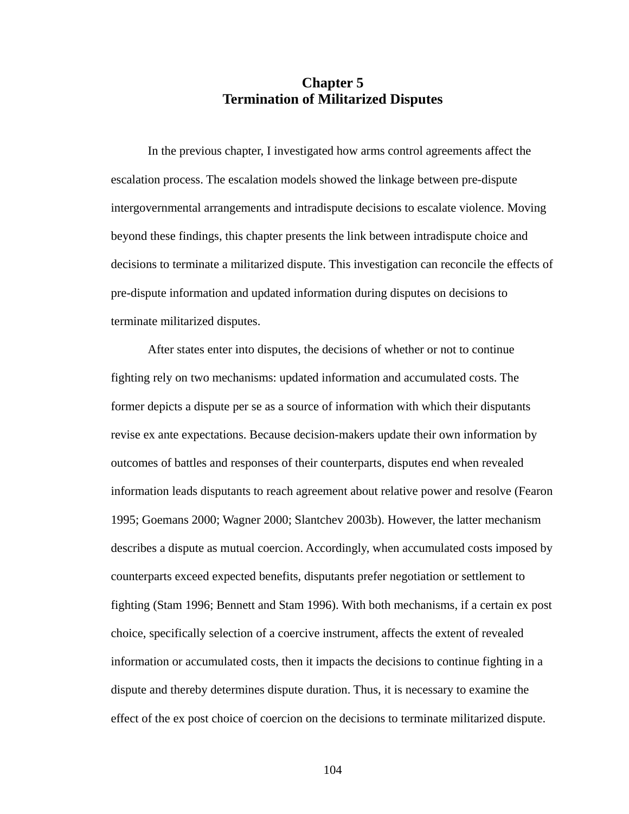# **Chapter 5 Termination of Militarized Disputes**

In the previous chapter, I investigated how arms control agreements affect the escalation process. The escalation models showed the linkage between pre-dispute intergovernmental arrangements and intradispute decisions to escalate violence. Moving beyond these findings, this chapter presents the link between intradispute choice and decisions to terminate a militarized dispute. This investigation can reconcile the effects of pre-dispute information and updated information during disputes on decisions to terminate militarized disputes.

After states enter into disputes, the decisions of whether or not to continue fighting rely on two mechanisms: updated information and accumulated costs. The former depicts a dispute per se as a source of information with which their disputants revise ex ante expectations. Because decision-makers update their own information by outcomes of battles and responses of their counterparts, disputes end when revealed information leads disputants to reach agreement about relative power and resolve (Fearon 1995; Goemans 2000; Wagner 2000; Slantchev 2003b). However, the latter mechanism describes a dispute as mutual coercion. Accordingly, when accumulated costs imposed by counterparts exceed expected benefits, disputants prefer negotiation or settlement to fighting (Stam 1996; Bennett and Stam 1996). With both mechanisms, if a certain ex post choice, specifically selection of a coercive instrument, affects the extent of revealed information or accumulated costs, then it impacts the decisions to continue fighting in a dispute and thereby determines dispute duration. Thus, it is necessary to examine the effect of the ex post choice of coercion on the decisions to terminate militarized dispute.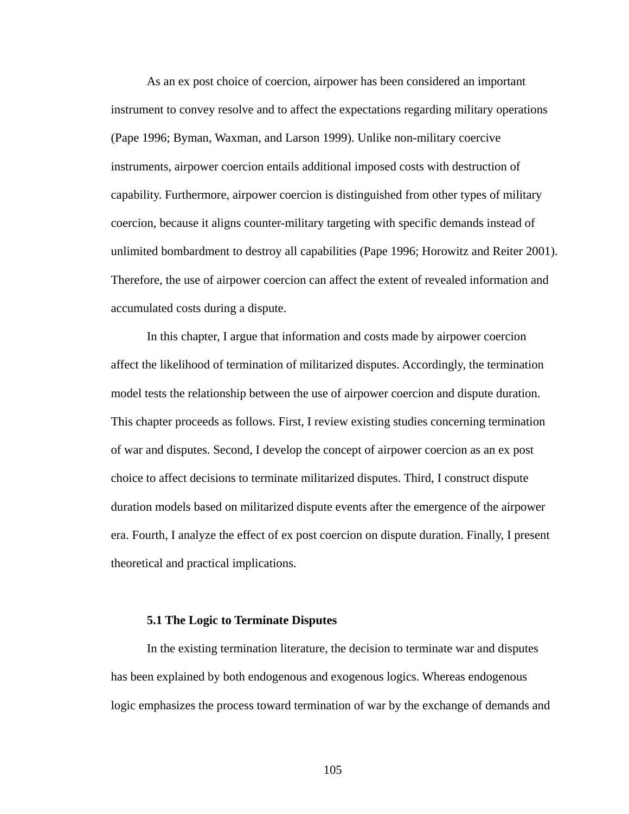As an ex post choice of coercion, airpower has been considered an important instrument to convey resolve and to affect the expectations regarding military operations (Pape 1996; Byman, Waxman, and Larson 1999). Unlike non-military coercive instruments, airpower coercion entails additional imposed costs with destruction of capability. Furthermore, airpower coercion is distinguished from other types of military coercion, because it aligns counter-military targeting with specific demands instead of unlimited bombardment to destroy all capabilities (Pape 1996; Horowitz and Reiter 2001). Therefore, the use of airpower coercion can affect the extent of revealed information and accumulated costs during a dispute.

In this chapter, I argue that information and costs made by airpower coercion affect the likelihood of termination of militarized disputes. Accordingly, the termination model tests the relationship between the use of airpower coercion and dispute duration. This chapter proceeds as follows. First, I review existing studies concerning termination of war and disputes. Second, I develop the concept of airpower coercion as an ex post choice to affect decisions to terminate militarized disputes. Third, I construct dispute duration models based on militarized dispute events after the emergence of the airpower era. Fourth, I analyze the effect of ex post coercion on dispute duration. Finally, I present theoretical and practical implications.

### **5.1 The Logic to Terminate Disputes**

In the existing termination literature, the decision to terminate war and disputes has been explained by both endogenous and exogenous logics. Whereas endogenous logic emphasizes the process toward termination of war by the exchange of demands and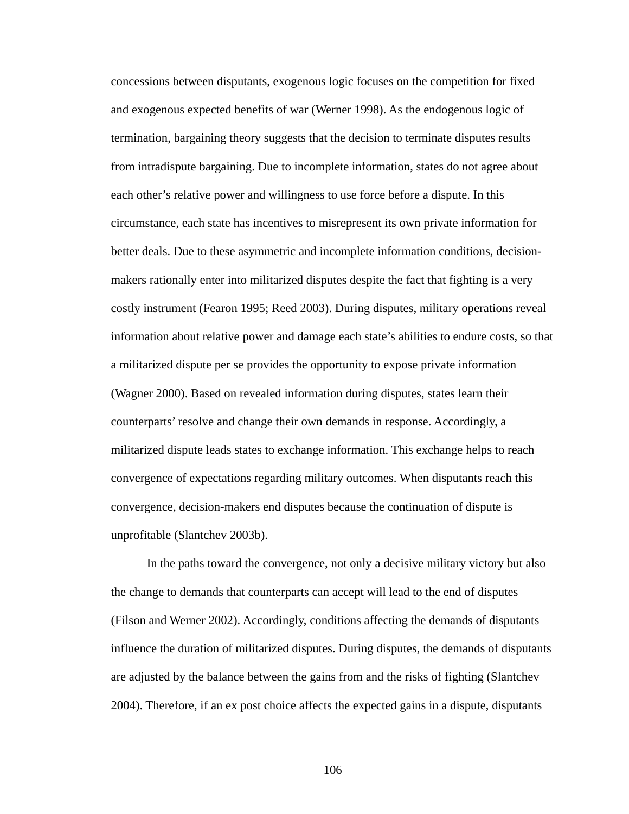concessions between disputants, exogenous logic focuses on the competition for fixed and exogenous expected benefits of war (Werner 1998). As the endogenous logic of termination, bargaining theory suggests that the decision to terminate disputes results from intradispute bargaining. Due to incomplete information, states do not agree about each other's relative power and willingness to use force before a dispute. In this circumstance, each state has incentives to misrepresent its own private information for better deals. Due to these asymmetric and incomplete information conditions, decisionmakers rationally enter into militarized disputes despite the fact that fighting is a very costly instrument (Fearon 1995; Reed 2003). During disputes, military operations reveal information about relative power and damage each state's abilities to endure costs, so that a militarized dispute per se provides the opportunity to expose private information (Wagner 2000). Based on revealed information during disputes, states learn their counterparts' resolve and change their own demands in response. Accordingly, a militarized dispute leads states to exchange information. This exchange helps to reach convergence of expectations regarding military outcomes. When disputants reach this convergence, decision-makers end disputes because the continuation of dispute is unprofitable (Slantchev 2003b).

In the paths toward the convergence, not only a decisive military victory but also the change to demands that counterparts can accept will lead to the end of disputes (Filson and Werner 2002). Accordingly, conditions affecting the demands of disputants influence the duration of militarized disputes. During disputes, the demands of disputants are adjusted by the balance between the gains from and the risks of fighting (Slantchev 2004). Therefore, if an ex post choice affects the expected gains in a dispute, disputants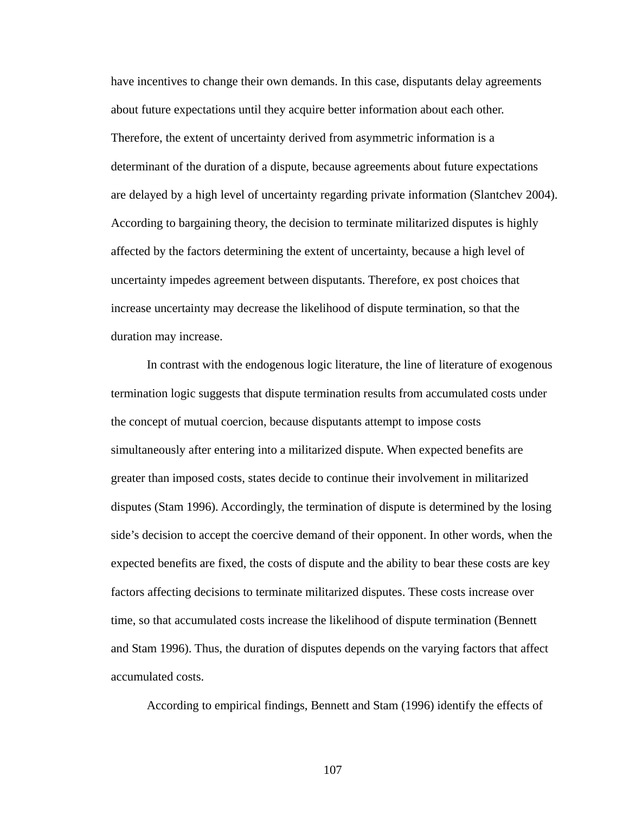have incentives to change their own demands. In this case, disputants delay agreements about future expectations until they acquire better information about each other. Therefore, the extent of uncertainty derived from asymmetric information is a determinant of the duration of a dispute, because agreements about future expectations are delayed by a high level of uncertainty regarding private information (Slantchev 2004). According to bargaining theory, the decision to terminate militarized disputes is highly affected by the factors determining the extent of uncertainty, because a high level of uncertainty impedes agreement between disputants. Therefore, ex post choices that increase uncertainty may decrease the likelihood of dispute termination, so that the duration may increase.

In contrast with the endogenous logic literature, the line of literature of exogenous termination logic suggests that dispute termination results from accumulated costs under the concept of mutual coercion, because disputants attempt to impose costs simultaneously after entering into a militarized dispute. When expected benefits are greater than imposed costs, states decide to continue their involvement in militarized disputes (Stam 1996). Accordingly, the termination of dispute is determined by the losing side's decision to accept the coercive demand of their opponent. In other words, when the expected benefits are fixed, the costs of dispute and the ability to bear these costs are key factors affecting decisions to terminate militarized disputes. These costs increase over time, so that accumulated costs increase the likelihood of dispute termination (Bennett and Stam 1996). Thus, the duration of disputes depends on the varying factors that affect accumulated costs.

According to empirical findings, Bennett and Stam (1996) identify the effects of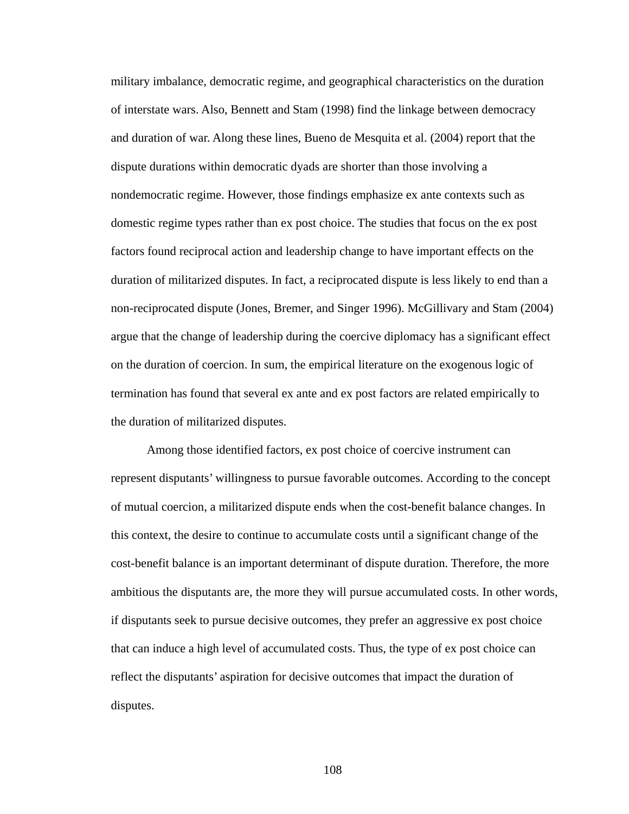military imbalance, democratic regime, and geographical characteristics on the duration of interstate wars. Also, Bennett and Stam (1998) find the linkage between democracy and duration of war. Along these lines, Bueno de Mesquita et al. (2004) report that the dispute durations within democratic dyads are shorter than those involving a nondemocratic regime. However, those findings emphasize ex ante contexts such as domestic regime types rather than ex post choice. The studies that focus on the ex post factors found reciprocal action and leadership change to have important effects on the duration of militarized disputes. In fact, a reciprocated dispute is less likely to end than a non-reciprocated dispute (Jones, Bremer, and Singer 1996). McGillivary and Stam (2004) argue that the change of leadership during the coercive diplomacy has a significant effect on the duration of coercion. In sum, the empirical literature on the exogenous logic of termination has found that several ex ante and ex post factors are related empirically to the duration of militarized disputes.

Among those identified factors, ex post choice of coercive instrument can represent disputants' willingness to pursue favorable outcomes. According to the concept of mutual coercion, a militarized dispute ends when the cost-benefit balance changes. In this context, the desire to continue to accumulate costs until a significant change of the cost-benefit balance is an important determinant of dispute duration. Therefore, the more ambitious the disputants are, the more they will pursue accumulated costs. In other words, if disputants seek to pursue decisive outcomes, they prefer an aggressive ex post choice that can induce a high level of accumulated costs. Thus, the type of ex post choice can reflect the disputants' aspiration for decisive outcomes that impact the duration of disputes.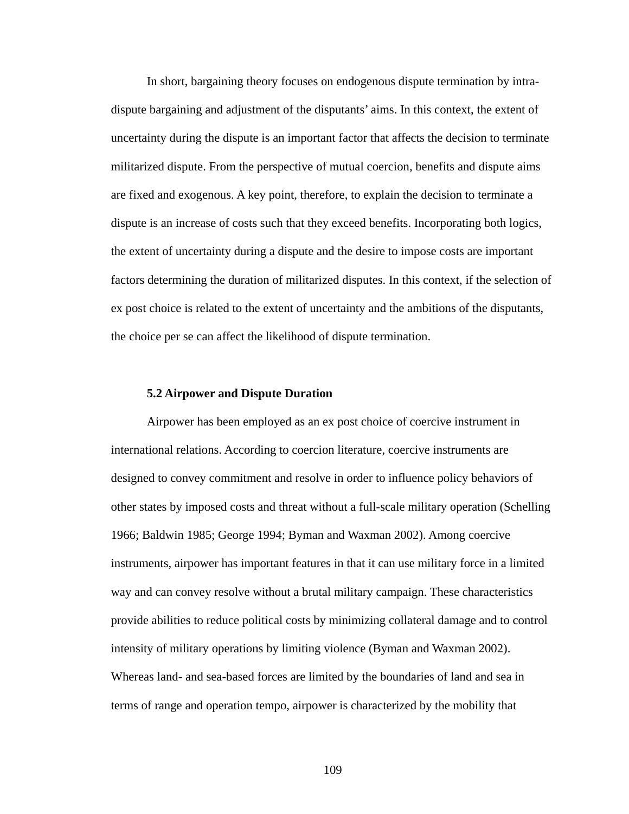In short, bargaining theory focuses on endogenous dispute termination by intradispute bargaining and adjustment of the disputants' aims. In this context, the extent of uncertainty during the dispute is an important factor that affects the decision to terminate militarized dispute. From the perspective of mutual coercion, benefits and dispute aims are fixed and exogenous. A key point, therefore, to explain the decision to terminate a dispute is an increase of costs such that they exceed benefits. Incorporating both logics, the extent of uncertainty during a dispute and the desire to impose costs are important factors determining the duration of militarized disputes. In this context, if the selection of ex post choice is related to the extent of uncertainty and the ambitions of the disputants, the choice per se can affect the likelihood of dispute termination.

## **5.2 Airpower and Dispute Duration**

Airpower has been employed as an ex post choice of coercive instrument in international relations. According to coercion literature, coercive instruments are designed to convey commitment and resolve in order to influence policy behaviors of other states by imposed costs and threat without a full-scale military operation (Schelling 1966; Baldwin 1985; George 1994; Byman and Waxman 2002). Among coercive instruments, airpower has important features in that it can use military force in a limited way and can convey resolve without a brutal military campaign. These characteristics provide abilities to reduce political costs by minimizing collateral damage and to control intensity of military operations by limiting violence (Byman and Waxman 2002). Whereas land- and sea-based forces are limited by the boundaries of land and sea in terms of range and operation tempo, airpower is characterized by the mobility that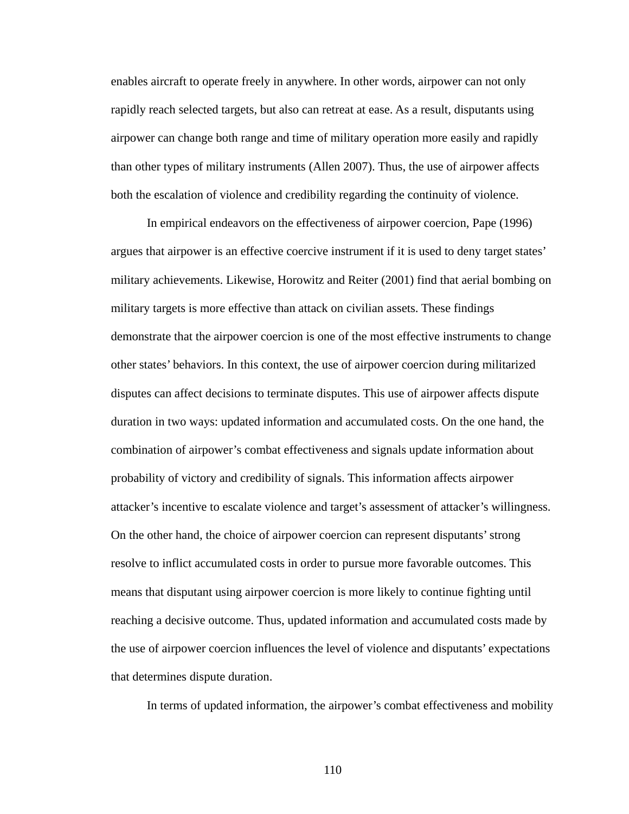enables aircraft to operate freely in anywhere. In other words, airpower can not only rapidly reach selected targets, but also can retreat at ease. As a result, disputants using airpower can change both range and time of military operation more easily and rapidly than other types of military instruments (Allen 2007). Thus, the use of airpower affects both the escalation of violence and credibility regarding the continuity of violence.

In empirical endeavors on the effectiveness of airpower coercion, Pape (1996) argues that airpower is an effective coercive instrument if it is used to deny target states' military achievements. Likewise, Horowitz and Reiter (2001) find that aerial bombing on military targets is more effective than attack on civilian assets. These findings demonstrate that the airpower coercion is one of the most effective instruments to change other states' behaviors. In this context, the use of airpower coercion during militarized disputes can affect decisions to terminate disputes. This use of airpower affects dispute duration in two ways: updated information and accumulated costs. On the one hand, the combination of airpower's combat effectiveness and signals update information about probability of victory and credibility of signals. This information affects airpower attacker's incentive to escalate violence and target's assessment of attacker's willingness. On the other hand, the choice of airpower coercion can represent disputants' strong resolve to inflict accumulated costs in order to pursue more favorable outcomes. This means that disputant using airpower coercion is more likely to continue fighting until reaching a decisive outcome. Thus, updated information and accumulated costs made by the use of airpower coercion influences the level of violence and disputants' expectations that determines dispute duration.

In terms of updated information, the airpower's combat effectiveness and mobility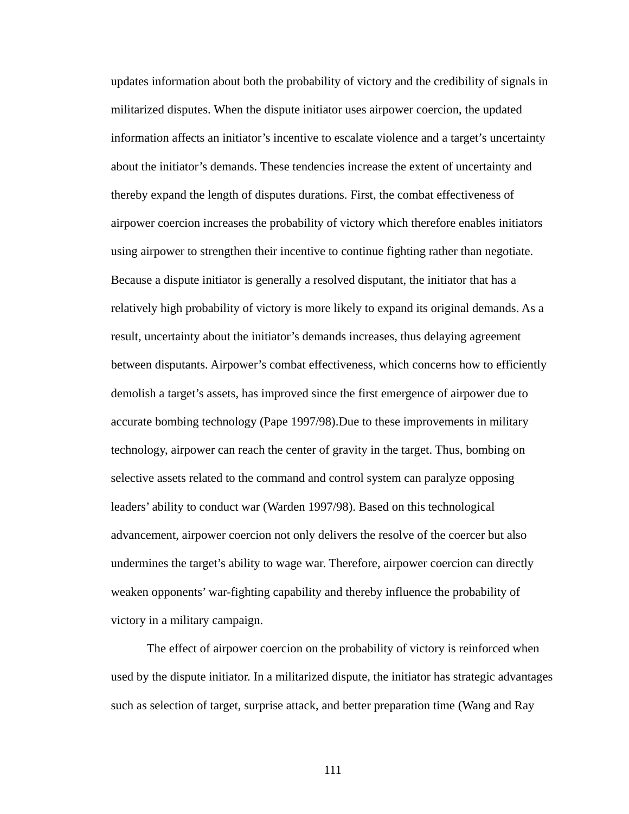updates information about both the probability of victory and the credibility of signals in militarized disputes. When the dispute initiator uses airpower coercion, the updated information affects an initiator's incentive to escalate violence and a target's uncertainty about the initiator's demands. These tendencies increase the extent of uncertainty and thereby expand the length of disputes durations. First, the combat effectiveness of airpower coercion increases the probability of victory which therefore enables initiators using airpower to strengthen their incentive to continue fighting rather than negotiate. Because a dispute initiator is generally a resolved disputant, the initiator that has a relatively high probability of victory is more likely to expand its original demands. As a result, uncertainty about the initiator's demands increases, thus delaying agreement between disputants. Airpower's combat effectiveness, which concerns how to efficiently demolish a target's assets, has improved since the first emergence of airpower due to accurate bombing technology (Pape 1997/98).Due to these improvements in military technology, airpower can reach the center of gravity in the target. Thus, bombing on selective assets related to the command and control system can paralyze opposing leaders' ability to conduct war (Warden 1997/98). Based on this technological advancement, airpower coercion not only delivers the resolve of the coercer but also undermines the target's ability to wage war. Therefore, airpower coercion can directly weaken opponents' war-fighting capability and thereby influence the probability of victory in a military campaign.

The effect of airpower coercion on the probability of victory is reinforced when used by the dispute initiator. In a militarized dispute, the initiator has strategic advantages such as selection of target, surprise attack, and better preparation time (Wang and Ray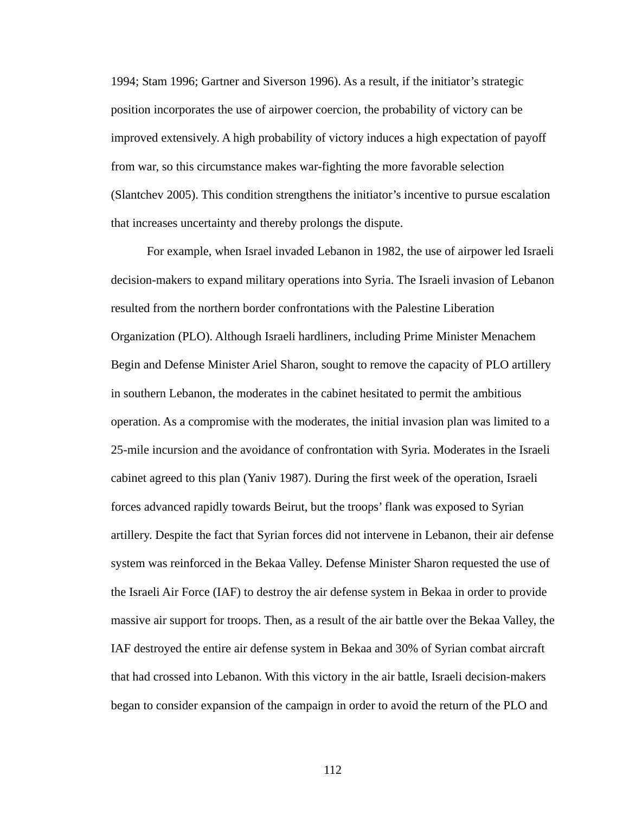1994; Stam 1996; Gartner and Siverson 1996). As a result, if the initiator's strategic position incorporates the use of airpower coercion, the probability of victory can be improved extensively. A high probability of victory induces a high expectation of payoff from war, so this circumstance makes war-fighting the more favorable selection (Slantchev 2005). This condition strengthens the initiator's incentive to pursue escalation that increases uncertainty and thereby prolongs the dispute.

For example, when Israel invaded Lebanon in 1982, the use of airpower led Israeli decision-makers to expand military operations into Syria. The Israeli invasion of Lebanon resulted from the northern border confrontations with the Palestine Liberation Organization (PLO). Although Israeli hardliners, including Prime Minister Menachem Begin and Defense Minister Ariel Sharon, sought to remove the capacity of PLO artillery in southern Lebanon, the moderates in the cabinet hesitated to permit the ambitious operation. As a compromise with the moderates, the initial invasion plan was limited to a 25-mile incursion and the avoidance of confrontation with Syria. Moderates in the Israeli cabinet agreed to this plan (Yaniv 1987). During the first week of the operation, Israeli forces advanced rapidly towards Beirut, but the troops' flank was exposed to Syrian artillery. Despite the fact that Syrian forces did not intervene in Lebanon, their air defense system was reinforced in the Bekaa Valley. Defense Minister Sharon requested the use of the Israeli Air Force (IAF) to destroy the air defense system in Bekaa in order to provide massive air support for troops. Then, as a result of the air battle over the Bekaa Valley, the IAF destroyed the entire air defense system in Bekaa and 30% of Syrian combat aircraft that had crossed into Lebanon. With this victory in the air battle, Israeli decision-makers began to consider expansion of the campaign in order to avoid the return of the PLO and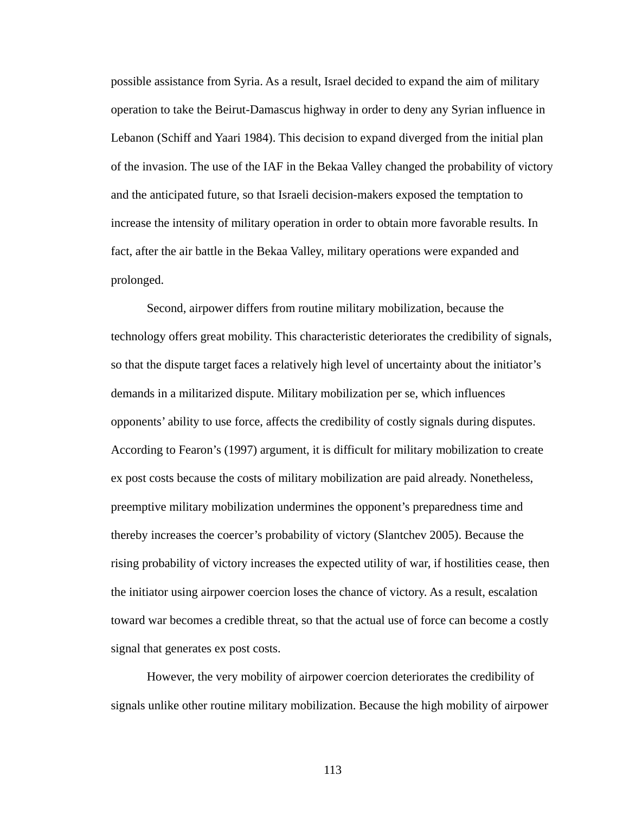possible assistance from Syria. As a result, Israel decided to expand the aim of military operation to take the Beirut-Damascus highway in order to deny any Syrian influence in Lebanon (Schiff and Yaari 1984). This decision to expand diverged from the initial plan of the invasion. The use of the IAF in the Bekaa Valley changed the probability of victory and the anticipated future, so that Israeli decision-makers exposed the temptation to increase the intensity of military operation in order to obtain more favorable results. In fact, after the air battle in the Bekaa Valley, military operations were expanded and prolonged.

Second, airpower differs from routine military mobilization, because the technology offers great mobility. This characteristic deteriorates the credibility of signals, so that the dispute target faces a relatively high level of uncertainty about the initiator's demands in a militarized dispute. Military mobilization per se, which influences opponents' ability to use force, affects the credibility of costly signals during disputes. According to Fearon's (1997) argument, it is difficult for military mobilization to create ex post costs because the costs of military mobilization are paid already. Nonetheless, preemptive military mobilization undermines the opponent's preparedness time and thereby increases the coercer's probability of victory (Slantchev 2005). Because the rising probability of victory increases the expected utility of war, if hostilities cease, then the initiator using airpower coercion loses the chance of victory. As a result, escalation toward war becomes a credible threat, so that the actual use of force can become a costly signal that generates ex post costs.

However, the very mobility of airpower coercion deteriorates the credibility of signals unlike other routine military mobilization. Because the high mobility of airpower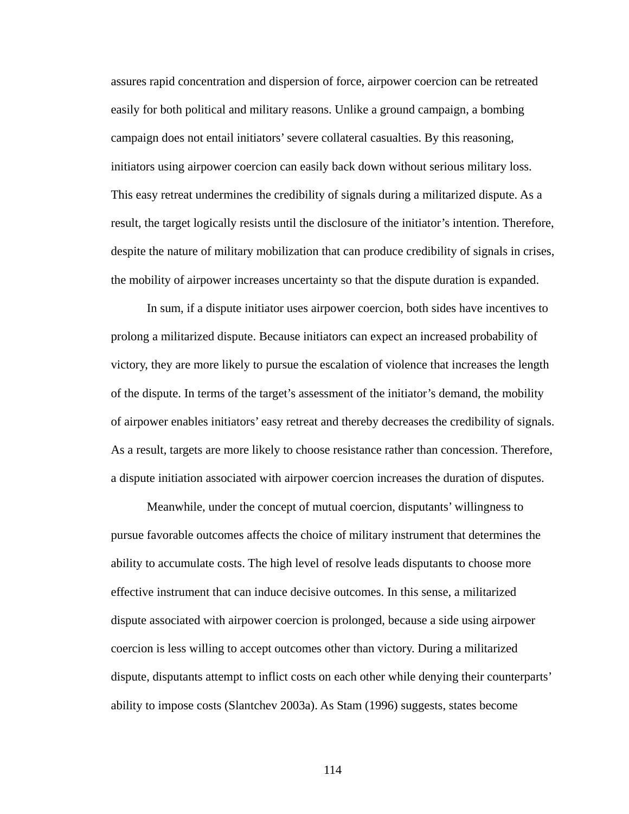assures rapid concentration and dispersion of force, airpower coercion can be retreated easily for both political and military reasons. Unlike a ground campaign, a bombing campaign does not entail initiators' severe collateral casualties. By this reasoning, initiators using airpower coercion can easily back down without serious military loss. This easy retreat undermines the credibility of signals during a militarized dispute. As a result, the target logically resists until the disclosure of the initiator's intention. Therefore, despite the nature of military mobilization that can produce credibility of signals in crises, the mobility of airpower increases uncertainty so that the dispute duration is expanded.

In sum, if a dispute initiator uses airpower coercion, both sides have incentives to prolong a militarized dispute. Because initiators can expect an increased probability of victory, they are more likely to pursue the escalation of violence that increases the length of the dispute. In terms of the target's assessment of the initiator's demand, the mobility of airpower enables initiators' easy retreat and thereby decreases the credibility of signals. As a result, targets are more likely to choose resistance rather than concession. Therefore, a dispute initiation associated with airpower coercion increases the duration of disputes.

Meanwhile, under the concept of mutual coercion, disputants' willingness to pursue favorable outcomes affects the choice of military instrument that determines the ability to accumulate costs. The high level of resolve leads disputants to choose more effective instrument that can induce decisive outcomes. In this sense, a militarized dispute associated with airpower coercion is prolonged, because a side using airpower coercion is less willing to accept outcomes other than victory. During a militarized dispute, disputants attempt to inflict costs on each other while denying their counterparts' ability to impose costs (Slantchev 2003a). As Stam (1996) suggests, states become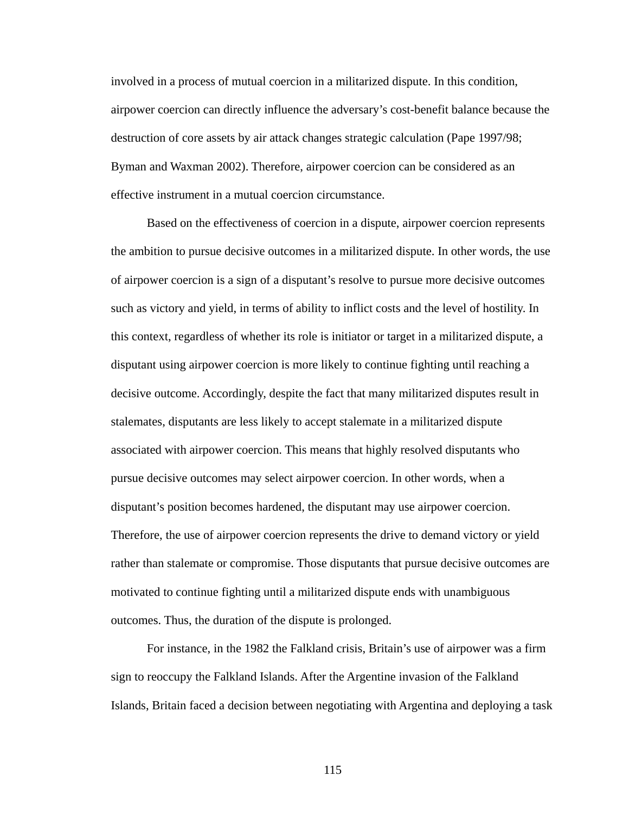involved in a process of mutual coercion in a militarized dispute. In this condition, airpower coercion can directly influence the adversary's cost-benefit balance because the destruction of core assets by air attack changes strategic calculation (Pape 1997/98; Byman and Waxman 2002). Therefore, airpower coercion can be considered as an effective instrument in a mutual coercion circumstance.

Based on the effectiveness of coercion in a dispute, airpower coercion represents the ambition to pursue decisive outcomes in a militarized dispute. In other words, the use of airpower coercion is a sign of a disputant's resolve to pursue more decisive outcomes such as victory and yield, in terms of ability to inflict costs and the level of hostility. In this context, regardless of whether its role is initiator or target in a militarized dispute, a disputant using airpower coercion is more likely to continue fighting until reaching a decisive outcome. Accordingly, despite the fact that many militarized disputes result in stalemates, disputants are less likely to accept stalemate in a militarized dispute associated with airpower coercion. This means that highly resolved disputants who pursue decisive outcomes may select airpower coercion. In other words, when a disputant's position becomes hardened, the disputant may use airpower coercion. Therefore, the use of airpower coercion represents the drive to demand victory or yield rather than stalemate or compromise. Those disputants that pursue decisive outcomes are motivated to continue fighting until a militarized dispute ends with unambiguous outcomes. Thus, the duration of the dispute is prolonged.

For instance, in the 1982 the Falkland crisis, Britain's use of airpower was a firm sign to reoccupy the Falkland Islands. After the Argentine invasion of the Falkland Islands, Britain faced a decision between negotiating with Argentina and deploying a task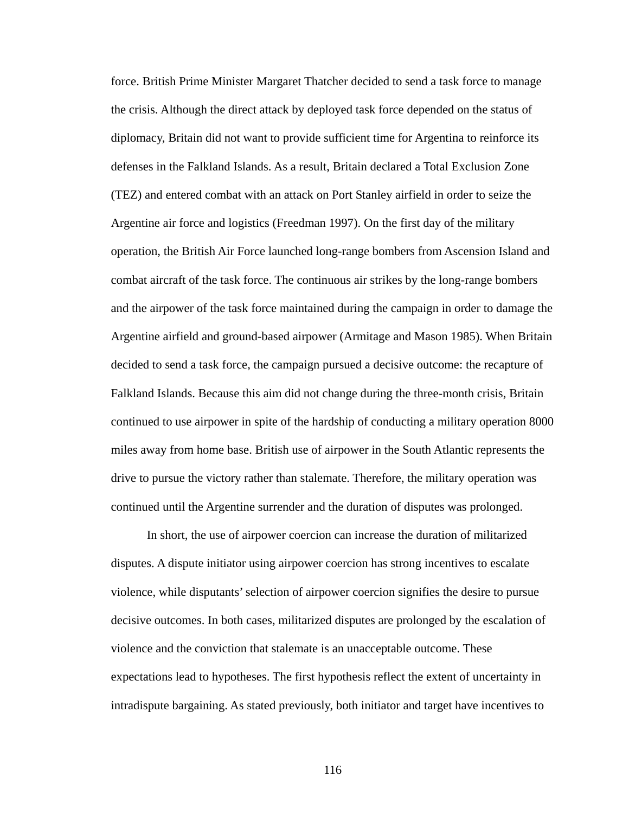force. British Prime Minister Margaret Thatcher decided to send a task force to manage the crisis. Although the direct attack by deployed task force depended on the status of diplomacy, Britain did not want to provide sufficient time for Argentina to reinforce its defenses in the Falkland Islands. As a result, Britain declared a Total Exclusion Zone (TEZ) and entered combat with an attack on Port Stanley airfield in order to seize the Argentine air force and logistics (Freedman 1997). On the first day of the military operation, the British Air Force launched long-range bombers from Ascension Island and combat aircraft of the task force. The continuous air strikes by the long-range bombers and the airpower of the task force maintained during the campaign in order to damage the Argentine airfield and ground-based airpower (Armitage and Mason 1985). When Britain decided to send a task force, the campaign pursued a decisive outcome: the recapture of Falkland Islands. Because this aim did not change during the three-month crisis, Britain continued to use airpower in spite of the hardship of conducting a military operation 8000 miles away from home base. British use of airpower in the South Atlantic represents the drive to pursue the victory rather than stalemate. Therefore, the military operation was continued until the Argentine surrender and the duration of disputes was prolonged.

In short, the use of airpower coercion can increase the duration of militarized disputes. A dispute initiator using airpower coercion has strong incentives to escalate violence, while disputants' selection of airpower coercion signifies the desire to pursue decisive outcomes. In both cases, militarized disputes are prolonged by the escalation of violence and the conviction that stalemate is an unacceptable outcome. These expectations lead to hypotheses. The first hypothesis reflect the extent of uncertainty in intradispute bargaining. As stated previously, both initiator and target have incentives to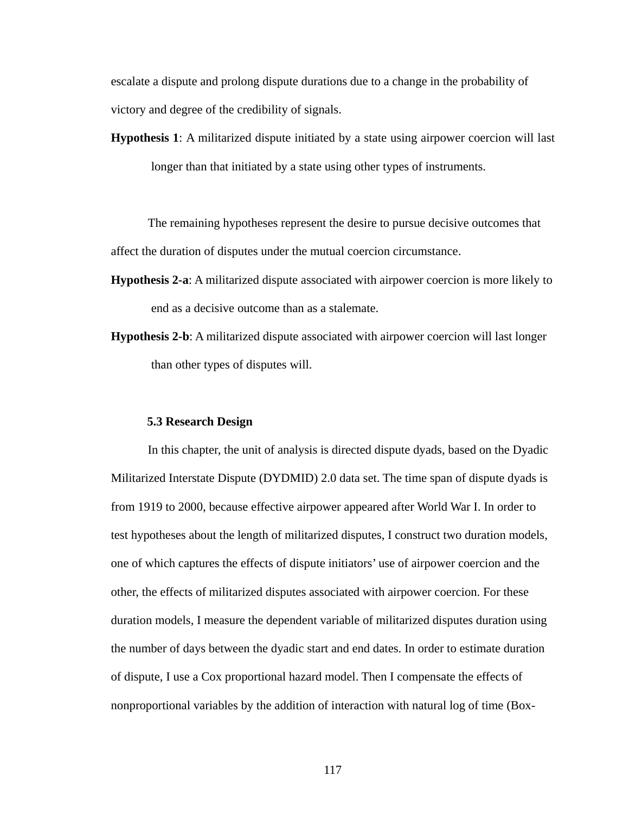escalate a dispute and prolong dispute durations due to a change in the probability of victory and degree of the credibility of signals.

**Hypothesis 1**: A militarized dispute initiated by a state using airpower coercion will last longer than that initiated by a state using other types of instruments.

The remaining hypotheses represent the desire to pursue decisive outcomes that affect the duration of disputes under the mutual coercion circumstance.

- **Hypothesis 2-a**: A militarized dispute associated with airpower coercion is more likely to end as a decisive outcome than as a stalemate.
- **Hypothesis 2-b**: A militarized dispute associated with airpower coercion will last longer than other types of disputes will.

## **5.3 Research Design**

In this chapter, the unit of analysis is directed dispute dyads, based on the Dyadic Militarized Interstate Dispute (DYDMID) 2.0 data set. The time span of dispute dyads is from 1919 to 2000, because effective airpower appeared after World War I. In order to test hypotheses about the length of militarized disputes, I construct two duration models, one of which captures the effects of dispute initiators' use of airpower coercion and the other, the effects of militarized disputes associated with airpower coercion. For these duration models, I measure the dependent variable of militarized disputes duration using the number of days between the dyadic start and end dates. In order to estimate duration of dispute, I use a Cox proportional hazard model. Then I compensate the effects of nonproportional variables by the addition of interaction with natural log of time (Box-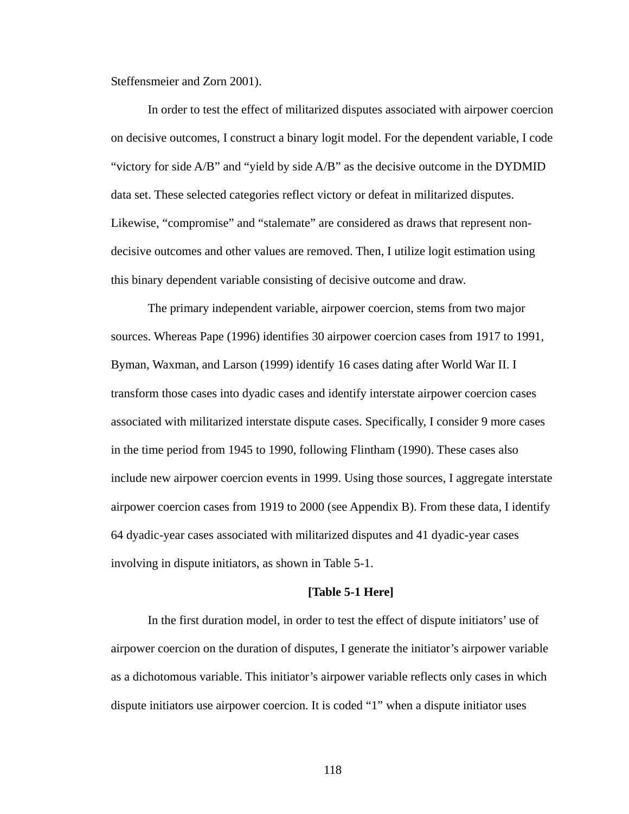Steffensmeier and Zorn 2001).

In order to test the effect of militarized disputes associated with airpower coercion on decisive outcomes, I construct a binary logit model. For the dependent variable, I code "victory for side A/B" and "yield by side A/B" as the decisive outcome in the DYDMID data set. These selected categories reflect victory or defeat in militarized disputes. Likewise, "compromise" and "stalemate" are considered as draws that represent nondecisive outcomes and other values are removed. Then, I utilize logit estimation using this binary dependent variable consisting of decisive outcome and draw.

The primary independent variable, airpower coercion, stems from two major sources. Whereas Pape (1996) identifies 30 airpower coercion cases from 1917 to 1991, Byman, Waxman, and Larson (1999) identify 16 cases dating after World War II. I transform those cases into dyadic cases and identify interstate airpower coercion cases associated with militarized interstate dispute cases. Specifically, I consider 9 more cases in the time period from 1945 to 1990, following Flintham (1990). These cases also include new airpower coercion events in 1999. Using those sources, I aggregate interstate airpower coercion cases from 1919 to 2000 (see Appendix B). From these data, I identify 64 dyadic-year cases associated with militarized disputes and 41 dyadic-year cases involving in dispute initiators, as shown in Table 5-1.

### **[Table 5-1 Here]**

In the first duration model, in order to test the effect of dispute initiators' use of airpower coercion on the duration of disputes, I generate the initiator's airpower variable as a dichotomous variable. This initiator's airpower variable reflects only cases in which dispute initiators use airpower coercion. It is coded "1" when a dispute initiator uses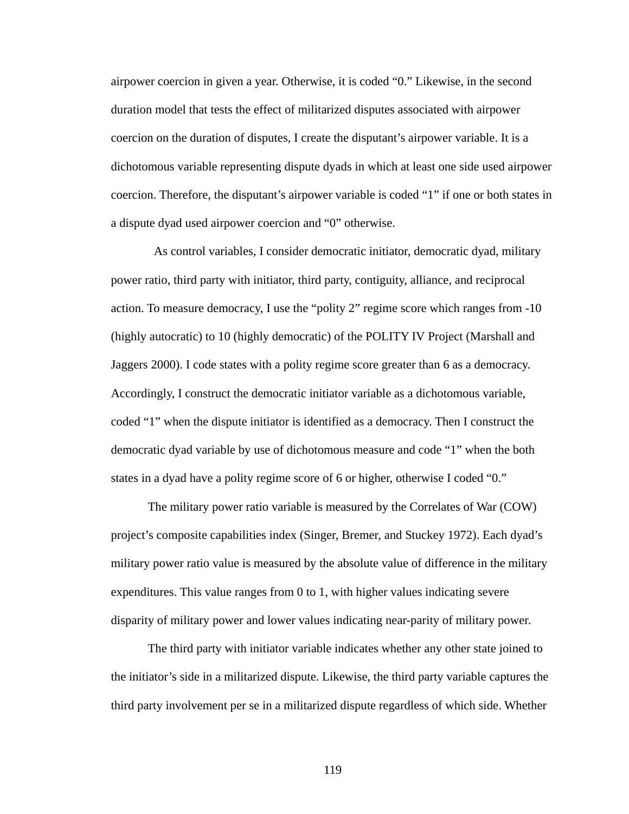airpower coercion in given a year. Otherwise, it is coded "0." Likewise, in the second duration model that tests the effect of militarized disputes associated with airpower coercion on the duration of disputes, I create the disputant's airpower variable. It is a dichotomous variable representing dispute dyads in which at least one side used airpower coercion. Therefore, the disputant's airpower variable is coded "1" if one or both states in a dispute dyad used airpower coercion and "0" otherwise.

 As control variables, I consider democratic initiator, democratic dyad, military power ratio, third party with initiator, third party, contiguity, alliance, and reciprocal action. To measure democracy, I use the "polity 2" regime score which ranges from -10 (highly autocratic) to 10 (highly democratic) of the POLITY IV Project (Marshall and Jaggers 2000). I code states with a polity regime score greater than 6 as a democracy. Accordingly, I construct the democratic initiator variable as a dichotomous variable, coded "1" when the dispute initiator is identified as a democracy. Then I construct the democratic dyad variable by use of dichotomous measure and code "1" when the both states in a dyad have a polity regime score of 6 or higher, otherwise I coded "0."

The military power ratio variable is measured by the Correlates of War (COW) project's composite capabilities index (Singer, Bremer, and Stuckey 1972). Each dyad's military power ratio value is measured by the absolute value of difference in the military expenditures. This value ranges from 0 to 1, with higher values indicating severe disparity of military power and lower values indicating near-parity of military power.

The third party with initiator variable indicates whether any other state joined to the initiator's side in a militarized dispute. Likewise, the third party variable captures the third party involvement per se in a militarized dispute regardless of which side. Whether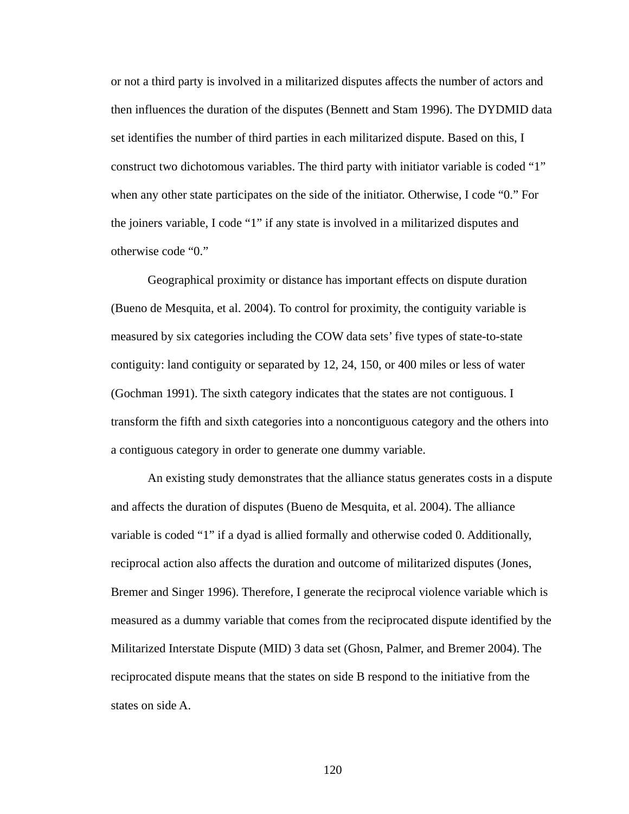or not a third party is involved in a militarized disputes affects the number of actors and then influences the duration of the disputes (Bennett and Stam 1996). The DYDMID data set identifies the number of third parties in each militarized dispute. Based on this, I construct two dichotomous variables. The third party with initiator variable is coded "1" when any other state participates on the side of the initiator. Otherwise, I code "0." For the joiners variable, I code "1" if any state is involved in a militarized disputes and otherwise code "0."

Geographical proximity or distance has important effects on dispute duration (Bueno de Mesquita, et al. 2004). To control for proximity, the contiguity variable is measured by six categories including the COW data sets' five types of state-to-state contiguity: land contiguity or separated by 12, 24, 150, or 400 miles or less of water (Gochman 1991). The sixth category indicates that the states are not contiguous. I transform the fifth and sixth categories into a noncontiguous category and the others into a contiguous category in order to generate one dummy variable.

An existing study demonstrates that the alliance status generates costs in a dispute and affects the duration of disputes (Bueno de Mesquita, et al. 2004). The alliance variable is coded "1" if a dyad is allied formally and otherwise coded 0. Additionally, reciprocal action also affects the duration and outcome of militarized disputes (Jones, Bremer and Singer 1996). Therefore, I generate the reciprocal violence variable which is measured as a dummy variable that comes from the reciprocated dispute identified by the Militarized Interstate Dispute (MID) 3 data set (Ghosn, Palmer, and Bremer 2004). The reciprocated dispute means that the states on side B respond to the initiative from the states on side A.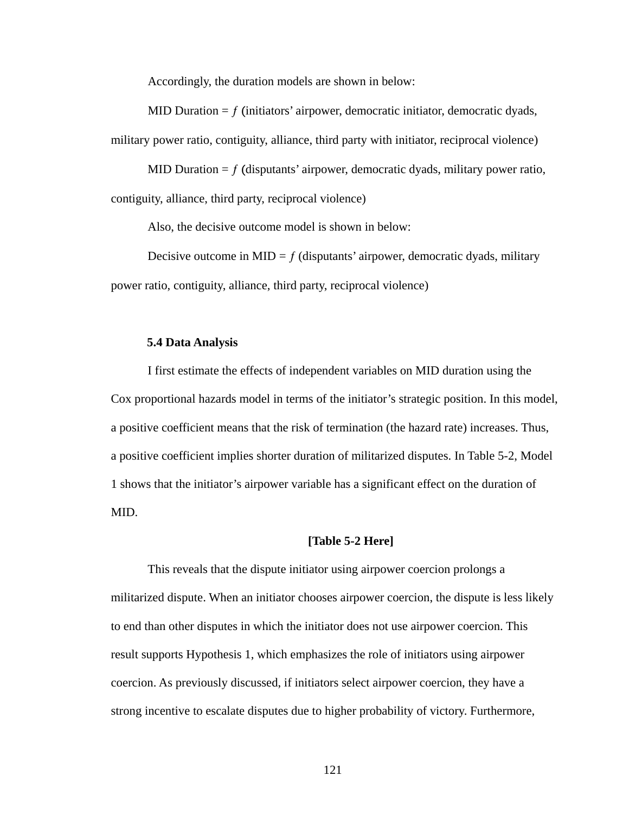Accordingly, the duration models are shown in below:

MID Duration  $= f$  (initiators' airpower, democratic initiator, democratic dyads, military power ratio, contiguity, alliance, third party with initiator, reciprocal violence)

MID Duration  $= f$  (disputants' airpower, democratic dyads, military power ratio, contiguity, alliance, third party, reciprocal violence)

Also, the decisive outcome model is shown in below:

Decisive outcome in MID =  $f$  (disputants' airpower, democratic dyads, military power ratio, contiguity, alliance, third party, reciprocal violence)

# **5.4 Data Analysis**

I first estimate the effects of independent variables on MID duration using the Cox proportional hazards model in terms of the initiator's strategic position. In this model, a positive coefficient means that the risk of termination (the hazard rate) increases. Thus, a positive coefficient implies shorter duration of militarized disputes. In Table 5-2, Model 1 shows that the initiator's airpower variable has a significant effect on the duration of MID.

## **[Table 5-2 Here]**

This reveals that the dispute initiator using airpower coercion prolongs a militarized dispute. When an initiator chooses airpower coercion, the dispute is less likely to end than other disputes in which the initiator does not use airpower coercion. This result supports Hypothesis 1, which emphasizes the role of initiators using airpower coercion. As previously discussed, if initiators select airpower coercion, they have a strong incentive to escalate disputes due to higher probability of victory. Furthermore,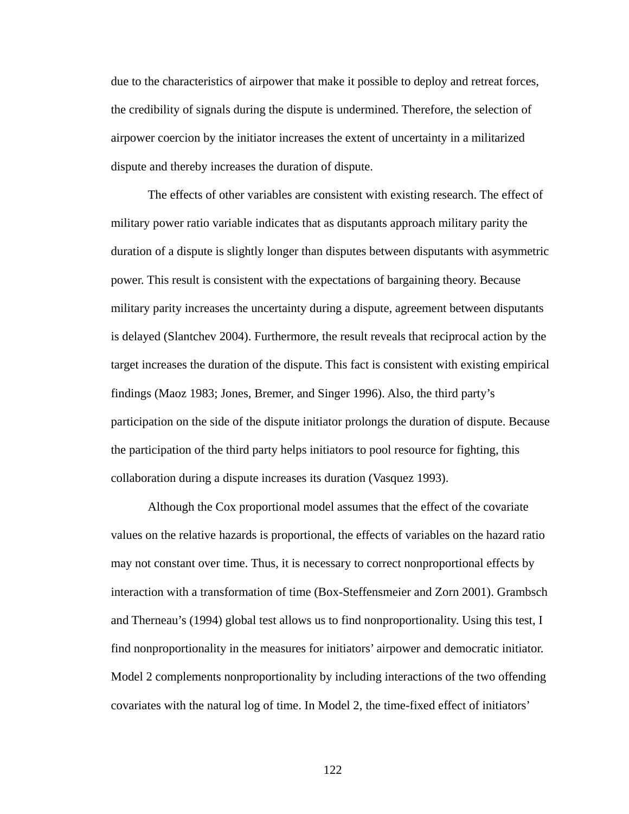due to the characteristics of airpower that make it possible to deploy and retreat forces, the credibility of signals during the dispute is undermined. Therefore, the selection of airpower coercion by the initiator increases the extent of uncertainty in a militarized dispute and thereby increases the duration of dispute.

The effects of other variables are consistent with existing research. The effect of military power ratio variable indicates that as disputants approach military parity the duration of a dispute is slightly longer than disputes between disputants with asymmetric power. This result is consistent with the expectations of bargaining theory. Because military parity increases the uncertainty during a dispute, agreement between disputants is delayed (Slantchev 2004). Furthermore, the result reveals that reciprocal action by the target increases the duration of the dispute. This fact is consistent with existing empirical findings (Maoz 1983; Jones, Bremer, and Singer 1996). Also, the third party's participation on the side of the dispute initiator prolongs the duration of dispute. Because the participation of the third party helps initiators to pool resource for fighting, this collaboration during a dispute increases its duration (Vasquez 1993).

Although the Cox proportional model assumes that the effect of the covariate values on the relative hazards is proportional, the effects of variables on the hazard ratio may not constant over time. Thus, it is necessary to correct nonproportional effects by interaction with a transformation of time (Box-Steffensmeier and Zorn 2001). Grambsch and Therneau's (1994) global test allows us to find nonproportionality. Using this test, I find nonproportionality in the measures for initiators' airpower and democratic initiator. Model 2 complements nonproportionality by including interactions of the two offending covariates with the natural log of time. In Model 2, the time-fixed effect of initiators'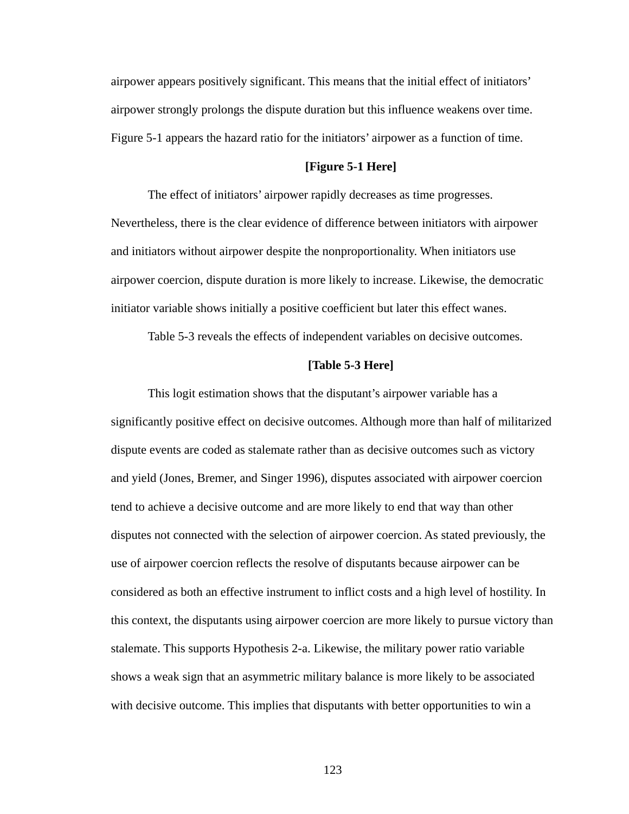airpower appears positively significant. This means that the initial effect of initiators' airpower strongly prolongs the dispute duration but this influence weakens over time. Figure 5-1 appears the hazard ratio for the initiators' airpower as a function of time.

## **[Figure 5-1 Here]**

The effect of initiators' airpower rapidly decreases as time progresses. Nevertheless, there is the clear evidence of difference between initiators with airpower and initiators without airpower despite the nonproportionality. When initiators use airpower coercion, dispute duration is more likely to increase. Likewise, the democratic initiator variable shows initially a positive coefficient but later this effect wanes.

Table 5-3 reveals the effects of independent variables on decisive outcomes.

### **[Table 5-3 Here]**

This logit estimation shows that the disputant's airpower variable has a significantly positive effect on decisive outcomes. Although more than half of militarized dispute events are coded as stalemate rather than as decisive outcomes such as victory and yield (Jones, Bremer, and Singer 1996), disputes associated with airpower coercion tend to achieve a decisive outcome and are more likely to end that way than other disputes not connected with the selection of airpower coercion. As stated previously, the use of airpower coercion reflects the resolve of disputants because airpower can be considered as both an effective instrument to inflict costs and a high level of hostility. In this context, the disputants using airpower coercion are more likely to pursue victory than stalemate. This supports Hypothesis 2-a. Likewise, the military power ratio variable shows a weak sign that an asymmetric military balance is more likely to be associated with decisive outcome. This implies that disputants with better opportunities to win a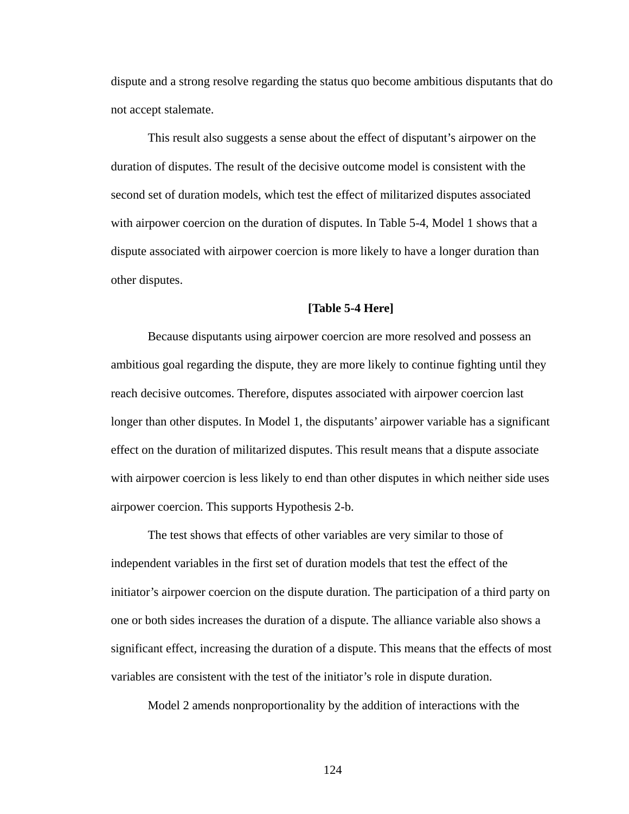dispute and a strong resolve regarding the status quo become ambitious disputants that do not accept stalemate.

This result also suggests a sense about the effect of disputant's airpower on the duration of disputes. The result of the decisive outcome model is consistent with the second set of duration models, which test the effect of militarized disputes associated with airpower coercion on the duration of disputes. In Table 5-4, Model 1 shows that a dispute associated with airpower coercion is more likely to have a longer duration than other disputes.

## **[Table 5-4 Here]**

Because disputants using airpower coercion are more resolved and possess an ambitious goal regarding the dispute, they are more likely to continue fighting until they reach decisive outcomes. Therefore, disputes associated with airpower coercion last longer than other disputes. In Model 1, the disputants' airpower variable has a significant effect on the duration of militarized disputes. This result means that a dispute associate with airpower coercion is less likely to end than other disputes in which neither side uses airpower coercion. This supports Hypothesis 2-b.

The test shows that effects of other variables are very similar to those of independent variables in the first set of duration models that test the effect of the initiator's airpower coercion on the dispute duration. The participation of a third party on one or both sides increases the duration of a dispute. The alliance variable also shows a significant effect, increasing the duration of a dispute. This means that the effects of most variables are consistent with the test of the initiator's role in dispute duration.

Model 2 amends nonproportionality by the addition of interactions with the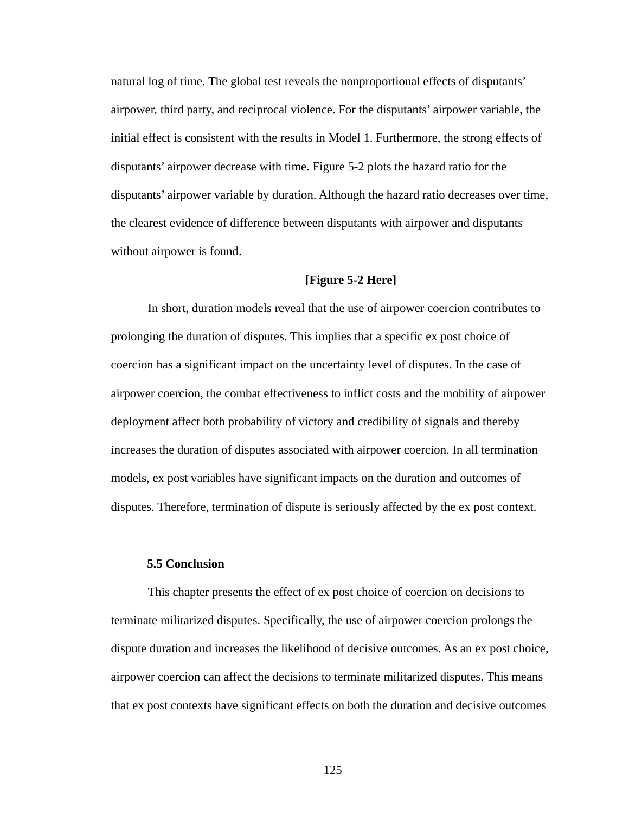natural log of time. The global test reveals the nonproportional effects of disputants' airpower, third party, and reciprocal violence. For the disputants' airpower variable, the initial effect is consistent with the results in Model 1. Furthermore, the strong effects of disputants' airpower decrease with time. Figure 5-2 plots the hazard ratio for the disputants' airpower variable by duration. Although the hazard ratio decreases over time, the clearest evidence of difference between disputants with airpower and disputants without airpower is found.

# **[Figure 5-2 Here]**

In short, duration models reveal that the use of airpower coercion contributes to prolonging the duration of disputes. This implies that a specific ex post choice of coercion has a significant impact on the uncertainty level of disputes. In the case of airpower coercion, the combat effectiveness to inflict costs and the mobility of airpower deployment affect both probability of victory and credibility of signals and thereby increases the duration of disputes associated with airpower coercion. In all termination models, ex post variables have significant impacts on the duration and outcomes of disputes. Therefore, termination of dispute is seriously affected by the ex post context.

# **5.5 Conclusion**

This chapter presents the effect of ex post choice of coercion on decisions to terminate militarized disputes. Specifically, the use of airpower coercion prolongs the dispute duration and increases the likelihood of decisive outcomes. As an ex post choice, airpower coercion can affect the decisions to terminate militarized disputes. This means that ex post contexts have significant effects on both the duration and decisive outcomes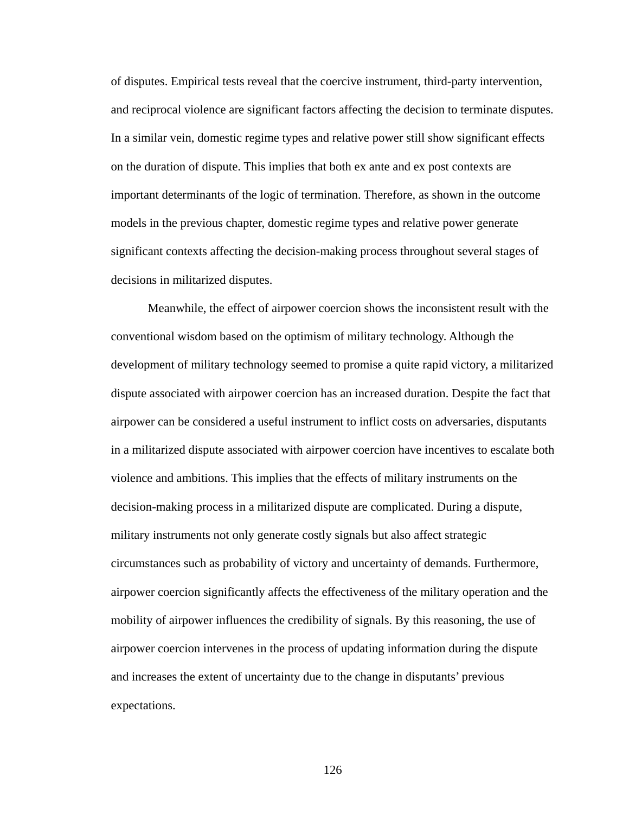of disputes. Empirical tests reveal that the coercive instrument, third-party intervention, and reciprocal violence are significant factors affecting the decision to terminate disputes. In a similar vein, domestic regime types and relative power still show significant effects on the duration of dispute. This implies that both ex ante and ex post contexts are important determinants of the logic of termination. Therefore, as shown in the outcome models in the previous chapter, domestic regime types and relative power generate significant contexts affecting the decision-making process throughout several stages of decisions in militarized disputes.

Meanwhile, the effect of airpower coercion shows the inconsistent result with the conventional wisdom based on the optimism of military technology. Although the development of military technology seemed to promise a quite rapid victory, a militarized dispute associated with airpower coercion has an increased duration. Despite the fact that airpower can be considered a useful instrument to inflict costs on adversaries, disputants in a militarized dispute associated with airpower coercion have incentives to escalate both violence and ambitions. This implies that the effects of military instruments on the decision-making process in a militarized dispute are complicated. During a dispute, military instruments not only generate costly signals but also affect strategic circumstances such as probability of victory and uncertainty of demands. Furthermore, airpower coercion significantly affects the effectiveness of the military operation and the mobility of airpower influences the credibility of signals. By this reasoning, the use of airpower coercion intervenes in the process of updating information during the dispute and increases the extent of uncertainty due to the change in disputants' previous expectations.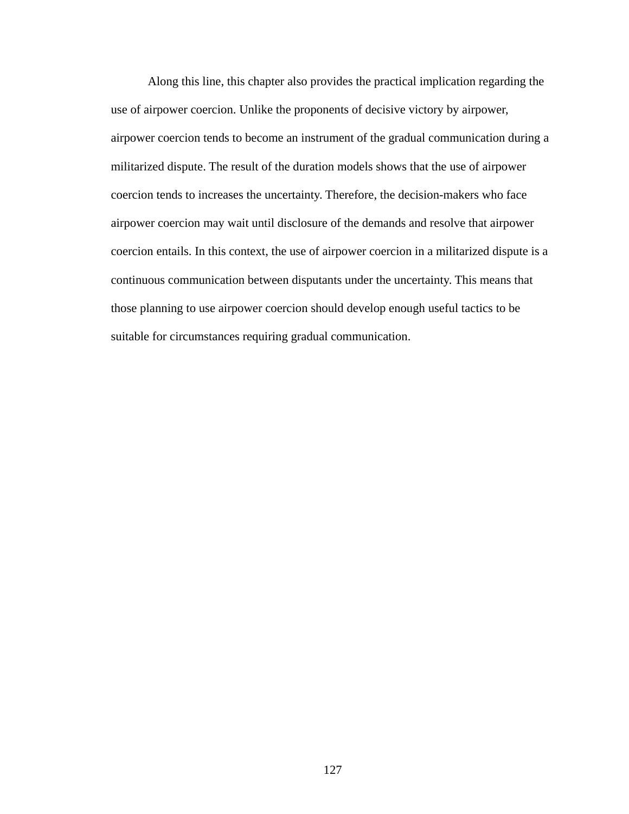Along this line, this chapter also provides the practical implication regarding the use of airpower coercion. Unlike the proponents of decisive victory by airpower, airpower coercion tends to become an instrument of the gradual communication during a militarized dispute. The result of the duration models shows that the use of airpower coercion tends to increases the uncertainty. Therefore, the decision-makers who face airpower coercion may wait until disclosure of the demands and resolve that airpower coercion entails. In this context, the use of airpower coercion in a militarized dispute is a continuous communication between disputants under the uncertainty. This means that those planning to use airpower coercion should develop enough useful tactics to be suitable for circumstances requiring gradual communication.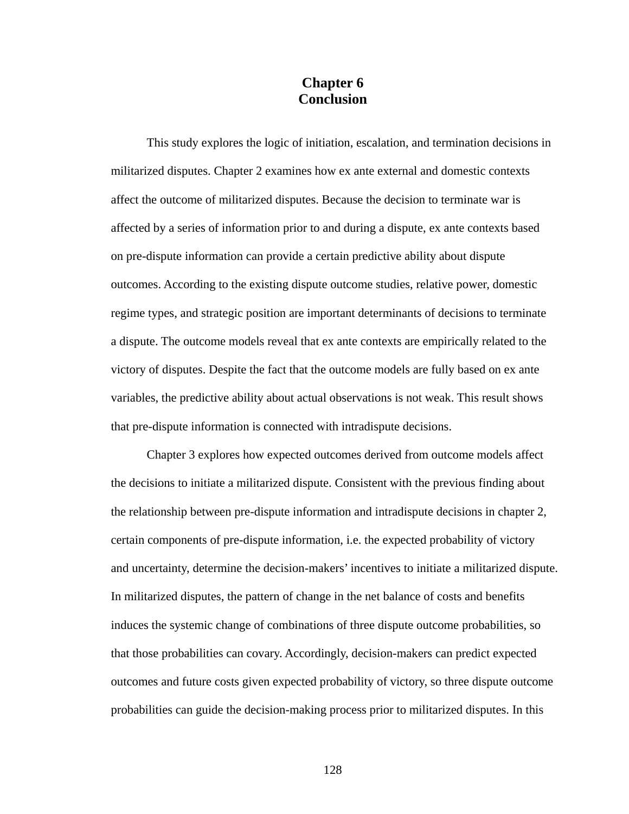# **Chapter 6 Conclusion**

This study explores the logic of initiation, escalation, and termination decisions in militarized disputes. Chapter 2 examines how ex ante external and domestic contexts affect the outcome of militarized disputes. Because the decision to terminate war is affected by a series of information prior to and during a dispute, ex ante contexts based on pre-dispute information can provide a certain predictive ability about dispute outcomes. According to the existing dispute outcome studies, relative power, domestic regime types, and strategic position are important determinants of decisions to terminate a dispute. The outcome models reveal that ex ante contexts are empirically related to the victory of disputes. Despite the fact that the outcome models are fully based on ex ante variables, the predictive ability about actual observations is not weak. This result shows that pre-dispute information is connected with intradispute decisions.

Chapter 3 explores how expected outcomes derived from outcome models affect the decisions to initiate a militarized dispute. Consistent with the previous finding about the relationship between pre-dispute information and intradispute decisions in chapter 2, certain components of pre-dispute information, i.e. the expected probability of victory and uncertainty, determine the decision-makers' incentives to initiate a militarized dispute. In militarized disputes, the pattern of change in the net balance of costs and benefits induces the systemic change of combinations of three dispute outcome probabilities, so that those probabilities can covary. Accordingly, decision-makers can predict expected outcomes and future costs given expected probability of victory, so three dispute outcome probabilities can guide the decision-making process prior to militarized disputes. In this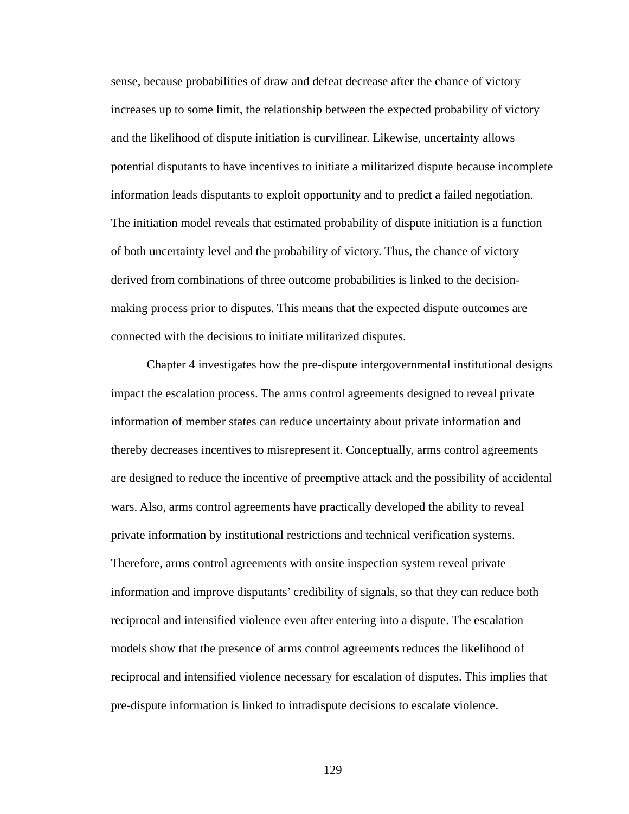sense, because probabilities of draw and defeat decrease after the chance of victory increases up to some limit, the relationship between the expected probability of victory and the likelihood of dispute initiation is curvilinear. Likewise, uncertainty allows potential disputants to have incentives to initiate a militarized dispute because incomplete information leads disputants to exploit opportunity and to predict a failed negotiation. The initiation model reveals that estimated probability of dispute initiation is a function of both uncertainty level and the probability of victory. Thus, the chance of victory derived from combinations of three outcome probabilities is linked to the decisionmaking process prior to disputes. This means that the expected dispute outcomes are connected with the decisions to initiate militarized disputes.

Chapter 4 investigates how the pre-dispute intergovernmental institutional designs impact the escalation process. The arms control agreements designed to reveal private information of member states can reduce uncertainty about private information and thereby decreases incentives to misrepresent it. Conceptually, arms control agreements are designed to reduce the incentive of preemptive attack and the possibility of accidental wars. Also, arms control agreements have practically developed the ability to reveal private information by institutional restrictions and technical verification systems. Therefore, arms control agreements with onsite inspection system reveal private information and improve disputants' credibility of signals, so that they can reduce both reciprocal and intensified violence even after entering into a dispute. The escalation models show that the presence of arms control agreements reduces the likelihood of reciprocal and intensified violence necessary for escalation of disputes. This implies that pre-dispute information is linked to intradispute decisions to escalate violence.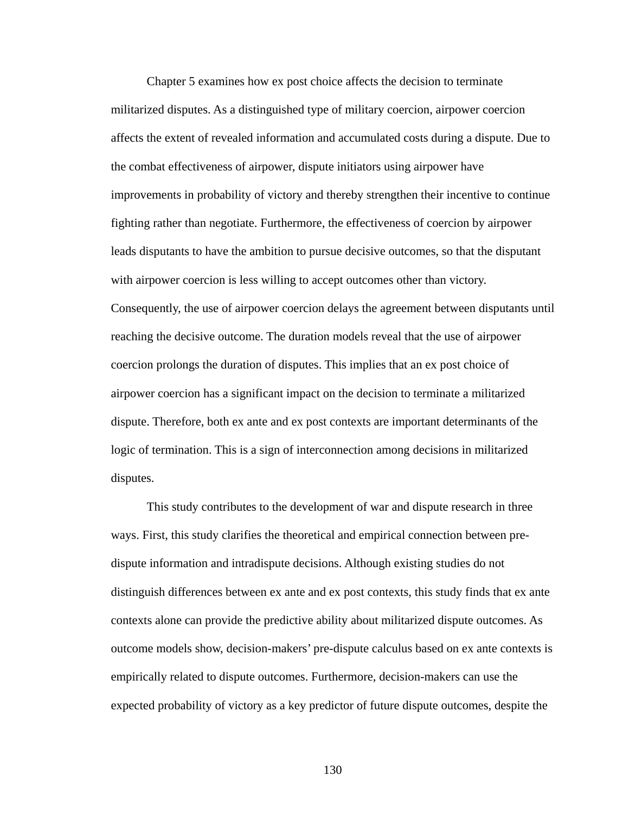Chapter 5 examines how ex post choice affects the decision to terminate militarized disputes. As a distinguished type of military coercion, airpower coercion affects the extent of revealed information and accumulated costs during a dispute. Due to the combat effectiveness of airpower, dispute initiators using airpower have improvements in probability of victory and thereby strengthen their incentive to continue fighting rather than negotiate. Furthermore, the effectiveness of coercion by airpower leads disputants to have the ambition to pursue decisive outcomes, so that the disputant with airpower coercion is less willing to accept outcomes other than victory. Consequently, the use of airpower coercion delays the agreement between disputants until reaching the decisive outcome. The duration models reveal that the use of airpower coercion prolongs the duration of disputes. This implies that an ex post choice of airpower coercion has a significant impact on the decision to terminate a militarized dispute. Therefore, both ex ante and ex post contexts are important determinants of the logic of termination. This is a sign of interconnection among decisions in militarized disputes.

This study contributes to the development of war and dispute research in three ways. First, this study clarifies the theoretical and empirical connection between predispute information and intradispute decisions. Although existing studies do not distinguish differences between ex ante and ex post contexts, this study finds that ex ante contexts alone can provide the predictive ability about militarized dispute outcomes. As outcome models show, decision-makers' pre-dispute calculus based on ex ante contexts is empirically related to dispute outcomes. Furthermore, decision-makers can use the expected probability of victory as a key predictor of future dispute outcomes, despite the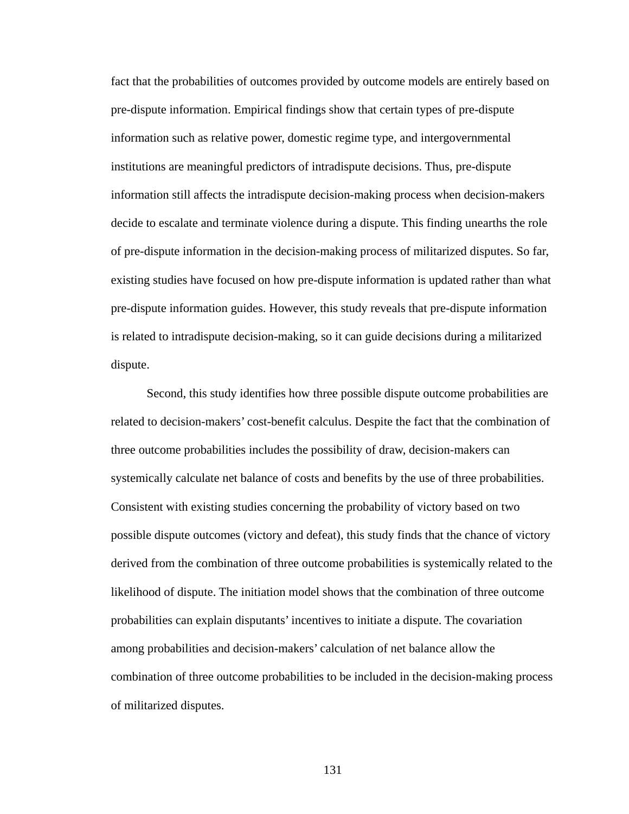fact that the probabilities of outcomes provided by outcome models are entirely based on pre-dispute information. Empirical findings show that certain types of pre-dispute information such as relative power, domestic regime type, and intergovernmental institutions are meaningful predictors of intradispute decisions. Thus, pre-dispute information still affects the intradispute decision-making process when decision-makers decide to escalate and terminate violence during a dispute. This finding unearths the role of pre-dispute information in the decision-making process of militarized disputes. So far, existing studies have focused on how pre-dispute information is updated rather than what pre-dispute information guides. However, this study reveals that pre-dispute information is related to intradispute decision-making, so it can guide decisions during a militarized dispute.

Second, this study identifies how three possible dispute outcome probabilities are related to decision-makers' cost-benefit calculus. Despite the fact that the combination of three outcome probabilities includes the possibility of draw, decision-makers can systemically calculate net balance of costs and benefits by the use of three probabilities. Consistent with existing studies concerning the probability of victory based on two possible dispute outcomes (victory and defeat), this study finds that the chance of victory derived from the combination of three outcome probabilities is systemically related to the likelihood of dispute. The initiation model shows that the combination of three outcome probabilities can explain disputants' incentives to initiate a dispute. The covariation among probabilities and decision-makers' calculation of net balance allow the combination of three outcome probabilities to be included in the decision-making process of militarized disputes.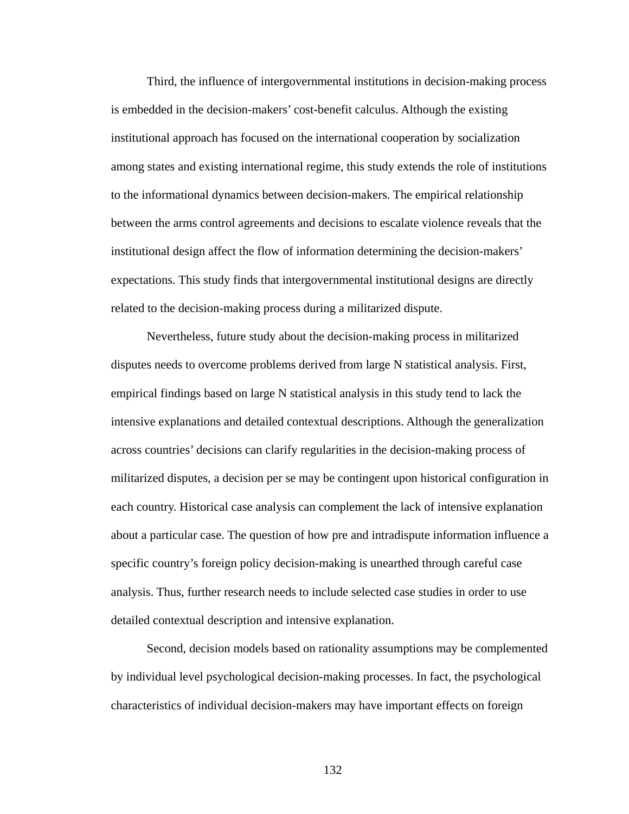Third, the influence of intergovernmental institutions in decision-making process is embedded in the decision-makers' cost-benefit calculus. Although the existing institutional approach has focused on the international cooperation by socialization among states and existing international regime, this study extends the role of institutions to the informational dynamics between decision-makers. The empirical relationship between the arms control agreements and decisions to escalate violence reveals that the institutional design affect the flow of information determining the decision-makers' expectations. This study finds that intergovernmental institutional designs are directly related to the decision-making process during a militarized dispute.

Nevertheless, future study about the decision-making process in militarized disputes needs to overcome problems derived from large N statistical analysis. First, empirical findings based on large N statistical analysis in this study tend to lack the intensive explanations and detailed contextual descriptions. Although the generalization across countries' decisions can clarify regularities in the decision-making process of militarized disputes, a decision per se may be contingent upon historical configuration in each country. Historical case analysis can complement the lack of intensive explanation about a particular case. The question of how pre and intradispute information influence a specific country's foreign policy decision-making is unearthed through careful case analysis. Thus, further research needs to include selected case studies in order to use detailed contextual description and intensive explanation.

Second, decision models based on rationality assumptions may be complemented by individual level psychological decision-making processes. In fact, the psychological characteristics of individual decision-makers may have important effects on foreign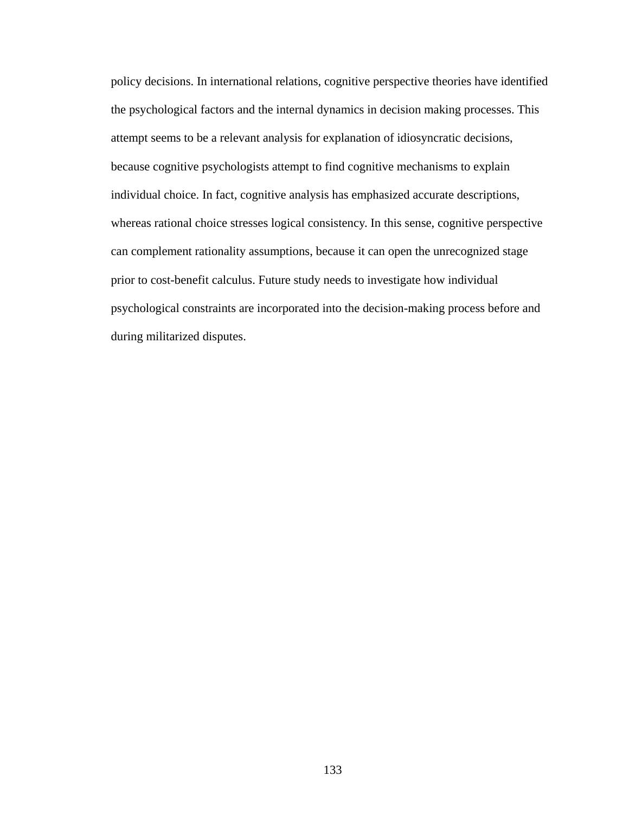policy decisions. In international relations, cognitive perspective theories have identified the psychological factors and the internal dynamics in decision making processes. This attempt seems to be a relevant analysis for explanation of idiosyncratic decisions, because cognitive psychologists attempt to find cognitive mechanisms to explain individual choice. In fact, cognitive analysis has emphasized accurate descriptions, whereas rational choice stresses logical consistency. In this sense, cognitive perspective can complement rationality assumptions, because it can open the unrecognized stage prior to cost-benefit calculus. Future study needs to investigate how individual psychological constraints are incorporated into the decision-making process before and during militarized disputes.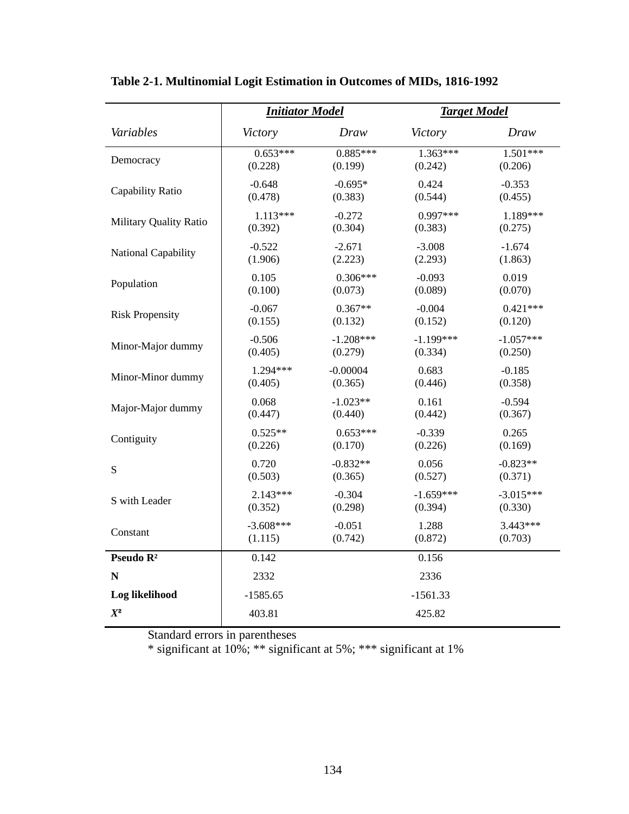|                               | <b>Initiator Model</b> |                     | <b>Target Model</b>                       |             |  |  |  |  |  |
|-------------------------------|------------------------|---------------------|-------------------------------------------|-------------|--|--|--|--|--|
| Variables                     | Victory                | Draw                | Victory                                   | Draw        |  |  |  |  |  |
| Democracy                     | $0.653***$             | $0.885***$          | $1.363***$                                | $1.501***$  |  |  |  |  |  |
|                               | (0.228)                | (0.199)             | (0.242)                                   | (0.206)     |  |  |  |  |  |
| Capability Ratio              | $-0.648$               | $-0.695*$           | 0.424                                     | $-0.353$    |  |  |  |  |  |
|                               | (0.478)                | (0.383)             | (0.544)                                   | (0.455)     |  |  |  |  |  |
| <b>Military Quality Ratio</b> | $1.113***$             | $-0.272$            | $0.997***$                                | 1.189***    |  |  |  |  |  |
|                               | (0.392)                | (0.304)             | (0.383)                                   | (0.275)     |  |  |  |  |  |
| National Capability           | $-0.522$               | $-2.671$            | $-3.008$                                  | $-1.674$    |  |  |  |  |  |
|                               | (1.906)                | (2.223)             | (2.293)                                   | (1.863)     |  |  |  |  |  |
| Population                    | 0.105                  | $0.306***$          | $-0.093$                                  | 0.019       |  |  |  |  |  |
|                               | (0.100)                | (0.073)             | (0.089)                                   | (0.070)     |  |  |  |  |  |
| <b>Risk Propensity</b>        | $-0.067$               | $0.367**$           | $-0.004$                                  | $0.421***$  |  |  |  |  |  |
|                               | (0.155)                | (0.132)             | (0.152)                                   | (0.120)     |  |  |  |  |  |
| Minor-Major dummy             | $-0.506$               | $-1.208***$         | $-1.199***$                               | $-1.057***$ |  |  |  |  |  |
|                               | (0.405)                | (0.279)             | (0.334)                                   | (0.250)     |  |  |  |  |  |
| Minor-Minor dummy             | 1.294***               | $-0.00004$          | 0.683                                     | $-0.185$    |  |  |  |  |  |
|                               | (0.405)                | (0.365)             | (0.446)                                   | (0.358)     |  |  |  |  |  |
| Major-Major dummy             | 0.068                  | $-1.023**$          | 0.161                                     | $-0.594$    |  |  |  |  |  |
|                               | (0.447)                | (0.440)             | (0.442)                                   | (0.367)     |  |  |  |  |  |
| Contiguity                    | $0.525**$              | $0.653***$          | $-0.339$                                  | 0.265       |  |  |  |  |  |
|                               | (0.226)                | (0.170)             | (0.226)                                   | (0.169)     |  |  |  |  |  |
| S                             | 0.720                  | $-0.832**$          | 0.056                                     | $-0.823**$  |  |  |  |  |  |
|                               | (0.503)                | (0.365)             | (0.527)                                   | (0.371)     |  |  |  |  |  |
| S with Leader                 | $2.143***$             | $-0.304$            | $-1.659***$                               | $-3.015***$ |  |  |  |  |  |
|                               | (0.352)                | (0.298)             | (0.394)                                   | (0.330)     |  |  |  |  |  |
| Constant                      | $-3.608***$<br>(1.115) | $-0.051$<br>(0.742) | $3.443***$<br>1.288<br>(0.872)<br>(0.703) |             |  |  |  |  |  |
| Pseudo R <sup>2</sup>         | 0.142                  |                     | 0.156                                     |             |  |  |  |  |  |
| N                             | 2332                   |                     | 2336                                      |             |  |  |  |  |  |
| Log likelihood                | $-1585.65$             |                     | $-1561.33$                                |             |  |  |  |  |  |
| $X^2$                         | 403.81                 | 425.82              |                                           |             |  |  |  |  |  |

**Table 2-1. Multinomial Logit Estimation in Outcomes of MIDs, 1816-1992**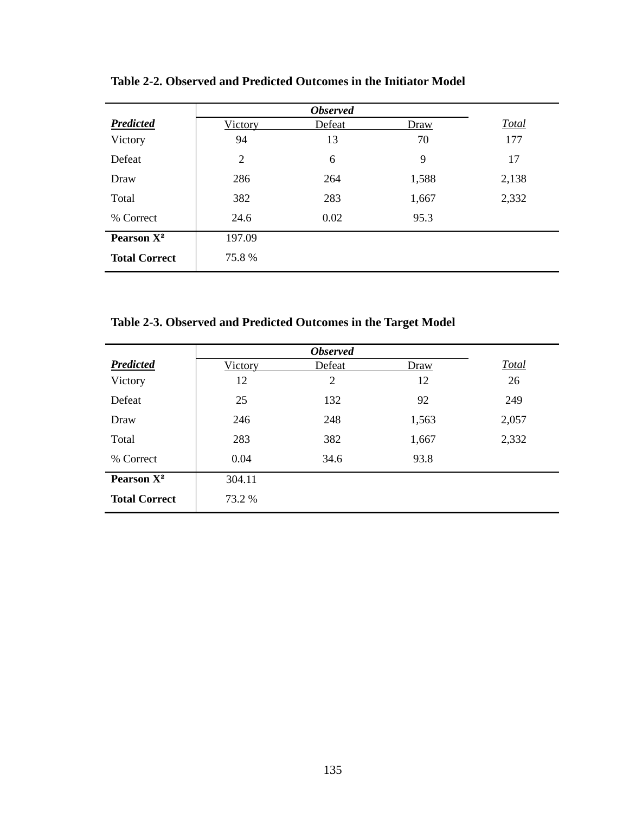|                        | <b>Observed</b> |        |       |              |  |  |  |  |  |  |  |
|------------------------|-----------------|--------|-------|--------------|--|--|--|--|--|--|--|
| <b>Predicted</b>       | Victory         | Defeat | Draw  | <b>Total</b> |  |  |  |  |  |  |  |
| Victory                | 94              | 13     | 70    | 177          |  |  |  |  |  |  |  |
| Defeat                 | $\overline{2}$  | 6      | 9     | 17           |  |  |  |  |  |  |  |
| Draw                   | 286             | 264    | 1,588 | 2,138        |  |  |  |  |  |  |  |
| Total                  | 382             | 283    | 1,667 | 2,332        |  |  |  |  |  |  |  |
| % Correct              | 24.6            | 0.02   | 95.3  |              |  |  |  |  |  |  |  |
| Pearson X <sup>2</sup> | 197.09          |        |       |              |  |  |  |  |  |  |  |
| <b>Total Correct</b>   | 75.8%           |        |       |              |  |  |  |  |  |  |  |

**Table 2-2. Observed and Predicted Outcomes in the Initiator Model** 

**Table 2-3. Observed and Predicted Outcomes in the Target Model** 

| <b>Predicted</b>       | Victory | Defeat         | Draw  | <b>Total</b> |
|------------------------|---------|----------------|-------|--------------|
| Victory                | 12      | $\overline{2}$ | 12    | 26           |
| Defeat                 | 25      | 132            | 92    | 249          |
| Draw                   | 246     | 248            | 1,563 | 2,057        |
| Total                  | 283     | 382            | 1,667 | 2,332        |
| % Correct              | 0.04    | 34.6           | 93.8  |              |
| Pearson X <sup>2</sup> | 304.11  |                |       |              |
| <b>Total Correct</b>   | 73.2 %  |                |       |              |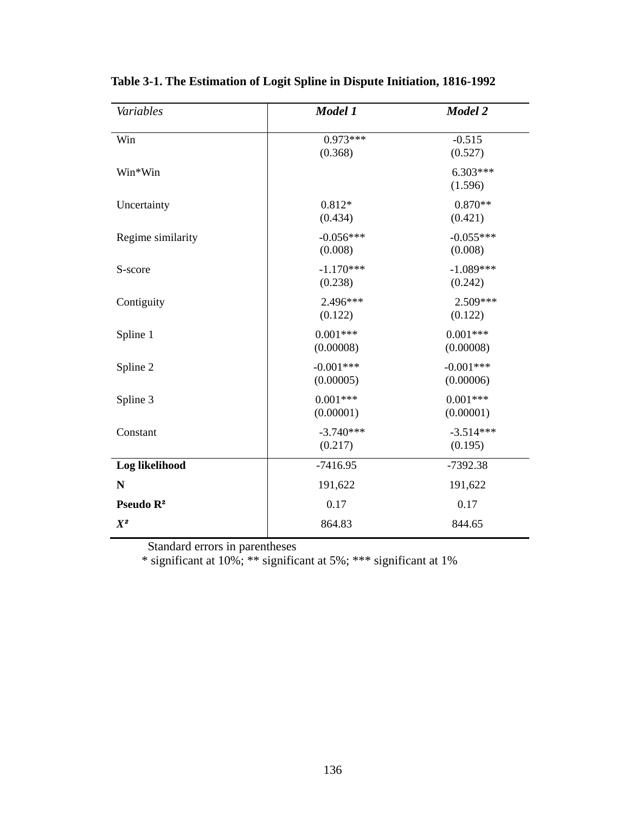| Variables             | Model 1                  | Model 2                  |
|-----------------------|--------------------------|--------------------------|
| Win                   | $0.973***$<br>(0.368)    | $-0.515$<br>(0.527)      |
| Win*Win               |                          | $6.303***$<br>(1.596)    |
| Uncertainty           | $0.812*$<br>(0.434)      | $0.870**$<br>(0.421)     |
| Regime similarity     | $-0.056***$<br>(0.008)   | $-0.055***$<br>(0.008)   |
| S-score               | $-1.170***$<br>(0.238)   | $-1.089***$<br>(0.242)   |
| Contiguity            | 2.496***<br>(0.122)      | $2.509***$<br>(0.122)    |
| Spline 1              | $0.001***$<br>(0.00008)  | $0.001***$<br>(0.00008)  |
| Spline 2              | $-0.001***$<br>(0.00005) | $-0.001***$<br>(0.00006) |
| Spline 3              | $0.001***$<br>(0.00001)  | $0.001***$<br>(0.00001)  |
| Constant              | $-3.740***$<br>(0.217)   | $-3.514***$<br>(0.195)   |
| Log likelihood        | $-7416.95$               | $-7392.38$               |
| N                     | 191,622                  | 191,622                  |
| Pseudo R <sup>2</sup> | 0.17                     | 0.17                     |
| $X^2$                 | 864.83                   | 844.65                   |

**Table 3-1. The Estimation of Logit Spline in Dispute Initiation, 1816-1992**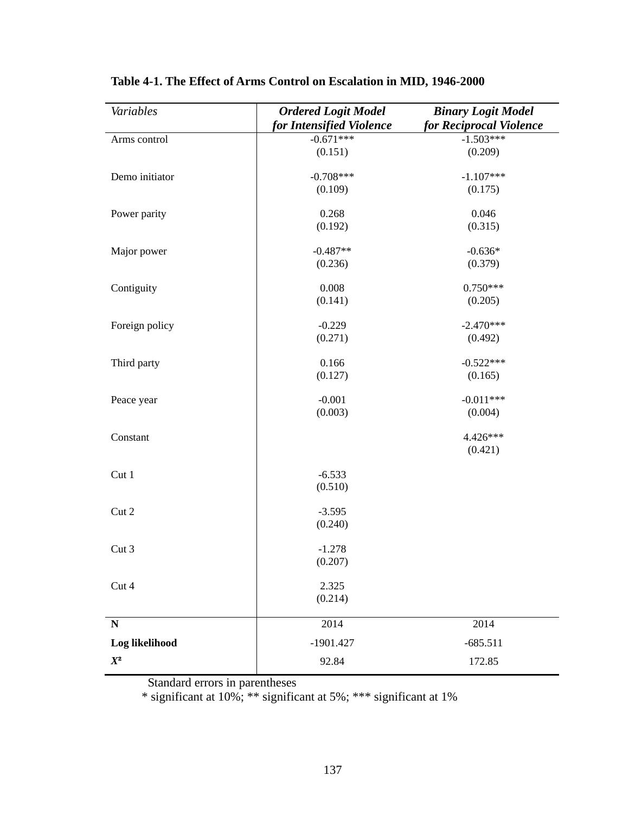| Variables                   | <b>Ordered Logit Model</b>              | <b>Binary Logit Model</b>              |
|-----------------------------|-----------------------------------------|----------------------------------------|
|                             | for Intensified Violence<br>$-0.671***$ | for Reciprocal Violence<br>$-1.503***$ |
| Arms control                | (0.151)                                 | (0.209)                                |
|                             |                                         |                                        |
| Demo initiator              | $-0.708***$                             | $-1.107***$                            |
|                             | (0.109)                                 | (0.175)                                |
| Power parity                | 0.268                                   | 0.046                                  |
|                             | (0.192)                                 | (0.315)                                |
|                             |                                         |                                        |
| Major power                 | $-0.487**$                              | $-0.636*$                              |
|                             | (0.236)                                 | (0.379)                                |
| Contiguity                  | 0.008                                   | $0.750***$                             |
|                             | (0.141)                                 | (0.205)                                |
|                             |                                         |                                        |
| Foreign policy              | $-0.229$                                | $-2.470***$                            |
|                             | (0.271)                                 | (0.492)                                |
| Third party                 | 0.166                                   | $-0.522***$                            |
|                             | (0.127)                                 | (0.165)                                |
|                             |                                         |                                        |
| Peace year                  | $-0.001$                                | $-0.011***$                            |
|                             | (0.003)                                 | (0.004)                                |
| Constant                    |                                         | 4.426***                               |
|                             |                                         | (0.421)                                |
|                             |                                         |                                        |
| Cut 1                       | $-6.533$                                |                                        |
|                             | (0.510)                                 |                                        |
| Cut 2                       |                                         |                                        |
|                             | $-3.595$<br>(0.240)                     |                                        |
|                             |                                         |                                        |
| Cut 3                       | $-1.278$                                |                                        |
|                             | (0.207)                                 |                                        |
|                             |                                         |                                        |
| Cut 4                       | 2.325                                   |                                        |
|                             | (0.214)                                 |                                        |
| ${\bf N}$                   | 2014                                    | 2014                                   |
| Log likelihood              | $-1901.427$                             | $-685.511$                             |
|                             |                                         |                                        |
| $\mathfrak{X}^{\mathbf{2}}$ | 92.84                                   | 172.85                                 |

**Table 4-1. The Effect of Arms Control on Escalation in MID, 1946-2000**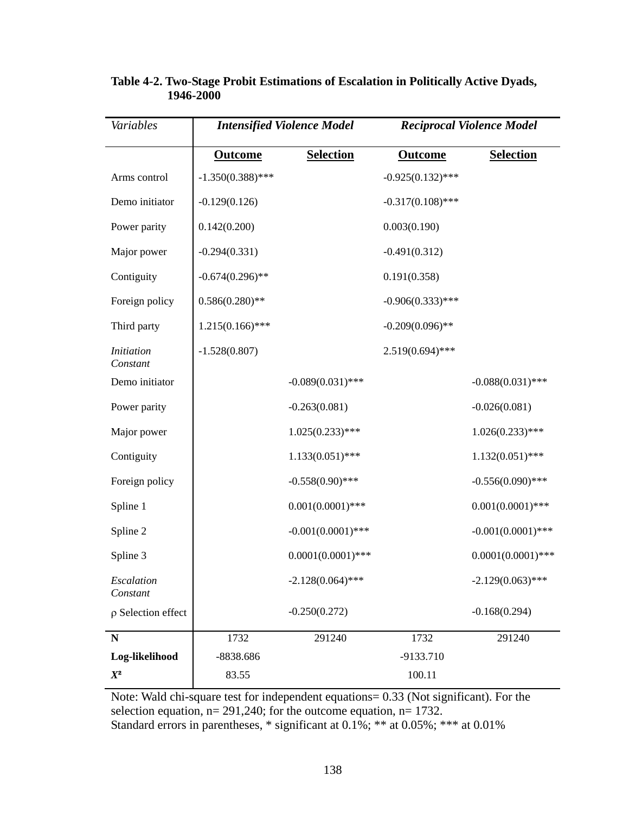| Variables                     |                     | <b>Intensified Violence Model</b> |                     | <b>Reciprocal Violence Model</b> |  |  |  |
|-------------------------------|---------------------|-----------------------------------|---------------------|----------------------------------|--|--|--|
|                               | <b>Outcome</b>      | <b>Selection</b>                  | <b>Outcome</b>      | <b>Selection</b>                 |  |  |  |
| Arms control                  | $-1.350(0.388)$ *** |                                   | $-0.925(0.132)$ *** |                                  |  |  |  |
| Demo initiator                | $-0.129(0.126)$     |                                   | $-0.317(0.108)$ *** |                                  |  |  |  |
| Power parity                  | 0.142(0.200)        |                                   | 0.003(0.190)        |                                  |  |  |  |
| Major power                   | $-0.294(0.331)$     |                                   | $-0.491(0.312)$     |                                  |  |  |  |
| Contiguity                    | $-0.674(0.296)$ **  |                                   | 0.191(0.358)        |                                  |  |  |  |
| Foreign policy                | $0.586(0.280)$ **   |                                   | $-0.906(0.333)$ *** |                                  |  |  |  |
| Third party                   | $1.215(0.166)$ ***  |                                   | $-0.209(0.096)$ **  |                                  |  |  |  |
| <i>Initiation</i><br>Constant | $-1.528(0.807)$     |                                   | $2.519(0.694)$ ***  |                                  |  |  |  |
| Demo initiator                |                     | $-0.089(0.031)$ ***               |                     | $-0.088(0.031)$ ***              |  |  |  |
| Power parity                  |                     | $-0.263(0.081)$                   |                     | $-0.026(0.081)$                  |  |  |  |
| Major power                   |                     | $1.025(0.233)$ ***                |                     | $1.026(0.233)$ ***               |  |  |  |
| Contiguity                    |                     | $1.133(0.051)$ ***                |                     | $1.132(0.051)$ ***               |  |  |  |
| Foreign policy                |                     | $-0.558(0.90)$ ***                |                     | $-0.556(0.090)$ ***              |  |  |  |
| Spline 1                      |                     | $0.001(0.0001)$ ***               |                     | $0.001(0.0001)$ ***              |  |  |  |
| Spline 2                      |                     | $-0.001(0.0001)$ ***              |                     | $-0.001(0.0001)$ ***             |  |  |  |
| Spline 3                      |                     | $0.0001(0.0001)$ ***              |                     | $0.0001(0.0001)$ ***             |  |  |  |
| Escalation<br>Constant        |                     | $-2.128(0.064)$ ***               |                     | $-2.129(0.063)$ ***              |  |  |  |
| $\rho$ Selection effect       |                     | $-0.250(0.272)$                   |                     | $-0.168(0.294)$                  |  |  |  |
| $\mathbf N$                   | 1732                | 291240                            | 1732                | 291240                           |  |  |  |
| Log-likelihood                | -8838.686           |                                   | -9133.710           |                                  |  |  |  |
| $X^2$                         | 83.55               |                                   | 100.11              |                                  |  |  |  |

## **Table 4-2. Two-Stage Probit Estimations of Escalation in Politically Active Dyads, 1946-2000**

Note: Wald chi-square test for independent equations= 0.33 (Not significant). For the selection equation, n= 291,240; for the outcome equation, n= 1732. Standard errors in parentheses, \* significant at 0.1%; \*\* at 0.05%; \*\*\* at 0.01%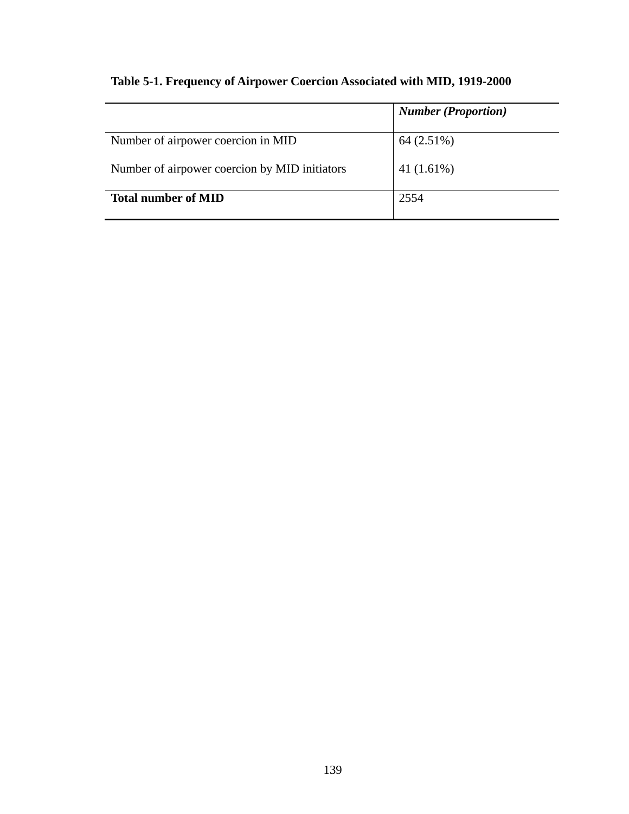|                                               | <b>Number (Proportion)</b> |
|-----------------------------------------------|----------------------------|
| Number of airpower coercion in MID            | 64 (2.51%)                 |
| Number of airpower coercion by MID initiators | 41 $(1.61\%)$              |
| <b>Total number of MID</b>                    | 2554                       |

## **Table 5-1. Frequency of Airpower Coercion Associated with MID, 1919-2000**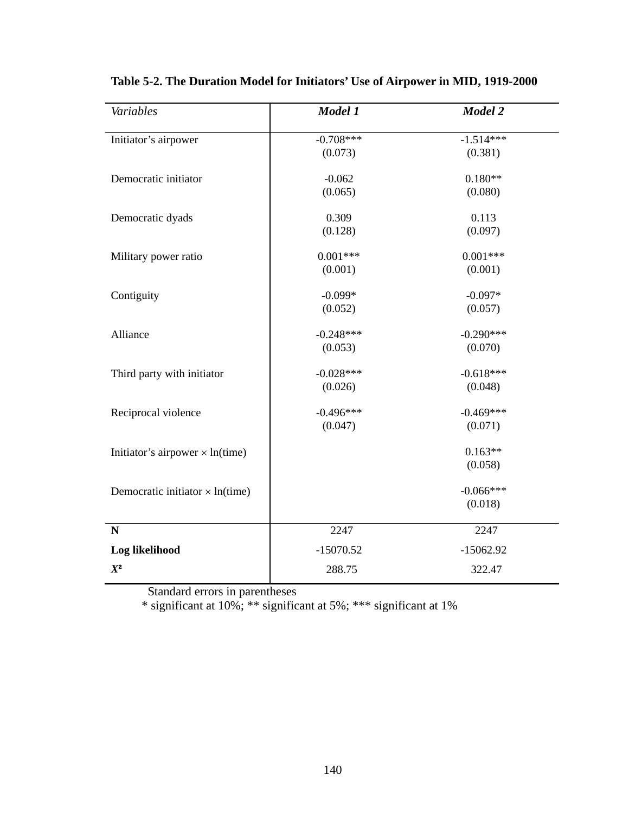| Variables                              | Model 1     | Model 2     |
|----------------------------------------|-------------|-------------|
| Initiator's airpower                   | $-0.708***$ | $-1.514***$ |
|                                        | (0.073)     | (0.381)     |
| Democratic initiator                   | $-0.062$    | $0.180**$   |
|                                        | (0.065)     | (0.080)     |
| Democratic dyads                       | 0.309       | 0.113       |
|                                        | (0.128)     | (0.097)     |
| Military power ratio                   | $0.001***$  | $0.001***$  |
|                                        | (0.001)     | (0.001)     |
| Contiguity                             | $-0.099*$   | $-0.097*$   |
|                                        | (0.052)     | (0.057)     |
| Alliance                               | $-0.248***$ | $-0.290***$ |
|                                        | (0.053)     | (0.070)     |
| Third party with initiator             | $-0.028***$ | $-0.618***$ |
|                                        | (0.026)     | (0.048)     |
| Reciprocal violence                    | $-0.496***$ | $-0.469***$ |
|                                        | (0.047)     | (0.071)     |
| Initiator's airpower $\times$ ln(time) |             | $0.163**$   |
|                                        |             | (0.058)     |
| Democratic initiator $\times$ ln(time) |             | $-0.066***$ |
|                                        |             | (0.018)     |
| N                                      | 2247        | 2247        |
| Log likelihood                         | $-15070.52$ | $-15062.92$ |
| $X^2$                                  | 288.75      | 322.47      |

**Table 5-2. The Duration Model for Initiators' Use of Airpower in MID, 1919-2000**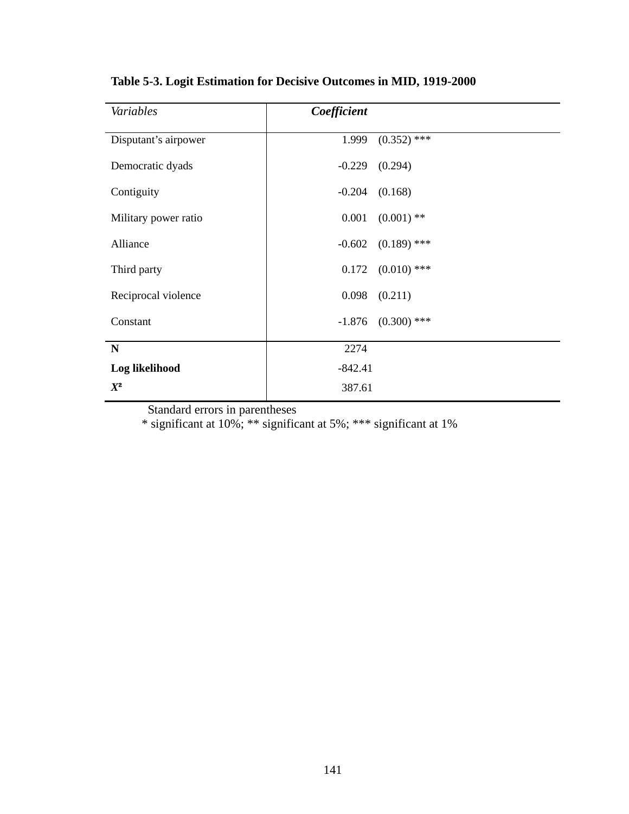| Variables            | Coefficient |               |
|----------------------|-------------|---------------|
| Disputant's airpower | 1.999       | $(0.352)$ *** |
|                      |             |               |
| Democratic dyads     | $-0.229$    | (0.294)       |
| Contiguity           | $-0.204$    | (0.168)       |
| Military power ratio | 0.001       | $(0.001)$ **  |
| Alliance             | $-0.602$    | $(0.189)$ *** |
| Third party          | 0.172       | $(0.010)$ *** |
| Reciprocal violence  | 0.098       | (0.211)       |
| Constant             | $-1.876$    | $(0.300)$ *** |
| $\mathbf N$          | 2274        |               |
| Log likelihood       | $-842.41$   |               |
| $X^2$                | 387.61      |               |

**Table 5-3. Logit Estimation for Decisive Outcomes in MID, 1919-2000**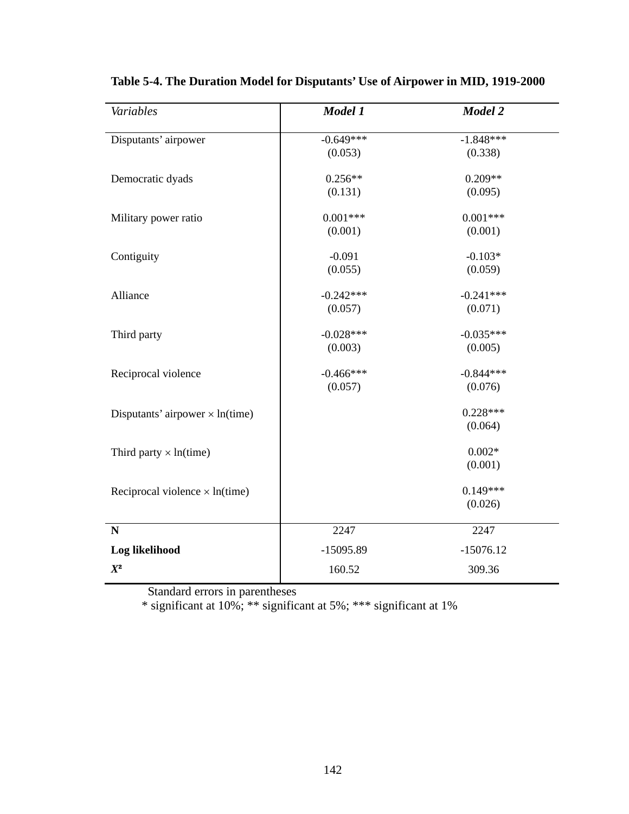| Variables                              | Model 1                | Model 2                |
|----------------------------------------|------------------------|------------------------|
| Disputants' airpower                   | $-0.649***$<br>(0.053) | $-1.848***$<br>(0.338) |
| Democratic dyads                       | $0.256**$<br>(0.131)   | $0.209**$<br>(0.095)   |
| Military power ratio                   | $0.001***$<br>(0.001)  | $0.001***$<br>(0.001)  |
| Contiguity                             | $-0.091$<br>(0.055)    | $-0.103*$<br>(0.059)   |
| Alliance                               | $-0.242***$<br>(0.057) | $-0.241***$<br>(0.071) |
| Third party                            | $-0.028***$<br>(0.003) | $-0.035***$<br>(0.005) |
| Reciprocal violence                    | $-0.466***$<br>(0.057) | $-0.844***$<br>(0.076) |
| Disputants' airpower $\times$ ln(time) |                        | $0.228***$<br>(0.064)  |
| Third party $\times$ ln(time)          |                        | $0.002*$<br>(0.001)    |
| Reciprocal violence $\times$ ln(time)  |                        | $0.149***$<br>(0.026)  |
| $\mathbf N$                            | 2247                   | 2247                   |
| Log likelihood                         | $-15095.89$            | $-15076.12$            |
| $X^2$                                  | 160.52                 | 309.36                 |

**Table 5-4. The Duration Model for Disputants' Use of Airpower in MID, 1919-2000**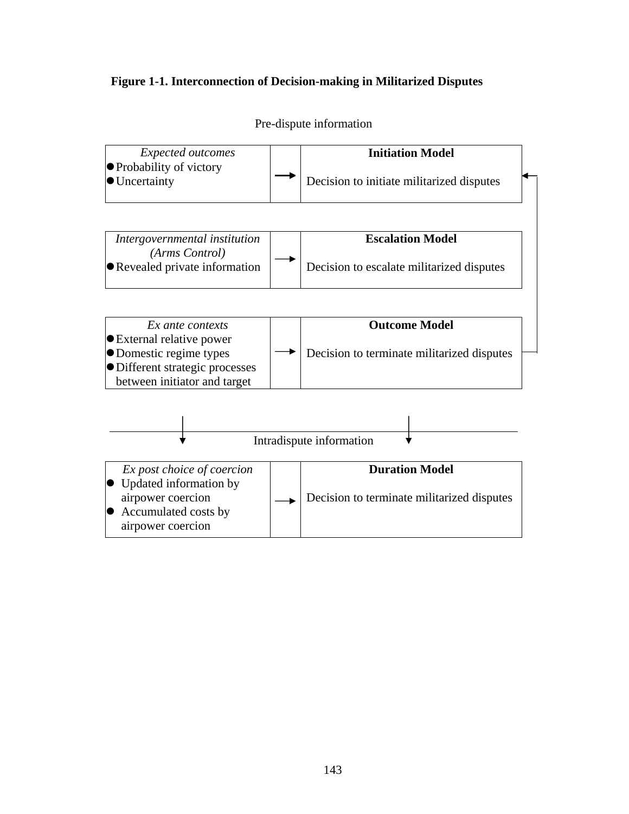## **Figure 1-1. Interconnection of Decision-making in Militarized Disputes**



Pre-dispute information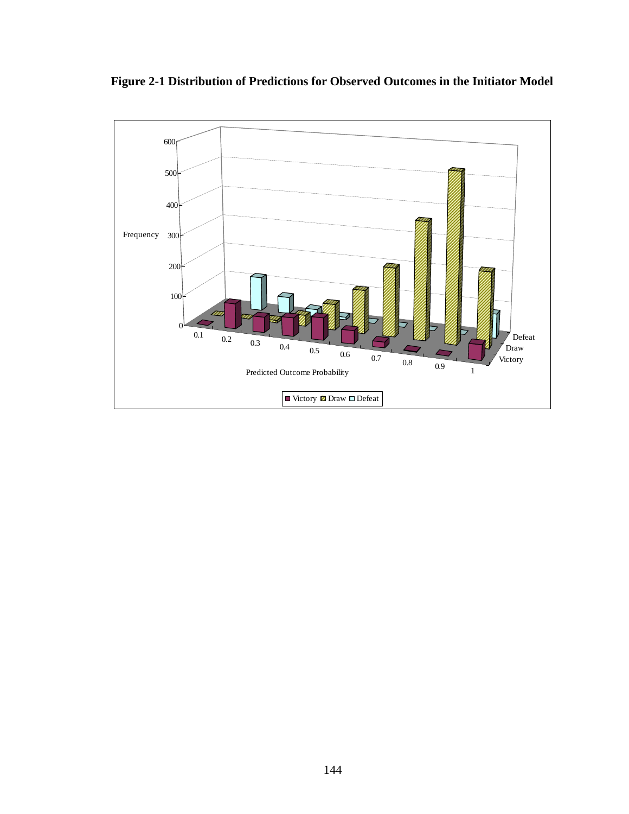

**Figure 2-1 Distribution of Predictions for Observed Outcomes in the Initiator Model**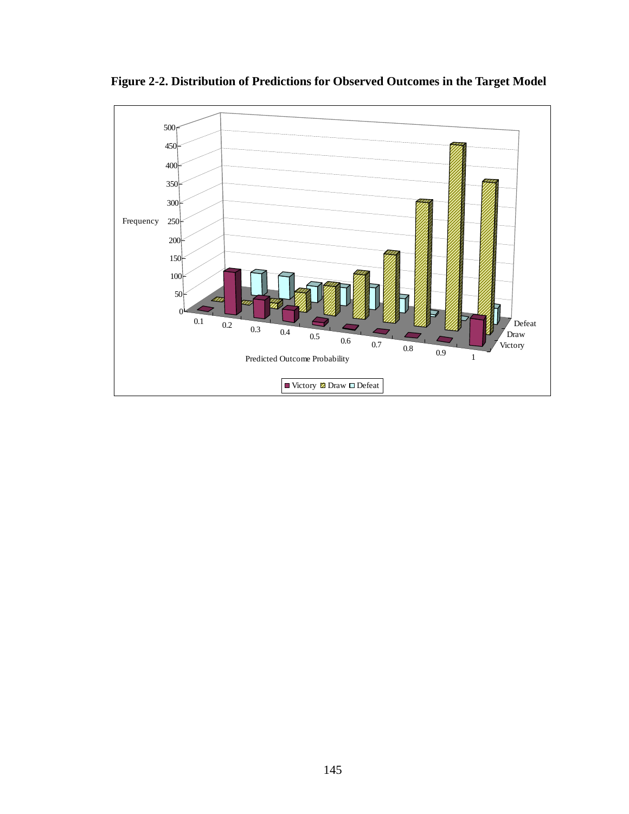

**Figure 2-2. Distribution of Predictions for Observed Outcomes in the Target Model**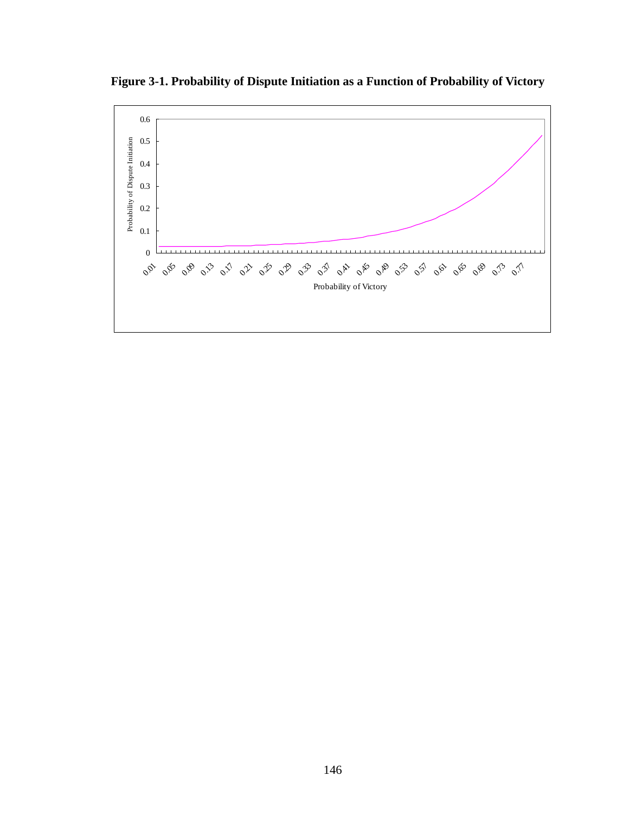**Figure 3-1. Probability of Dispute Initiation as a Function of Probability of Victory** 

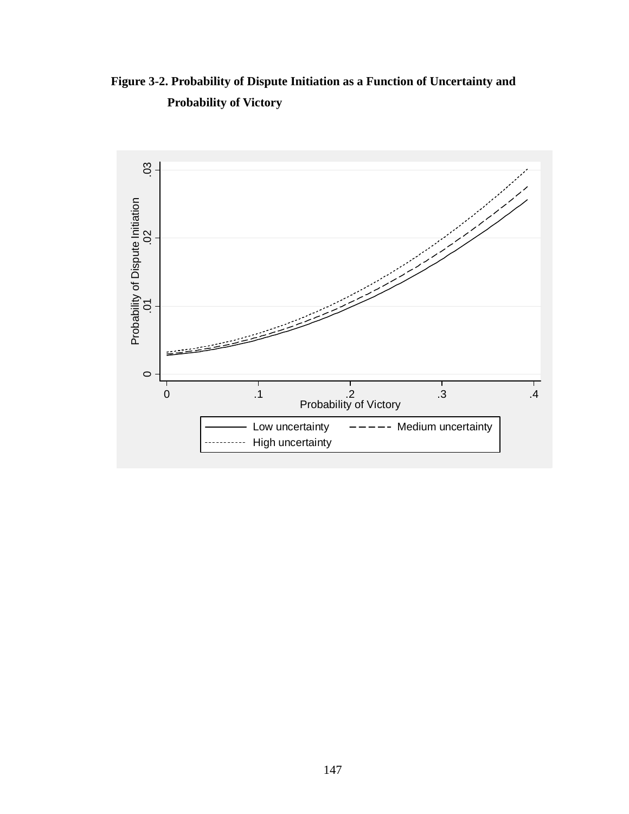**Figure 3-2. Probability of Dispute Initiation as a Function of Uncertainty and Probability of Victory** 

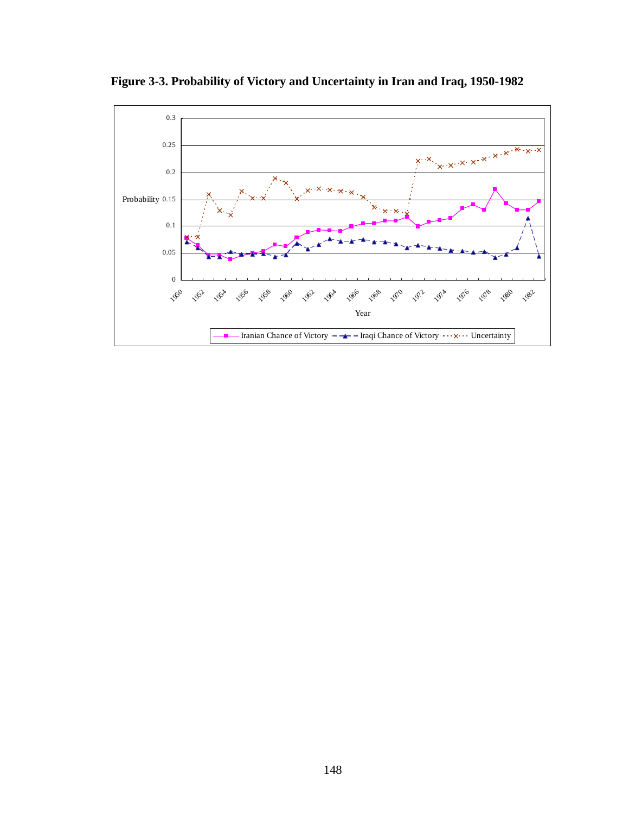

**Figure 3-3. Probability of Victory and Uncertainty in Iran and Iraq, 1950-1982**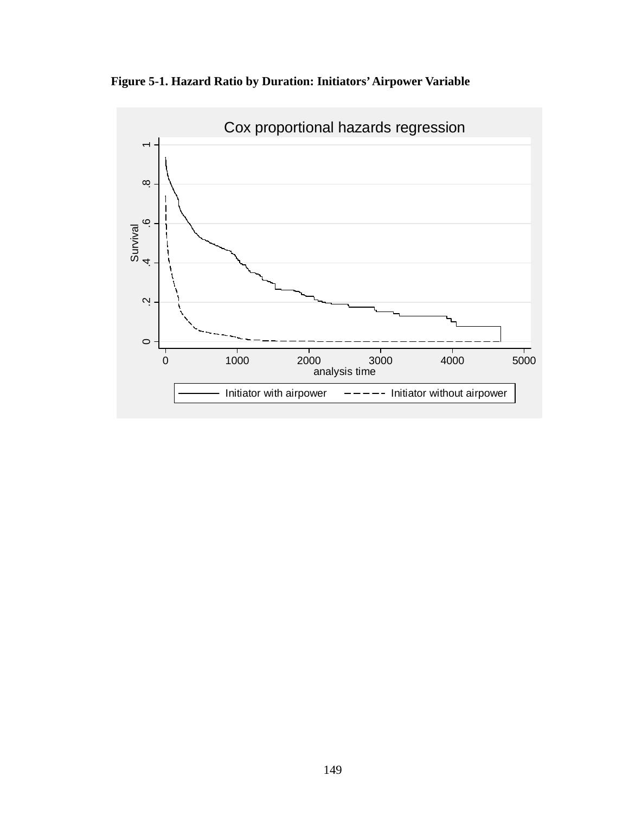**Figure 5-1. Hazard Ratio by Duration: Initiators' Airpower Variable** 

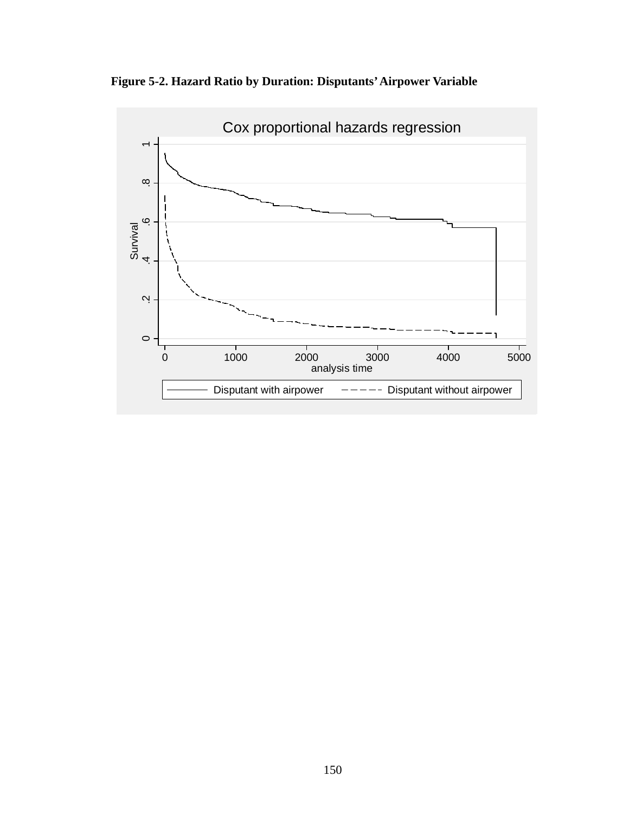**Figure 5-2. Hazard Ratio by Duration: Disputants' Airpower Variable** 

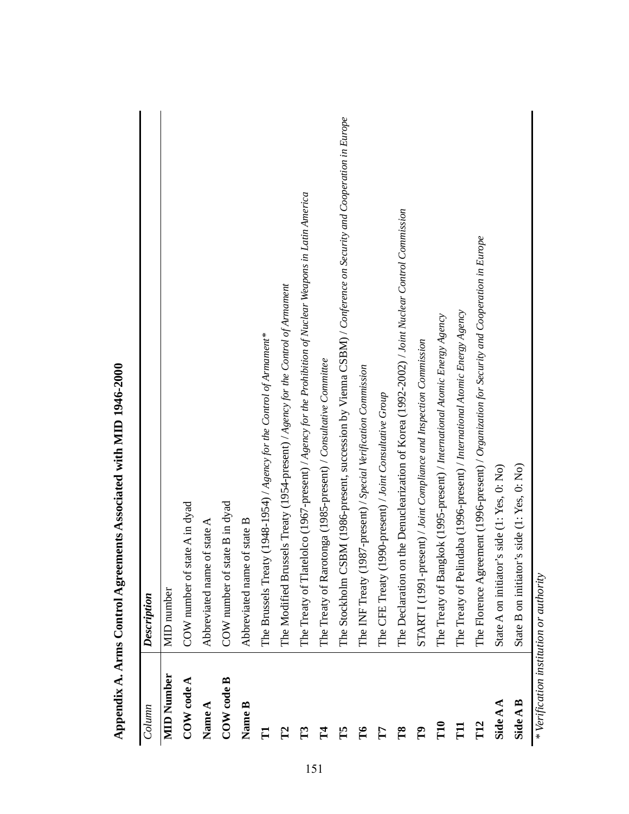| Column                                  | Description                                                                                                     |
|-----------------------------------------|-----------------------------------------------------------------------------------------------------------------|
| <b>MID</b> Number                       | <b>MID</b> number                                                                                               |
| COW code A                              | COW number of state A in dyad                                                                                   |
| Name A                                  | Abbreviated name of state A                                                                                     |
| COW code B                              | state B in dyad<br>COW number of                                                                                |
| Name B                                  | Abbreviated name of state B                                                                                     |
| $\Gamma$                                | The Brussels Treaty (1948-1954) / Agency for the Control of Armament*                                           |
| $\mathbf{r}$                            | The Modified Brussels Treaty (1954-present) / Agency for the Control of Armament                                |
| $\mathbb{E}$                            | The Treaty of Tlatelolco (1967-present) / Agency for the Prohibition of Nuclear Weapons in Latin America        |
| $\mathbf{I}^{\mathbf{4}}$               | The Treaty of Rarotonga (1985-present) / Consultative Committee                                                 |
| ĚŠ                                      | The Stockholm CSBM (1986-present, succession by Vienna CSBM) / Conference on Security and Cooperation in Europe |
| $\mathbf{L}$                            | The INF Treaty (1987-present) / Special Verification Commission                                                 |
| F                                       | The CFE Treaty (1990-present) / Joint Consultative Group                                                        |
| T8                                      | The Declaration on the Denuclearization of Korea (1992-2002) / Joint Nuclear Control Commission                 |
| $\mathbf{r}$                            | START I (1991-present) / Joint Compliance and Inspection Commission                                             |
| T <sub>10</sub>                         | The Treaty of Bangkok (1995-present) / International Atomic Energy Agency                                       |
| $\overline{\mathrm{H}}$                 | The Treaty of Pelindaba (1996-present) / International Atomic Energy Agency                                     |
| T <sub>12</sub>                         | The Florence Agreement (1996-present) / Organization for Security and Cooperation in Europe                     |
| Side A A                                | State A on initiator's side (1: Yes, 0: No)                                                                     |
| Side A B                                | State B on initiator's side (1: Yes, 0: No)                                                                     |
| * Verification institution or authority |                                                                                                                 |

Appendix A. Arms Control Agreements Associated with MID 1946-2000 **Appendix A. Arms Control Agreements Associated with MID 1946-2000**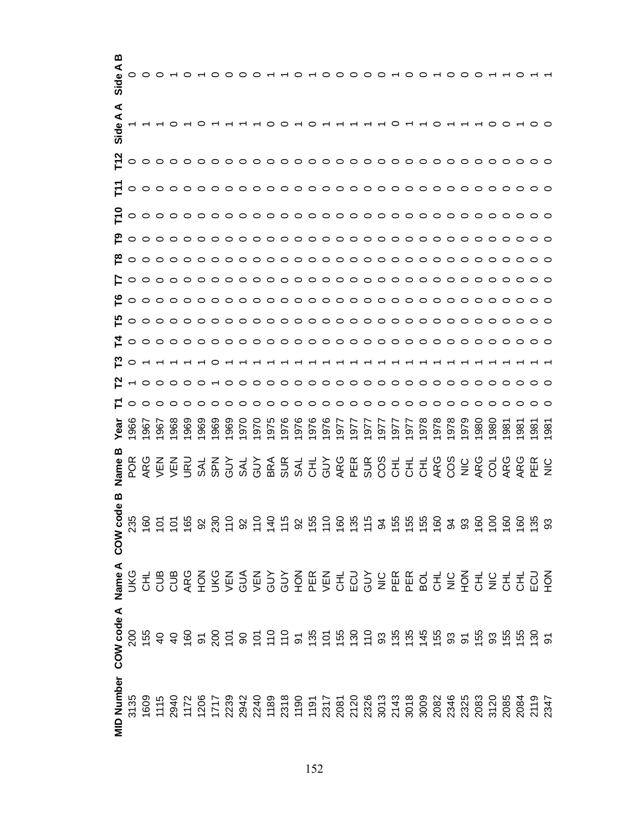| മ<br>Side A       |     |                      |     |            |     |           |             |     |           |     |     |            |     |      |                         |      |     |     | $000-00$ |      |     |            |     |             |     |     |                |    |    |
|-------------------|-----|----------------------|-----|------------|-----|-----------|-------------|-----|-----------|-----|-----|------------|-----|------|-------------------------|------|-----|-----|----------|------|-----|------------|-----|-------------|-----|-----|----------------|----|----|
| ⋖<br>⋖<br>Side    |     |                      |     |            |     |           |             |     |           |     |     |            |     |      |                         |      |     |     |          |      |     |            |     |             |     |     |                |    |    |
|                   |     |                      |     |            |     |           |             |     |           |     |     |            |     |      |                         |      |     |     |          |      |     |            |     |             |     |     |                |    |    |
|                   |     |                      |     |            |     |           |             |     |           |     |     |            |     |      |                         |      |     |     |          |      |     |            |     |             |     |     |                |    |    |
|                   |     |                      |     |            |     |           |             |     |           |     |     |            |     |      |                         |      |     |     |          |      |     |            |     |             |     |     |                |    |    |
|                   |     |                      |     |            |     |           |             |     |           |     |     |            |     |      |                         |      |     |     |          |      |     |            |     |             |     |     |                |    |    |
|                   |     |                      |     |            |     |           |             |     |           |     |     |            |     |      |                         |      |     |     |          |      |     |            |     |             |     |     |                |    |    |
|                   |     |                      |     |            |     |           |             |     |           |     |     |            |     |      |                         |      |     |     |          |      |     |            |     |             |     |     |                |    |    |
|                   |     |                      |     |            |     |           |             |     |           |     |     |            |     |      |                         |      |     |     |          |      |     |            |     |             |     |     |                |    |    |
|                   |     |                      |     |            |     |           |             |     |           |     |     |            |     |      |                         |      |     |     |          |      |     |            |     |             |     |     |                |    |    |
|                   |     |                      |     |            |     |           |             |     |           |     |     |            |     |      |                         |      |     |     |          |      |     |            |     |             |     |     |                |    |    |
|                   |     | 20 - - - - - - - - - |     |            |     |           |             |     |           |     |     |            |     |      | - - - - - - - - - - - - |      |     |     |          |      |     |            |     |             |     |     |                |    |    |
|                   |     |                      |     |            |     |           |             |     |           |     |     |            |     |      |                         |      |     |     |          |      |     |            |     |             |     |     |                |    |    |
|                   |     |                      |     |            |     |           |             |     |           |     |     |            |     |      |                         |      |     |     |          |      |     |            |     |             |     |     |                |    |    |
| Yea               | 966 | 967                  | 967 | 968        | 969 | 969       | 969         | 969 | 970       | 970 | 975 | 976<br>976 | 976 | 1976 | 1977                    | 1977 | 977 | 977 | 977      | 1977 | 978 | 978        | 978 | 979         | 980 | 980 | $\frac{8}{90}$ | 86 | 88 |
|                   |     |                      |     | NEN<br>VEN | URU | <b>NS</b> | <b>N</b> BS | YUP | <b>AL</b> |     |     |            |     |      |                         |      |     |     |          |      |     | ARG<br>COS |     | $rac{C}{Z}$ | ARG |     | ARG            |    |    |
| മ<br>Φ<br>COW coc |     |                      |     |            |     |           |             |     |           |     |     |            |     |      |                         |      |     |     |          |      |     |            |     |             |     |     |                |    |    |
| Name A            |     |                      |     |            |     |           |             |     |           |     |     |            |     |      |                         |      |     |     |          |      |     |            |     |             |     |     |                |    |    |
| COW code A        |     |                      |     |            |     |           |             |     |           |     |     |            |     |      |                         |      |     |     |          |      |     |            |     |             |     |     |                |    |    |
| <b>MID Number</b> |     |                      |     |            |     |           |             |     |           |     |     |            |     |      |                         |      |     |     |          |      |     |            |     |             |     |     |                |    |    |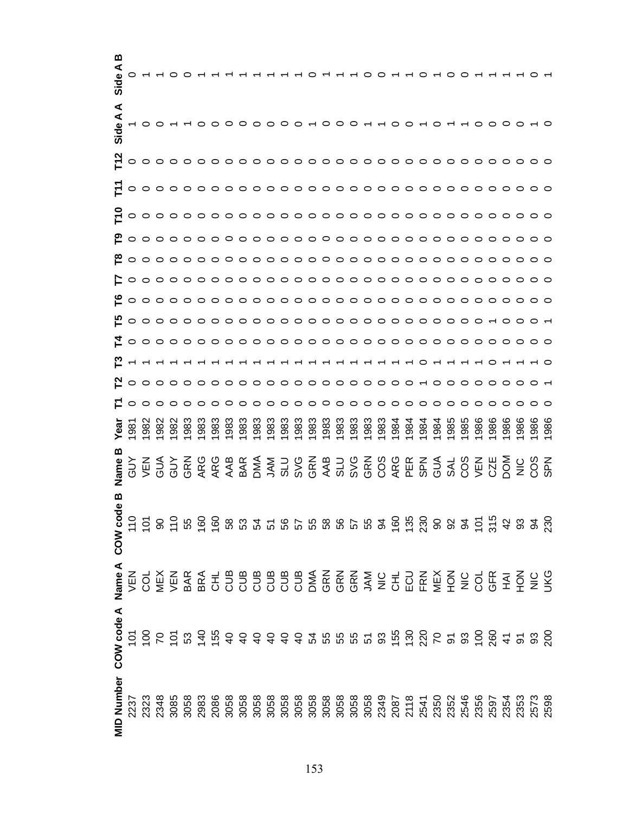| ≃<br>Side A       |            |     |     |     |                          |     |     |                                                                                                 |     |     |     |     |     |      |              |      |     |      |     | ⌒   |     |            |     |            |     |     |     |                                                                                                                                                                                                                                                                                                                     |    |
|-------------------|------------|-----|-----|-----|--------------------------|-----|-----|-------------------------------------------------------------------------------------------------|-----|-----|-----|-----|-----|------|--------------|------|-----|------|-----|-----|-----|------------|-----|------------|-----|-----|-----|---------------------------------------------------------------------------------------------------------------------------------------------------------------------------------------------------------------------------------------------------------------------------------------------------------------------|----|
| ⋖<br>⋖<br>Side    |            |     |     |     |                          |     |     |                                                                                                 |     |     |     |     |     |      |              |      |     |      |     |     |     |            |     |            |     |     |     |                                                                                                                                                                                                                                                                                                                     |    |
|                   |            |     |     |     |                          |     |     |                                                                                                 |     |     |     |     |     |      |              |      |     |      |     |     |     |            |     |            |     |     |     |                                                                                                                                                                                                                                                                                                                     |    |
|                   |            |     |     |     |                          |     |     |                                                                                                 |     |     |     |     |     |      |              |      |     |      |     |     |     |            |     |            |     |     |     |                                                                                                                                                                                                                                                                                                                     |    |
|                   |            |     |     |     |                          |     |     |                                                                                                 |     |     |     |     |     |      |              |      |     |      |     |     |     |            |     |            |     |     |     |                                                                                                                                                                                                                                                                                                                     |    |
|                   |            |     |     |     |                          |     |     |                                                                                                 |     |     |     |     |     |      |              |      |     |      |     |     |     |            |     |            |     |     |     |                                                                                                                                                                                                                                                                                                                     |    |
|                   |            |     |     |     |                          |     |     |                                                                                                 |     |     |     |     |     |      |              |      |     |      |     |     |     |            |     |            |     |     |     |                                                                                                                                                                                                                                                                                                                     |    |
|                   |            |     |     |     |                          |     |     |                                                                                                 |     |     |     |     |     |      |              |      |     |      |     |     |     |            |     |            |     |     |     |                                                                                                                                                                                                                                                                                                                     |    |
|                   |            |     |     |     |                          |     |     |                                                                                                 |     |     |     |     |     |      |              |      |     |      |     |     |     |            |     |            |     |     |     |                                                                                                                                                                                                                                                                                                                     |    |
|                   |            |     |     |     |                          |     |     |                                                                                                 |     |     |     |     |     |      |              |      |     |      |     |     |     |            |     |            |     |     |     |                                                                                                                                                                                                                                                                                                                     |    |
|                   |            |     |     |     |                          |     |     |                                                                                                 |     |     |     |     |     |      |              |      |     |      |     |     |     |            |     |            |     |     |     |                                                                                                                                                                                                                                                                                                                     |    |
|                   |            |     |     |     |                          |     |     |                                                                                                 |     |     |     |     |     |      |              |      |     |      |     |     |     |            |     |            |     |     |     | ---------------------                                                                                                                                                                                                                                                                                               |    |
|                   |            |     |     |     |                          |     |     |                                                                                                 |     |     |     |     |     |      |              |      |     |      |     |     |     |            |     |            |     |     |     | <u>Noooooooooooooooooooooooooooooo</u>                                                                                                                                                                                                                                                                              |    |
|                   |            |     |     |     |                          |     |     |                                                                                                 |     |     |     |     |     |      |              |      |     |      |     |     |     |            |     |            |     |     |     |                                                                                                                                                                                                                                                                                                                     |    |
| Yea               | 982        | 982 | 982 | 983 | 983                      | 983 | 983 | 983                                                                                             | 983 | 983 | 983 | 983 | 983 | 1983 | 1983<br>1983 | 1983 | 983 | 1984 | 984 | 984 | 984 | 985        | 985 | 986        | 986 | 986 | 986 |                                                                                                                                                                                                                                                                                                                     | 88 |
| ◫<br>Name         | <b>NEN</b> | AUS |     |     | GUY<br>GRN<br>ARG<br>ARG |     |     | A B D 4 8 9 0 4 9 9 0 0 4 0 9<br>4 4 5 4 7 7 8 4 7 7 8 0 6 6 7 8<br>5 7 7 7 9 7 9 7 9 7 9 0 7 8 |     |     |     |     |     |      |              |      |     |      |     |     | AUS | SOS<br>COS |     | <b>NEN</b> |     |     |     |                                                                                                                                                                                                                                                                                                                     |    |
| മ                 |            |     |     |     |                          |     |     |                                                                                                 |     |     |     |     |     |      |              |      |     |      |     |     |     |            |     |            |     |     |     |                                                                                                                                                                                                                                                                                                                     |    |
|                   |            |     |     |     |                          |     |     |                                                                                                 |     |     |     |     |     |      |              |      |     |      |     |     |     |            |     |            |     |     |     |                                                                                                                                                                                                                                                                                                                     |    |
| COW code A        |            |     |     |     |                          |     |     |                                                                                                 |     |     |     |     |     |      |              |      |     |      |     |     |     |            |     |            |     |     |     |                                                                                                                                                                                                                                                                                                                     |    |
| <b>MID Number</b> |            |     |     |     |                          |     |     |                                                                                                 |     |     |     |     |     |      |              |      |     |      |     |     |     |            |     |            |     |     |     | $\frac{1}{2}$ $\frac{2}{3}$ $\frac{3}{4}$ $\frac{4}{3}$ $\frac{3}{4}$ $\frac{3}{4}$ $\frac{3}{4}$ $\frac{3}{4}$ $\frac{3}{4}$ $\frac{3}{4}$ $\frac{3}{4}$ $\frac{3}{4}$ $\frac{3}{4}$ $\frac{3}{4}$ $\frac{3}{4}$ $\frac{3}{4}$ $\frac{3}{4}$ $\frac{3}{4}$ $\frac{3}{4}$ $\frac{3}{4}$ $\frac{3}{4}$ $\frac{3}{4}$ |    |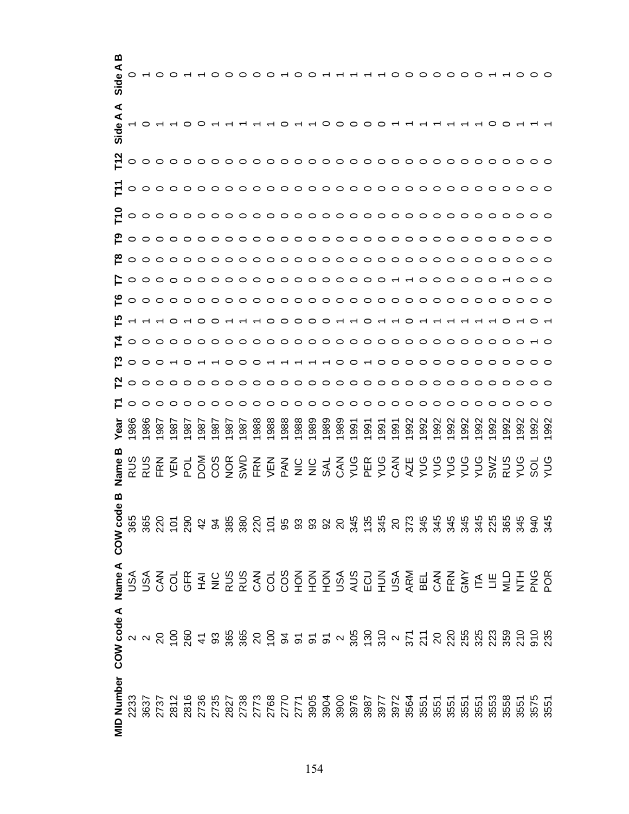| മ<br>Side A  |     |                                                                                                                                                                                                                                                                                                                                                                                                                                                                                              |     |     |     |                   |     |     |     |     |      |  |  |                           |  |                                                                      | $\circ \circ \circ \circ \circ \circ$ |      |      |              |     |     |     |     |            |  |
|--------------|-----|----------------------------------------------------------------------------------------------------------------------------------------------------------------------------------------------------------------------------------------------------------------------------------------------------------------------------------------------------------------------------------------------------------------------------------------------------------------------------------------------|-----|-----|-----|-------------------|-----|-----|-----|-----|------|--|--|---------------------------|--|----------------------------------------------------------------------|---------------------------------------|------|------|--------------|-----|-----|-----|-----|------------|--|
| ⋖<br>Side A  |     |                                                                                                                                                                                                                                                                                                                                                                                                                                                                                              |     |     |     |                   |     |     |     |     |      |  |  | $\circ \circ \circ \circ$ |  |                                                                      |                                       |      |      |              |     |     |     |     |            |  |
|              |     |                                                                                                                                                                                                                                                                                                                                                                                                                                                                                              |     |     |     |                   |     |     |     |     |      |  |  |                           |  |                                                                      |                                       |      |      |              |     |     |     |     |            |  |
|              |     |                                                                                                                                                                                                                                                                                                                                                                                                                                                                                              |     |     |     |                   |     |     |     |     |      |  |  |                           |  |                                                                      |                                       |      |      |              |     |     |     |     |            |  |
|              |     |                                                                                                                                                                                                                                                                                                                                                                                                                                                                                              |     |     |     |                   |     |     |     |     |      |  |  |                           |  |                                                                      |                                       |      |      |              |     |     |     |     |            |  |
|              |     |                                                                                                                                                                                                                                                                                                                                                                                                                                                                                              |     |     |     |                   |     |     |     |     |      |  |  |                           |  |                                                                      |                                       |      |      |              |     |     |     |     |            |  |
|              |     |                                                                                                                                                                                                                                                                                                                                                                                                                                                                                              |     |     |     |                   |     |     |     |     |      |  |  |                           |  |                                                                      |                                       |      |      |              |     |     |     |     |            |  |
|              |     |                                                                                                                                                                                                                                                                                                                                                                                                                                                                                              |     |     |     |                   |     |     |     |     |      |  |  |                           |  |                                                                      |                                       |      |      |              |     |     |     |     |            |  |
|              |     |                                                                                                                                                                                                                                                                                                                                                                                                                                                                                              |     |     |     |                   |     |     |     |     |      |  |  |                           |  |                                                                      |                                       |      |      |              |     |     |     |     |            |  |
|              |     | E - - - 0 - 0 0 - - - 0 0 0 0 0 - - 0 - - 0 - - - - - - - 0 - 0 - 0                                                                                                                                                                                                                                                                                                                                                                                                                          |     |     |     |                   |     |     |     |     |      |  |  |                           |  |                                                                      |                                       |      |      |              |     |     |     |     |            |  |
|              |     |                                                                                                                                                                                                                                                                                                                                                                                                                                                                                              |     |     |     |                   |     |     |     |     |      |  |  |                           |  |                                                                      |                                       |      |      |              |     |     |     |     |            |  |
|              |     |                                                                                                                                                                                                                                                                                                                                                                                                                                                                                              |     |     |     |                   |     |     |     |     |      |  |  |                           |  |                                                                      |                                       |      |      |              |     |     |     |     |            |  |
|              |     | <u>Noooooooooooooooooooooooooooo</u>                                                                                                                                                                                                                                                                                                                                                                                                                                                         |     |     |     |                   |     |     |     |     |      |  |  |                           |  |                                                                      |                                       |      |      |              |     |     |     |     |            |  |
|              |     |                                                                                                                                                                                                                                                                                                                                                                                                                                                                                              |     |     |     |                   |     |     |     |     |      |  |  |                           |  |                                                                      |                                       |      |      |              |     |     |     |     |            |  |
|              | 986 | 986                                                                                                                                                                                                                                                                                                                                                                                                                                                                                          | 987 | 987 | 987 | 987               | 987 | 987 | 987 | 988 | 1988 |  |  |                           |  |                                                                      | 1992                                  | 1992 | 1992 | 1992<br>1992 | 992 | 992 | 992 | 992 | 992<br>992 |  |
|              |     |                                                                                                                                                                                                                                                                                                                                                                                                                                                                                              |     |     |     | DOM<br>COS<br>SWL |     |     |     |     |      |  |  |                           |  | ╓>╓ᇹ᠑╳Ѹ≻╓≻Ѹ⋖≻≻≻≻≻ѷӄ≻ѡ≻<br>кһ⋞⋛⋚⋞⋞⊃╥⊃⋞и⊃⋺⋺⋺⋛⋺⋺⊙⊃<br>ऽऽऽ००५ऽ⊙ҝ⊙ऽ╖⊙⊙⊙⊙⊙ |                                       |      |      |              |     |     |     |     |            |  |
| മ<br>COW cod |     |                                                                                                                                                                                                                                                                                                                                                                                                                                                                                              |     |     |     |                   |     |     |     |     |      |  |  |                           |  |                                                                      |                                       |      |      |              |     |     |     |     |            |  |
|              |     | M<br>Mexico Compressor Cooper Super Sections Compressor<br>Mexico Compressor Cooper Super Sections Compressor<br>Mexico Compressor Cooper Super Sections Compressor<br>Mexico Compressor Cooper Super Sections Compressor<br>Mexico Compresso                                                                                                                                                                                                                                                |     |     |     |                   |     |     |     |     |      |  |  |                           |  |                                                                      |                                       |      |      |              |     |     |     |     |            |  |
|              |     | e<br>ខុស <<br>និង < និង < និង < និង < និង < និង < និង < និង < និង < និង < និង < និង < និង < និង < និង < និង < និង < និង<br>< < < < និង < និង < និង < និង < និង < និង < និង < និង < និង < និង < និង < និង < និង < និង < និង < និង < និ                                                                                                                                                                                                                                                        |     |     |     |                   |     |     |     |     |      |  |  |                           |  |                                                                      |                                       |      |      |              |     |     |     |     |            |  |
|              |     | $\begin{array}{l} \texttt{le} \\ \texttt{le} \\ \texttt{in} \\ \texttt{in} \\ \texttt{in} \\ \texttt{in} \\ \texttt{in} \\ \texttt{in} \\ \texttt{in} \\ \texttt{in} \\ \texttt{in} \\ \texttt{in} \\ \texttt{in} \\ \texttt{in} \\ \texttt{in} \\ \texttt{in} \\ \texttt{in} \\ \texttt{in} \\ \texttt{in} \\ \texttt{in} \\ \texttt{in} \\ \texttt{in} \\ \texttt{in} \\ \texttt{in} \\ \texttt{in} \\ \texttt{in} \\ \texttt{in} \\ \texttt{in} \\ \texttt{in} \\ \texttt{in} \\ \texttt$ |     |     |     |                   |     |     |     |     |      |  |  |                           |  |                                                                      |                                       |      |      |              |     |     |     |     |            |  |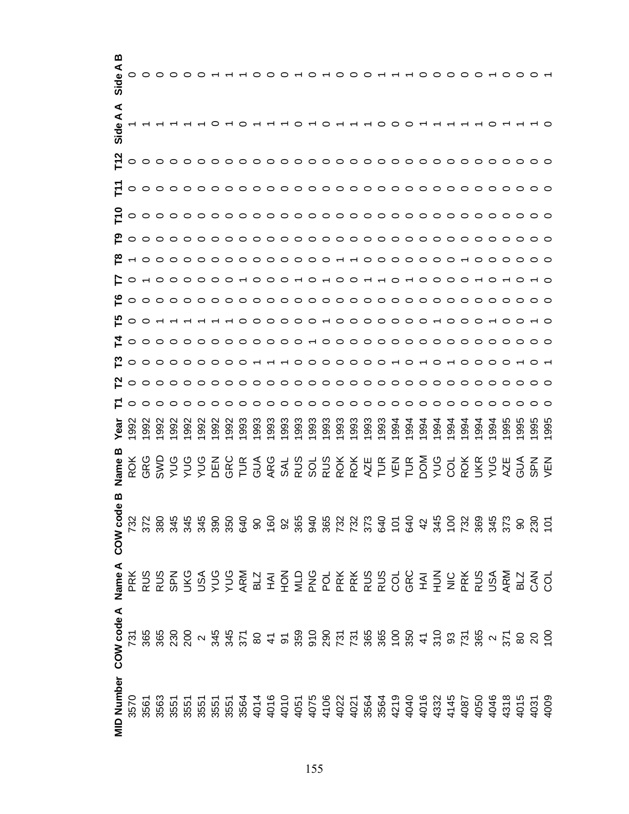| ≃<br>⋖<br>Side        |     |     |     |     |     |            |     |     |     |      |            |     |      |      |      |      |      | $\circ$ $\circ$ $\circ$ $\circ$ |                                             |      |     |      |      |            | $\circ$ $\circ$ $\sim$ |     |     |     |                                  |     |
|-----------------------|-----|-----|-----|-----|-----|------------|-----|-----|-----|------|------------|-----|------|------|------|------|------|---------------------------------|---------------------------------------------|------|-----|------|------|------------|------------------------|-----|-----|-----|----------------------------------|-----|
| ⋖<br>⋖<br>Side        |     |     |     |     |     |            |     |     |     |      |            |     |      |      |      |      |      |                                 |                                             |      |     |      |      |            |                        |     |     |     |                                  |     |
|                       |     |     |     |     |     |            |     |     |     |      |            |     |      |      |      |      |      |                                 |                                             |      |     |      |      |            |                        |     |     |     |                                  |     |
| 亡                     |     |     |     |     |     |            |     |     |     |      |            |     |      |      |      |      |      |                                 |                                             |      |     |      |      |            |                        |     |     |     |                                  |     |
| ᄃ                     |     |     |     |     |     |            |     |     |     |      |            |     |      |      |      |      |      |                                 |                                             |      |     |      |      |            |                        |     |     |     |                                  |     |
|                       |     |     |     |     |     |            |     |     |     |      |            |     |      |      |      |      |      |                                 |                                             |      |     |      |      |            |                        |     |     |     |                                  |     |
|                       |     |     |     |     |     |            |     |     |     |      |            |     |      |      |      |      |      |                                 |                                             |      |     |      |      |            |                        |     |     |     |                                  |     |
| E.                    |     |     |     |     |     |            |     |     |     |      |            |     |      |      |      |      |      |                                 |                                             |      |     |      |      |            |                        |     |     |     |                                  |     |
|                       |     |     |     |     |     |            |     |     |     |      |            |     |      |      |      |      |      |                                 |                                             |      |     |      |      |            |                        |     |     |     |                                  |     |
|                       |     |     |     |     |     |            |     |     |     |      |            |     |      |      |      |      |      |                                 |                                             |      |     |      |      |            |                        |     |     |     |                                  |     |
|                       |     |     |     |     |     |            |     |     |     |      |            |     |      |      |      |      |      |                                 |                                             |      |     |      |      |            |                        |     |     |     |                                  |     |
| ဥ                     |     |     |     |     |     |            |     |     |     |      |            |     |      |      |      |      |      |                                 |                                             |      |     |      |      |            |                        |     |     |     | 0000000000+++000000+0+0+00000+0+ |     |
|                       |     |     |     |     |     |            |     |     |     |      |            |     |      |      |      |      |      |                                 |                                             |      |     |      |      |            |                        |     |     |     |                                  |     |
|                       |     |     |     |     |     |            |     |     |     |      |            |     |      |      |      |      |      |                                 |                                             |      |     |      |      |            |                        |     |     |     |                                  |     |
| yea                   | 992 | 992 | 992 | 992 | 992 | 992        | 992 | 993 | 993 | 1993 | 993        | 993 | 1993 | 1993 | 1993 | 1993 | 1993 | 1993                            | 1994                                        | 1994 | 994 | 1994 | 1994 | 994        | 994                    | 994 | 995 | 995 | 995                              | 995 |
| m                     |     |     |     |     |     | <b>NBD</b> | GRC |     | AUG | ARG  | <b>SAL</b> | RUS | SOL  |      |      |      |      |                                 | R<br>R Q Q R H R H P Q<br>R Q Q R H R H P Q |      |     | SNX  |      | COL<br>ROK | <b>NKR</b>             |     |     |     |                                  |     |
| മ<br>COW cod          |     |     |     |     |     |            |     |     |     |      |            |     |      |      |      |      |      |                                 |                                             |      |     |      |      |            |                        |     |     |     |                                  |     |
| Name A                |     |     |     |     |     |            |     |     |     |      |            |     |      |      |      |      |      |                                 |                                             |      |     |      |      |            |                        |     |     |     |                                  |     |
| MID Number COW code A |     |     |     |     |     |            |     |     |     |      |            |     |      |      |      |      |      |                                 |                                             |      |     |      |      |            |                        |     |     |     |                                  |     |
|                       |     |     |     |     |     |            |     |     |     |      |            |     |      |      |      |      |      |                                 |                                             |      |     |      |      |            |                        |     |     |     |                                  |     |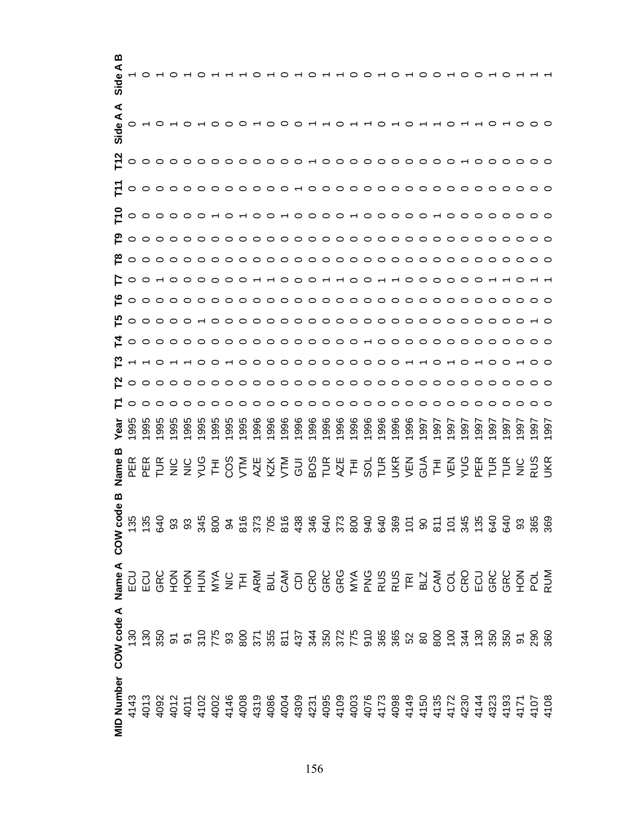| മ<br>Sid          |               |     |     |     |     |                                               |     |     |      |                                                                                                                                                                                                                                                                                                                                                                                                                                                                                                              |      |         |      |      |              |      |              | 000000000000 |            |                              |  |      |              |     |            |  |
|-------------------|---------------|-----|-----|-----|-----|-----------------------------------------------|-----|-----|------|--------------------------------------------------------------------------------------------------------------------------------------------------------------------------------------------------------------------------------------------------------------------------------------------------------------------------------------------------------------------------------------------------------------------------------------------------------------------------------------------------------------|------|---------|------|------|--------------|------|--------------|--------------|------------|------------------------------|--|------|--------------|-----|------------|--|
| ⋖<br>Side A       |               |     |     |     |     | $0 \rightarrow 0 \rightarrow 0 \rightarrow 0$ |     |     |      |                                                                                                                                                                                                                                                                                                                                                                                                                                                                                                              |      | $-000-$ |      |      |              |      |              |              | $-0$ $  -$ |                              |  |      |              |     |            |  |
|                   |               |     |     |     |     |                                               |     |     |      |                                                                                                                                                                                                                                                                                                                                                                                                                                                                                                              |      |         |      |      |              |      |              |              |            |                              |  |      |              |     |            |  |
|                   |               |     |     |     |     |                                               |     |     |      |                                                                                                                                                                                                                                                                                                                                                                                                                                                                                                              |      |         |      |      |              |      |              |              |            |                              |  |      |              |     |            |  |
|                   |               |     |     |     |     |                                               |     |     |      |                                                                                                                                                                                                                                                                                                                                                                                                                                                                                                              |      |         |      |      |              |      |              |              |            |                              |  |      |              |     |            |  |
|                   |               |     |     |     |     |                                               |     |     |      |                                                                                                                                                                                                                                                                                                                                                                                                                                                                                                              |      |         |      |      |              |      |              |              |            |                              |  |      |              |     |            |  |
|                   |               |     |     |     |     |                                               |     |     |      |                                                                                                                                                                                                                                                                                                                                                                                                                                                                                                              |      |         |      |      |              |      |              |              |            |                              |  |      |              |     |            |  |
|                   |               |     |     |     |     |                                               |     |     |      |                                                                                                                                                                                                                                                                                                                                                                                                                                                                                                              |      |         |      |      |              |      |              |              |            |                              |  |      |              |     |            |  |
|                   |               |     |     |     |     |                                               |     |     |      |                                                                                                                                                                                                                                                                                                                                                                                                                                                                                                              |      |         |      |      |              |      |              |              |            |                              |  |      |              |     |            |  |
|                   |               |     |     |     |     |                                               |     |     |      | £0000000000000000000000000000000000                                                                                                                                                                                                                                                                                                                                                                                                                                                                          |      |         |      |      |              |      |              |              |            |                              |  |      |              |     |            |  |
|                   |               |     |     |     |     |                                               |     |     |      | <u>₹</u> ○○○○○○○○○○○○○○○○○○ ← ○○○○○○○○○○○○○                                                                                                                                                                                                                                                                                                                                                                                                                                                                  |      |         |      |      |              |      |              |              |            |                              |  |      |              |     |            |  |
|                   |               |     |     |     |     |                                               |     |     |      |                                                                                                                                                                                                                                                                                                                                                                                                                                                                                                              |      |         |      |      |              |      |              |              |            |                              |  |      |              |     |            |  |
|                   |               |     |     |     |     |                                               |     |     |      | <u>Nooooooooooooooooooooooooooooo</u>                                                                                                                                                                                                                                                                                                                                                                                                                                                                        |      |         |      |      |              |      |              |              |            |                              |  |      |              |     |            |  |
|                   |               |     |     |     |     |                                               |     |     |      |                                                                                                                                                                                                                                                                                                                                                                                                                                                                                                              |      |         |      |      |              |      |              |              |            |                              |  |      |              |     |            |  |
| Yea               |               | 995 | 995 | 995 | 995 | 995                                           | 995 | 995 | 1995 | 1996                                                                                                                                                                                                                                                                                                                                                                                                                                                                                                         | 1996 | 1996    | 1996 | 1996 | 1996<br>1996 | 1996 | 1996<br>1996 | 1996         |            | 1996<br>1997<br>1997<br>1997 |  | 1997 | 1861<br>2661 | 997 | 997<br>997 |  |
|                   |               |     |     |     |     |                                               |     |     |      | $\cong$ $\cong$ $\cong$ $\cong$ $\cong$ $\cong$ $\cong$ $\cong$ $\cong$ $\cong$ $\cong$ $\cong$ $\cong$ $\cong$ $\cong$ $\cong$ $\cong$ $\cong$ $\cong$ $\cong$ $\cong$ $\cong$ $\cong$ $\cong$ $\cong$ $\cong$ $\cong$ $\cong$ $\cong$ $\cong$ $\cong$ $\cong$ $\cong$ $\cong$ $\cong$ $\cong$ $\cong$                                                                                                                                                                                                      |      |         |      |      |              |      |              |              |            |                              |  |      |              |     |            |  |
| മ<br>COW coc      | <b>135</b>    |     |     |     |     |                                               |     |     |      |                                                                                                                                                                                                                                                                                                                                                                                                                                                                                                              |      |         |      |      |              |      |              |              |            |                              |  |      |              |     |            |  |
| Name A            |               |     |     |     |     |                                               |     |     |      |                                                                                                                                                                                                                                                                                                                                                                                                                                                                                                              |      |         |      |      |              |      |              |              |            |                              |  |      |              |     |            |  |
| COW code A        | $\frac{8}{2}$ |     |     |     |     |                                               |     |     |      | $\mathfrak{S} \overset{\sim}{\mathfrak{B}} \overset{\sim}{\mathfrak{B}} \overset{\sim}{\mathfrak{B}} \overset{\sim}{\mathfrak{B}} \overset{\sim}{\mathfrak{B}} \overset{\sim}{\mathfrak{B}} \overset{\sim}{\mathfrak{B}} \overset{\sim}{\mathfrak{B}} \overset{\sim}{\mathfrak{B}} \overset{\sim}{\mathfrak{B}} \overset{\sim}{\mathfrak{B}} \overset{\sim}{\mathfrak{B}} \overset{\sim}{\mathfrak{B}} \overset{\sim}{\mathfrak{B}} \overset{\sim}{\mathfrak{B}} \overset{\sim}{\mathfrak{B}} \overset{\sim$ |      |         |      |      |              |      |              |              |            |                              |  |      |              |     |            |  |
| <b>MID Number</b> |               |     |     |     |     |                                               |     |     |      | $\begin{array}{l} \pm\, 3\, \, 6\, \, 3\, \, 6\, \, 3\, \, 2\, \, 2\, \, 2\, \, 2\, \, 2\, \, 2\, \, 2\, \, 2\, \, 2\, \, 2\, \, 2\, \, 2\, \, 2\, \, 2\, \, 2\, \, 2\, \, 2\, \, 2\, \, 2\, \, 2\, \, 2\, \, 2\, \, 2\, \, 2\, \, 2\, \, 2\, \, 2\, \, 2\, \, 2\, \, 2\, \$                                                                                                                                                                                                                                 |      |         |      |      |              |      |              |              |            |                              |  |      |              |     |            |  |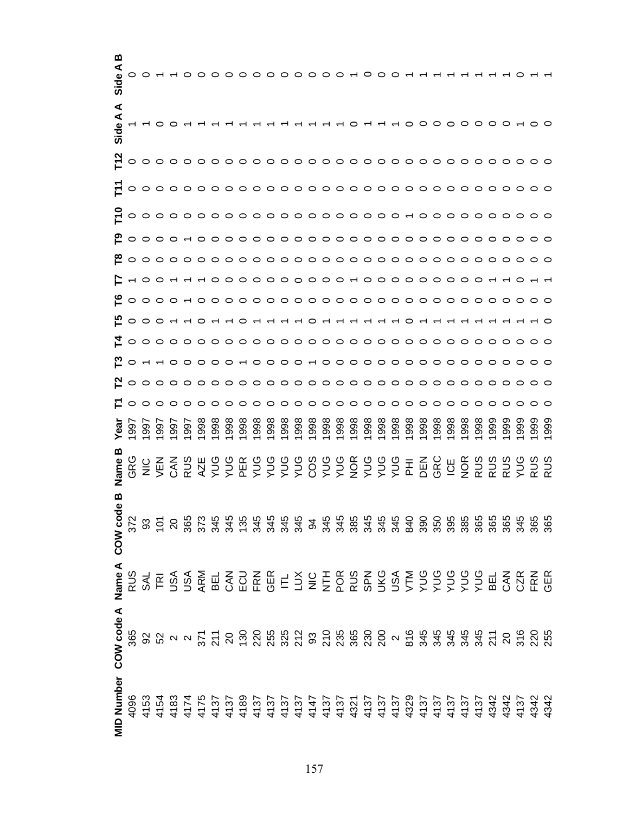| മ<br>Side A       |     |                                                                                                                                                                                                                                                                                                           |     |     |     |     |     |     |      |      |      |              |      |                    |      |      |              |  |                      |      |      |      |      |                                      |      |     |                |  |
|-------------------|-----|-----------------------------------------------------------------------------------------------------------------------------------------------------------------------------------------------------------------------------------------------------------------------------------------------------------|-----|-----|-----|-----|-----|-----|------|------|------|--------------|------|--------------------|------|------|--------------|--|----------------------|------|------|------|------|--------------------------------------|------|-----|----------------|--|
| ⋖<br>Side A       |     |                                                                                                                                                                                                                                                                                                           |     |     |     |     |     |     |      |      |      |              |      |                    |      |      |              |  |                      |      |      |      |      |                                      |      |     |                |  |
|                   |     |                                                                                                                                                                                                                                                                                                           |     |     |     |     |     |     |      |      |      |              |      |                    |      |      |              |  |                      |      |      |      |      |                                      |      |     |                |  |
|                   |     |                                                                                                                                                                                                                                                                                                           |     |     |     |     |     |     |      |      |      |              |      |                    |      |      |              |  |                      |      |      |      |      |                                      |      |     |                |  |
|                   |     |                                                                                                                                                                                                                                                                                                           |     |     |     |     |     |     |      |      |      |              |      |                    |      |      |              |  |                      |      |      |      |      |                                      |      |     |                |  |
|                   |     |                                                                                                                                                                                                                                                                                                           |     |     |     |     |     |     |      |      |      |              |      |                    |      |      |              |  |                      |      |      |      |      |                                      |      |     |                |  |
|                   |     |                                                                                                                                                                                                                                                                                                           |     |     |     |     |     |     |      |      |      |              |      |                    |      |      |              |  |                      |      |      |      |      |                                      |      |     |                |  |
|                   |     |                                                                                                                                                                                                                                                                                                           |     |     |     |     |     |     |      |      |      |              |      |                    |      |      |              |  |                      |      |      |      |      |                                      |      |     |                |  |
|                   |     |                                                                                                                                                                                                                                                                                                           |     |     |     |     |     |     |      |      |      |              |      |                    |      |      |              |  |                      |      |      |      |      |                                      |      |     |                |  |
|                   |     | 000000000000000000000000000                                                                                                                                                                                                                                                                               |     |     |     |     |     |     |      |      |      |              |      |                    |      |      |              |  |                      |      |      |      |      |                                      |      |     |                |  |
|                   |     |                                                                                                                                                                                                                                                                                                           |     |     |     |     |     |     |      |      |      |              |      |                    |      |      |              |  |                      |      |      |      |      |                                      |      |     |                |  |
|                   |     |                                                                                                                                                                                                                                                                                                           |     |     |     |     |     |     |      |      |      |              |      |                    |      |      |              |  |                      |      |      |      |      |                                      |      |     |                |  |
|                   |     | <u>Noooooooooooooooooooooooooooo</u>                                                                                                                                                                                                                                                                      |     |     |     |     |     |     |      |      |      |              |      |                    |      |      |              |  |                      |      |      |      |      |                                      |      |     |                |  |
|                   |     |                                                                                                                                                                                                                                                                                                           |     |     |     |     |     |     |      |      |      |              |      |                    |      |      |              |  |                      |      |      |      |      |                                      |      |     |                |  |
| Yea               |     | 997                                                                                                                                                                                                                                                                                                       | 997 | 997 | 997 | 998 | 998 | 998 | 1998 | 1998 | 1998 | 1998<br>1998 | 1998 | $\frac{366}{1998}$ | 1998 | 1998 | 1998<br>1998 |  | 1998<br>1998<br>1998 | 1998 | 1998 | 1998 | 1998 | 1999                                 | 1999 | 999 | 99<br>99<br>99 |  |
|                   |     |                                                                                                                                                                                                                                                                                                           |     |     |     |     |     |     |      |      |      |              |      |                    |      |      |              |  |                      |      | UU   |      |      | <b>DE SISSE</b><br>RUS<br>RUS<br>RUS |      |     |                |  |
| മ<br>COW cod      |     | $\frac{12}{12}$ 8 $\frac{5}{2}$ 8 $\frac{6}{2}$ 8 $\frac{6}{2}$ 8 $\frac{6}{2}$ 8 $\frac{4}{2}$ 8 $\frac{4}{2}$ 8 $\frac{4}{2}$ 8 $\frac{4}{2}$ 8 $\frac{4}{2}$ 8 $\frac{4}{2}$ 8 $\frac{4}{2}$ 8 $\frac{4}{2}$ 8 $\frac{4}{2}$ 8 $\frac{4}{2}$ 8 $\frac{4}{2}$ 8 $\frac{4}{2}$ 8 $\frac{4}{2}$ 8 $\frac$ |     |     |     |     |     |     |      |      |      |              |      |                    |      |      |              |  |                      |      |      |      |      |                                      |      |     |                |  |
| Name A            |     |                                                                                                                                                                                                                                                                                                           |     |     |     |     |     |     |      |      |      |              |      |                    |      |      |              |  |                      |      |      |      |      |                                      |      |     |                |  |
| COW code A        | 365 |                                                                                                                                                                                                                                                                                                           |     |     |     |     |     |     |      |      |      |              |      |                    |      |      |              |  |                      |      |      |      |      |                                      |      |     |                |  |
| <b>MID Number</b> |     |                                                                                                                                                                                                                                                                                                           |     |     |     |     |     |     |      |      |      |              |      |                    |      |      |              |  |                      |      |      |      |      |                                      |      |     |                |  |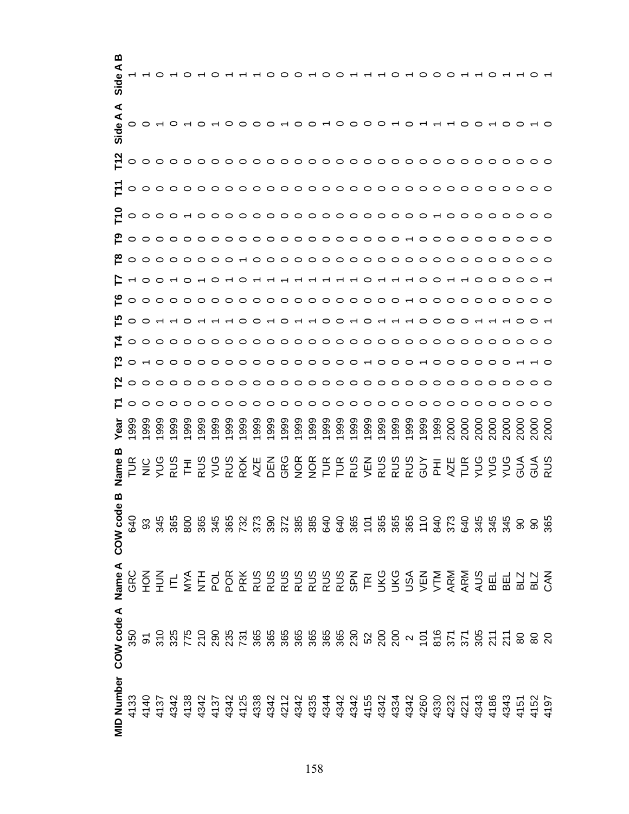| മ<br><u>ვშ</u>    |                                                                   |                |     |     |     |                   |     |                                                                                                                                                                                                                                                                                                                                                                                                                                                                |      |      |      |      |      |              |      |  |                                                                                                                                     | $\sim$ 0 0 0 |  |      |      |      |      |      |      |  |
|-------------------|-------------------------------------------------------------------|----------------|-----|-----|-----|-------------------|-----|----------------------------------------------------------------------------------------------------------------------------------------------------------------------------------------------------------------------------------------------------------------------------------------------------------------------------------------------------------------------------------------------------------------------------------------------------------------|------|------|------|------|------|--------------|------|--|-------------------------------------------------------------------------------------------------------------------------------------|--------------|--|------|------|------|------|------|------|--|
| ⋖<br>Side A       |                                                                   |                |     |     |     |                   |     |                                                                                                                                                                                                                                                                                                                                                                                                                                                                |      |      |      |      |      |              |      |  | $000000000000000000$                                                                                                                |              |  |      |      |      |      |      |      |  |
|                   |                                                                   |                |     |     |     |                   |     |                                                                                                                                                                                                                                                                                                                                                                                                                                                                |      |      |      |      |      |              |      |  |                                                                                                                                     |              |  |      |      |      |      |      |      |  |
|                   |                                                                   |                |     |     |     |                   |     |                                                                                                                                                                                                                                                                                                                                                                                                                                                                |      |      |      |      |      |              |      |  |                                                                                                                                     |              |  |      |      |      |      |      |      |  |
|                   |                                                                   |                |     |     |     |                   |     |                                                                                                                                                                                                                                                                                                                                                                                                                                                                |      |      |      |      |      |              |      |  |                                                                                                                                     |              |  |      |      |      |      |      |      |  |
|                   |                                                                   |                |     |     |     |                   |     |                                                                                                                                                                                                                                                                                                                                                                                                                                                                |      |      |      |      |      |              |      |  |                                                                                                                                     |              |  |      |      |      |      |      |      |  |
|                   |                                                                   |                |     |     |     |                   |     |                                                                                                                                                                                                                                                                                                                                                                                                                                                                |      |      |      |      |      |              |      |  |                                                                                                                                     |              |  |      |      |      |      |      |      |  |
|                   |                                                                   |                |     |     |     |                   |     |                                                                                                                                                                                                                                                                                                                                                                                                                                                                |      |      |      |      |      |              |      |  |                                                                                                                                     |              |  |      |      |      |      |      |      |  |
|                   |                                                                   |                |     |     |     |                   |     |                                                                                                                                                                                                                                                                                                                                                                                                                                                                |      |      |      |      |      |              |      |  |                                                                                                                                     |              |  |      |      |      |      |      |      |  |
|                   | 0000000000000000000000000000000                                   |                |     |     |     |                   |     |                                                                                                                                                                                                                                                                                                                                                                                                                                                                |      |      |      |      |      |              |      |  |                                                                                                                                     |              |  |      |      |      |      |      |      |  |
|                   |                                                                   |                |     |     |     |                   |     |                                                                                                                                                                                                                                                                                                                                                                                                                                                                |      |      |      |      |      |              |      |  |                                                                                                                                     |              |  |      |      |      |      |      |      |  |
|                   | <u> 2 o - o o o o o o o o o o o o o o - o o o o o o o o - - o</u> |                |     |     |     |                   |     |                                                                                                                                                                                                                                                                                                                                                                                                                                                                |      |      |      |      |      |              |      |  |                                                                                                                                     |              |  |      |      |      |      |      |      |  |
|                   | <u>Noooooooooooooooooooooooooooo</u> o                            |                |     |     |     |                   |     |                                                                                                                                                                                                                                                                                                                                                                                                                                                                |      |      |      |      |      |              |      |  |                                                                                                                                     |              |  |      |      |      |      |      |      |  |
|                   |                                                                   |                |     |     |     |                   |     |                                                                                                                                                                                                                                                                                                                                                                                                                                                                |      |      |      |      |      |              |      |  |                                                                                                                                     |              |  |      |      |      |      |      |      |  |
| Yea               |                                                                   | 99<br>99<br>99 | 999 | 999 | 999 | 999               | 999 | 1999                                                                                                                                                                                                                                                                                                                                                                                                                                                           | 1999 | 1999 | 1999 | 1999 | 1999 | 1999<br>1999 | 1999 |  |                                                                                                                                     |              |  | 2000 | 2000 | 2000 | 2000 | 2000 | 2000 |  |
|                   |                                                                   | <b>NO SO E</b> |     |     |     | RUS<br>VUS<br>RUS |     | <b>ROK</b>                                                                                                                                                                                                                                                                                                                                                                                                                                                     |      |      |      |      |      |              |      |  | A B Q A A H H K > K K K G B K H > > > A G Q K<br>И H K Q Q H R R Q S D D D D H K Q Q Q Q 4 < Q<br>F H K Q Q K Q Q H K Q Q Q Q 4 < Q |              |  |      |      |      |      |      |      |  |
| മ<br>COW cod      |                                                                   |                |     |     |     |                   |     | $\begin{array}{l} \mathbb{G} \text{ } \mathbb{S} \text{ } \mathbb{S} \text{ } \mathbb{S} \text{ } \mathbb{S} \text{ } \mathbb{S} \text{ } \mathbb{S} \text{ } \mathbb{S} \text{ } \mathbb{S} \text{ } \mathbb{S} \text{ } \mathbb{S} \text{ } \mathbb{S} \text{ } \mathbb{S} \text{ } \mathbb{S} \text{ } \mathbb{S} \text{ } \mathbb{S} \text{ } \mathbb{S} \text{ } \mathbb{S} \text{ } \mathbb{S} \text{ } \mathbb{S} \text{ } \mathbb{S} \text{ } \mathbb$ |      |      |      |      |      |              |      |  |                                                                                                                                     |              |  |      |      |      |      |      |      |  |
| Name A            |                                                                   |                |     |     |     |                   |     |                                                                                                                                                                                                                                                                                                                                                                                                                                                                |      |      |      |      |      |              |      |  |                                                                                                                                     |              |  |      |      |      |      |      |      |  |
| COW code A        | 350                                                               |                |     |     |     |                   |     |                                                                                                                                                                                                                                                                                                                                                                                                                                                                |      |      |      |      |      |              |      |  |                                                                                                                                     |              |  |      |      |      |      |      |      |  |
| <b>MID Number</b> |                                                                   |                |     |     |     |                   |     |                                                                                                                                                                                                                                                                                                                                                                                                                                                                |      |      |      |      |      |              |      |  |                                                                                                                                     |              |  |      |      |      |      |      |      |  |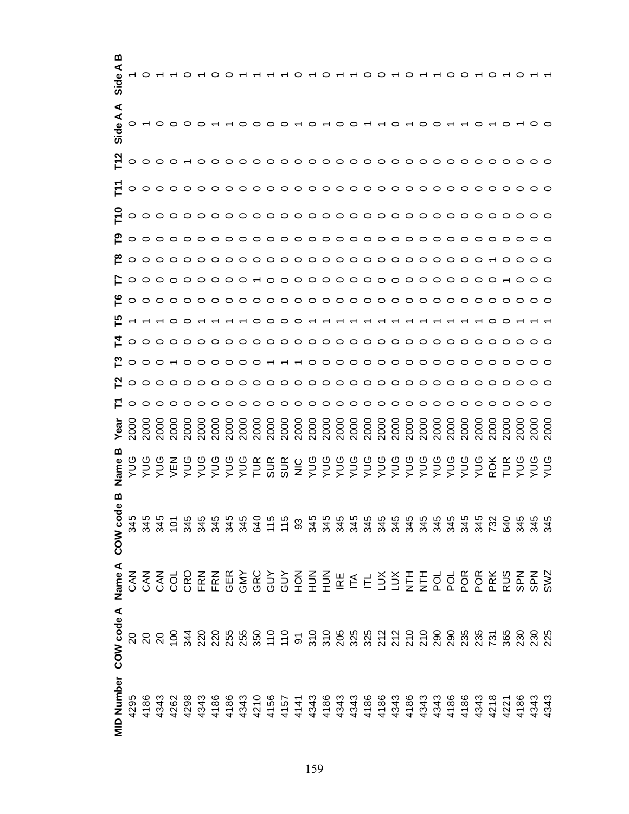| മ                 |                                                                                                                                                                                                                                                                                                                                                                                                                                                                |  |  |  |  |  |  |                         |  |  |  |  |  |  |  |  |
|-------------------|----------------------------------------------------------------------------------------------------------------------------------------------------------------------------------------------------------------------------------------------------------------------------------------------------------------------------------------------------------------------------------------------------------------------------------------------------------------|--|--|--|--|--|--|-------------------------|--|--|--|--|--|--|--|--|
| ⋖<br>Side A       | $0 - 00000 - 0$                                                                                                                                                                                                                                                                                                                                                                                                                                                |  |  |  |  |  |  | 00000000000000000000000 |  |  |  |  |  |  |  |  |
|                   | $\begin{array}{l} \textbf{N} \\ \textbf{L} \\ \textbf{O} \\ \textbf{O} \\ \textbf{O} \\ \textbf{O} \\ \textbf{O} \\ \textbf{O} \\ \textbf{O} \\ \textbf{O} \\ \textbf{O} \\ \textbf{O} \\ \textbf{O} \\ \textbf{O} \\ \textbf{O} \\ \textbf{O} \\ \textbf{O} \\ \textbf{O} \\ \textbf{O} \\ \textbf{O} \\ \textbf{O} \\ \textbf{O} \\ \textbf{O} \\ \textbf{O} \\ \textbf{O} \\ \textbf{O} \\ \textbf{O} \\ \textbf{O} \\ \textbf{O} \\ \textbf{O} \\ \textbf$ |  |  |  |  |  |  |                         |  |  |  |  |  |  |  |  |
|                   |                                                                                                                                                                                                                                                                                                                                                                                                                                                                |  |  |  |  |  |  |                         |  |  |  |  |  |  |  |  |
|                   |                                                                                                                                                                                                                                                                                                                                                                                                                                                                |  |  |  |  |  |  |                         |  |  |  |  |  |  |  |  |
|                   |                                                                                                                                                                                                                                                                                                                                                                                                                                                                |  |  |  |  |  |  |                         |  |  |  |  |  |  |  |  |
|                   |                                                                                                                                                                                                                                                                                                                                                                                                                                                                |  |  |  |  |  |  |                         |  |  |  |  |  |  |  |  |
|                   |                                                                                                                                                                                                                                                                                                                                                                                                                                                                |  |  |  |  |  |  |                         |  |  |  |  |  |  |  |  |
|                   |                                                                                                                                                                                                                                                                                                                                                                                                                                                                |  |  |  |  |  |  |                         |  |  |  |  |  |  |  |  |
|                   |                                                                                                                                                                                                                                                                                                                                                                                                                                                                |  |  |  |  |  |  |                         |  |  |  |  |  |  |  |  |
|                   |                                                                                                                                                                                                                                                                                                                                                                                                                                                                |  |  |  |  |  |  |                         |  |  |  |  |  |  |  |  |
|                   |                                                                                                                                                                                                                                                                                                                                                                                                                                                                |  |  |  |  |  |  |                         |  |  |  |  |  |  |  |  |
|                   | <u>Noooooooooooooooooooooooooooo</u>                                                                                                                                                                                                                                                                                                                                                                                                                           |  |  |  |  |  |  |                         |  |  |  |  |  |  |  |  |
|                   |                                                                                                                                                                                                                                                                                                                                                                                                                                                                |  |  |  |  |  |  |                         |  |  |  |  |  |  |  |  |
| Yea               |                                                                                                                                                                                                                                                                                                                                                                                                                                                                |  |  |  |  |  |  |                         |  |  |  |  |  |  |  |  |
| Vame              |                                                                                                                                                                                                                                                                                                                                                                                                                                                                |  |  |  |  |  |  |                         |  |  |  |  |  |  |  |  |
| മ<br>Φ<br>COW cod |                                                                                                                                                                                                                                                                                                                                                                                                                                                                |  |  |  |  |  |  |                         |  |  |  |  |  |  |  |  |
| Name A            |                                                                                                                                                                                                                                                                                                                                                                                                                                                                |  |  |  |  |  |  |                         |  |  |  |  |  |  |  |  |
| COW code A        | 8 8 8 9 <del>3</del> 8 8 8 8 9 9 5 5 6 6 8 8 8 8 5 8 9 8 9 8 9 8 9 8 9 8 9 8                                                                                                                                                                                                                                                                                                                                                                                   |  |  |  |  |  |  |                         |  |  |  |  |  |  |  |  |
| <b>MID Number</b> |                                                                                                                                                                                                                                                                                                                                                                                                                                                                |  |  |  |  |  |  |                         |  |  |  |  |  |  |  |  |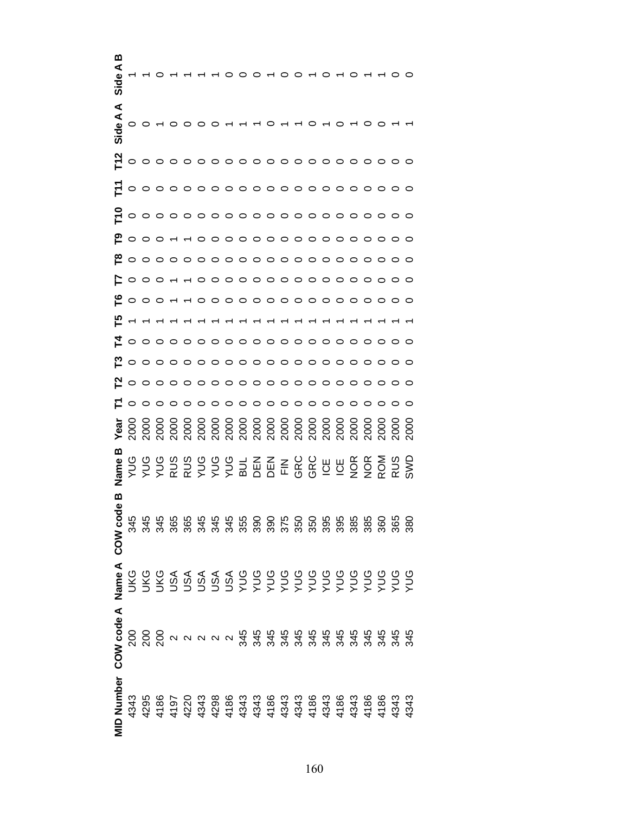| ⋖<br>Side A       |         |                                |                 | $\circ\circ\sim\circ\circ\circ$ |                                                                                                                                                                                                                                                                                                                                                                                                                                                                                                                                                                                                                                                                 |  |  |                     |                                       |         |         |         |         |                          |      |            |     |
|-------------------|---------|--------------------------------|-----------------|---------------------------------|-----------------------------------------------------------------------------------------------------------------------------------------------------------------------------------------------------------------------------------------------------------------------------------------------------------------------------------------------------------------------------------------------------------------------------------------------------------------------------------------------------------------------------------------------------------------------------------------------------------------------------------------------------------------|--|--|---------------------|---------------------------------------|---------|---------|---------|---------|--------------------------|------|------------|-----|
| $\frac{2}{2}$     |         |                                |                 |                                 | ${\color{red}\mathtt{0.0 \cdot 0.0 \cdot 0.0 \cdot 0.0 \cdot 0.0 \cdot 0.0 \cdot 0.0}}$                                                                                                                                                                                                                                                                                                                                                                                                                                                                                                                                                                         |  |  |                     |                                       |         |         |         |         |                          |      |            |     |
|                   |         |                                |                 |                                 |                                                                                                                                                                                                                                                                                                                                                                                                                                                                                                                                                                                                                                                                 |  |  |                     |                                       |         |         |         |         |                          |      |            |     |
| 는                 |         |                                |                 |                                 | ${\color{red}\mathtt{0.0 \cdot 0.0 \cdot 0.0 \cdot 0.0 \cdot 0.0 \cdot 0.0 \cdot 0.0}}$                                                                                                                                                                                                                                                                                                                                                                                                                                                                                                                                                                         |  |  |                     |                                       |         |         |         |         |                          |      |            |     |
|                   |         |                                |                 |                                 |                                                                                                                                                                                                                                                                                                                                                                                                                                                                                                                                                                                                                                                                 |  |  |                     |                                       |         |         |         |         |                          |      |            |     |
| ≌                 |         |                                |                 |                                 | ${\color{red}\mathtt{0.0 \cdot 0.0 \cdot 0.0 \cdot 0.0 \cdot 0.0 \cdot 0.0 \cdot 0.0}}$                                                                                                                                                                                                                                                                                                                                                                                                                                                                                                                                                                         |  |  |                     |                                       |         |         |         |         |                          |      |            |     |
|                   |         |                                |                 |                                 |                                                                                                                                                                                                                                                                                                                                                                                                                                                                                                                                                                                                                                                                 |  |  |                     |                                       |         |         |         |         |                          |      |            |     |
| مّ⊧               |         | $\circ$ $\circ$ $\circ$ $\sim$ |                 |                                 | $\begin{array}{cccccccccccccc} \mathop{\curvearrowleft} & & & & & \mathop{\curvearrowleft} & & & \mathop{\curvearrowleft} & & \mathop{\curvearrowleft} & & \mathop{\curvearrowleft} & & \mathop{\curvearrowleft} & & \mathop{\curvearrowleft} & & \mathop{\curvearrowleft} & & \mathop{\curvearrowleft} & & \mathop{\curvearrowleft} & & \mathop{\curvearrowleft} & & \mathop{\curvearrowleft} & & \mathop{\curvearrowleft} & & \mathop{\curvearrowleft} & & \mathop{\curvearrowleft} & & \mathop{\curvearrowleft} & & \mathop{\curvearrowleft} & & \mathop{\curvearrowleft} & & \mathop{\curvearrowleft} & & \mathop{\curvearrowleft} & & \mathop{\curvearrow$ |  |  |                     |                                       |         |         |         |         |                          |      |            |     |
| ပြ                |         |                                |                 |                                 |                                                                                                                                                                                                                                                                                                                                                                                                                                                                                                                                                                                                                                                                 |  |  |                     |                                       |         |         |         |         |                          |      |            |     |
|                   |         |                                |                 |                                 | $\begin{array}{cccccccccccccc} \circ & \circ & \circ & \circ & \circ & \circ & \circ & \circ & \circ \end{array}$                                                                                                                                                                                                                                                                                                                                                                                                                                                                                                                                               |  |  |                     | $\circ \circ \circ \circ \circ \circ$ |         | $\circ$ |         |         |                          |      |            |     |
|                   |         |                                |                 |                                 | ${\color{red}\mathtt{o}}\circ{\color{red}\mathtt{o}}\circ{\color{red}\mathtt{o}}\circ{\color{red}\mathtt{o}}\circ{\color{red}\mathtt{o}}\circ{\color{red}\mathtt{o}}\circ{\color{red}\mathtt{o}}\circ{\color{red}\mathtt{o}}\circ{\color{red}\mathtt{o}}\circ{\color{red}\mathtt{o}}\circ{\color{red}\mathtt{o}}\circ{\color{red}\mathtt{o}}\circ{\color{red}\mathtt{o}}\circ{\color{red}\mathtt{o}}\circ{\color{red}\mathtt{o}}\circ{\color{red}\mathtt{o}}\circ{\color{red}\mathtt{o}}\circ{\color{red}\mathtt{o}}\circ{\color{red}\mathtt{o}}\circ{\color{red}\mathtt{o}}\circ$                                                                              |  |  |                     |                                       |         |         |         |         |                          |      |            |     |
| <u>ռ</u>          |         |                                |                 |                                 | o o o o o o o o o o o o o o o o o o o                                                                                                                                                                                                                                                                                                                                                                                                                                                                                                                                                                                                                           |  |  |                     |                                       |         |         |         |         |                          |      |            |     |
|                   |         |                                | $\circ$ $\circ$ |                                 | $\circ \circ \circ \circ \circ \circ$                                                                                                                                                                                                                                                                                                                                                                                                                                                                                                                                                                                                                           |  |  | $\circ \circ \circ$ | $\circ$                               | $\circ$ | $\circ$ | $\circ$ | $\circ$ |                          |      |            |     |
| Year              |         |                                |                 |                                 |                                                                                                                                                                                                                                                                                                                                                                                                                                                                                                                                                                                                                                                                 |  |  |                     |                                       |         |         |         |         |                          | 2000 |            | ΣOΟ |
| മ<br>Vame         | ηλ<br>h |                                |                 |                                 | $772889999318888992$                                                                                                                                                                                                                                                                                                                                                                                                                                                                                                                                                                                                                                            |  |  |                     |                                       |         |         |         |         | NOR<br>NOR<br>RUS<br>RUS |      |            |     |
| ಕಿ<br>COW co      |         |                                |                 |                                 |                                                                                                                                                                                                                                                                                                                                                                                                                                                                                                                                                                                                                                                                 |  |  |                     |                                       |         |         |         |         |                          | 360  | 365<br>380 |     |
|                   |         |                                |                 |                                 |                                                                                                                                                                                                                                                                                                                                                                                                                                                                                                                                                                                                                                                                 |  |  |                     |                                       |         |         |         |         |                          |      |            |     |
| COW code A Name A |         |                                |                 |                                 |                                                                                                                                                                                                                                                                                                                                                                                                                                                                                                                                                                                                                                                                 |  |  |                     |                                       |         |         |         |         |                          |      |            |     |
| <b>MID Number</b> | 4343    |                                |                 |                                 |                                                                                                                                                                                                                                                                                                                                                                                                                                                                                                                                                                                                                                                                 |  |  |                     |                                       |         |         |         |         |                          |      |            |     |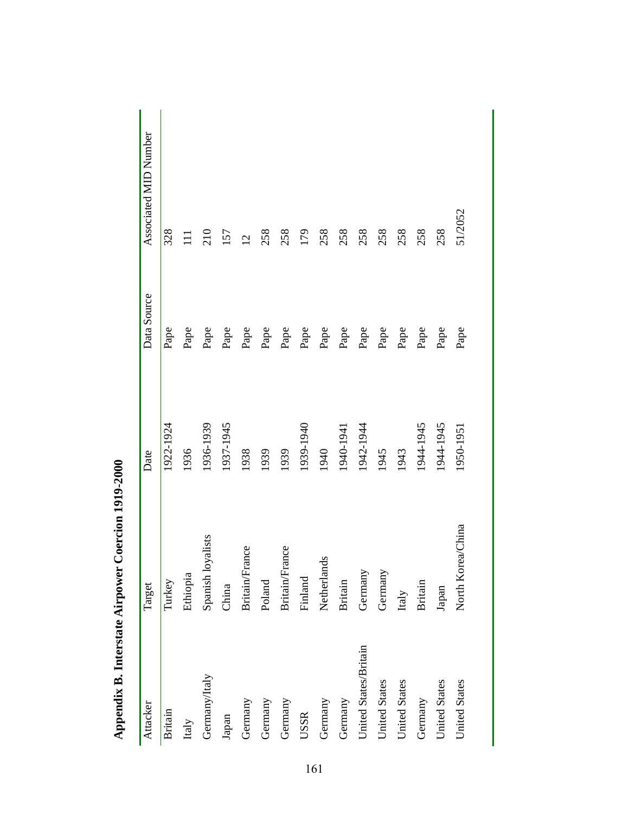| Attacker              | Target            | Date      | Data Source | Associated MID Number |
|-----------------------|-------------------|-----------|-------------|-----------------------|
| <b>Britain</b>        | Turkey            | 1922-1924 | Pape        | 328                   |
| Italy                 | Ethiopia          | 1936      | Pape        |                       |
| Germany/Italy         | Spanish loyalists | 1936-1939 | Pape        | 210                   |
| Japan                 | China             | 1937-1945 | Pape        | 157                   |
| Germany               | Britain/France    | 1938      | Pape        | $\overline{2}$        |
| Germany               | Poland            | 1939      | Pape        | 258                   |
| Germany               | Britain/France    | 1939      | Pape        | 258                   |
| USSR                  | Finland           | 1939-1940 | Pape        | 179                   |
| Germany               | Netherlands       | 1940      | Pape        | 258                   |
| Germany               | <b>Britain</b>    | 1940-1941 | Pape        | 258                   |
| United States/Britain | Germany           | 1942-1944 | Pape        | 258                   |
| United States         | Germany           | 1945      | Pape        | 258                   |
| <b>United States</b>  | Italy             | 1943      | Pape        | 258                   |
| Germany               | <b>Britain</b>    | 1944-1945 | Pape        | 258                   |
| United States         | Japan             | 1944-1945 | Pape        | 258                   |
| <b>United States</b>  | North Korea/China | 1950-195  | Pape        | 51/2052               |

Appendix B. Interstate Airpower Coercion 1919-2000 **Appendix B. Interstate Airpower Coercion 1919-2000**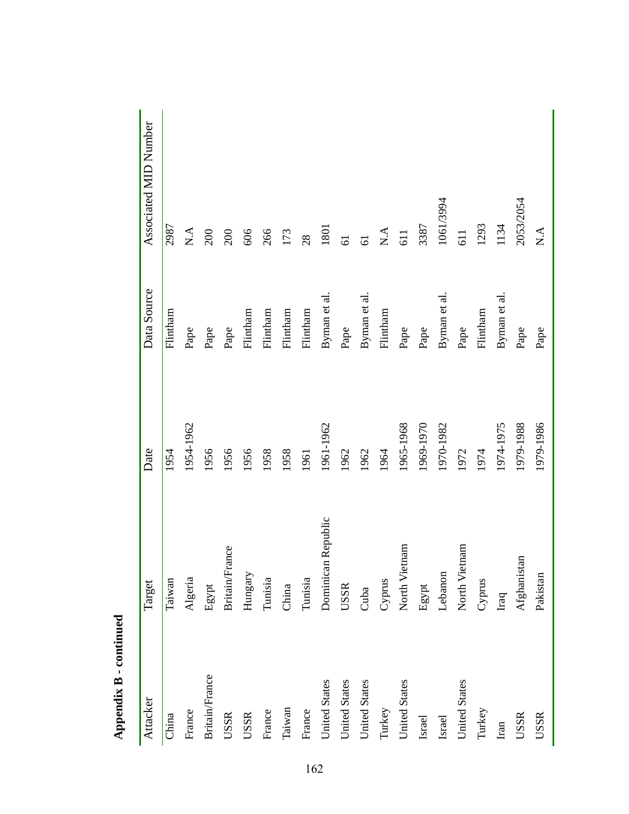| Attacker             | Target                | Date      | Data Source  | Associated MID Number                             |
|----------------------|-----------------------|-----------|--------------|---------------------------------------------------|
| China                | Taiwan                | 1954      | Flintham     | 2987                                              |
| France               | Algeria               | 1954-1962 | Pape         | $\mathop{\mathsf{N}}\nolimits\mathop{\mathsf{A}}$ |
| Britain/France       | Egypt                 | 1956      | Pape         | 200                                               |
| USSR                 | <b>Britain/France</b> | 1956      | Pape         | 200                                               |
| <b>USSR</b>          | Hungary               | 1956      | Flintham     | 606                                               |
| France               | Tunisia               | 1958      | Flintham     | 266                                               |
| Taiwan               | China                 | 1958      | Flintham     | 173                                               |
| France               | Tunisia               | 1961      | Flintham     | 28                                                |
| <b>United States</b> | Dominican Republic    | 1961-1962 | Byman et al. | 1801                                              |
| <b>United States</b> | USSR                  | 1962      | Pape         | $\overline{61}$                                   |
| <b>United States</b> | Cuba                  | 1962      | Byman et al. | $\overline{6}$                                    |
| Turkey               | Cyprus                | 1964      | Flintham     | $\mathbf{N}.\mathbf{A}$                           |
| United States        | North Vietnam         | 1965-1968 | Pape         | 611                                               |
| Israel               | Egypt                 | 1969-1970 | Pape         | 3387                                              |
| Israel               | Lebanon               | 1970-1982 | Byman et al. | 1061/3994                                         |
| <b>United States</b> | North Vietnam         | 1972      | Pape         | 611                                               |
| Turkey               | Cyprus                | 1974      | Flintham     | 1293                                              |
| Iran                 | $_{\rm Iraq}$         | 1974-1975 | Byman et al  | 1134                                              |
| <b>USSR</b>          | Afghanistan           | 1979-1988 | Pape         | 2053/2054                                         |
| <b>USSR</b>          | Pakistan              | 1979-1986 | Pape         | $\mathop{\mathsf{X}\mathsf{.A}}$                  |

| ì      |
|--------|
|        |
| P<br>Γ |
| È<br>ī |
|        |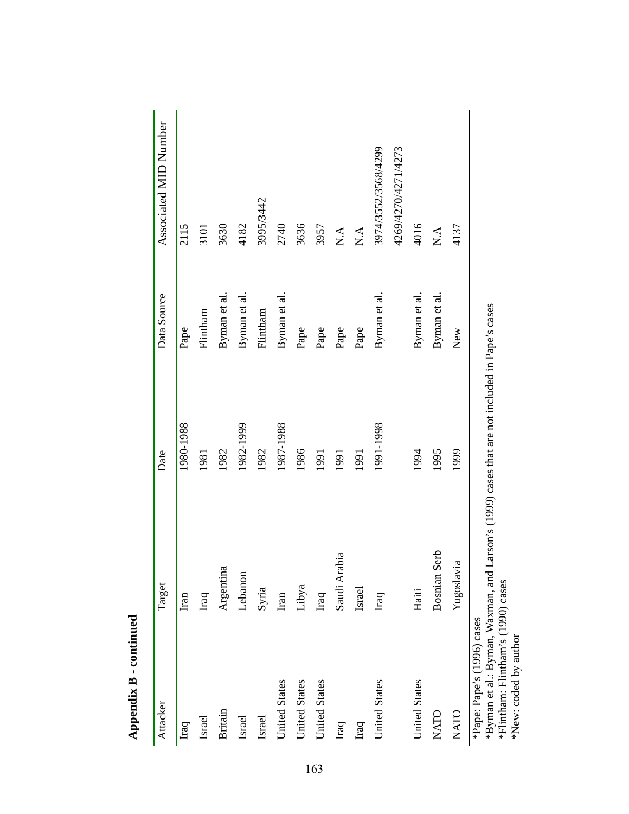| Attacker                                    | Target                                                       | Date                                                                                                           | Data Source  | Associated MID Number                   |
|---------------------------------------------|--------------------------------------------------------------|----------------------------------------------------------------------------------------------------------------|--------------|-----------------------------------------|
| Iraq                                        | Iran                                                         | 1980-1988                                                                                                      | Pape         | 2115                                    |
| Israel                                      | Iraq                                                         | 1981                                                                                                           | Flintham     | 3101                                    |
| <b>Britain</b>                              | Argentina                                                    | 1982                                                                                                           | Byman et al. | 3630                                    |
| Israel                                      | Lebanon                                                      | 1982-1999                                                                                                      | Byman et al. | 4182                                    |
| Israel                                      | Syria                                                        | 1982                                                                                                           | Flintham     | 3995/3442                               |
| <b>United States</b>                        | Iran                                                         | 1987-1988                                                                                                      | Byman et al. | 2740                                    |
| <b>United States</b>                        | Libya                                                        | 1986                                                                                                           | Pape         | 3636                                    |
| <b>United States</b>                        | Iraq                                                         | 1991                                                                                                           | Pape         | 3957                                    |
| Iraq                                        | Saudi Arabia                                                 | 1991                                                                                                           | Pape         | $\mathop{\mathsf{X}\text{-}\mathsf{A}}$ |
| Iraq                                        | <b>Israel</b>                                                | 1991                                                                                                           | Pape         | $\mathbf{N}.\mathbf{A}$                 |
| <b>United States</b>                        | Iraq                                                         | 1991-1998                                                                                                      | Byman et al. | 3974/3552/3568/4299                     |
|                                             |                                                              |                                                                                                                |              | 4269/4270/4271/4273                     |
| <b>United States</b>                        | Haiti                                                        | 1994                                                                                                           | Byman et al. | 4016                                    |
| NATO                                        | Bosnian Serb                                                 | 1995                                                                                                           | Byman et al. | $\mathop{\mathsf{X}\mathsf{.A}}$        |
| NATO                                        | Yugoslavia                                                   | 1999                                                                                                           | New          | 4137                                    |
| *Pape: Pape's (1996) cases<br>$\frac{1}{2}$ | $\Gamma$ and $\Gamma$ and $\Gamma$ and $\Gamma$ and $\Gamma$ | $\frac{1}{2}$ . The contract of the distribution $\frac{1}{2}$ . The contract of $\frac{1}{2}$ , $\frac{1}{2}$ |              |                                         |

**Appendix B - continued**  Appendix B - continued \*Byman et al.: Byman, Waxman, and Larson's (1999) cases that are not included in Pape's cases<br>\*Flintham: Flintham's (1990) cases<br>\*New: coded by author \*Byman et al.: Byman, Waxman, and Larson's (1999) cases that are not included in Pape's cases

\*Flintham: Flintham's (1990) cases \*New: coded by author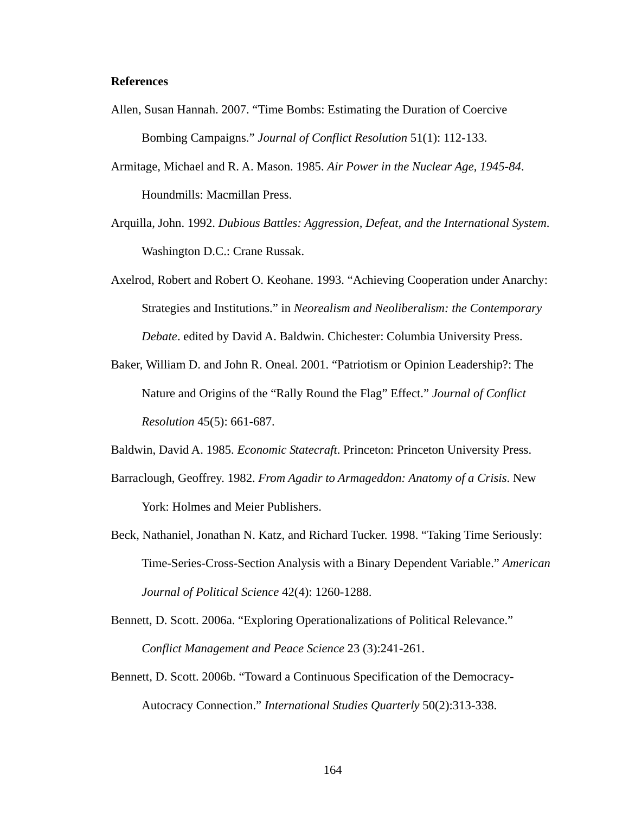## **References**

- Allen, Susan Hannah. 2007. "Time Bombs: Estimating the Duration of Coercive Bombing Campaigns." *Journal of Conflict Resolution* 51(1): 112-133.
- Armitage, Michael and R. A. Mason. 1985. *Air Power in the Nuclear Age, 1945-84*. Houndmills: Macmillan Press.
- Arquilla, John. 1992. *Dubious Battles: Aggression, Defeat, and the International System*. Washington D.C.: Crane Russak.
- Axelrod, Robert and Robert O. Keohane. 1993. "Achieving Cooperation under Anarchy: Strategies and Institutions." in *Neorealism and Neoliberalism: the Contemporary Debate*. edited by David A. Baldwin. Chichester: Columbia University Press.
- Baker, William D. and John R. Oneal. 2001. "Patriotism or Opinion Leadership?: The Nature and Origins of the "Rally Round the Flag" Effect." *Journal of Conflict Resolution* 45(5): 661-687.

Baldwin, David A. 1985. *Economic Statecraft*. Princeton: Princeton University Press.

- Barraclough, Geoffrey. 1982. *From Agadir to Armageddon: Anatomy of a Crisis*. New York: Holmes and Meier Publishers.
- Beck, Nathaniel, Jonathan N. Katz, and Richard Tucker. 1998. "Taking Time Seriously: Time-Series-Cross-Section Analysis with a Binary Dependent Variable." *American Journal of Political Science* 42(4): 1260-1288.
- Bennett, D. Scott. 2006a. "Exploring Operationalizations of Political Relevance." *Conflict Management and Peace Science* 23 (3):241-261.
- Bennett, D. Scott. 2006b. "Toward a Continuous Specification of the Democracy-Autocracy Connection." *International Studies Quarterly* 50(2):313-338.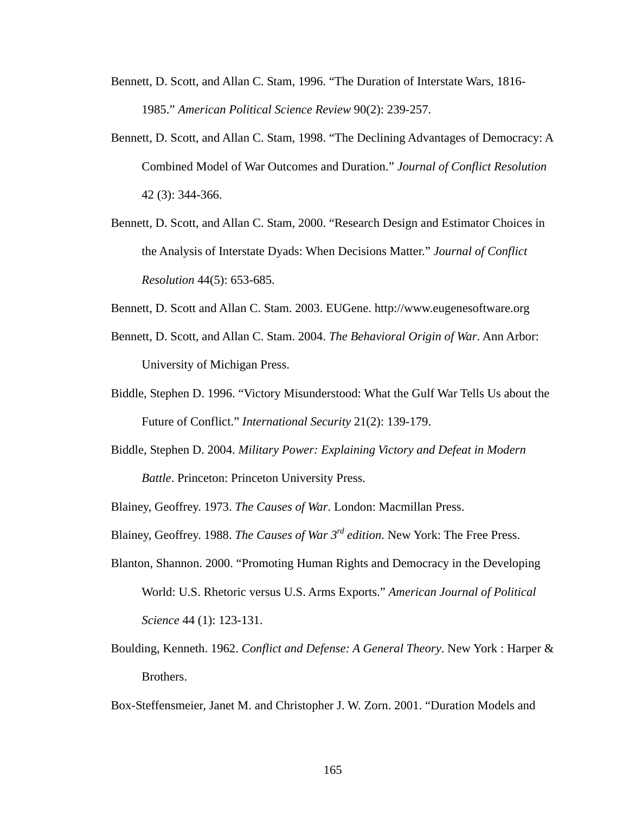- Bennett, D. Scott, and Allan C. Stam, 1996. "The Duration of Interstate Wars, 1816- 1985." *American Political Science Review* 90(2): 239-257.
- Bennett, D. Scott, and Allan C. Stam, 1998. "The Declining Advantages of Democracy: A Combined Model of War Outcomes and Duration." *Journal of Conflict Resolution* 42 (3): 344-366.
- Bennett, D. Scott, and Allan C. Stam, 2000. "Research Design and Estimator Choices in the Analysis of Interstate Dyads: When Decisions Matter." *Journal of Conflict Resolution* 44(5): 653-685.
- Bennett, D. Scott and Allan C. Stam. 2003. EUGene. http://www.eugenesoftware.org
- Bennett, D. Scott, and Allan C. Stam. 2004. *The Behavioral Origin of War*. Ann Arbor: University of Michigan Press.
- Biddle, Stephen D. 1996. "Victory Misunderstood: What the Gulf War Tells Us about the Future of Conflict." *International Security* 21(2): 139-179.
- Biddle, Stephen D. 2004. *Military Power: Explaining Victory and Defeat in Modern Battle*. Princeton: Princeton University Press.

Blainey, Geoffrey. 1973. *The Causes of War*. London: Macmillan Press.

Blainey, Geoffrey. 1988. *The Causes of War 3rd edition*. New York: The Free Press.

- Blanton, Shannon. 2000. "Promoting Human Rights and Democracy in the Developing World: U.S. Rhetoric versus U.S. Arms Exports." *American Journal of Political Science* 44 (1): 123-131.
- Boulding, Kenneth. 1962. *Conflict and Defense: A General Theory*. New York : Harper & Brothers.

Box-Steffensmeier, Janet M. and Christopher J. W. Zorn. 2001. "Duration Models and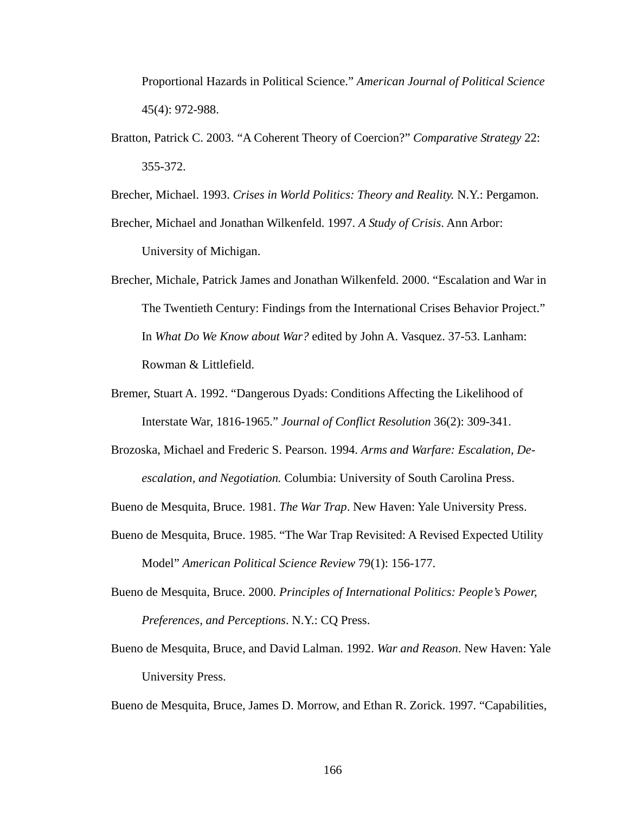Proportional Hazards in Political Science." *American Journal of Political Science* 45(4): 972-988.

Bratton, Patrick C. 2003. "A Coherent Theory of Coercion?" *Comparative Strategy* 22: 355-372.

Brecher, Michael. 1993. *Crises in World Politics: Theory and Reality.* N.Y.: Pergamon.

Brecher, Michael and Jonathan Wilkenfeld. 1997. *A Study of Crisis*. Ann Arbor: University of Michigan.

- Brecher, Michale, Patrick James and Jonathan Wilkenfeld. 2000. "Escalation and War in The Twentieth Century: Findings from the International Crises Behavior Project." In *What Do We Know about War?* edited by John A. Vasquez. 37-53. Lanham: Rowman & Littlefield.
- Bremer, Stuart A. 1992. "Dangerous Dyads: Conditions Affecting the Likelihood of Interstate War, 1816-1965." *Journal of Conflict Resolution* 36(2): 309-341.
- Brozoska, Michael and Frederic S. Pearson. 1994. *Arms and Warfare: Escalation, Deescalation, and Negotiation.* Columbia: University of South Carolina Press.

Bueno de Mesquita, Bruce. 1981. *The War Trap*. New Haven: Yale University Press.

- Bueno de Mesquita, Bruce. 1985. "The War Trap Revisited: A Revised Expected Utility Model" *American Political Science Review* 79(1): 156-177.
- Bueno de Mesquita, Bruce. 2000. *Principles of International Politics: People's Power, Preferences, and Perceptions*. N.Y.: CQ Press.
- Bueno de Mesquita, Bruce, and David Lalman. 1992. *War and Reason*. New Haven: Yale University Press.

Bueno de Mesquita, Bruce, James D. Morrow, and Ethan R. Zorick. 1997. "Capabilities,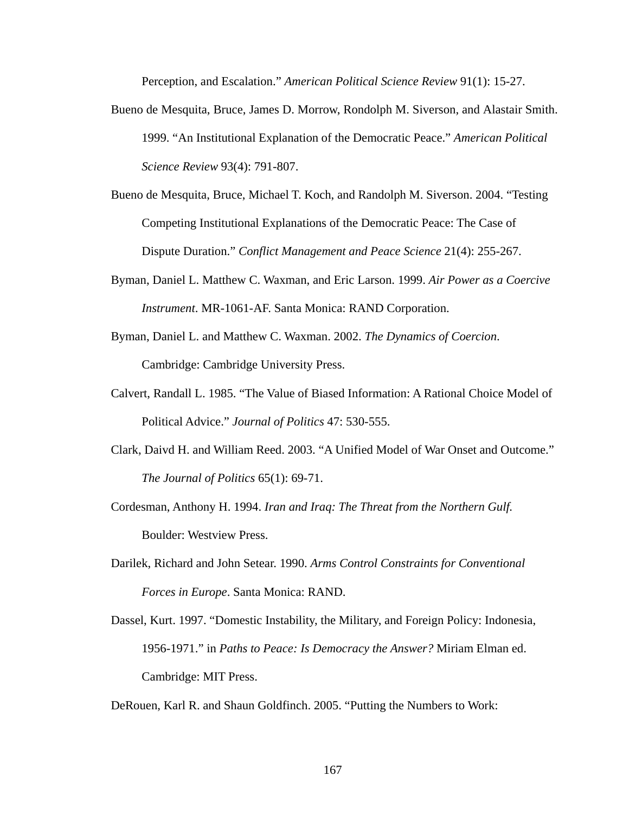Perception, and Escalation." *American Political Science Review* 91(1): 15-27.

- Bueno de Mesquita, Bruce, James D. Morrow, Rondolph M. Siverson, and Alastair Smith. 1999. "An Institutional Explanation of the Democratic Peace." *American Political Science Review* 93(4): 791-807.
- Bueno de Mesquita, Bruce, Michael T. Koch, and Randolph M. Siverson. 2004. "Testing Competing Institutional Explanations of the Democratic Peace: The Case of Dispute Duration." *Conflict Management and Peace Science* 21(4): 255-267.
- Byman, Daniel L. Matthew C. Waxman, and Eric Larson. 1999. *Air Power as a Coercive Instrument*. MR-1061-AF. Santa Monica: RAND Corporation.
- Byman, Daniel L. and Matthew C. Waxman. 2002. *The Dynamics of Coercion*. Cambridge: Cambridge University Press.
- Calvert, Randall L. 1985. "The Value of Biased Information: A Rational Choice Model of Political Advice." *Journal of Politics* 47: 530-555.
- Clark, Daivd H. and William Reed. 2003. "A Unified Model of War Onset and Outcome." *The Journal of Politics* 65(1): 69-71.
- Cordesman, Anthony H. 1994. *Iran and Iraq: The Threat from the Northern Gulf.* Boulder: Westview Press.
- Darilek, Richard and John Setear. 1990. *Arms Control Constraints for Conventional Forces in Europe*. Santa Monica: RAND.
- Dassel, Kurt. 1997. "Domestic Instability, the Military, and Foreign Policy: Indonesia, 1956-1971." in *Paths to Peace: Is Democracy the Answer?* Miriam Elman ed. Cambridge: MIT Press.

DeRouen, Karl R. and Shaun Goldfinch. 2005. "Putting the Numbers to Work: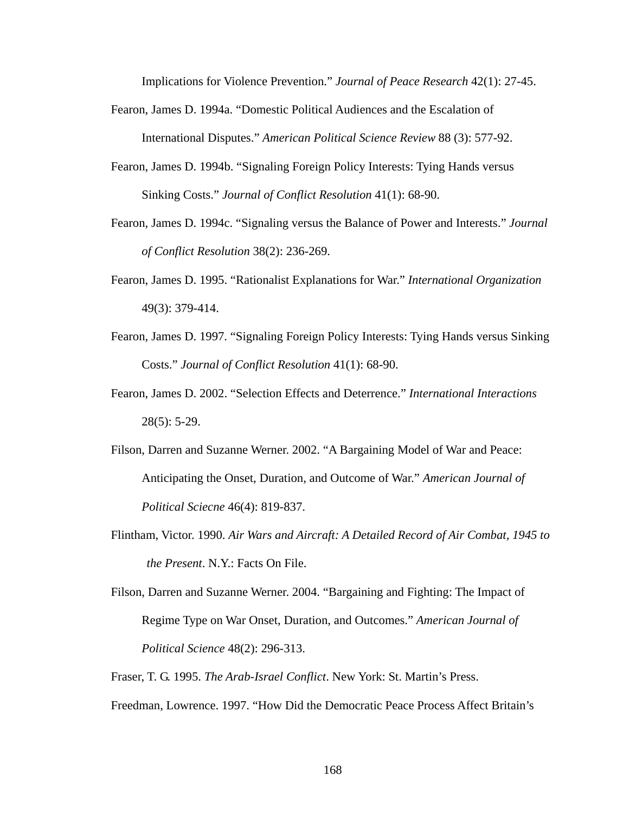Implications for Violence Prevention." *Journal of Peace Research* 42(1): 27-45.

- Fearon, James D. 1994a. "Domestic Political Audiences and the Escalation of International Disputes." *American Political Science Review* 88 (3): 577-92.
- Fearon, James D. 1994b. "Signaling Foreign Policy Interests: Tying Hands versus Sinking Costs." *Journal of Conflict Resolution* 41(1): 68-90.
- Fearon, James D. 1994c. "Signaling versus the Balance of Power and Interests." *Journal of Conflict Resolution* 38(2): 236-269.
- Fearon, James D. 1995. "Rationalist Explanations for War." *International Organization* 49(3): 379-414.
- Fearon, James D. 1997. "Signaling Foreign Policy Interests: Tying Hands versus Sinking Costs." *Journal of Conflict Resolution* 41(1): 68-90.
- Fearon, James D. 2002. "Selection Effects and Deterrence." *International Interactions* 28(5): 5-29.
- Filson, Darren and Suzanne Werner. 2002. "A Bargaining Model of War and Peace: Anticipating the Onset, Duration, and Outcome of War." *American Journal of Political Sciecne* 46(4): 819-837.
- Flintham, Victor. 1990. *Air Wars and Aircraft: A Detailed Record of Air Combat, 1945 to the Present*. N.Y.: Facts On File.
- Filson, Darren and Suzanne Werner. 2004. "Bargaining and Fighting: The Impact of Regime Type on War Onset, Duration, and Outcomes." *American Journal of Political Science* 48(2): 296-313.
- Fraser, T. G. 1995. *The Arab-Israel Conflict*. New York: St. Martin's Press.

Freedman, Lowrence. 1997. "How Did the Democratic Peace Process Affect Britain's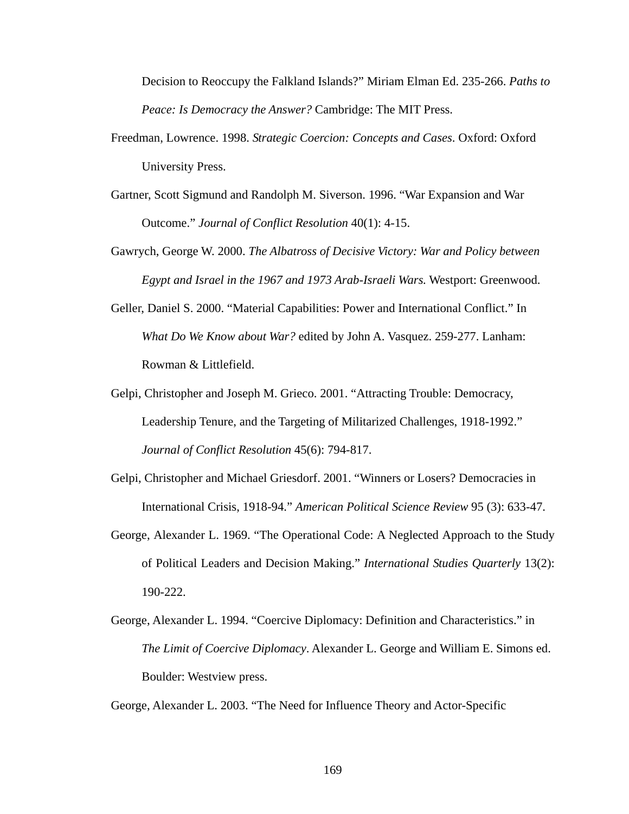Decision to Reoccupy the Falkland Islands?" Miriam Elman Ed. 235-266. *Paths to Peace: Is Democracy the Answer?* Cambridge: The MIT Press.

- Freedman, Lowrence. 1998. *Strategic Coercion: Concepts and Cases*. Oxford: Oxford University Press.
- Gartner, Scott Sigmund and Randolph M. Siverson. 1996. "War Expansion and War Outcome." *Journal of Conflict Resolution* 40(1): 4-15.
- Gawrych, George W. 2000. *The Albatross of Decisive Victory: War and Policy between Egypt and Israel in the 1967 and 1973 Arab-Israeli Wars.* Westport: Greenwood.
- Geller, Daniel S. 2000. "Material Capabilities: Power and International Conflict." In *What Do We Know about War?* edited by John A. Vasquez. 259-277. Lanham: Rowman & Littlefield.
- Gelpi, Christopher and Joseph M. Grieco. 2001. "Attracting Trouble: Democracy, Leadership Tenure, and the Targeting of Militarized Challenges, 1918-1992." *Journal of Conflict Resolution* 45(6): 794-817.
- Gelpi, Christopher and Michael Griesdorf. 2001. "Winners or Losers? Democracies in International Crisis, 1918-94." *American Political Science Review* 95 (3): 633-47.
- George, Alexander L. 1969. "The Operational Code: A Neglected Approach to the Study of Political Leaders and Decision Making." *International Studies Quarterly* 13(2): 190-222.
- George, Alexander L. 1994. "Coercive Diplomacy: Definition and Characteristics." in *The Limit of Coercive Diplomacy*. Alexander L. George and William E. Simons ed. Boulder: Westview press.

George, Alexander L. 2003. "The Need for Influence Theory and Actor-Specific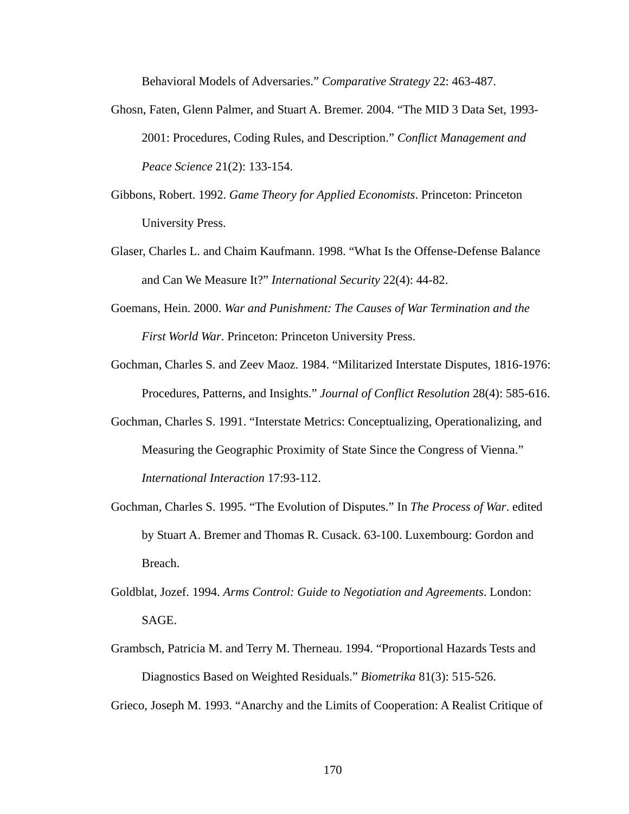Behavioral Models of Adversaries." *Comparative Strategy* 22: 463-487.

- Ghosn, Faten, Glenn Palmer, and Stuart A. Bremer. 2004. "The MID 3 Data Set, 1993- 2001: Procedures, Coding Rules, and Description." *Conflict Management and Peace Science* 21(2): 133-154.
- Gibbons, Robert. 1992. *Game Theory for Applied Economists*. Princeton: Princeton University Press.
- Glaser, Charles L. and Chaim Kaufmann. 1998. "What Is the Offense-Defense Balance and Can We Measure It?" *International Security* 22(4): 44-82.
- Goemans, Hein. 2000. *War and Punishment: The Causes of War Termination and the First World War*. Princeton: Princeton University Press.
- Gochman, Charles S. and Zeev Maoz. 1984. "Militarized Interstate Disputes, 1816-1976: Procedures, Patterns, and Insights." *Journal of Conflict Resolution* 28(4): 585-616.
- Gochman, Charles S. 1991. "Interstate Metrics: Conceptualizing, Operationalizing, and Measuring the Geographic Proximity of State Since the Congress of Vienna." *International Interaction* 17:93-112.
- Gochman, Charles S. 1995. "The Evolution of Disputes." In *The Process of War*. edited by Stuart A. Bremer and Thomas R. Cusack. 63-100. Luxembourg: Gordon and Breach.
- Goldblat, Jozef. 1994. *Arms Control: Guide to Negotiation and Agreements*. London: SAGE.
- Grambsch, Patricia M. and Terry M. Therneau. 1994. "Proportional Hazards Tests and Diagnostics Based on Weighted Residuals." *Biometrika* 81(3): 515-526.

Grieco, Joseph M. 1993. "Anarchy and the Limits of Cooperation: A Realist Critique of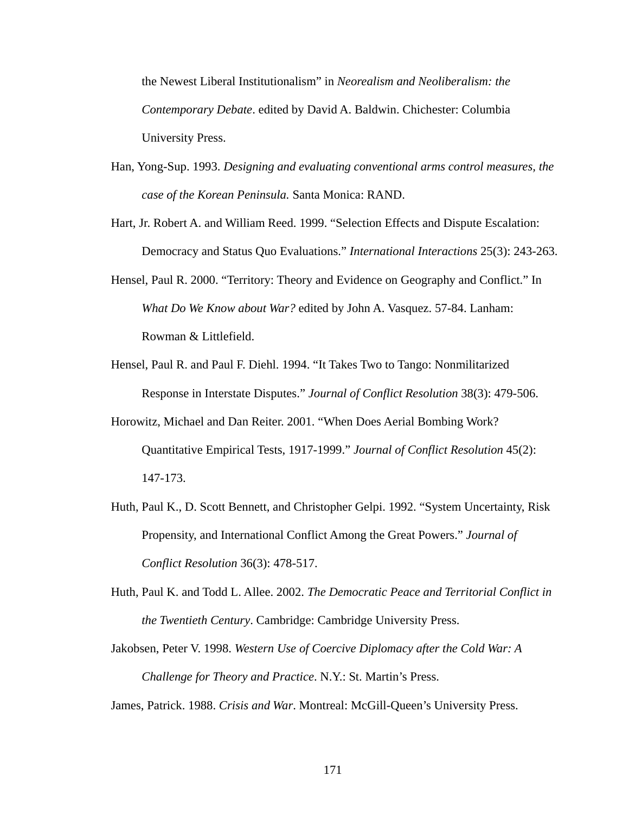the Newest Liberal Institutionalism" in *Neorealism and Neoliberalism: the Contemporary Debate*. edited by David A. Baldwin. Chichester: Columbia University Press.

- Han, Yong-Sup. 1993. *Designing and evaluating conventional arms control measures, the case of the Korean Peninsula.* Santa Monica: RAND.
- Hart, Jr. Robert A. and William Reed. 1999. "Selection Effects and Dispute Escalation: Democracy and Status Quo Evaluations." *International Interactions* 25(3): 243-263.
- Hensel, Paul R. 2000. "Territory: Theory and Evidence on Geography and Conflict." In *What Do We Know about War?* edited by John A. Vasquez. 57-84. Lanham: Rowman & Littlefield.
- Hensel, Paul R. and Paul F. Diehl. 1994. "It Takes Two to Tango: Nonmilitarized Response in Interstate Disputes." *Journal of Conflict Resolution* 38(3): 479-506.
- Horowitz, Michael and Dan Reiter. 2001. "When Does Aerial Bombing Work? Quantitative Empirical Tests, 1917-1999." *Journal of Conflict Resolution* 45(2): 147-173.
- Huth, Paul K., D. Scott Bennett, and Christopher Gelpi. 1992. "System Uncertainty, Risk Propensity, and International Conflict Among the Great Powers." *Journal of Conflict Resolution* 36(3): 478-517.
- Huth, Paul K. and Todd L. Allee. 2002. *The Democratic Peace and Territorial Conflict in the Twentieth Century*. Cambridge: Cambridge University Press.
- Jakobsen, Peter V. 1998. *Western Use of Coercive Diplomacy after the Cold War: A Challenge for Theory and Practice*. N.Y.: St. Martin's Press.

James, Patrick. 1988. *Crisis and War*. Montreal: McGill-Queen's University Press.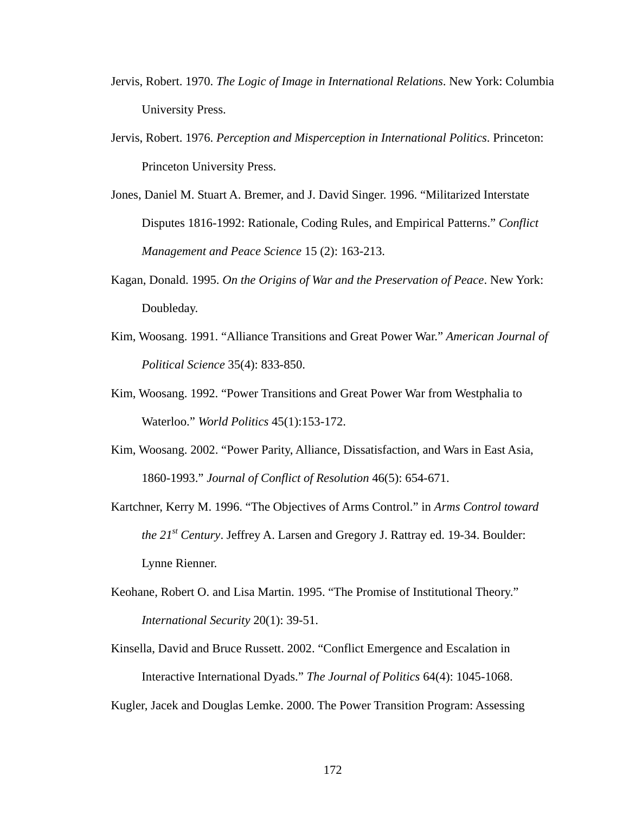- Jervis, Robert. 1970. *The Logic of Image in International Relations*. New York: Columbia University Press.
- Jervis, Robert. 1976. *Perception and Misperception in International Politics*. Princeton: Princeton University Press.
- Jones, Daniel M. Stuart A. Bremer, and J. David Singer. 1996. "Militarized Interstate Disputes 1816-1992: Rationale, Coding Rules, and Empirical Patterns." *Conflict Management and Peace Science* 15 (2): 163-213.
- Kagan, Donald. 1995. *On the Origins of War and the Preservation of Peace*. New York: Doubleday.
- Kim, Woosang. 1991. "Alliance Transitions and Great Power War." *American Journal of Political Science* 35(4): 833-850.
- Kim, Woosang. 1992. "Power Transitions and Great Power War from Westphalia to Waterloo." *World Politics* 45(1):153-172.
- Kim, Woosang. 2002. "Power Parity, Alliance, Dissatisfaction, and Wars in East Asia, 1860-1993." *Journal of Conflict of Resolution* 46(5): 654-671.
- Kartchner, Kerry M. 1996. "The Objectives of Arms Control." in *Arms Control toward the 21st Century*. Jeffrey A. Larsen and Gregory J. Rattray ed. 19-34. Boulder: Lynne Rienner.
- Keohane, Robert O. and Lisa Martin. 1995. "The Promise of Institutional Theory." *International Security* 20(1): 39-51.
- Kinsella, David and Bruce Russett. 2002. "Conflict Emergence and Escalation in Interactive International Dyads." *The Journal of Politics* 64(4): 1045-1068.

Kugler, Jacek and Douglas Lemke. 2000. The Power Transition Program: Assessing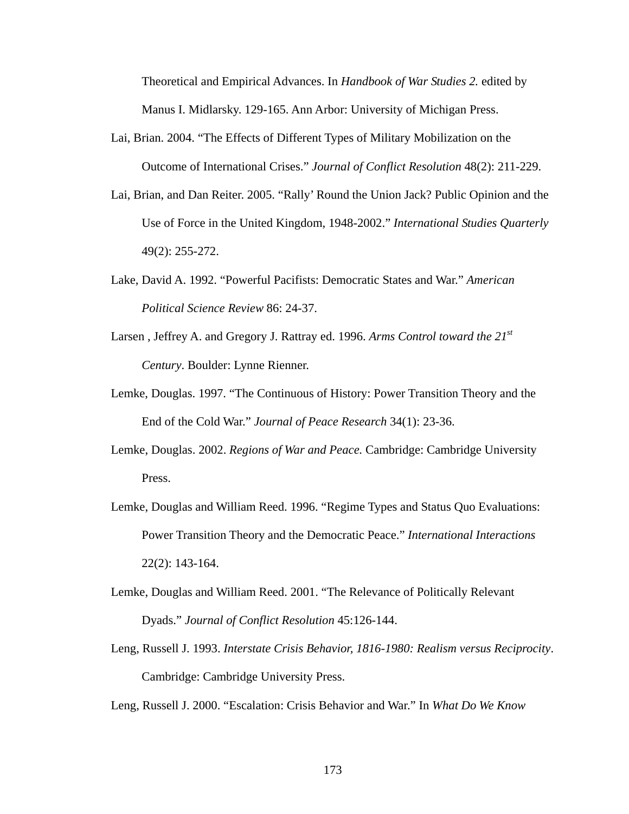Theoretical and Empirical Advances. In *Handbook of War Studies 2.* edited by Manus I. Midlarsky. 129-165. Ann Arbor: University of Michigan Press.

- Lai, Brian. 2004. "The Effects of Different Types of Military Mobilization on the Outcome of International Crises." *Journal of Conflict Resolution* 48(2): 211-229.
- Lai, Brian, and Dan Reiter. 2005. "Rally' Round the Union Jack? Public Opinion and the Use of Force in the United Kingdom, 1948-2002." *International Studies Quarterly* 49(2): 255-272.
- Lake, David A. 1992. "Powerful Pacifists: Democratic States and War." *American Political Science Review* 86: 24-37.
- Larsen , Jeffrey A. and Gregory J. Rattray ed. 1996. *Arms Control toward the 21st Century*. Boulder: Lynne Rienner.
- Lemke, Douglas. 1997. "The Continuous of History: Power Transition Theory and the End of the Cold War." *Journal of Peace Research* 34(1): 23-36.
- Lemke, Douglas. 2002. *Regions of War and Peace.* Cambridge: Cambridge University Press.
- Lemke, Douglas and William Reed. 1996. "Regime Types and Status Quo Evaluations: Power Transition Theory and the Democratic Peace." *International Interactions* 22(2): 143-164.
- Lemke, Douglas and William Reed. 2001. "The Relevance of Politically Relevant Dyads." *Journal of Conflict Resolution* 45:126-144.
- Leng, Russell J. 1993. *Interstate Crisis Behavior, 1816-1980: Realism versus Reciprocity*. Cambridge: Cambridge University Press.

Leng, Russell J. 2000. "Escalation: Crisis Behavior and War." In *What Do We Know*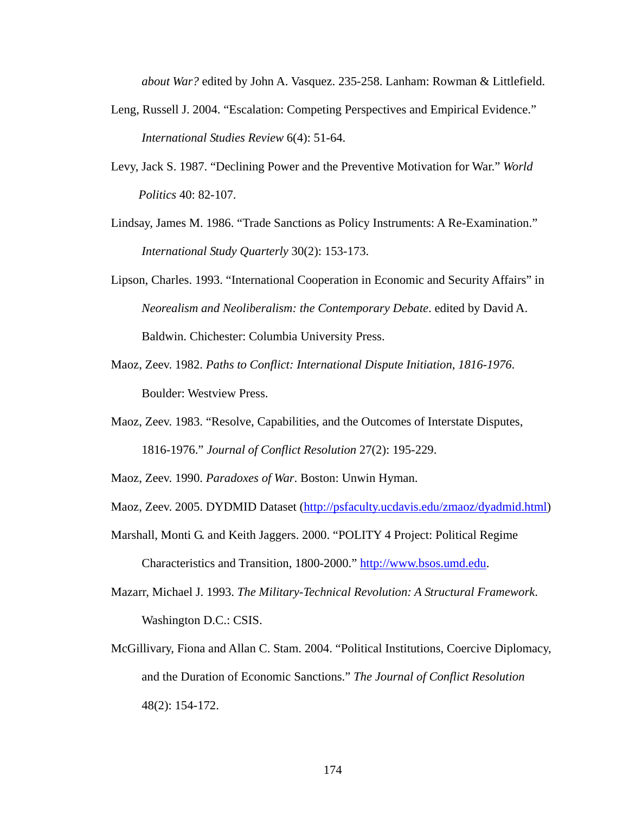*about War?* edited by John A. Vasquez. 235-258. Lanham: Rowman & Littlefield.

- Leng, Russell J. 2004. "Escalation: Competing Perspectives and Empirical Evidence." *International Studies Review* 6(4): 51-64.
- Levy, Jack S. 1987. "Declining Power and the Preventive Motivation for War." *World Politics* 40: 82-107.
- Lindsay, James M. 1986. "Trade Sanctions as Policy Instruments: A Re-Examination." *International Study Quarterly* 30(2): 153-173.
- Lipson, Charles. 1993. "International Cooperation in Economic and Security Affairs" in *Neorealism and Neoliberalism: the Contemporary Debate*. edited by David A. Baldwin. Chichester: Columbia University Press.
- Maoz, Zeev. 1982. *Paths to Conflict: International Dispute Initiation*, *1816-1976*. Boulder: Westview Press.
- Maoz, Zeev. 1983. "Resolve, Capabilities, and the Outcomes of Interstate Disputes, 1816-1976." *Journal of Conflict Resolution* 27(2): 195-229.
- Maoz, Zeev. 1990. *Paradoxes of War*. Boston: Unwin Hyman.
- Maoz, Zeev. 2005. DYDMID Dataset (http://psfaculty.ucdavis.edu/zmaoz/dyadmid.html)
- Marshall, Monti G. and Keith Jaggers. 2000. "POLITY 4 Project: Political Regime

Characteristics and Transition, 1800-2000." http://www.bsos.umd.edu.

- Mazarr, Michael J. 1993. *The Military-Technical Revolution: A Structural Framework*. Washington D.C.: CSIS.
- McGillivary, Fiona and Allan C. Stam. 2004. "Political Institutions, Coercive Diplomacy, and the Duration of Economic Sanctions." *The Journal of Conflict Resolution*  48(2): 154-172.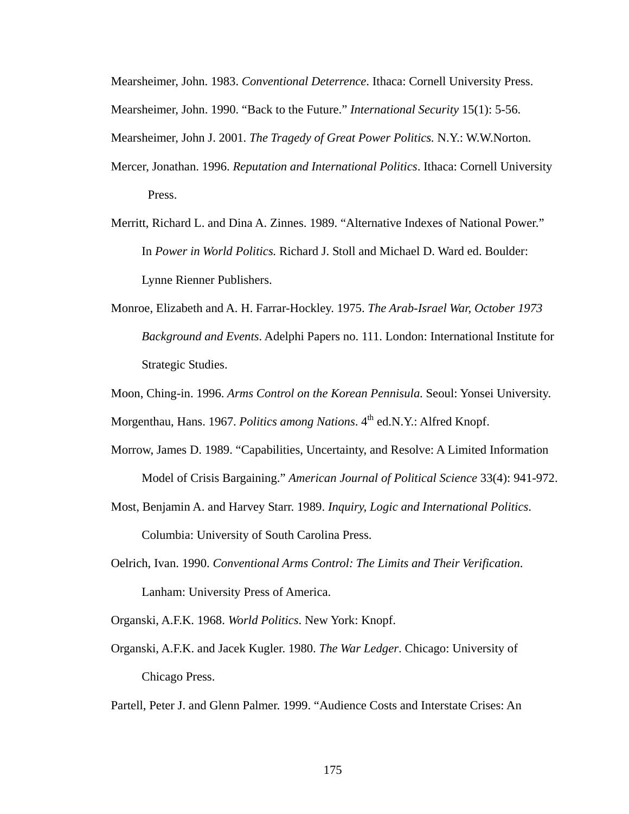Mearsheimer, John. 1983. *Conventional Deterrence*. Ithaca: Cornell University Press. Mearsheimer, John. 1990. "Back to the Future." *International Security* 15(1): 5-56.

Mearsheimer, John J. 2001*. The Tragedy of Great Power Politics.* N.Y.: W.W.Norton.

- Mercer, Jonathan. 1996. *Reputation and International Politics*. Ithaca: Cornell University Press.
- Merritt, Richard L. and Dina A. Zinnes. 1989. "Alternative Indexes of National Power." In *Power in World Politics.* Richard J. Stoll and Michael D. Ward ed. Boulder: Lynne Rienner Publishers.
- Monroe, Elizabeth and A. H. Farrar-Hockley. 1975. *The Arab-Israel War, October 1973 Background and Events*. Adelphi Papers no. 111. London: International Institute for Strategic Studies.
- Moon, Ching-in. 1996. *Arms Control on the Korean Pennisula*. Seoul: Yonsei University.

Morgenthau, Hans. 1967. *Politics among Nations*. 4<sup>th</sup> ed.N.Y.: Alfred Knopf.

- Morrow, James D. 1989. "Capabilities, Uncertainty, and Resolve: A Limited Information Model of Crisis Bargaining." *American Journal of Political Science* 33(4): 941-972.
- Most, Benjamin A. and Harvey Starr. 1989. *Inquiry, Logic and International Politics*. Columbia: University of South Carolina Press.
- Oelrich, Ivan. 1990. *Conventional Arms Control: The Limits and Their Verification*. Lanham: University Press of America.
- Organski, A.F.K. 1968. *World Politics*. New York: Knopf.
- Organski, A.F.K. and Jacek Kugler. 1980. *The War Ledger*. Chicago: University of Chicago Press.

Partell, Peter J. and Glenn Palmer. 1999. "Audience Costs and Interstate Crises: An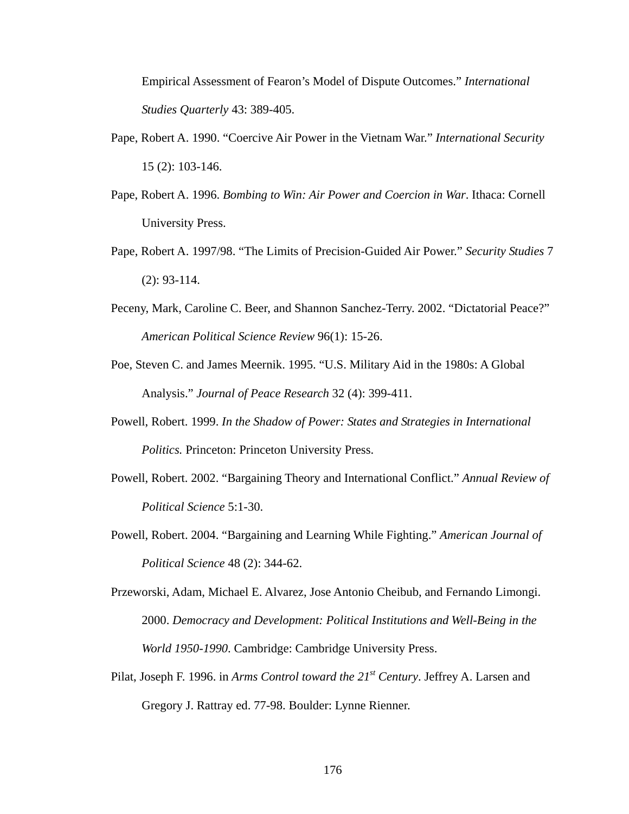Empirical Assessment of Fearon's Model of Dispute Outcomes." *International Studies Quarterly* 43: 389-405.

- Pape, Robert A. 1990. "Coercive Air Power in the Vietnam War." *International Security* 15 (2): 103-146.
- Pape, Robert A. 1996. *Bombing to Win: Air Power and Coercion in War*. Ithaca: Cornell University Press.
- Pape, Robert A. 1997/98. "The Limits of Precision-Guided Air Power." *Security Studies* 7 (2): 93-114.
- Peceny, Mark, Caroline C. Beer, and Shannon Sanchez-Terry. 2002. "Dictatorial Peace?" *American Political Science Review* 96(1): 15-26.
- Poe, Steven C. and James Meernik. 1995. "U.S. Military Aid in the 1980s: A Global Analysis." *Journal of Peace Research* 32 (4): 399-411.
- Powell, Robert. 1999. *In the Shadow of Power: States and Strategies in International Politics.* Princeton: Princeton University Press.
- Powell, Robert. 2002. "Bargaining Theory and International Conflict." *Annual Review of Political Science* 5:1-30.
- Powell, Robert. 2004. "Bargaining and Learning While Fighting." *American Journal of Political Science* 48 (2): 344-62.
- Przeworski, Adam, Michael E. Alvarez, Jose Antonio Cheibub, and Fernando Limongi. 2000. *Democracy and Development: Political Institutions and Well-Being in the World 1950-1990*. Cambridge: Cambridge University Press.
- Pilat, Joseph F. 1996. in *Arms Control toward the 21st Century*. Jeffrey A. Larsen and Gregory J. Rattray ed. 77-98. Boulder: Lynne Rienner.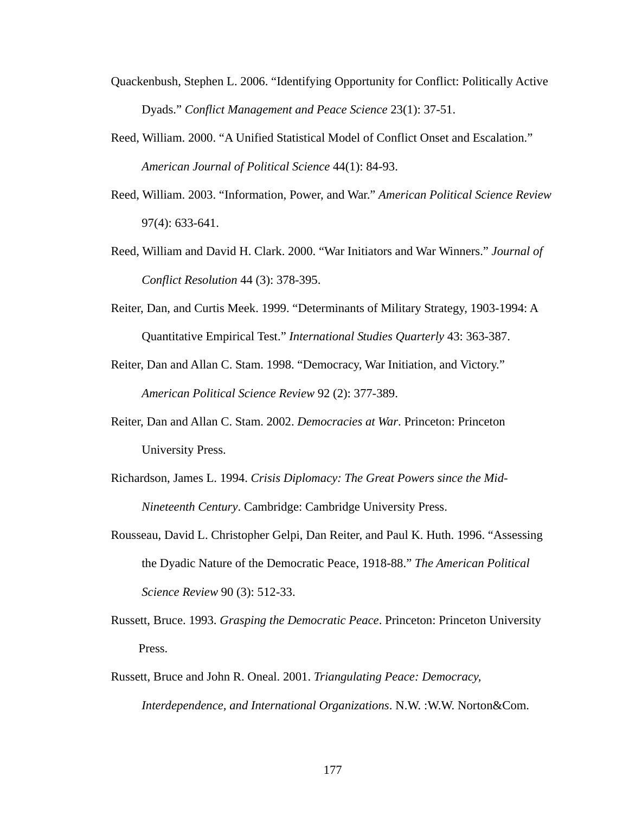- Quackenbush, Stephen L. 2006. "Identifying Opportunity for Conflict: Politically Active Dyads." *Conflict Management and Peace Science* 23(1): 37-51.
- Reed, William. 2000. "A Unified Statistical Model of Conflict Onset and Escalation." *American Journal of Political Science* 44(1): 84-93.
- Reed, William. 2003. "Information, Power, and War." *American Political Science Review*  97(4): 633-641.
- Reed, William and David H. Clark. 2000. "War Initiators and War Winners." *Journal of Conflict Resolution* 44 (3): 378-395.
- Reiter, Dan, and Curtis Meek. 1999. "Determinants of Military Strategy, 1903-1994: A Quantitative Empirical Test." *International Studies Quarterly* 43: 363-387.
- Reiter, Dan and Allan C. Stam. 1998. "Democracy, War Initiation, and Victory." *American Political Science Review* 92 (2): 377-389.
- Reiter, Dan and Allan C. Stam. 2002. *Democracies at War*. Princeton: Princeton University Press.
- Richardson, James L. 1994. *Crisis Diplomacy: The Great Powers since the Mid-Nineteenth Century*. Cambridge: Cambridge University Press.
- Rousseau, David L. Christopher Gelpi, Dan Reiter, and Paul K. Huth. 1996. "Assessing the Dyadic Nature of the Democratic Peace, 1918-88." *The American Political Science Review* 90 (3): 512-33.
- Russett, Bruce. 1993. *Grasping the Democratic Peace*. Princeton: Princeton University Press.
- Russett, Bruce and John R. Oneal. 2001. *Triangulating Peace: Democracy, Interdependence, and International Organizations*. N.W. :W.W. Norton&Com.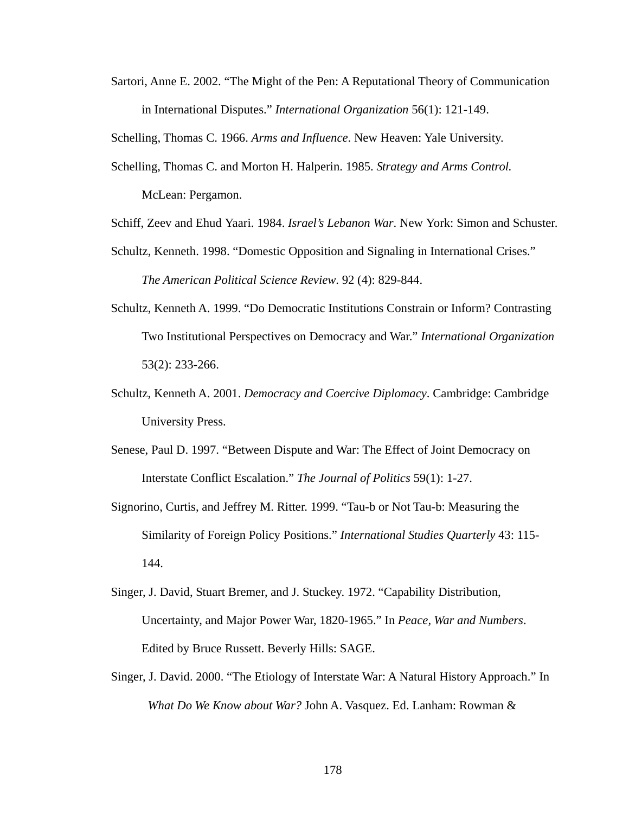Sartori, Anne E. 2002. "The Might of the Pen: A Reputational Theory of Communication in International Disputes." *International Organization* 56(1): 121-149.

Schelling, Thomas C. 1966. *Arms and Influence*. New Heaven: Yale University.

- Schelling, Thomas C. and Morton H. Halperin. 1985. *Strategy and Arms Control.* McLean: Pergamon.
- Schiff, Zeev and Ehud Yaari. 1984. *Israel's Lebanon War*. New York: Simon and Schuster.
- Schultz, Kenneth. 1998. "Domestic Opposition and Signaling in International Crises." *The American Political Science Review*. 92 (4): 829-844.
- Schultz, Kenneth A. 1999. "Do Democratic Institutions Constrain or Inform? Contrasting Two Institutional Perspectives on Democracy and War." *International Organization* 53(2): 233-266.
- Schultz, Kenneth A. 2001. *Democracy and Coercive Diplomacy*. Cambridge: Cambridge University Press.
- Senese, Paul D. 1997. "Between Dispute and War: The Effect of Joint Democracy on Interstate Conflict Escalation." *The Journal of Politics* 59(1): 1-27.
- Signorino, Curtis, and Jeffrey M. Ritter. 1999. "Tau-b or Not Tau-b: Measuring the Similarity of Foreign Policy Positions." *International Studies Quarterly* 43: 115- 144.
- Singer, J. David, Stuart Bremer, and J. Stuckey. 1972. "Capability Distribution, Uncertainty, and Major Power War, 1820-1965." In *Peace, War and Numbers*. Edited by Bruce Russett. Beverly Hills: SAGE.
- Singer, J. David. 2000. "The Etiology of Interstate War: A Natural History Approach." In *What Do We Know about War?* John A. Vasquez. Ed. Lanham: Rowman &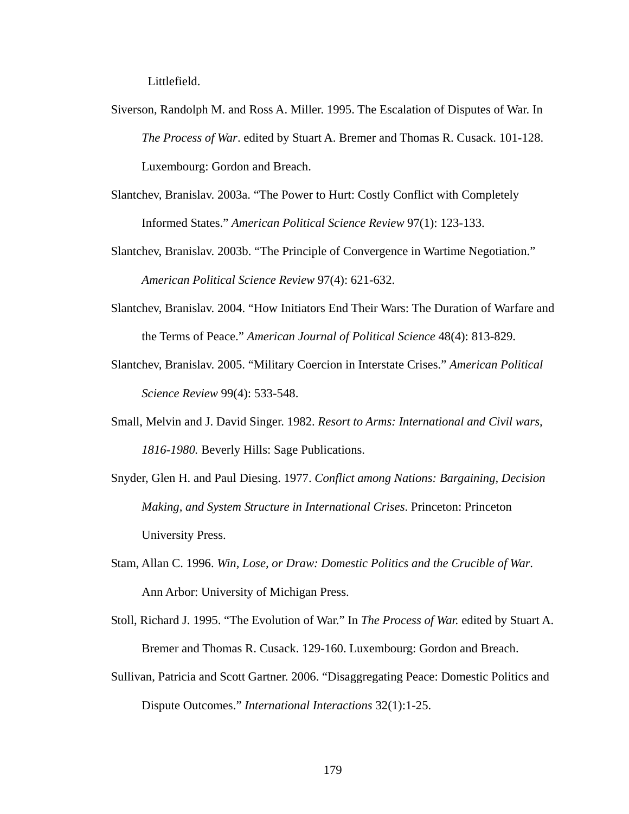Littlefield.

- Siverson, Randolph M. and Ross A. Miller. 1995. The Escalation of Disputes of War. In *The Process of War*. edited by Stuart A. Bremer and Thomas R. Cusack. 101-128. Luxembourg: Gordon and Breach.
- Slantchev, Branislav. 2003a. "The Power to Hurt: Costly Conflict with Completely Informed States." *American Political Science Review* 97(1): 123-133.
- Slantchev, Branislav. 2003b. "The Principle of Convergence in Wartime Negotiation." *American Political Science Review* 97(4): 621-632.
- Slantchev, Branislav. 2004. "How Initiators End Their Wars: The Duration of Warfare and the Terms of Peace." *American Journal of Political Science* 48(4): 813-829.
- Slantchev, Branislav. 2005. "Military Coercion in Interstate Crises." *American Political Science Review* 99(4): 533-548.
- Small, Melvin and J. David Singer. 1982. *Resort to Arms: International and Civil wars, 1816-1980.* Beverly Hills: Sage Publications.
- Snyder, Glen H. and Paul Diesing. 1977. *Conflict among Nations: Bargaining, Decision Making, and System Structure in International Crises*. Princeton: Princeton University Press.
- Stam, Allan C. 1996. *Win, Lose, or Draw: Domestic Politics and the Crucible of War*. Ann Arbor: University of Michigan Press.
- Stoll, Richard J. 1995. "The Evolution of War." In *The Process of War.* edited by Stuart A. Bremer and Thomas R. Cusack. 129-160. Luxembourg: Gordon and Breach.
- Sullivan, Patricia and Scott Gartner. 2006. "Disaggregating Peace: Domestic Politics and Dispute Outcomes." *International Interactions* 32(1):1-25.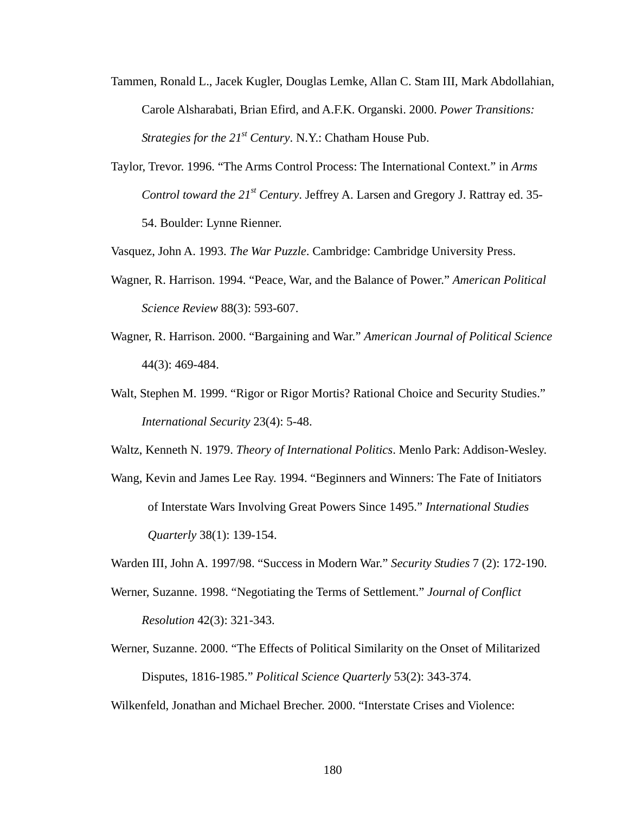- Tammen, Ronald L., Jacek Kugler, Douglas Lemke, Allan C. Stam III, Mark Abdollahian, Carole Alsharabati, Brian Efird, and A.F.K. Organski. 2000. *Power Transitions: Strategies for the 21<sup>st</sup> Century*. N.Y.: Chatham House Pub.
- Taylor, Trevor. 1996. "The Arms Control Process: The International Context." in *Arms Control toward the 21<sup>st</sup> Century.* Jeffrey A. Larsen and Gregory J. Rattray ed. 35-54. Boulder: Lynne Rienner.

Vasquez, John A. 1993. *The War Puzzle*. Cambridge: Cambridge University Press.

- Wagner, R. Harrison. 1994. "Peace, War, and the Balance of Power." *American Political Science Review* 88(3): 593-607.
- Wagner, R. Harrison. 2000. "Bargaining and War." *American Journal of Political Science* 44(3): 469-484.
- Walt, Stephen M. 1999. "Rigor or Rigor Mortis? Rational Choice and Security Studies." *International Security* 23(4): 5-48.

Waltz, Kenneth N. 1979. *Theory of International Politics*. Menlo Park: Addison-Wesley.

Wang, Kevin and James Lee Ray. 1994. "Beginners and Winners: The Fate of Initiators of Interstate Wars Involving Great Powers Since 1495." *International Studies Quarterly* 38(1): 139-154.

Warden III, John A. 1997/98. "Success in Modern War." *Security Studies* 7 (2): 172-190.

- Werner, Suzanne. 1998. "Negotiating the Terms of Settlement." *Journal of Conflict Resolution* 42(3): 321-343.
- Werner, Suzanne. 2000. "The Effects of Political Similarity on the Onset of Militarized Disputes, 1816-1985." *Political Science Quarterly* 53(2): 343-374.

Wilkenfeld, Jonathan and Michael Brecher. 2000. "Interstate Crises and Violence: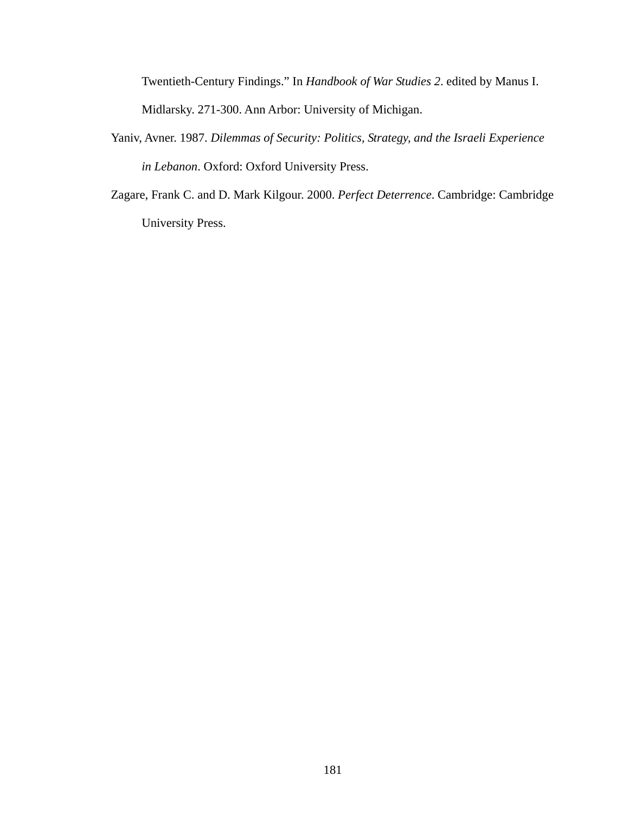Twentieth-Century Findings." In *Handbook of War Studies 2*. edited by Manus I. Midlarsky. 271-300. Ann Arbor: University of Michigan.

- Yaniv, Avner. 1987. *Dilemmas of Security: Politics, Strategy, and the Israeli Experience in Lebanon*. Oxford: Oxford University Press.
- Zagare, Frank C. and D. Mark Kilgour. 2000. *Perfect Deterrence*. Cambridge: Cambridge University Press.